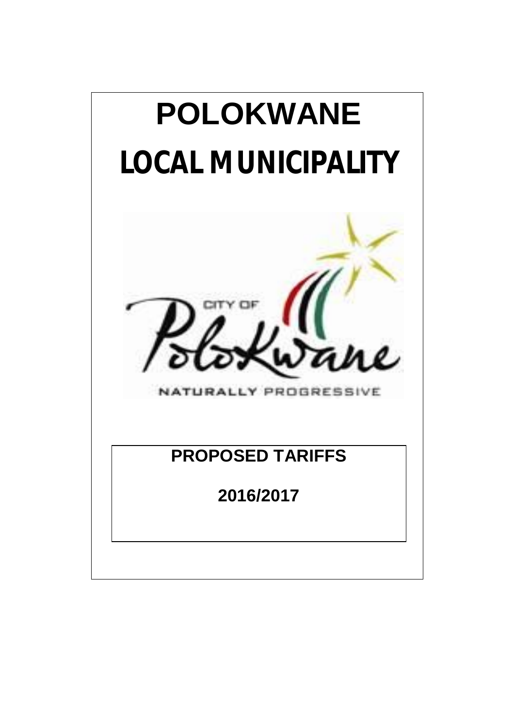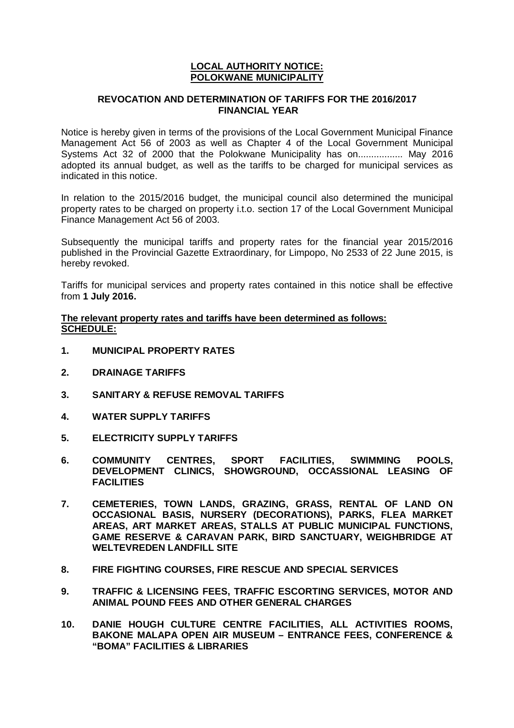#### **LOCAL AUTHORITY NOTICE: POLOKWANE MUNICIPALITY**

#### **REVOCATION AND DETERMINATION OF TARIFFS FOR THE 2016/2017 FINANCIAL YEAR**

Notice is hereby given in terms of the provisions of the Local Government Municipal Finance Management Act 56 of 2003 as well as Chapter 4 of the Local Government Municipal Systems Act 32 of 2000 that the Polokwane Municipality has on................. May 2016 adopted its annual budget, as well as the tariffs to be charged for municipal services as indicated in this notice.

In relation to the 2015/2016 budget, the municipal council also determined the municipal property rates to be charged on property i.t.o. section 17 of the Local Government Municipal Finance Management Act 56 of 2003.

Subsequently the municipal tariffs and property rates for the financial year 2015/2016 published in the Provincial Gazette Extraordinary, for Limpopo, No 2533 of 22 June 2015, is hereby revoked.

Tariffs for municipal services and property rates contained in this notice shall be effective from **1 July 2016.**

**The relevant property rates and tariffs have been determined as follows: SCHEDULE:**

- **1. MUNICIPAL PROPERTY RATES**
- **2. DRAINAGE TARIFFS**
- **3. SANITARY & REFUSE REMOVAL TARIFFS**
- **4. WATER SUPPLY TARIFFS**
- **5. ELECTRICITY SUPPLY TARIFFS**
- **6. COMMUNITY CENTRES, SPORT FACILITIES, SWIMMING POOLS, DEVELOPMENT CLINICS, SHOWGROUND, OCCASSIONAL LEASING OF FACILITIES**
- **7. CEMETERIES, TOWN LANDS, GRAZING, GRASS, RENTAL OF LAND ON OCCASIONAL BASIS, NURSERY (DECORATIONS), PARKS, FLEA MARKET AREAS, ART MARKET AREAS, STALLS AT PUBLIC MUNICIPAL FUNCTIONS, GAME RESERVE & CARAVAN PARK, BIRD SANCTUARY, WEIGHBRIDGE AT WELTEVREDEN LANDFILL SITE**
- **8. FIRE FIGHTING COURSES, FIRE RESCUE AND SPECIAL SERVICES**
- **9. TRAFFIC & LICENSING FEES, TRAFFIC ESCORTING SERVICES, MOTOR AND ANIMAL POUND FEES AND OTHER GENERAL CHARGES**
- **10. DANIE HOUGH CULTURE CENTRE FACILITIES, ALL ACTIVITIES ROOMS, BAKONE MALAPA OPEN AIR MUSEUM – ENTRANCE FEES, CONFERENCE & "BOMA" FACILITIES & LIBRARIES**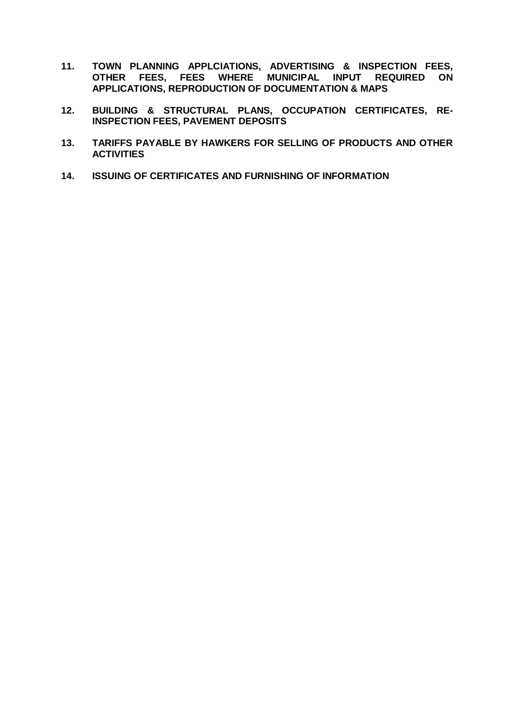- **11. TOWN PLANNING APPLCIATIONS, ADVERTISING & INSPECTION FEES, OTHER FEES, FEES WHERE MUNICIPAL INPUT REQUIRED ON APPLICATIONS, REPRODUCTION OF DOCUMENTATION & MAPS**
- **12. BUILDING & STRUCTURAL PLANS, OCCUPATION CERTIFICATES, RE-INSPECTION FEES, PAVEMENT DEPOSITS**
- **13. TARIFFS PAYABLE BY HAWKERS FOR SELLING OF PRODUCTS AND OTHER ACTIVITIES**
- **14. ISSUING OF CERTIFICATES AND FURNISHING OF INFORMATION**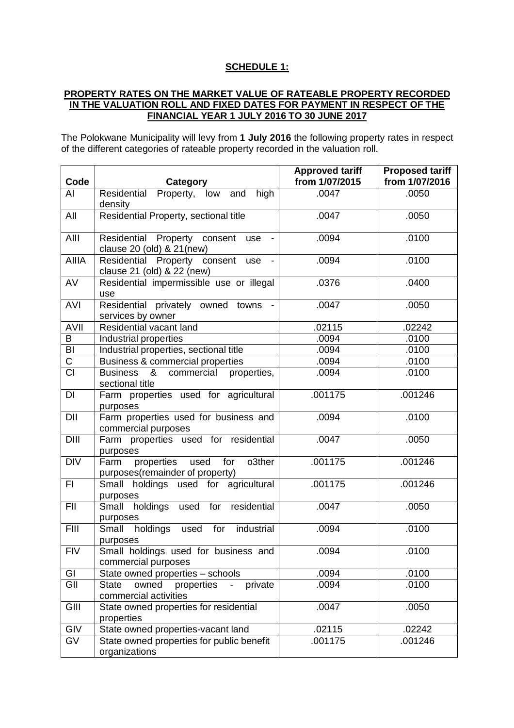## **SCHEDULE 1:**

### **PROPERTY RATES ON THE MARKET VALUE OF RATEABLE PROPERTY RECORDED IN THE VALUATION ROLL AND FIXED DATES FOR PAYMENT IN RESPECT OF THE FINANCIAL YEAR 1 JULY 2016 TO 30 JUNE 2017**

The Polokwane Municipality will levy from **1 July 2016** the following property rates in respect of the different categories of rateable property recorded in the valuation roll.

|                         |                                                                                            | <b>Approved tariff</b> | <b>Proposed tariff</b> |
|-------------------------|--------------------------------------------------------------------------------------------|------------------------|------------------------|
| Code                    | Category                                                                                   | from 1/07/2015         | from 1/07/2016         |
| AI                      | Residential Property, low and high<br>density                                              | .0047                  | .0050                  |
| All                     | Residential Property, sectional title                                                      | .0047                  | .0050                  |
| AIII                    | Residential Property consent use<br>clause 20 (old) & 21(new)                              | .0094                  | .0100                  |
| <b>AIIIA</b>            | Residential Property consent use<br>$\overline{\phantom{a}}$<br>clause 21 (old) & 22 (new) | .0094                  | .0100                  |
| $\overline{AV}$         | Residential impermissible use or illegal<br>use                                            | .0376                  | .0400                  |
| <b>AVI</b>              | Residential privately owned towns<br>services by owner                                     | .0047                  | .0050                  |
| <b>AVII</b>             | Residential vacant land                                                                    | .02115                 | .02242                 |
| B                       | Industrial properties                                                                      | .0094                  | .0100                  |
| $\overline{\mathsf{B}}$ | Industrial properties, sectional title                                                     | .0094                  | .0100                  |
| $\overline{C}$          | Business & commercial properties                                                           | .0094                  | .0100                  |
| $\overline{CI}$         | Business & commercial properties,<br>sectional title                                       | .0094                  | .0100                  |
| DI                      | Farm properties used for agricultural<br>purposes                                          | .001175                | .001246                |
| DII                     | Farm properties used for business and<br>commercial purposes                               | .0094                  | .0100                  |
| DIII                    | Farm properties used for residential<br>purposes                                           | .0047                  | .0050                  |
| <b>DIV</b>              | Farm<br>properties used<br>for<br>o3ther<br>purposes(remainder of property)                | .001175                | .001246                |
| FI.                     | Small holdings used for agricultural<br>purposes                                           | .001175                | .001246                |
| FII                     | Small holdings used for residential<br>purposes                                            | .0047                  | .0050                  |
| <b>FIII</b>             | Small holdings<br>for<br>used<br>industrial<br>purposes                                    | .0094                  | .0100                  |
| <b>FIV</b>              | Small holdings used for business and<br>commercial purposes                                | .0094                  | .0100                  |
| GI                      | State owned properties - schools                                                           | .0094                  | .0100                  |
| GII                     | owned<br>properties<br>private<br><b>State</b><br>commercial activities                    | .0094                  | .0100                  |
| GIII                    | State owned properties for residential<br>properties                                       | .0047                  | .0050                  |
| GIV                     | State owned properties-vacant land                                                         | .02115                 | .02242                 |
| $\overline{GV}$         | State owned properties for public benefit<br>organizations                                 | .001175                | .001246                |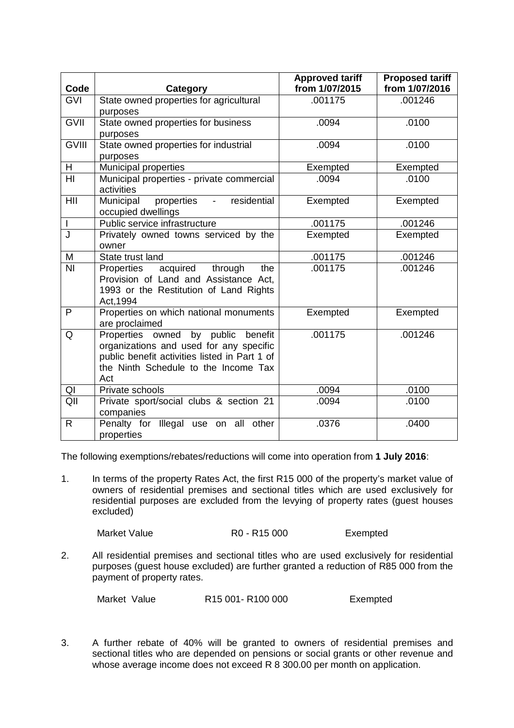| Code                     | Category                                                                                                                                                                      | <b>Approved tariff</b><br>from 1/07/2015 | <b>Proposed tariff</b><br>from 1/07/2016 |
|--------------------------|-------------------------------------------------------------------------------------------------------------------------------------------------------------------------------|------------------------------------------|------------------------------------------|
| <b>GVI</b>               | State owned properties for agricultural<br>purposes                                                                                                                           | .001175                                  | .001246                                  |
| <b>GVII</b>              | State owned properties for business<br>purposes                                                                                                                               | .0094                                    | .0100                                    |
| <b>GVIII</b>             | State owned properties for industrial<br>purposes                                                                                                                             | .0094                                    | .0100                                    |
| H.                       | <b>Municipal properties</b>                                                                                                                                                   | Exempted                                 | Exempted                                 |
| $\overline{H}$           | Municipal properties - private commercial<br>activities                                                                                                                       | .0094                                    | .0100                                    |
| HII                      | residential<br>Municipal<br>properties<br>$\sim 10^{-11}$<br>occupied dwellings                                                                                               | Exempted                                 | Exempted                                 |
| $\overline{\phantom{a}}$ | Public service infrastructure                                                                                                                                                 | .001175                                  | .001246                                  |
| J                        | Privately owned towns serviced by the<br>owner                                                                                                                                | Exempted                                 | Exempted                                 |
| M                        | State trust land                                                                                                                                                              | .001175                                  | .001246                                  |
| $\overline{N}$           | acquired through<br>Properties<br>the<br>Provision of Land and Assistance Act.<br>1993 or the Restitution of Land Rights<br>Act, 1994                                         | .001175                                  | .001246                                  |
| $\mathsf{P}$             | Properties on which national monuments<br>are proclaimed                                                                                                                      | Exempted                                 | Exempted                                 |
| Q                        | Properties owned by public benefit<br>organizations and used for any specific<br>public benefit activities listed in Part 1 of<br>the Ninth Schedule to the Income Tax<br>Act | .001175                                  | .001246                                  |
| QI                       | Private schools                                                                                                                                                               | .0094                                    | .0100                                    |
| QII                      | Private sport/social clubs & section 21<br>companies                                                                                                                          | .0094                                    | .0100                                    |
| $\mathsf{R}$             | Penalty for Illegal use on all other<br>properties                                                                                                                            | .0376                                    | .0400                                    |

The following exemptions/rebates/reductions will come into operation from **1 July 2016**:

1. In terms of the property Rates Act, the first R15 000 of the property's market value of owners of residential premises and sectional titles which are used exclusively for residential purposes are excluded from the levying of property rates (guest houses excluded)

```
Market Value R0 - R15 000 Exempted
```
2. All residential premises and sectional titles who are used exclusively for residential purposes (guest house excluded) are further granted a reduction of R85 000 from the payment of property rates.

Market Value R15 001- R100 000 Exempted

3. A further rebate of 40% will be granted to owners of residential premises and sectional titles who are depended on pensions or social grants or other revenue and whose average income does not exceed R 8 300.00 per month on application.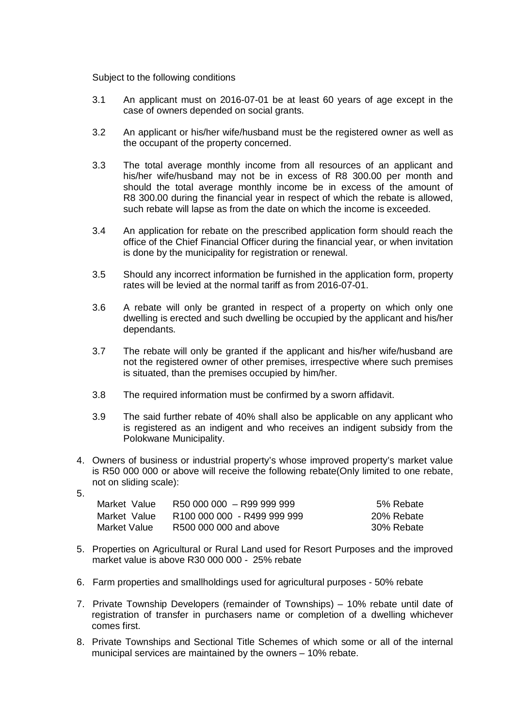Subject to the following conditions

- 3.1 An applicant must on 2016-07-01 be at least 60 years of age except in the case of owners depended on social grants.
- 3.2 An applicant or his/her wife/husband must be the registered owner as well as the occupant of the property concerned.
- 3.3 The total average monthly income from all resources of an applicant and his/her wife/husband may not be in excess of R8 300.00 per month and should the total average monthly income be in excess of the amount of R8 300.00 during the financial year in respect of which the rebate is allowed, such rebate will lapse as from the date on which the income is exceeded.
- 3.4 An application for rebate on the prescribed application form should reach the office of the Chief Financial Officer during the financial year, or when invitation is done by the municipality for registration or renewal.
- 3.5 Should any incorrect information be furnished in the application form, property rates will be levied at the normal tariff as from 2016-07-01.
- 3.6 A rebate will only be granted in respect of a property on which only one dwelling is erected and such dwelling be occupied by the applicant and his/her dependants.
- 3.7 The rebate will only be granted if the applicant and his/her wife/husband are not the registered owner of other premises, irrespective where such premises is situated, than the premises occupied by him/her.
- 3.8 The required information must be confirmed by a sworn affidavit.
- 3.9 The said further rebate of 40% shall also be applicable on any applicant who is registered as an indigent and who receives an indigent subsidy from the Polokwane Municipality.
- 4. Owners of business or industrial property's whose improved property's market value is R50 000 000 or above will receive the following rebate(Only limited to one rebate, not on sliding scale):
- 5.

| Market Value | R50 000 000 - R99 999 999   | 5% Rebate  |
|--------------|-----------------------------|------------|
| Market Value | R100 000 000 - R499 999 999 | 20% Rebate |
| Market Value | R500 000 000 and above      | 30% Rebate |

- 5. Properties on Agricultural or Rural Land used for Resort Purposes and the improved market value is above R30 000 000 - 25% rebate
- 6. Farm properties and smallholdings used for agricultural purposes 50% rebate
- 7. Private Township Developers (remainder of Townships) 10% rebate until date of registration of transfer in purchasers name or completion of a dwelling whichever comes first.
- 8. Private Townships and Sectional Title Schemes of which some or all of the internal municipal services are maintained by the owners – 10% rebate.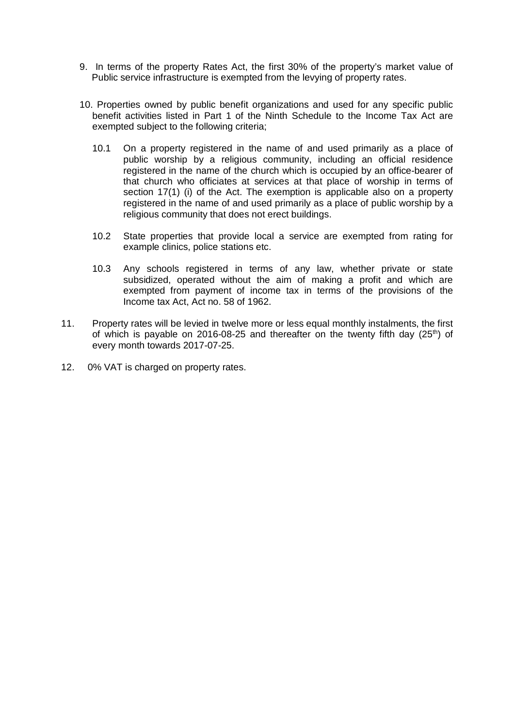- 9. In terms of the property Rates Act, the first 30% of the property's market value of Public service infrastructure is exempted from the levying of property rates.
- 10. Properties owned by public benefit organizations and used for any specific public benefit activities listed in Part 1 of the Ninth Schedule to the Income Tax Act are exempted subject to the following criteria;
	- 10.1 On a property registered in the name of and used primarily as a place of public worship by a religious community, including an official residence registered in the name of the church which is occupied by an office-bearer of that church who officiates at services at that place of worship in terms of section 17(1) (i) of the Act. The exemption is applicable also on a property registered in the name of and used primarily as a place of public worship by a religious community that does not erect buildings.
	- 10.2 State properties that provide local a service are exempted from rating for example clinics, police stations etc.
	- 10.3 Any schools registered in terms of any law, whether private or state subsidized, operated without the aim of making a profit and which are exempted from payment of income tax in terms of the provisions of the Income tax Act, Act no. 58 of 1962.
- 11. Property rates will be levied in twelve more or less equal monthly instalments, the first of which is payable on 2016-08-25 and thereafter on the twenty fifth day  $(25<sup>th</sup>)$  of every month towards 2017-07-25.
- 12. 0% VAT is charged on property rates.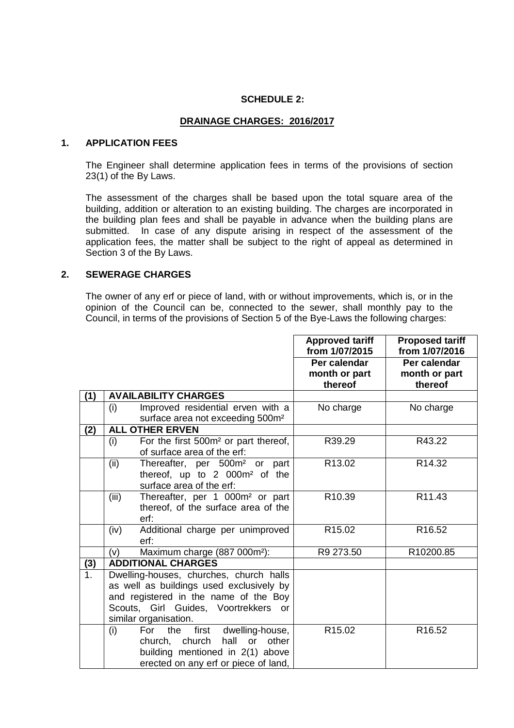#### **SCHEDULE 2:**

#### **DRAINAGE CHARGES: 2016/2017**

#### **1. APPLICATION FEES**

The Engineer shall determine application fees in terms of the provisions of section 23(1) of the By Laws.

The assessment of the charges shall be based upon the total square area of the building, addition or alteration to an existing building. The charges are incorporated in the building plan fees and shall be payable in advance when the building plans are submitted. In case of any dispute arising in respect of the assessment of the application fees, the matter shall be subject to the right of appeal as determined in Section 3 of the By Laws.

### **2. SEWERAGE CHARGES**

The owner of any erf or piece of land, with or without improvements, which is, or in the opinion of the Council can be, connected to the sewer, shall monthly pay to the Council, in terms of the provisions of Section 5 of the Bye-Laws the following charges:

|                |                                                         | <b>Approved tariff</b> | <b>Proposed tariff</b> |
|----------------|---------------------------------------------------------|------------------------|------------------------|
|                |                                                         | from 1/07/2015         | from 1/07/2016         |
|                |                                                         | Per calendar           | Per calendar           |
|                |                                                         | month or part          | month or part          |
|                |                                                         | thereof                | thereof                |
| (1)            | <b>AVAILABILITY CHARGES</b>                             |                        |                        |
|                | (i)<br>Improved residential erven with a                | No charge              | No charge              |
|                | surface area not exceeding 500m <sup>2</sup>            |                        |                        |
| (2)            | <b>ALL OTHER ERVEN</b>                                  |                        |                        |
|                | For the first 500m <sup>2</sup> or part thereof,<br>(i) | R39.29                 | R43.22                 |
|                | of surface area of the erf:                             |                        |                        |
|                | Thereafter, per 500m <sup>2</sup> or part<br>(ii)       | R13.02                 | R14.32                 |
|                | thereof, up to 2 000m <sup>2</sup> of the               |                        |                        |
|                | surface area of the erf:                                |                        |                        |
|                | (iii)<br>Thereafter, per 1 000m <sup>2</sup> or part    | R10.39                 | R <sub>11.43</sub>     |
|                | thereof, of the surface area of the                     |                        |                        |
|                | erf:                                                    |                        |                        |
|                | (iv)<br>Additional charge per unimproved                | R <sub>15.02</sub>     | R16.52                 |
|                | erf:                                                    |                        |                        |
|                | Maximum charge (887 000m <sup>2</sup> ):<br>(v)         | R9 273.50              | R10200.85              |
| (3)            | <b>ADDITIONAL CHARGES</b>                               |                        |                        |
| 1 <sub>1</sub> | Dwelling-houses, churches, church halls                 |                        |                        |
|                | as well as buildings used exclusively by                |                        |                        |
|                | and registered in the name of the Boy                   |                        |                        |
|                | Scouts, Girl Guides, Voortrekkers or                    |                        |                        |
|                | similar organisation.                                   |                        |                        |
|                | (i)<br>For<br>the<br>first<br>dwelling-house,           | R <sub>15.02</sub>     | R16.52                 |
|                | church, church<br>hall<br>or<br>other                   |                        |                        |
|                | building mentioned in 2(1) above                        |                        |                        |
|                | erected on any erf or piece of land,                    |                        |                        |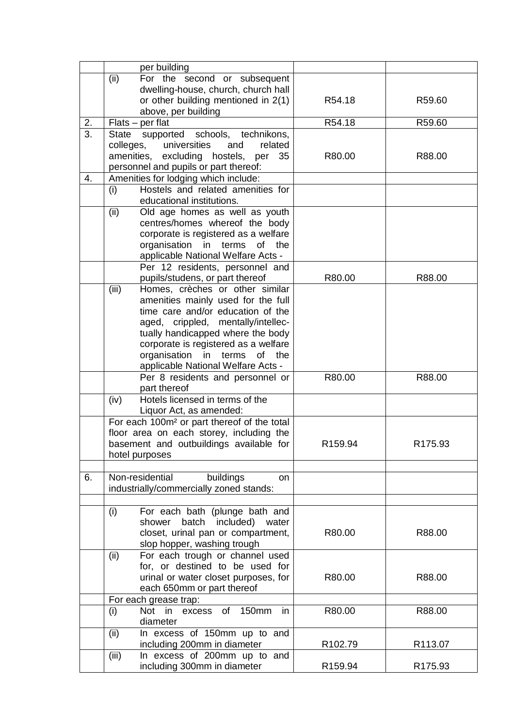|                  | per building                                                                  |         |         |
|------------------|-------------------------------------------------------------------------------|---------|---------|
|                  | For the second or subsequent<br>(ii)                                          |         |         |
|                  | dwelling-house, church, church hall                                           |         |         |
|                  | or other building mentioned in 2(1)                                           | R54.18  | R59.60  |
|                  | above, per building                                                           |         |         |
| 2.               | $Flats - per flat$                                                            | R54.18  | R59.60  |
| $\overline{3}$ . | supported schools, technikons,<br><b>State</b>                                |         |         |
|                  | colleges,<br>universities<br>and<br>related                                   |         |         |
|                  | amenities, excluding hostels, per<br>35                                       | R80.00  | R88.00  |
|                  |                                                                               |         |         |
| 4.               | personnel and pupils or part thereof:<br>Amenities for lodging which include: |         |         |
|                  | Hostels and related amenities for                                             |         |         |
|                  | (i)                                                                           |         |         |
|                  | educational institutions.                                                     |         |         |
|                  | (ii)<br>Old age homes as well as youth                                        |         |         |
|                  | centres/homes whereof the body                                                |         |         |
|                  | corporate is registered as a welfare                                          |         |         |
|                  | organisation in terms<br>of<br>the                                            |         |         |
|                  | applicable National Welfare Acts -                                            |         |         |
|                  | Per 12 residents, personnel and                                               |         |         |
|                  | pupils/studens, or part thereof                                               | R80.00  | R88.00  |
|                  | (iii)<br>Homes, crèches or other similar                                      |         |         |
|                  | amenities mainly used for the full                                            |         |         |
|                  | time care and/or education of the                                             |         |         |
|                  | aged, crippled, mentally/intellec-                                            |         |         |
|                  | tually handicapped where the body                                             |         |         |
|                  | corporate is registered as a welfare                                          |         |         |
|                  | organisation in terms of the                                                  |         |         |
|                  | applicable National Welfare Acts -                                            |         |         |
|                  | Per 8 residents and personnel or                                              | R80.00  | R88.00  |
|                  | part thereof                                                                  |         |         |
|                  | (iv)<br>Hotels licensed in terms of the                                       |         |         |
|                  | Liquor Act, as amended:                                                       |         |         |
|                  | For each 100m <sup>2</sup> or part thereof of the total                       |         |         |
|                  | floor area on each storey, including the                                      |         |         |
|                  | basement and outbuildings available for                                       | R159.94 | R175.93 |
|                  | hotel purposes                                                                |         |         |
|                  |                                                                               |         |         |
| 6.               | Non-residential<br>buildings<br><b>on</b>                                     |         |         |
|                  | industrially/commercially zoned stands:                                       |         |         |
|                  |                                                                               |         |         |
|                  | For each bath (plunge bath and<br>(i)                                         |         |         |
|                  | batch<br>included) water<br>shower                                            |         |         |
|                  | closet, urinal pan or compartment,                                            | R80.00  | R88.00  |
|                  | slop hopper, washing trough                                                   |         |         |
|                  | For each trough or channel used<br>(ii)                                       |         |         |
|                  | for, or destined to be used for                                               |         |         |
|                  | urinal or water closet purposes, for                                          | R80.00  | R88.00  |
|                  |                                                                               |         |         |
|                  | each 650mm or part thereof                                                    |         |         |
|                  | For each grease trap:                                                         |         |         |
|                  | Not in excess<br>of<br>in<br>150mm<br>(i)                                     | R80.00  | R88.00  |
|                  | diameter                                                                      |         |         |
|                  | In excess of 150mm up to and<br>(ii)                                          |         |         |
|                  | including 200mm in diameter                                                   | R102.79 | R113.07 |
|                  | (iii)<br>In excess of 200mm up to and                                         |         |         |
|                  | including 300mm in diameter                                                   | R159.94 | R175.93 |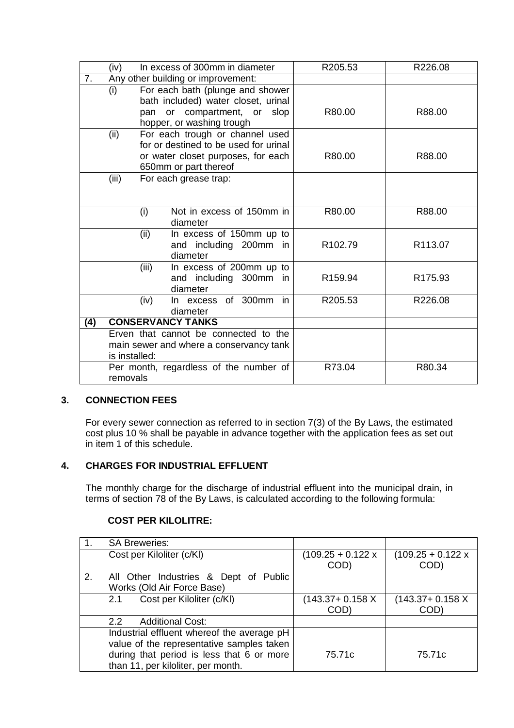|     | In excess of 300mm in diameter<br>(iv)                                                                                                          | R205.53 | R226.08             |
|-----|-------------------------------------------------------------------------------------------------------------------------------------------------|---------|---------------------|
| 7.  | Any other building or improvement:                                                                                                              |         |                     |
|     | For each bath (plunge and shower<br>(i)                                                                                                         |         |                     |
|     | bath included) water closet, urinal<br>pan or compartment, or slop<br>hopper, or washing trough                                                 | R80.00  | R88.00              |
|     | (ii)<br>For each trough or channel used<br>for or destined to be used for urinal<br>or water closet purposes, for each<br>650mm or part thereof | R80.00  | R88.00              |
|     | (iii)<br>For each grease trap:                                                                                                                  |         |                     |
|     | Not in excess of 150mm in<br>(i)<br>diameter                                                                                                    | R80.00  | R88.00              |
|     | (ii)<br>In excess of 150mm up to<br>and including 200mm in<br>diameter                                                                          | R102.79 | R113.07             |
|     | (iii)<br>In excess of 200mm up to<br>and including 300mm in<br>diameter                                                                         | R159.94 | R <sub>175.93</sub> |
|     | In excess of 300mm<br>(iv)<br>in<br>diameter                                                                                                    | R205.53 | R226.08             |
| (4) | <b>CONSERVANCY TANKS</b>                                                                                                                        |         |                     |
|     | Erven that cannot be connected to the<br>main sewer and where a conservancy tank<br>is installed:                                               |         |                     |
|     | Per month, regardless of the number of<br>removals                                                                                              | R73.04  | R80.34              |

## **3. CONNECTION FEES**

For every sewer connection as referred to in section 7(3) of the By Laws, the estimated cost plus 10 % shall be payable in advance together with the application fees as set out in item 1 of this schedule.

## **4. CHARGES FOR INDUSTRIAL EFFLUENT**

The monthly charge for the discharge of industrial effluent into the municipal drain, in terms of section 78 of the By Laws, is calculated according to the following formula:

### **COST PER KILOLITRE:**

|    | <b>SA Breweries:</b>                                                                    |                             |                             |
|----|-----------------------------------------------------------------------------------------|-----------------------------|-----------------------------|
|    | Cost per Kiloliter (c/KI)                                                               | $(109.25 + 0.122 x$<br>COD) | $(109.25 + 0.122 x$<br>COD) |
| 2. | All Other Industries & Dept of Public<br>Works (Old Air Force Base)                     |                             |                             |
|    | Cost per Kiloliter (c/KI)<br>2.1                                                        | $(143.37 + 0.158)$<br>COD)  | $(143.37 + 0.158)$<br>COD)  |
|    | <b>Additional Cost:</b><br>2.2                                                          |                             |                             |
|    | Industrial effluent whereof the average pH<br>value of the representative samples taken |                             |                             |
|    | during that period is less that 6 or more<br>than 11, per kiloliter, per month.         | 75.71c                      | 75.71c                      |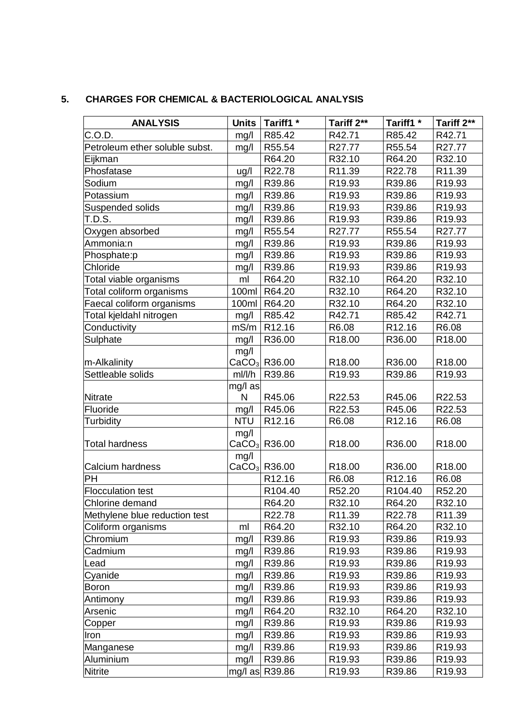# **5. CHARGES FOR CHEMICAL & BACTERIOLOGICAL ANALYSIS**

| <b>ANALYSIS</b>                | <b>Units</b> | Tariff1 <sup>*</sup> | Tariff 2**         | Tariff1 <sup>*</sup> | Tariff 2**         |
|--------------------------------|--------------|----------------------|--------------------|----------------------|--------------------|
| C.O.D.                         | mg/l         | R85.42               | R42.71             | R85.42               | R42.71             |
| Petroleum ether soluble subst. | mg/l         | R55.54               | R27.77             | R55.54               | R27.77             |
| Eijkman                        |              | R64.20               | R32.10             | R64.20               | R32.10             |
| Phosfatase                     | ug/l         | R22.78               | R11.39             | R22.78               | R11.39             |
| Sodium                         | mg/l         | R39.86               | R19.93             | R39.86               | R19.93             |
| Potassium                      | mg/l         | R39.86               | R <sub>19.93</sub> | R39.86               | R <sub>19.93</sub> |
| Suspended solids               | mg/l         | R39.86               | R19.93             | R39.86               | R19.93             |
| T.D.S.                         | mg/l         | R39.86               | R19.93             | R39.86               | R19.93             |
| Oxygen absorbed                | mg/l         | R55.54               | R27.77             | R55.54               | R27.77             |
| Ammonia:n                      | mg/l         | R39.86               | R19.93             | R39.86               | R19.93             |
| Phosphate:p                    | mg/l         | R39.86               | R19.93             | R39.86               | R19.93             |
| Chloride                       | mg/l         | R39.86               | R19.93             | R39.86               | R19.93             |
| Total viable organisms         | ml           | R64.20               | R32.10             | R64.20               | R32.10             |
| Total coliform organisms       | 100ml        | R64.20               | R32.10             | R64.20               | R32.10             |
| Faecal coliform organisms      | 100ml        | R64.20               | R32.10             | R64.20               | R32.10             |
| Total kjeldahl nitrogen        | mg/l         | R85.42               | R42.71             | R85.42               | R42.71             |
| Conductivity                   | mS/m         | R12.16               | R6.08              | R12.16               | R6.08              |
| Sulphate                       | mg/l         | R36.00               | R18.00             | R36.00               | R18.00             |
|                                | mg/l         |                      |                    |                      |                    |
| m-Alkalinity                   |              | $CaCO3$ R36.00       | R <sub>18.00</sub> | R36.00               | R <sub>18.00</sub> |
| Settleable solids              | ml/l/h       | R39.86               | R <sub>19.93</sub> | R39.86               | R <sub>19.93</sub> |
|                                | mg/l as      |                      |                    |                      |                    |
| Nitrate                        | N            | R45.06               | R22.53             | R45.06               | R22.53             |
| Fluoride                       | mg/l         | R45.06               | R22.53             | R45.06               | R22.53             |
| Turbidity                      | <b>NTU</b>   | R12.16               | R6.08              | R12.16               | R6.08              |
|                                | mg/l         |                      |                    |                      |                    |
| Total hardness                 |              | $CaCO3$ R36.00       | R <sub>18.00</sub> | R36.00               | R18.00             |
| Calcium hardness               | mg/l         | $CaCO3$ R36.00       | R18.00             | R36.00               | R18.00             |
| PH                             |              | R12.16               | R6.08              | R12.16               | R6.08              |
| <b>Flocculation test</b>       |              | R104.40              | R52.20             | R104.40              | R52.20             |
| Chlorine demand                |              | R64.20               | R32.10             | R64.20               | R32.10             |
| Methylene blue reduction test  |              | R22.78               | R <sub>11.39</sub> | R22.78               | R <sub>11.39</sub> |
| Coliform organisms             | ml           | R64.20               | R32.10             | R64.20               | R32.10             |
| Chromium                       | mg/l         | R39.86               | R19.93             | R39.86               | R19.93             |
| Cadmium                        | mg/l         | R39.86               | R19.93             | R39.86               | R <sub>19.93</sub> |
| Lead                           | mg/l         | R39.86               | R <sub>19.93</sub> | R39.86               | R <sub>19.93</sub> |
| Cyanide                        | mg/l         | R39.86               | R <sub>19.93</sub> | R39.86               | R <sub>19.93</sub> |
| <b>Boron</b>                   | mg/l         | R39.86               | R <sub>19.93</sub> | R39.86               | R19.93             |
| Antimony                       | mg/l         | R39.86               | R <sub>19.93</sub> | R39.86               | R <sub>19.93</sub> |
| Arsenic                        | mg/l         | R64.20               | R32.10             | R64.20               | R32.10             |
| Copper                         | mg/l         | R39.86               | R19.93             | R39.86               | R <sub>19.93</sub> |
| Iron                           | mg/l         | R39.86               | R <sub>19.93</sub> | R39.86               | R <sub>19.93</sub> |
| Manganese                      | mg/l         | R39.86               | R <sub>19.93</sub> | R39.86               | R <sub>19.93</sub> |
| Aluminium                      | mg/l         | R39.86               | R <sub>19.93</sub> | R39.86               | R <sub>19.93</sub> |
| <b>Nitrite</b>                 |              | mg/l as R39.86       | R19.93             | R39.86               | R <sub>19.93</sub> |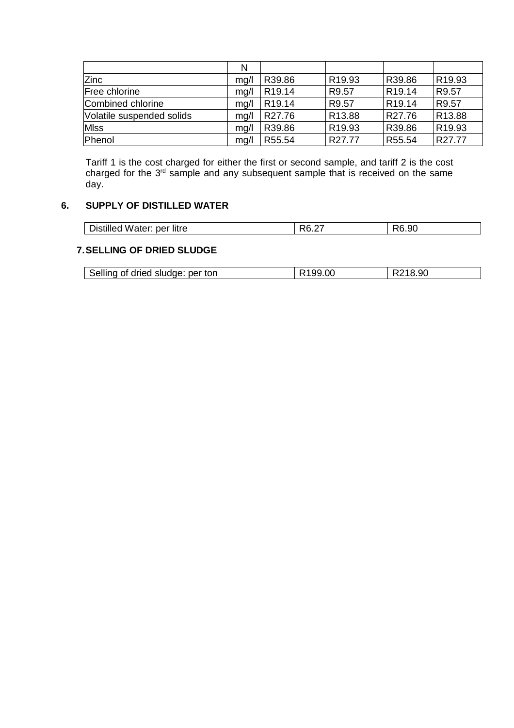|                           | N    |                    |                    |                    |                    |
|---------------------------|------|--------------------|--------------------|--------------------|--------------------|
| <b>Zinc</b>               | mq/l | R39.86             | R <sub>19.93</sub> | R39.86             | R <sub>19.93</sub> |
| Free chlorine             | mq/l | R <sub>19.14</sub> | R9.57              | R <sub>19.14</sub> | R9.57              |
| Combined chlorine         | mq/l | R <sub>19.14</sub> | R9.57              | R <sub>19.14</sub> | R9.57              |
| Volatile suspended solids | mq/l | R27.76             | R <sub>13.88</sub> | R27.76             | R13.88             |
| <b>MIss</b>               | mq/l | R39.86             | R <sub>19.93</sub> | R39.86             | R <sub>19.93</sub> |
| Phenol                    | mg/l | R55.54             | R27.77             | R55.54             | R27.77             |

Tariff 1 is the cost charged for either the first or second sample, and tariff 2 is the cost charged for the  $3<sup>rd</sup>$  sample and any subsequent sample that is received on the same day.

## **6. SUPPLY OF DISTILLED WATER**

| 10.ZI | <b>Distilled</b><br>u Water: per | <b>litre</b> | $\sim$ $\sim$<br>DC | R6.90 |
|-------|----------------------------------|--------------|---------------------|-------|
|-------|----------------------------------|--------------|---------------------|-------|

## **7.SELLING OF DRIED SLUDGE**

| Selling of dried sludge: per ton | R <sub>199.00</sub> | R218.90 |  |
|----------------------------------|---------------------|---------|--|
|----------------------------------|---------------------|---------|--|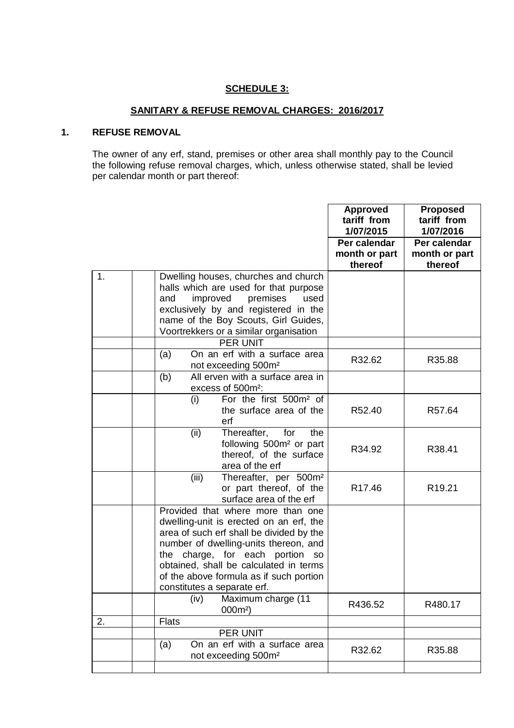### **SCHEDULE 3:**

## **SANITARY & REFUSE REMOVAL CHARGES: 2016/2017**

## **1. REFUSE REMOVAL**

The owner of any erf, stand, premises or other area shall monthly pay to the Council the following refuse removal charges, which, unless otherwise stated, shall be levied per calendar month or part thereof:

|    |                                                                                                                                                                                                                                                                                                                                       | <b>Approved</b><br>tariff from<br>1/07/2015 | <b>Proposed</b><br>tariff from<br>1/07/2016 |
|----|---------------------------------------------------------------------------------------------------------------------------------------------------------------------------------------------------------------------------------------------------------------------------------------------------------------------------------------|---------------------------------------------|---------------------------------------------|
|    |                                                                                                                                                                                                                                                                                                                                       | Per calendar<br>month or part<br>thereof    | Per calendar<br>month or part<br>thereof    |
| 1. | Dwelling houses, churches and church<br>halls which are used for that purpose<br>improved<br>premises<br>used<br>and<br>exclusively by and registered in the<br>name of the Boy Scouts, Girl Guides,<br>Voortrekkers or a similar organisation<br><b>PER UNIT</b>                                                                     |                                             |                                             |
|    | On an erf with a surface area<br>(a)<br>not exceeding 500m <sup>2</sup>                                                                                                                                                                                                                                                               | R32.62                                      | R35.88                                      |
|    | (b)<br>All erven with a surface area in<br>excess of 500m <sup>2</sup> :                                                                                                                                                                                                                                                              |                                             |                                             |
|    | For the first 500m <sup>2</sup> of<br>(i)<br>the surface area of the<br>erf                                                                                                                                                                                                                                                           | R52.40                                      | R57.64                                      |
|    | Thereafter,<br>(ii)<br>for<br>the<br>following 500m <sup>2</sup> or part<br>thereof, of the surface<br>area of the erf                                                                                                                                                                                                                | R34.92                                      | R38.41                                      |
|    | (iii)<br>Thereafter, per 500m <sup>2</sup><br>or part thereof, of the<br>surface area of the erf                                                                                                                                                                                                                                      | R <sub>17.46</sub>                          | R <sub>19.21</sub>                          |
|    | Provided that where more than one<br>dwelling-unit is erected on an erf, the<br>area of such erf shall be divided by the<br>number of dwelling-units thereon, and<br>charge, for each portion<br>the<br><b>SO</b><br>obtained, shall be calculated in terms<br>of the above formula as if such portion<br>constitutes a separate erf. |                                             |                                             |
|    | Maximum charge (11<br>(iv)<br>$000m^2$                                                                                                                                                                                                                                                                                                | R436.52                                     | R480.17                                     |
| 2. | <b>Flats</b>                                                                                                                                                                                                                                                                                                                          |                                             |                                             |
|    | PER UNIT<br>On an erf with a surface area<br>(a)<br>not exceeding 500m <sup>2</sup>                                                                                                                                                                                                                                                   | R32.62                                      | R35.88                                      |
|    |                                                                                                                                                                                                                                                                                                                                       |                                             |                                             |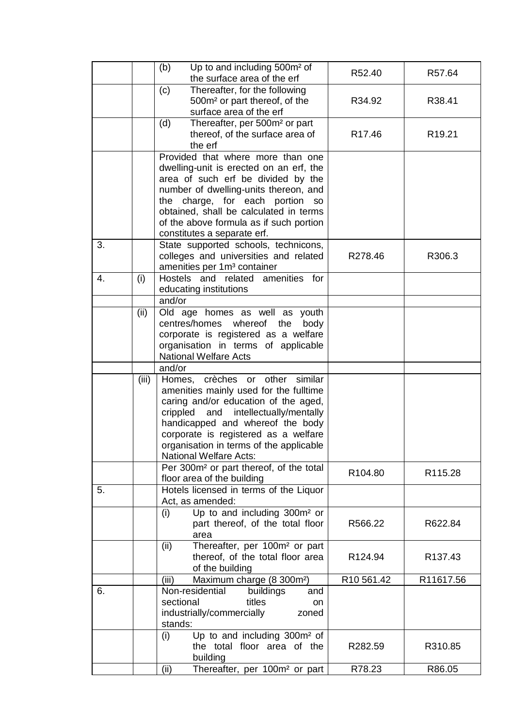|    |       | (b)<br>Up to and including 500m <sup>2</sup> of<br>the surface area of the erf                                                                                                                                                                                                                                          | R52.40              | R57.64             |
|----|-------|-------------------------------------------------------------------------------------------------------------------------------------------------------------------------------------------------------------------------------------------------------------------------------------------------------------------------|---------------------|--------------------|
|    |       | Thereafter, for the following<br>(c)<br>500m <sup>2</sup> or part thereof, of the<br>surface area of the erf                                                                                                                                                                                                            | R34.92              | R38.41             |
|    |       | (d)<br>Thereafter, per 500m <sup>2</sup> or part<br>thereof, of the surface area of<br>the erf                                                                                                                                                                                                                          | R <sub>17.46</sub>  | R <sub>19.21</sub> |
|    |       | Provided that where more than one<br>dwelling-unit is erected on an erf, the<br>area of such erf be divided by the<br>number of dwelling-units thereon, and<br>the charge, for each portion<br>SO<br>obtained, shall be calculated in terms<br>of the above formula as if such portion<br>constitutes a separate erf.   |                     |                    |
| 3. |       | State supported schools, technicons,<br>colleges and universities and related<br>amenities per 1m <sup>3</sup> container                                                                                                                                                                                                | R278.46             | R306.3             |
| 4. | (i)   | Hostels and related amenities for<br>educating institutions                                                                                                                                                                                                                                                             |                     |                    |
|    |       | and/or                                                                                                                                                                                                                                                                                                                  |                     |                    |
|    | (ii)  | Old age homes as well as youth<br>centres/homes whereof<br>the<br>body<br>corporate is registered as a welfare<br>organisation in terms of applicable<br><b>National Welfare Acts</b>                                                                                                                                   |                     |                    |
|    |       | and/or                                                                                                                                                                                                                                                                                                                  |                     |                    |
|    | (iii) | Homes, crèches or<br>other<br>similar<br>amenities mainly used for the fulltime<br>caring and/or education of the aged,<br>crippled and intellectually/mentally<br>handicapped and whereof the body<br>corporate is registered as a welfare<br>organisation in terms of the applicable<br><b>National Welfare Acts:</b> |                     |                    |
|    |       | Per 300m <sup>2</sup> or part thereof, of the total<br>floor area of the building                                                                                                                                                                                                                                       | R <sub>104.80</sub> | R115.28            |
| 5. |       | Hotels licensed in terms of the Liquor<br>Act, as amended:                                                                                                                                                                                                                                                              |                     |                    |
|    |       | Up to and including 300m <sup>2</sup> or<br>(i)<br>part thereof, of the total floor<br>area                                                                                                                                                                                                                             | R566.22             | R622.84            |
|    |       | Thereafter, per 100m <sup>2</sup> or part<br>(ii)<br>thereof, of the total floor area<br>of the building                                                                                                                                                                                                                | R124.94             | R137.43            |
|    |       | Maximum charge (8 300m <sup>2</sup> )<br>(iii)                                                                                                                                                                                                                                                                          | R10 561.42          | R11617.56          |
| 6. |       | Non-residential<br>buildings<br>and<br>sectional<br>titles<br>on<br>industrially/commercially<br>zoned<br>stands:                                                                                                                                                                                                       |                     |                    |
|    |       | Up to and including 300m <sup>2</sup> of<br>(i)<br>the total floor area of the<br>building                                                                                                                                                                                                                              | R282.59             | R310.85            |
|    |       | Thereafter, per 100m <sup>2</sup> or part<br>(ii)                                                                                                                                                                                                                                                                       | R78.23              | R86.05             |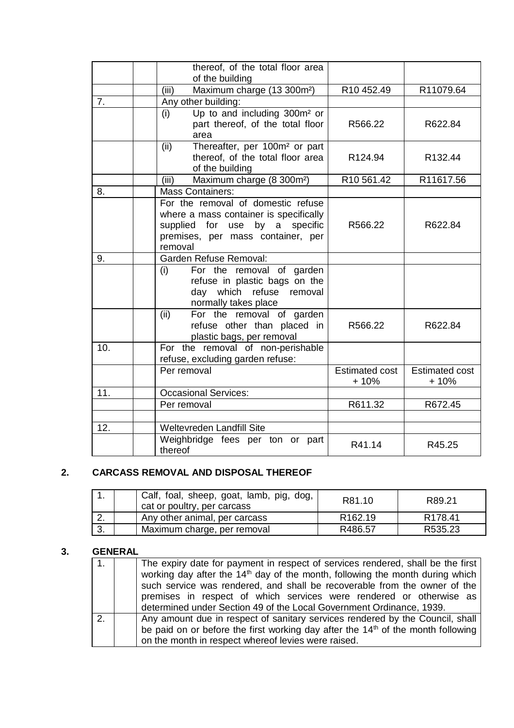|                  | thereof, of the total floor area<br>of the building                                                                                                            |                                 |                                 |
|------------------|----------------------------------------------------------------------------------------------------------------------------------------------------------------|---------------------------------|---------------------------------|
|                  | Maximum charge (13 300m <sup>2</sup> )<br>(iii)                                                                                                                | R10 452.49                      | R11079.64                       |
| $\overline{7}$ . | Any other building:                                                                                                                                            |                                 |                                 |
|                  | Up to and including 300m <sup>2</sup> or<br>(i)<br>part thereof, of the total floor<br>area                                                                    | R566.22                         | R622.84                         |
|                  | Thereafter, per 100m <sup>2</sup> or part<br>(ii)<br>thereof, of the total floor area<br>of the building                                                       | R124.94                         | R132.44                         |
|                  | Maximum charge (8 300m <sup>2</sup> )<br>(iii)                                                                                                                 | R10 561.42                      | R11617.56                       |
| 8.               | <b>Mass Containers:</b>                                                                                                                                        |                                 |                                 |
|                  | For the removal of domestic refuse<br>where a mass container is specifically<br>supplied for use by a specific<br>premises, per mass container, per<br>removal | R566.22                         | R622.84                         |
| 9.               | Garden Refuse Removal:                                                                                                                                         |                                 |                                 |
|                  | For the removal of garden<br>(i)<br>refuse in plastic bags on the<br>day which refuse<br>removal<br>normally takes place                                       |                                 |                                 |
|                  | (ii)<br>For the removal of garden<br>refuse other than placed in<br>plastic bags, per removal                                                                  | R566.22                         | R622.84                         |
| 10.              | For the removal of non-perishable<br>refuse, excluding garden refuse:                                                                                          |                                 |                                 |
|                  | Per removal                                                                                                                                                    | <b>Estimated cost</b><br>$+10%$ | <b>Estimated cost</b><br>$+10%$ |
| 11.              | <b>Occasional Services:</b>                                                                                                                                    |                                 |                                 |
|                  | Per removal                                                                                                                                                    | R611.32                         | R672.45                         |
|                  |                                                                                                                                                                |                                 |                                 |
| 12.              | Weltevreden Landfill Site                                                                                                                                      |                                 |                                 |
|                  | Weighbridge fees per ton or part<br>thereof                                                                                                                    | R41.14                          | R45.25                          |

# **2. CARCASS REMOVAL AND DISPOSAL THEREOF**

|    | Calf, foal, sheep, goat, lamb, pig, dog,<br>cat or poultry, per carcass | R81.10              | R89.21              |
|----|-------------------------------------------------------------------------|---------------------|---------------------|
| z. | Any other animal, per carcass                                           | R <sub>162.19</sub> | R <sub>178.41</sub> |
| 3. | Maximum charge, per removal                                             | R486.57             | R535.23             |

## **3. GENERAL**

| The expiry date for payment in respect of services rendered, shall be the first<br>working day after the 14 <sup>th</sup> day of the month, following the month during which<br>such service was rendered, and shall be recoverable from the owner of the<br>premises in respect of which services were rendered or otherwise as<br>determined under Section 49 of the Local Government Ordinance, 1939. |
|----------------------------------------------------------------------------------------------------------------------------------------------------------------------------------------------------------------------------------------------------------------------------------------------------------------------------------------------------------------------------------------------------------|
| Any amount due in respect of sanitary services rendered by the Council, shall<br>be paid on or before the first working day after the 14 <sup>th</sup> of the month following<br>on the month in respect whereof levies were raised.                                                                                                                                                                     |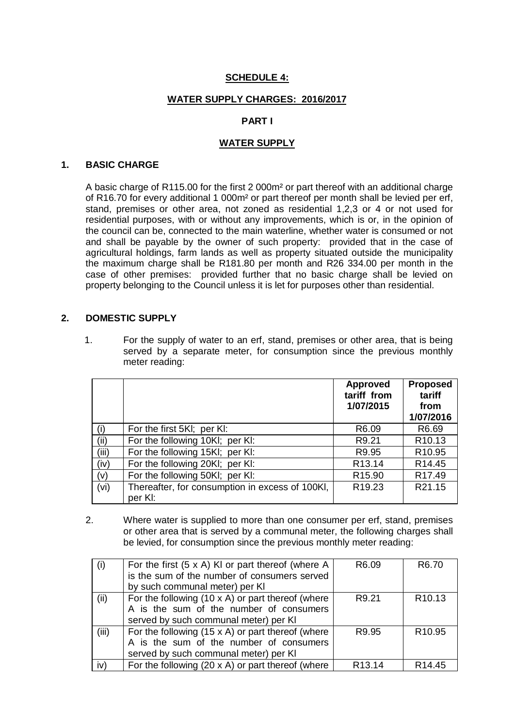## **SCHEDULE 4:**

### **WATER SUPPLY CHARGES: 2016/2017**

### **PART I**

#### **WATER SUPPLY**

#### **1. BASIC CHARGE**

A basic charge of R115.00 for the first 2 000m² or part thereof with an additional charge of R16.70 for every additional 1 000m² or part thereof per month shall be levied per erf, stand, premises or other area, not zoned as residential 1,2,3 or 4 or not used for residential purposes, with or without any improvements, which is or, in the opinion of the council can be, connected to the main waterline, whether water is consumed or not and shall be payable by the owner of such property: provided that in the case of agricultural holdings, farm lands as well as property situated outside the municipality the maximum charge shall be R181.80 per month and R26 334.00 per month in the case of other premises: provided further that no basic charge shall be levied on property belonging to the Council unless it is let for purposes other than residential.

#### **2. DOMESTIC SUPPLY**

1. For the supply of water to an erf, stand, premises or other area, that is being served by a separate meter, for consumption since the previous monthly meter reading:

|       |                                                            | <b>Approved</b><br>tariff from<br>1/07/2015 | <b>Proposed</b><br>tariff<br>from<br>1/07/2016 |
|-------|------------------------------------------------------------|---------------------------------------------|------------------------------------------------|
| (i)   | For the first 5KI; per KI:                                 | R <sub>6.09</sub>                           | R6.69                                          |
| (ii)  | For the following 10KI; per KI:                            | R9.21                                       | R <sub>10.13</sub>                             |
| (iii) | For the following 15KI; per KI:                            | R9.95                                       | R <sub>10.95</sub>                             |
| (iv)  | For the following 20KI; per KI:                            | R <sub>13.14</sub>                          | R <sub>14.45</sub>                             |
| (v)   | For the following 50KI; per KI:                            | R <sub>15.90</sub>                          | R <sub>17.49</sub>                             |
| (vi)  | Thereafter, for consumption in excess of 100Kl,<br>per KI: | R <sub>19.23</sub>                          | R21.15                                         |

2. Where water is supplied to more than one consumer per erf, stand, premises or other area that is served by a communal meter, the following charges shall be levied, for consumption since the previous monthly meter reading:

| (i)   | For the first $(5 \times A)$ KI or part thereof (where A | R6.09              | R <sub>6.70</sub>  |
|-------|----------------------------------------------------------|--------------------|--------------------|
|       | is the sum of the number of consumers served             |                    |                    |
|       | by such communal meter) per KI                           |                    |                    |
| (ii)  | For the following $(10 \times A)$ or part thereof (where | R9.21              | R <sub>10.13</sub> |
|       | A is the sum of the number of consumers                  |                    |                    |
|       | served by such communal meter) per KI                    |                    |                    |
| (iii) | For the following $(15 \times A)$ or part thereof (where | R9.95              | R <sub>10.95</sub> |
|       | A is the sum of the number of consumers                  |                    |                    |
|       | served by such communal meter) per KI                    |                    |                    |
| iv)   | For the following $(20 \times A)$ or part thereof (where | R <sub>13.14</sub> | R <sub>14.45</sub> |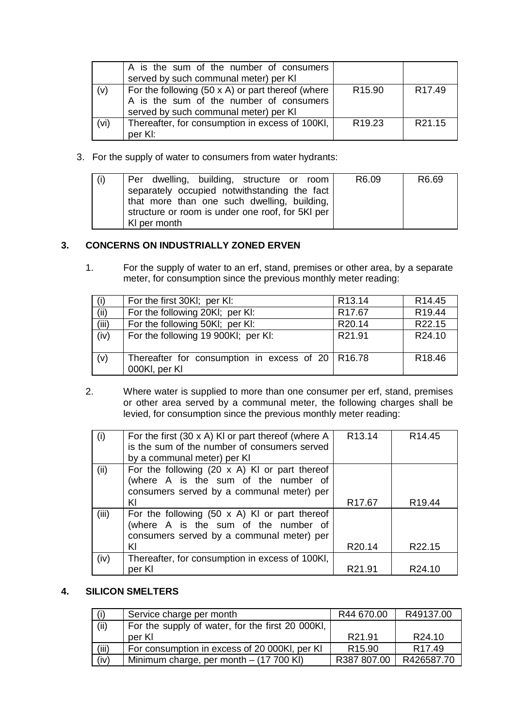|      | A is the sum of the number of consumers<br>served by such communal meter) per KI                                                             |                    |                    |
|------|----------------------------------------------------------------------------------------------------------------------------------------------|--------------------|--------------------|
| (v)  | For the following $(50 \times A)$ or part thereof (where<br>A is the sum of the number of consumers<br>served by such communal meter) per KI | R <sub>15.90</sub> | R <sub>17.49</sub> |
| (vi) | Thereafter, for consumption in excess of 100KI,<br>per KI:                                                                                   | R <sub>19.23</sub> | R <sub>21.15</sub> |

3. For the supply of water to consumers from water hydrants:

| (i) | Per dwelling, building, structure or room                                                                                                                       | R <sub>6.09</sub> | R6.69 |
|-----|-----------------------------------------------------------------------------------------------------------------------------------------------------------------|-------------------|-------|
|     | separately occupied notwithstanding the fact<br>that more than one such dwelling, building,<br>structure or room is under one roof, for 5KI per<br>KI per month |                   |       |

## **3. CONCERNS ON INDUSTRIALLY ZONED ERVEN**

1. For the supply of water to an erf, stand, premises or other area, by a separate meter, for consumption since the previous monthly meter reading:

| (i)   | For the first 30KI; per KI:                                          | R <sub>13.14</sub> | R <sub>14.45</sub> |
|-------|----------------------------------------------------------------------|--------------------|--------------------|
| (ii)  | For the following 20KI; per KI:                                      | R <sub>17.67</sub> | R <sub>19.44</sub> |
| (iii) | For the following 50KI; per KI:                                      | R20.14             | R22.15             |
| (iv)  | For the following 19 900KI; per KI:                                  | R21.91             | R24.10             |
| (v)   | Thereafter for consumption in excess of $20$ R16.78<br>000Kl, per Kl |                    | R <sub>18.46</sub> |

2. Where water is supplied to more than one consumer per erf, stand, premises or other area served by a communal meter, the following charges shall be levied, for consumption since the previous monthly meter reading:

| (i)   | For the first $(30 \times A)$ KI or part thereof (where A | R <sub>13.14</sub> | R <sub>14.45</sub> |
|-------|-----------------------------------------------------------|--------------------|--------------------|
|       | is the sum of the number of consumers served              |                    |                    |
|       | by a communal meter) per KI                               |                    |                    |
| (ii)  | For the following $(20 \times A)$ KI or part thereof      |                    |                    |
|       | (where A is the sum of the number of                      |                    |                    |
|       | consumers served by a communal meter) per                 |                    |                    |
|       | KI                                                        | R <sub>17.67</sub> | R <sub>19.44</sub> |
| (iii) | For the following $(50 \times A)$ KI or part thereof      |                    |                    |
|       | (where A is the sum of the number of                      |                    |                    |
|       | consumers served by a communal meter) per                 |                    |                    |
|       | KI                                                        | R <sub>20.14</sub> | R22.15             |
| (iv)  | Thereafter, for consumption in excess of 100Kl,           |                    |                    |
|       | per KI                                                    | R <sub>21.91</sub> | R <sub>24.10</sub> |

## **4. SILICON SMELTERS**

| (i)   | Service charge per month                         | R44 670.00         | R49137.00          |
|-------|--------------------------------------------------|--------------------|--------------------|
| (iii) | For the supply of water, for the first 20 000KI, |                    |                    |
|       | per KI                                           | R <sub>21.91</sub> | R <sub>24.10</sub> |
| (iii) | For consumption in excess of 20 000KI, per KI    | R <sub>15.90</sub> | R <sub>17.49</sub> |
| (iv)  | Minimum charge, per month - (17 700 KI)          | R387 807.00        | R426587.70         |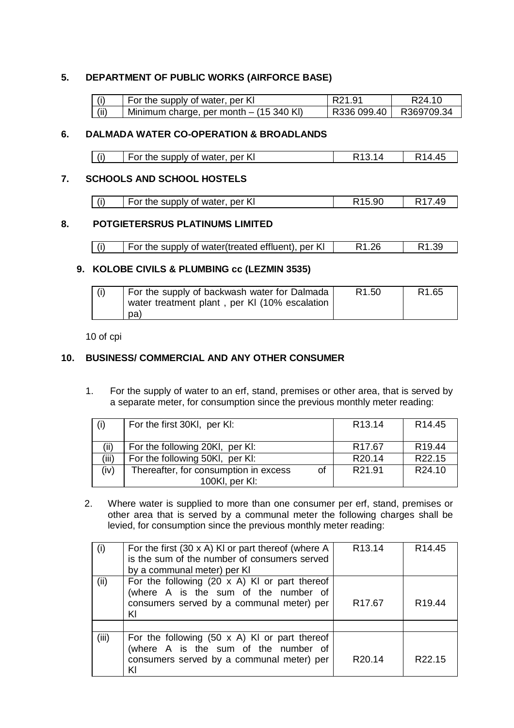## **5. DEPARTMENT OF PUBLIC WORKS (AIRFORCE BASE)**

|      | For the supply of water, per KI           | I R21.91                 | R24.10 |
|------|-------------------------------------------|--------------------------|--------|
| (ii) | Minimum charge, per month $-$ (15 340 KI) | R336 099.40   R369709.34 |        |

## **6. DALMADA WATER CO-OPERATION & BROADLANDS**

## **7. SCHOOLS AND SCHOOL HOSTELS**

| For the supply of water, per KI | R <sub>15.90</sub> | R <sub>17.49</sub> |
|---------------------------------|--------------------|--------------------|
|---------------------------------|--------------------|--------------------|

## **8. POTGIETERSRUS PLATINUMS LIMITED**

| For the supply of water(treated effluent), per KI | R <sub>1.26</sub> | R1.39 |
|---------------------------------------------------|-------------------|-------|
|                                                   |                   |       |

### **9. KOLOBE CIVILS & PLUMBING cc (LEZMIN 3535)**

| For the supply of backwash water for Dalmada<br>water treatment plant, per KI (10% escalation | R <sub>1.50</sub> | R <sub>1.65</sub> |
|-----------------------------------------------------------------------------------------------|-------------------|-------------------|
| (pa                                                                                           |                   |                   |

10 of cpi

## **10. BUSINESS/ COMMERCIAL AND ANY OTHER CONSUMER**

1. For the supply of water to an erf, stand, premises or other area, that is served by a separate meter, for consumption since the previous monthly meter reading:

| (i)   | For the first 30KI, per KI:                             |    | R <sub>13.14</sub> | R <sub>14.45</sub> |
|-------|---------------------------------------------------------|----|--------------------|--------------------|
| (ii)  | For the following 20KI, per KI:                         |    | R <sub>17.67</sub> | R <sub>19.44</sub> |
| (iii) | For the following 50KI, per KI:                         |    | R <sub>20.14</sub> | R22.15             |
| (iv)  | Thereafter, for consumption in excess<br>100KI, per KI: | of | R <sub>21.91</sub> | R24.10             |

2. Where water is supplied to more than one consumer per erf, stand, premises or other area that is served by a communal meter the following charges shall be levied, for consumption since the previous monthly meter reading:

| (i)   | For the first $(30 \times A)$ KI or part thereof (where A<br>is the sum of the number of consumers served<br>by a communal meter) per KI        | R <sub>13.14</sub> | R <sub>14.45</sub> |
|-------|-------------------------------------------------------------------------------------------------------------------------------------------------|--------------------|--------------------|
| (ii)  | For the following (20 $\times$ A) KI or part thereof<br>(where A is the sum of the number of<br>consumers served by a communal meter) per<br>ΚI | R <sub>17.67</sub> | R <sub>19.44</sub> |
|       |                                                                                                                                                 |                    |                    |
| (iii) | For the following $(50 \times A)$ KI or part thereof<br>(where A is the sum of the number of<br>consumers served by a communal meter) per<br>KI | R <sub>20.14</sub> | R <sub>22.15</sub> |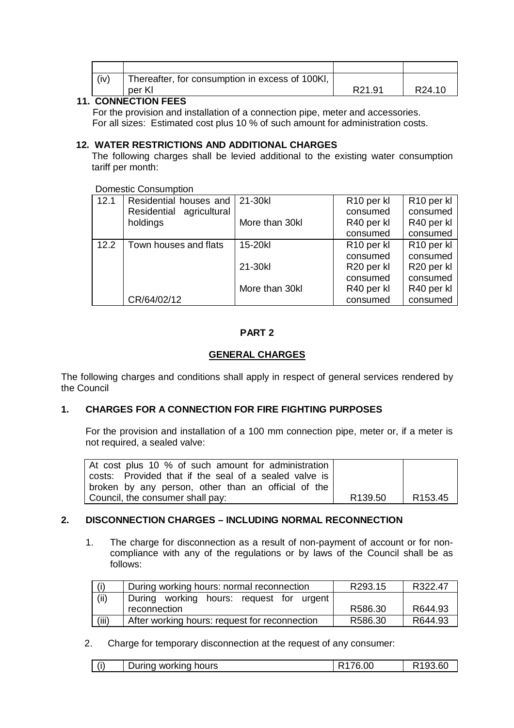| (iv) | Thereafter, for consumption in excess of 100KI, |                    |        |
|------|-------------------------------------------------|--------------------|--------|
|      | per Kl                                          | R <sub>21.91</sub> | R24.10 |

## **11. CONNECTION FEES**

 For the provision and installation of a connection pipe, meter and accessories. For all sizes: Estimated cost plus 10 % of such amount for administration costs.

## **12. WATER RESTRICTIONS AND ADDITIONAL CHARGES**

The following charges shall be levied additional to the existing water consumption tariff per month:

#### Domestic Consumption

| 12.1 | Residential houses and      | 21-30kl        | R <sub>10</sub> per kl | R <sub>10</sub> per kl |
|------|-----------------------------|----------------|------------------------|------------------------|
|      | Residential<br>agricultural |                | consumed               | consumed               |
|      | holdings                    | More than 30kl | R40 per kl             | R40 per kl             |
|      |                             |                | consumed               | consumed               |
| 12.2 | Town houses and flats       | 15-20kl        | R <sub>10</sub> per kl | R <sub>10</sub> per kl |
|      |                             |                | consumed               | consumed               |
|      |                             | 21-30kl        | R20 per kl             | R20 per kl             |
|      |                             |                | consumed               | consumed               |
|      |                             | More than 30kl | R40 per kl             | R40 per kl             |
|      | CR/64/02/12                 |                | consumed               | consumed               |

## **PART 2**

### **GENERAL CHARGES**

The following charges and conditions shall apply in respect of general services rendered by the Council

### **1. CHARGES FOR A CONNECTION FOR FIRE FIGHTING PURPOSES**

For the provision and installation of a 100 mm connection pipe, meter or, if a meter is not required, a sealed valve:

| At cost plus 10 % of such amount for administration   |                     |         |
|-------------------------------------------------------|---------------------|---------|
| costs: Provided that if the seal of a sealed valve is |                     |         |
| I broken by any person, other than an official of the |                     |         |
| Council, the consumer shall pay:                      | R <sub>139.50</sub> | R153.45 |

### **2. DISCONNECTION CHARGES – INCLUDING NORMAL RECONNECTION**

1. The charge for disconnection as a result of non-payment of account or for noncompliance with any of the regulations or by laws of the Council shall be as follows:

| (i)   | During working hours: normal reconnection     | R293.15 | R322.47 |
|-------|-----------------------------------------------|---------|---------|
| (ii)  | During working hours: request for urgent      |         |         |
|       | reconnection                                  | R586.30 | R644.93 |
| (iii) | After working hours: request for reconnection | R586.30 | R644.93 |

### 2. Charge for temporary disconnection at the request of any consumer:

| (i)<br>During working hours | R <sub>176.00</sub> | $\sim$<br>93.60<br>. הר<br>R |
|-----------------------------|---------------------|------------------------------|
|-----------------------------|---------------------|------------------------------|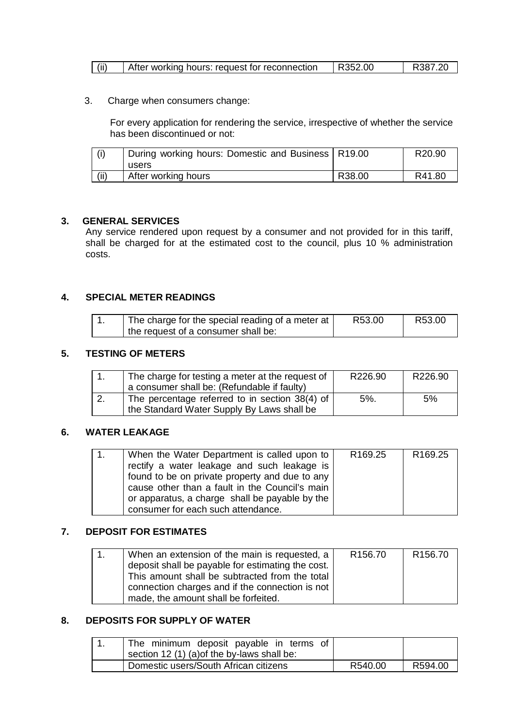| $\vert$ (ii)<br>After working hours: request for reconnection | R352.00 | R387.20 |
|---------------------------------------------------------------|---------|---------|
|---------------------------------------------------------------|---------|---------|

3. Charge when consumers change:

For every application for rendering the service, irrespective of whether the service has been discontinued or not:

|       | During working hours: Domestic and Business   R19.00<br>users |        | R20.90 |
|-------|---------------------------------------------------------------|--------|--------|
| (iii) | After working hours                                           | R38.00 | R41.80 |

#### **3. GENERAL SERVICES**

Any service rendered upon request by a consumer and not provided for in this tariff, shall be charged for at the estimated cost to the council, plus 10 % administration costs.

### **4. SPECIAL METER READINGS**

| The charge for the special reading of a meter at | R53.00 | R53.00 |
|--------------------------------------------------|--------|--------|
| the request of a consumer shall be:              |        |        |

### **5. TESTING OF METERS**

| The charge for testing a meter at the request of       | R226.90 | R226.90 |
|--------------------------------------------------------|---------|---------|
| a consumer shall be: (Refundable if faulty)            |         |         |
| The percentage referred to in section 38(4) of $\vert$ | $5\%$ . | 5%      |
| the Standard Water Supply By Laws shall be             |         |         |

### **6. WATER LEAKAGE**

| When the Water Department is called upon to    | R <sub>169.25</sub> | R <sub>169.25</sub> |
|------------------------------------------------|---------------------|---------------------|
| rectify a water leakage and such leakage is    |                     |                     |
| found to be on private property and due to any |                     |                     |
| cause other than a fault in the Council's main |                     |                     |
| or apparatus, a charge shall be payable by the |                     |                     |
| consumer for each such attendance.             |                     |                     |

## **7. DEPOSIT FOR ESTIMATES**

| When an extension of the main is requested, a     | R <sub>156.70</sub> | R <sub>156.70</sub> |
|---------------------------------------------------|---------------------|---------------------|
| deposit shall be payable for estimating the cost. |                     |                     |
| This amount shall be subtracted from the total    |                     |                     |
| connection charges and if the connection is not   |                     |                     |
| made, the amount shall be forfeited.              |                     |                     |

## **8. DEPOSITS FOR SUPPLY OF WATER**

| The minimum deposit payable in terms of     |         |         |
|---------------------------------------------|---------|---------|
| section 12 (1) (a) of the by-laws shall be: |         |         |
| Domestic users/South African citizens       | R540.00 | R594.00 |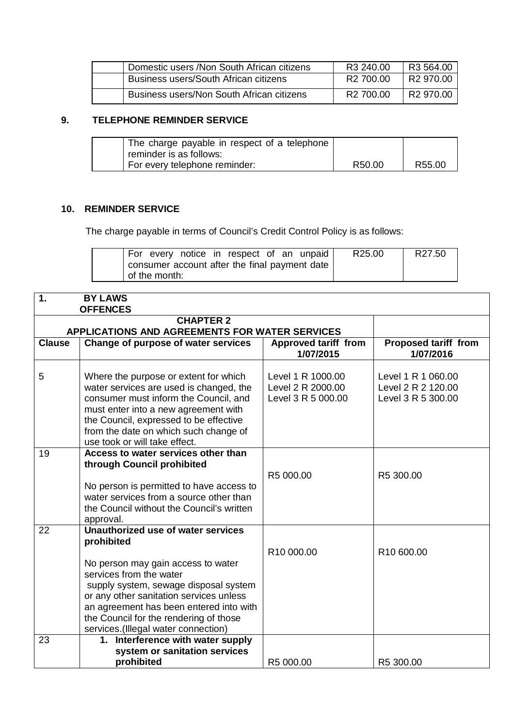| Domestic users / Non South African citizens | R <sub>3</sub> 240.00 | R3 564.00 |
|---------------------------------------------|-----------------------|-----------|
| Business users/South African citizens       | R <sub>2</sub> 700.00 | R2 970.00 |
| Business users/Non South African citizens   | R2 700.00             | R2 970.00 |

# **9. TELEPHONE REMINDER SERVICE**

| The charge payable in respect of a telephone |        |        |
|----------------------------------------------|--------|--------|
| reminder is as follows:                      |        |        |
| <sup>1</sup> For every telephone reminder:   | R50.00 | R55.00 |

# **10. REMINDER SERVICE**

The charge payable in terms of Council's Credit Control Policy is as follows:

| For every notice in respect of an unpaid      | R25.00 | R27.50 |
|-----------------------------------------------|--------|--------|
| consumer account after the final payment date |        |        |
| of the month:                                 |        |        |

| 1.            | <b>BY LAWS</b>                                                                                                                                                                                                                                                                                                                    |                                                              |                                                                |  |  |  |
|---------------|-----------------------------------------------------------------------------------------------------------------------------------------------------------------------------------------------------------------------------------------------------------------------------------------------------------------------------------|--------------------------------------------------------------|----------------------------------------------------------------|--|--|--|
|               | <b>OFFENCES</b>                                                                                                                                                                                                                                                                                                                   |                                                              |                                                                |  |  |  |
|               | <b>CHAPTER 2</b><br>APPLICATIONS AND AGREEMENTS FOR WATER SERVICES                                                                                                                                                                                                                                                                |                                                              |                                                                |  |  |  |
| <b>Clause</b> | Change of purpose of water services                                                                                                                                                                                                                                                                                               | <b>Approved tariff from</b><br>1/07/2015                     | <b>Proposed tariff from</b><br>1/07/2016                       |  |  |  |
| 5             | Where the purpose or extent for which<br>water services are used is changed, the<br>consumer must inform the Council, and<br>must enter into a new agreement with<br>the Council, expressed to be effective<br>from the date on which such change of<br>use took or will take effect.                                             | Level 1 R 1000.00<br>Level 2 R 2000.00<br>Level 3 R 5 000.00 | Level 1 R 1 060.00<br>Level 2 R 2 120.00<br>Level 3 R 5 300.00 |  |  |  |
| 19            | Access to water services other than<br>through Council prohibited<br>No person is permitted to have access to<br>water services from a source other than<br>the Council without the Council's written<br>approval.                                                                                                                | R5 000.00                                                    | R5 300.00                                                      |  |  |  |
| 22            | Unauthorized use of water services<br>prohibited<br>No person may gain access to water<br>services from the water<br>supply system, sewage disposal system<br>or any other sanitation services unless<br>an agreement has been entered into with<br>the Council for the rendering of those<br>services.(Illegal water connection) | R10 000.00                                                   | R10 600.00                                                     |  |  |  |
| 23            | 1. Interference with water supply<br>system or sanitation services<br>prohibited                                                                                                                                                                                                                                                  | R5 000.00                                                    | R5 300.00                                                      |  |  |  |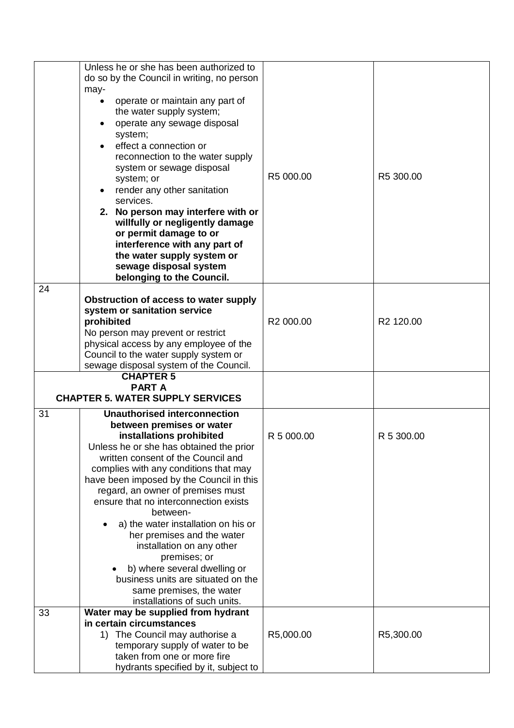|          | Unless he or she has been authorized to<br>do so by the Council in writing, no person<br>may-<br>operate or maintain any part of<br>the water supply system;<br>operate any sewage disposal<br>system;<br>effect a connection or<br>reconnection to the water supply<br>system or sewage disposal<br>system; or<br>render any other sanitation<br>services.<br>2. No person may interfere with or<br>willfully or negligently damage<br>or permit damage to or<br>interference with any part of<br>the water supply system or<br>sewage disposal system<br>belonging to the Council.                                                                   | R5 000.00  | R5 300.00             |
|----------|--------------------------------------------------------------------------------------------------------------------------------------------------------------------------------------------------------------------------------------------------------------------------------------------------------------------------------------------------------------------------------------------------------------------------------------------------------------------------------------------------------------------------------------------------------------------------------------------------------------------------------------------------------|------------|-----------------------|
| 24       | Obstruction of access to water supply<br>system or sanitation service<br>prohibited<br>No person may prevent or restrict<br>physical access by any employee of the<br>Council to the water supply system or<br>sewage disposal system of the Council.                                                                                                                                                                                                                                                                                                                                                                                                  | R2 000.00  | R <sub>2</sub> 120.00 |
|          | <b>CHAPTER 5</b><br><b>PARTA</b><br><b>CHAPTER 5. WATER SUPPLY SERVICES</b>                                                                                                                                                                                                                                                                                                                                                                                                                                                                                                                                                                            |            |                       |
| 31<br>33 | <b>Unauthorised interconnection</b><br>between premises or water<br>installations prohibited<br>Unless he or she has obtained the prior<br>written consent of the Council and<br>complies with any conditions that may<br>have been imposed by the Council in this<br>regard, an owner of premises must<br>ensure that no interconnection exists<br>between-<br>a) the water installation on his or<br>her premises and the water<br>installation on any other<br>premises; or<br>b) where several dwelling or<br>business units are situated on the<br>same premises, the water<br>installations of such units.<br>Water may be supplied from hydrant | R 5 000.00 | R 5 300.00            |
|          | in certain circumstances<br>1) The Council may authorise a<br>temporary supply of water to be<br>taken from one or more fire<br>hydrants specified by it, subject to                                                                                                                                                                                                                                                                                                                                                                                                                                                                                   | R5,000.00  | R5,300.00             |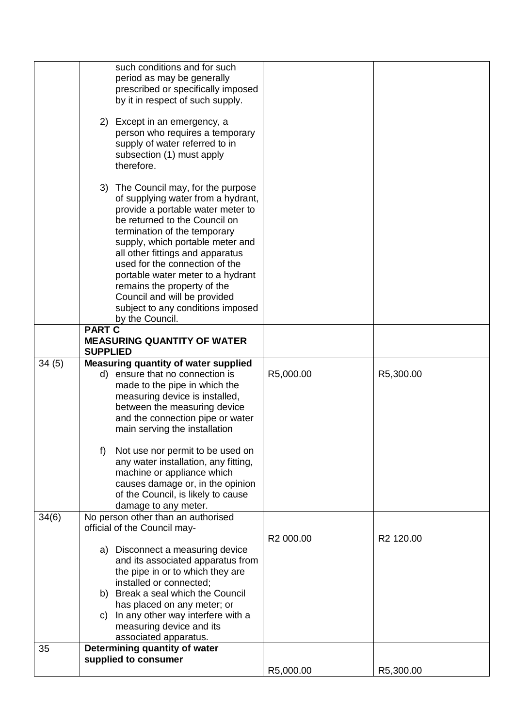|       | such conditions and for such<br>period as may be generally<br>prescribed or specifically imposed<br>by it in respect of such supply.                                                                                                                                                                                                                                                                                                                  |           |           |
|-------|-------------------------------------------------------------------------------------------------------------------------------------------------------------------------------------------------------------------------------------------------------------------------------------------------------------------------------------------------------------------------------------------------------------------------------------------------------|-----------|-----------|
|       | 2) Except in an emergency, a<br>person who requires a temporary<br>supply of water referred to in<br>subsection (1) must apply<br>therefore.                                                                                                                                                                                                                                                                                                          |           |           |
|       | 3) The Council may, for the purpose<br>of supplying water from a hydrant,<br>provide a portable water meter to<br>be returned to the Council on<br>termination of the temporary<br>supply, which portable meter and<br>all other fittings and apparatus<br>used for the connection of the<br>portable water meter to a hydrant<br>remains the property of the<br>Council and will be provided<br>subject to any conditions imposed<br>by the Council. |           |           |
|       | <b>PART C</b><br><b>MEASURING QUANTITY OF WATER</b><br><b>SUPPLIED</b>                                                                                                                                                                                                                                                                                                                                                                                |           |           |
| 34(5) | <b>Measuring quantity of water supplied</b><br>d) ensure that no connection is<br>made to the pipe in which the<br>measuring device is installed,<br>between the measuring device<br>and the connection pipe or water<br>main serving the installation                                                                                                                                                                                                | R5,000.00 | R5,300.00 |
|       | Not use nor permit to be used on<br>f)<br>any water installation, any fitting,<br>machine or appliance which<br>causes damage or, in the opinion<br>of the Council, is likely to cause<br>damage to any meter.                                                                                                                                                                                                                                        |           |           |
| 34(6) | No person other than an authorised<br>official of the Council may-                                                                                                                                                                                                                                                                                                                                                                                    | R2 000.00 | R2 120.00 |
|       | a) Disconnect a measuring device<br>and its associated apparatus from<br>the pipe in or to which they are<br>installed or connected;<br>b) Break a seal which the Council<br>has placed on any meter; or<br>c) In any other way interfere with a<br>measuring device and its                                                                                                                                                                          |           |           |
|       | associated apparatus.                                                                                                                                                                                                                                                                                                                                                                                                                                 |           |           |
| 35    | Determining quantity of water<br>supplied to consumer                                                                                                                                                                                                                                                                                                                                                                                                 | R5,000.00 | R5,300.00 |
|       |                                                                                                                                                                                                                                                                                                                                                                                                                                                       |           |           |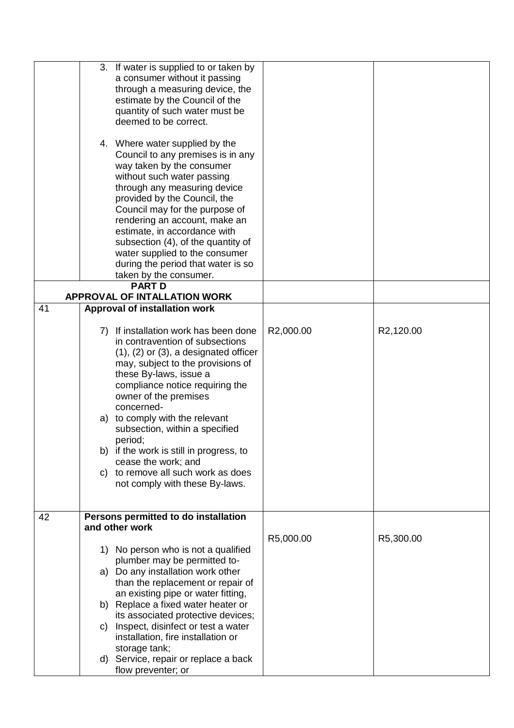|    | 3. If water is supplied to or taken by<br>a consumer without it passing<br>through a measuring device, the<br>estimate by the Council of the<br>quantity of such water must be<br>deemed to be correct.<br>4. Where water supplied by the<br>Council to any premises is in any<br>way taken by the consumer<br>without such water passing<br>through any measuring device<br>provided by the Council, the<br>Council may for the purpose of<br>rendering an account, make an<br>estimate, in accordance with<br>subsection (4), of the quantity of<br>water supplied to the consumer<br>during the period that water is so<br>taken by the consumer. |           |           |
|----|------------------------------------------------------------------------------------------------------------------------------------------------------------------------------------------------------------------------------------------------------------------------------------------------------------------------------------------------------------------------------------------------------------------------------------------------------------------------------------------------------------------------------------------------------------------------------------------------------------------------------------------------------|-----------|-----------|
|    | <b>PART D</b><br><b>APPROVAL OF INTALLATION WORK</b>                                                                                                                                                                                                                                                                                                                                                                                                                                                                                                                                                                                                 |           |           |
| 41 | <b>Approval of installation work</b>                                                                                                                                                                                                                                                                                                                                                                                                                                                                                                                                                                                                                 |           |           |
| 42 | 7) If installation work has been done<br>in contravention of subsections<br>$(1)$ , $(2)$ or $(3)$ , a designated officer<br>may, subject to the provisions of<br>these By-laws, issue a<br>compliance notice requiring the<br>owner of the premises<br>concerned-<br>a) to comply with the relevant<br>subsection, within a specified<br>period;<br>b) if the work is still in progress, to<br>cease the work; and<br>c) to remove all such work as does<br>not comply with these By-laws.<br>Persons permitted to do installation                                                                                                                  | R2,000.00 | R2,120.00 |
|    | and other work                                                                                                                                                                                                                                                                                                                                                                                                                                                                                                                                                                                                                                       | R5,000.00 | R5,300.00 |
|    | 1) No person who is not a qualified<br>plumber may be permitted to-<br>a) Do any installation work other<br>than the replacement or repair of<br>an existing pipe or water fitting,<br>b) Replace a fixed water heater or<br>its associated protective devices;<br>Inspect, disinfect or test a water<br>C)<br>installation, fire installation or<br>storage tank;<br>d) Service, repair or replace a back<br>flow preventer; or                                                                                                                                                                                                                     |           |           |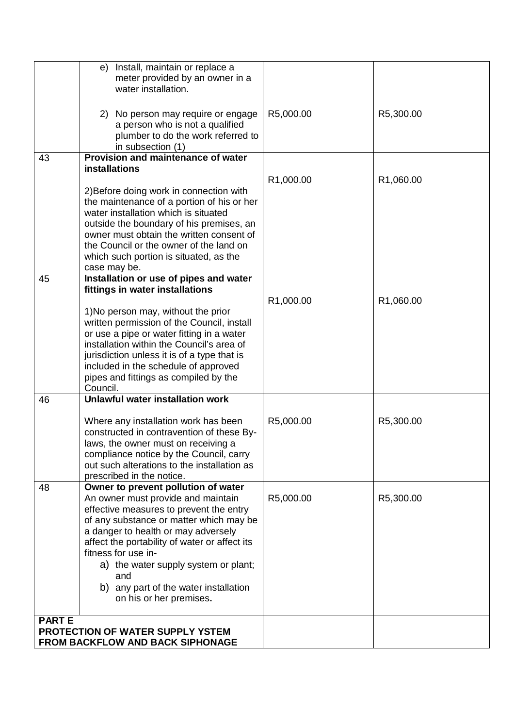| e) Install, maintain or replace a<br>meter provided by an owner in a<br>water installation.                                                                                                                                                                                                                                                                                                             |           |           |
|---------------------------------------------------------------------------------------------------------------------------------------------------------------------------------------------------------------------------------------------------------------------------------------------------------------------------------------------------------------------------------------------------------|-----------|-----------|
| 2) No person may require or engage<br>a person who is not a qualified<br>plumber to do the work referred to<br>in subsection (1)                                                                                                                                                                                                                                                                        | R5,000.00 | R5,300.00 |
| Provision and maintenance of water<br>43<br><b>installations</b>                                                                                                                                                                                                                                                                                                                                        |           |           |
|                                                                                                                                                                                                                                                                                                                                                                                                         | R1,000.00 | R1,060.00 |
| 2) Before doing work in connection with<br>the maintenance of a portion of his or her<br>water installation which is situated<br>outside the boundary of his premises, an<br>owner must obtain the written consent of<br>the Council or the owner of the land on<br>which such portion is situated, as the<br>case may be.                                                                              |           |           |
| Installation or use of pipes and water<br>45                                                                                                                                                                                                                                                                                                                                                            |           |           |
| fittings in water installations<br>1) No person may, without the prior                                                                                                                                                                                                                                                                                                                                  | R1,000.00 | R1,060.00 |
| written permission of the Council, install<br>or use a pipe or water fitting in a water<br>installation within the Council's area of<br>jurisdiction unless it is of a type that is<br>included in the schedule of approved<br>pipes and fittings as compiled by the<br>Council.                                                                                                                        |           |           |
| <b>Unlawful water installation work</b><br>46                                                                                                                                                                                                                                                                                                                                                           |           |           |
| Where any installation work has been<br>constructed in contravention of these By-<br>laws, the owner must on receiving a<br>compliance notice by the Council, carry<br>out such alterations to the installation as<br>prescribed in the notice.                                                                                                                                                         | R5,000.00 | R5,300.00 |
| Owner to prevent pollution of water<br>48<br>An owner must provide and maintain<br>effective measures to prevent the entry<br>of any substance or matter which may be<br>a danger to health or may adversely<br>affect the portability of water or affect its<br>fitness for use in-<br>a) the water supply system or plant;<br>and<br>b) any part of the water installation<br>on his or her premises. | R5,000.00 | R5,300.00 |
| <b>PARTE</b>                                                                                                                                                                                                                                                                                                                                                                                            |           |           |
| PROTECTION OF WATER SUPPLY YSTEM<br><b>FROM BACKFLOW AND BACK SIPHONAGE</b>                                                                                                                                                                                                                                                                                                                             |           |           |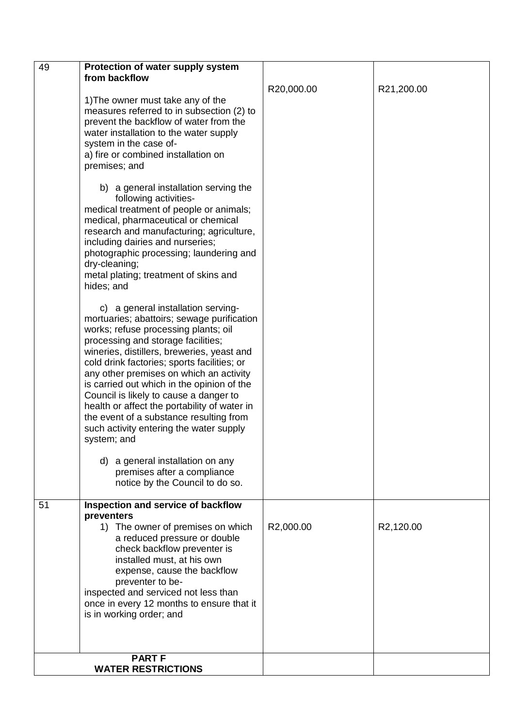| 49 | Protection of water supply system                                                                                                                                                                                                                                                                                                                                                                                                                                                                                                                                                                                                                                                                                                                                                                                                                                                                                                                                                                                                                                                                                                                                  |            |            |
|----|--------------------------------------------------------------------------------------------------------------------------------------------------------------------------------------------------------------------------------------------------------------------------------------------------------------------------------------------------------------------------------------------------------------------------------------------------------------------------------------------------------------------------------------------------------------------------------------------------------------------------------------------------------------------------------------------------------------------------------------------------------------------------------------------------------------------------------------------------------------------------------------------------------------------------------------------------------------------------------------------------------------------------------------------------------------------------------------------------------------------------------------------------------------------|------------|------------|
|    | from backflow                                                                                                                                                                                                                                                                                                                                                                                                                                                                                                                                                                                                                                                                                                                                                                                                                                                                                                                                                                                                                                                                                                                                                      |            |            |
|    | 1) The owner must take any of the<br>measures referred to in subsection (2) to<br>prevent the backflow of water from the<br>water installation to the water supply<br>system in the case of-<br>a) fire or combined installation on<br>premises; and<br>b) a general installation serving the<br>following activities-<br>medical treatment of people or animals;<br>medical, pharmaceutical or chemical<br>research and manufacturing; agriculture,<br>including dairies and nurseries;<br>photographic processing; laundering and<br>dry-cleaning;<br>metal plating; treatment of skins and<br>hides; and<br>c) a general installation serving-<br>mortuaries; abattoirs; sewage purification<br>works; refuse processing plants; oil<br>processing and storage facilities;<br>wineries, distillers, breweries, yeast and<br>cold drink factories; sports facilities; or<br>any other premises on which an activity<br>is carried out which in the opinion of the<br>Council is likely to cause a danger to<br>health or affect the portability of water in<br>the event of a substance resulting from<br>such activity entering the water supply<br>system; and | R20,000.00 | R21,200.00 |
|    | d) a general installation on any<br>premises after a compliance<br>notice by the Council to do so.                                                                                                                                                                                                                                                                                                                                                                                                                                                                                                                                                                                                                                                                                                                                                                                                                                                                                                                                                                                                                                                                 |            |            |
| 51 | Inspection and service of backflow<br>preventers<br>1) The owner of premises on which<br>a reduced pressure or double<br>check backflow preventer is<br>installed must, at his own<br>expense, cause the backflow<br>preventer to be-<br>inspected and serviced not less than<br>once in every 12 months to ensure that it<br>is in working order; and<br><b>PART F</b>                                                                                                                                                                                                                                                                                                                                                                                                                                                                                                                                                                                                                                                                                                                                                                                            | R2,000.00  | R2,120.00  |
|    | <b>WATER RESTRICTIONS</b>                                                                                                                                                                                                                                                                                                                                                                                                                                                                                                                                                                                                                                                                                                                                                                                                                                                                                                                                                                                                                                                                                                                                          |            |            |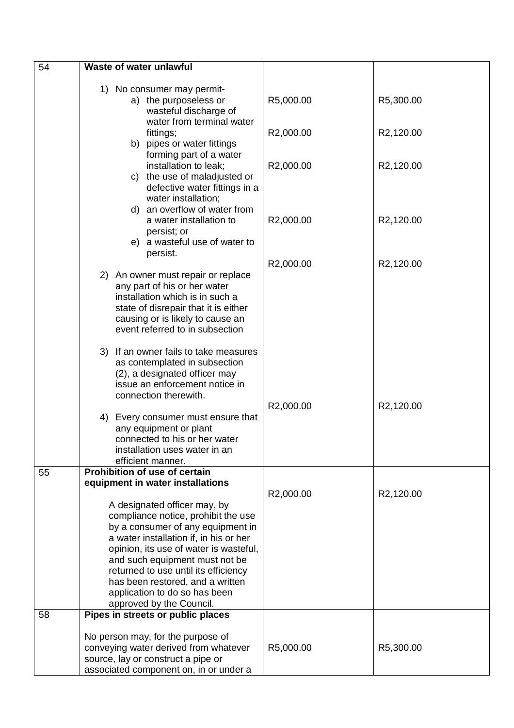| 54 | Waste of water unlawful                                                  |           |                        |
|----|--------------------------------------------------------------------------|-----------|------------------------|
|    |                                                                          |           |                        |
|    | 1) No consumer may permit-                                               |           |                        |
|    | a) the purposeless or                                                    | R5,000.00 | R5,300.00              |
|    | wasteful discharge of<br>water from terminal water                       |           |                        |
|    |                                                                          | R2,000.00 | R2,120.00              |
|    | fittings;<br>b) pipes or water fittings                                  |           |                        |
|    | forming part of a water                                                  |           |                        |
|    | installation to leak;                                                    | R2,000.00 | R2,120.00              |
|    | c) the use of maladjusted or                                             |           |                        |
|    | defective water fittings in a                                            |           |                        |
|    | water installation;                                                      |           |                        |
|    | d) an overflow of water from                                             |           |                        |
|    | a water installation to                                                  | R2,000.00 | R2,120.00              |
|    | persist; or                                                              |           |                        |
|    | e) a wasteful use of water to                                            |           |                        |
|    | persist.                                                                 |           |                        |
|    | 2) An owner must repair or replace                                       | R2,000.00 | R <sub>2</sub> ,120.00 |
|    | any part of his or her water                                             |           |                        |
|    | installation which is in such a                                          |           |                        |
|    | state of disrepair that it is either                                     |           |                        |
|    | causing or is likely to cause an                                         |           |                        |
|    | event referred to in subsection                                          |           |                        |
|    |                                                                          |           |                        |
|    | 3) If an owner fails to take measures                                    |           |                        |
|    | as contemplated in subsection                                            |           |                        |
|    | (2), a designated officer may<br>issue an enforcement notice in          |           |                        |
|    | connection therewith.                                                    |           |                        |
|    |                                                                          | R2,000.00 | R2,120.00              |
|    | 4) Every consumer must ensure that                                       |           |                        |
|    | any equipment or plant                                                   |           |                        |
|    | connected to his or her water                                            |           |                        |
|    | installation uses water in an                                            |           |                        |
|    | efficient manner.                                                        |           |                        |
| 55 | <b>Prohibition of use of certain</b><br>equipment in water installations |           |                        |
|    |                                                                          | R2,000.00 | R2,120.00              |
|    | A designated officer may, by                                             |           |                        |
|    | compliance notice, prohibit the use                                      |           |                        |
|    | by a consumer of any equipment in                                        |           |                        |
|    | a water installation if, in his or her                                   |           |                        |
|    | opinion, its use of water is wasteful,                                   |           |                        |
|    | and such equipment must not be                                           |           |                        |
|    | returned to use until its efficiency                                     |           |                        |
|    | has been restored, and a written                                         |           |                        |
|    | application to do so has been<br>approved by the Council.                |           |                        |
| 58 | Pipes in streets or public places                                        |           |                        |
|    |                                                                          |           |                        |
|    | No person may, for the purpose of                                        |           |                        |
|    | conveying water derived from whatever                                    | R5,000.00 | R5,300.00              |
|    | source, lay or construct a pipe or                                       |           |                        |
|    | associated component on, in or under a                                   |           |                        |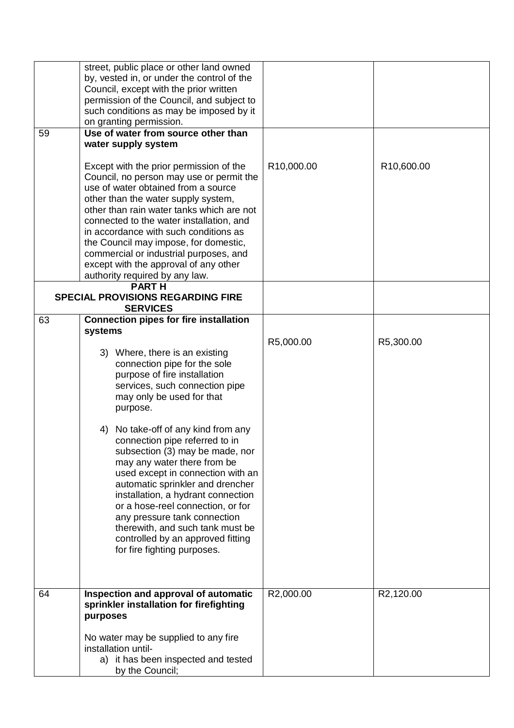| 59 | street, public place or other land owned<br>by, vested in, or under the control of the<br>Council, except with the prior written<br>permission of the Council, and subject to<br>such conditions as may be imposed by it<br>on granting permission.<br>Use of water from source other than                                                                                                                                                                                                                                                                                                                                                                                      |            |            |
|----|---------------------------------------------------------------------------------------------------------------------------------------------------------------------------------------------------------------------------------------------------------------------------------------------------------------------------------------------------------------------------------------------------------------------------------------------------------------------------------------------------------------------------------------------------------------------------------------------------------------------------------------------------------------------------------|------------|------------|
|    | water supply system<br>Except with the prior permission of the<br>Council, no person may use or permit the<br>use of water obtained from a source<br>other than the water supply system,<br>other than rain water tanks which are not<br>connected to the water installation, and<br>in accordance with such conditions as<br>the Council may impose, for domestic,<br>commercial or industrial purposes, and<br>except with the approval of any other<br>authority required by any law.                                                                                                                                                                                        | R10,000.00 | R10,600.00 |
|    | <b>PARTH</b><br><b>SPECIAL PROVISIONS REGARDING FIRE</b><br><b>SERVICES</b>                                                                                                                                                                                                                                                                                                                                                                                                                                                                                                                                                                                                     |            |            |
| 63 | <b>Connection pipes for fire installation</b><br>systems<br>3) Where, there is an existing<br>connection pipe for the sole<br>purpose of fire installation<br>services, such connection pipe<br>may only be used for that<br>purpose.<br>No take-off of any kind from any<br>4)<br>connection pipe referred to in<br>subsection (3) may be made, nor<br>may any water there from be<br>used except in connection with an<br>automatic sprinkler and drencher<br>installation, a hydrant connection<br>or a hose-reel connection, or for<br>any pressure tank connection<br>therewith, and such tank must be<br>controlled by an approved fitting<br>for fire fighting purposes. | R5,000.00  | R5,300.00  |
| 64 | Inspection and approval of automatic<br>sprinkler installation for firefighting<br>purposes<br>No water may be supplied to any fire<br>installation until-<br>a) it has been inspected and tested<br>by the Council;                                                                                                                                                                                                                                                                                                                                                                                                                                                            | R2,000.00  | R2,120.00  |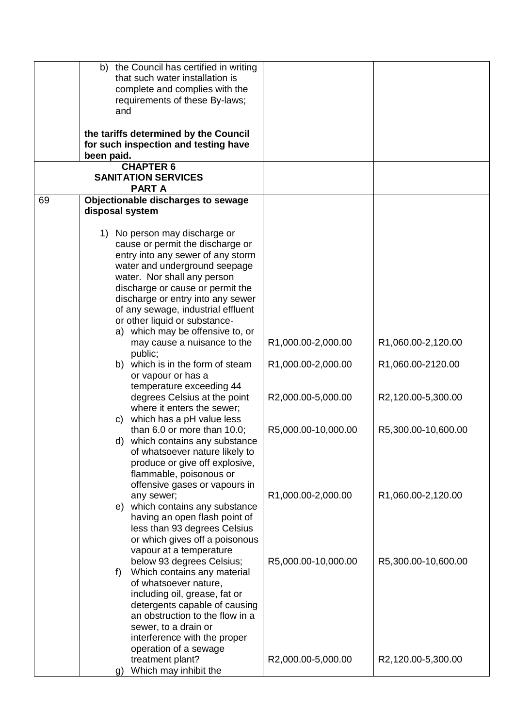|    | b) the Council has certified in writing<br>that such water installation is<br>complete and complies with the                                                                                                                                                                                                                                                                                                                                                                                                                                                                                                                                                                                                                      |                                                                                       |                                                                                      |
|----|-----------------------------------------------------------------------------------------------------------------------------------------------------------------------------------------------------------------------------------------------------------------------------------------------------------------------------------------------------------------------------------------------------------------------------------------------------------------------------------------------------------------------------------------------------------------------------------------------------------------------------------------------------------------------------------------------------------------------------------|---------------------------------------------------------------------------------------|--------------------------------------------------------------------------------------|
|    | requirements of these By-laws;<br>and                                                                                                                                                                                                                                                                                                                                                                                                                                                                                                                                                                                                                                                                                             |                                                                                       |                                                                                      |
|    | the tariffs determined by the Council<br>for such inspection and testing have<br>been paid.                                                                                                                                                                                                                                                                                                                                                                                                                                                                                                                                                                                                                                       |                                                                                       |                                                                                      |
|    | <b>CHAPTER 6</b><br><b>SANITATION SERVICES</b><br><b>PARTA</b>                                                                                                                                                                                                                                                                                                                                                                                                                                                                                                                                                                                                                                                                    |                                                                                       |                                                                                      |
| 69 | Objectionable discharges to sewage<br>disposal system                                                                                                                                                                                                                                                                                                                                                                                                                                                                                                                                                                                                                                                                             |                                                                                       |                                                                                      |
|    | 1) No person may discharge or<br>cause or permit the discharge or<br>entry into any sewer of any storm<br>water and underground seepage<br>water. Nor shall any person<br>discharge or cause or permit the<br>discharge or entry into any sewer<br>of any sewage, industrial effluent<br>or other liquid or substance-<br>a) which may be offensive to, or<br>may cause a nuisance to the<br>public;<br>b) which is in the form of steam<br>or vapour or has a<br>temperature exceeding 44<br>degrees Celsius at the point<br>where it enters the sewer;<br>which has a pH value less<br>C)<br>than 6.0 or more than 10.0;<br>d) which contains any substance<br>of whatsoever nature likely to<br>produce or give off explosive, | R1,000.00-2,000.00<br>R1,000.00-2,000.00<br>R2,000.00-5,000.00<br>R5,000.00-10,000.00 | R1,060.00-2,120.00<br>R1,060.00-2120.00<br>R2,120.00-5,300.00<br>R5,300.00-10,600.00 |
|    | flammable, poisonous or<br>offensive gases or vapours in<br>any sewer;<br>e) which contains any substance<br>having an open flash point of<br>less than 93 degrees Celsius<br>or which gives off a poisonous                                                                                                                                                                                                                                                                                                                                                                                                                                                                                                                      | R1,000.00-2,000.00                                                                    | R1,060.00-2,120.00                                                                   |
|    | vapour at a temperature<br>below 93 degrees Celsius;<br>Which contains any material<br>f)<br>of whatsoever nature,<br>including oil, grease, fat or<br>detergents capable of causing<br>an obstruction to the flow in a<br>sewer, to a drain or<br>interference with the proper<br>operation of a sewage                                                                                                                                                                                                                                                                                                                                                                                                                          | R5,000.00-10,000.00                                                                   | R5,300.00-10,600.00                                                                  |
|    | treatment plant?<br>Which may inhibit the<br>g)                                                                                                                                                                                                                                                                                                                                                                                                                                                                                                                                                                                                                                                                                   | R2,000.00-5,000.00                                                                    | R2,120.00-5,300.00                                                                   |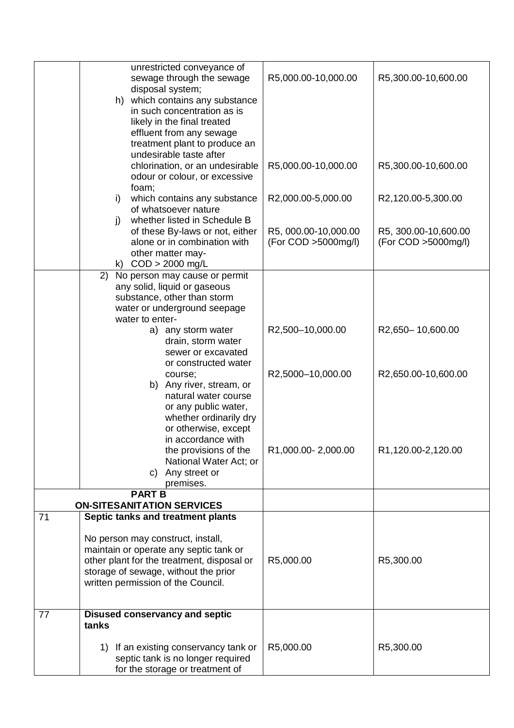|    | unrestricted conveyance of<br>sewage through the sewage<br>disposal system;<br>h) which contains any substance<br>in such concentration as is<br>likely in the final treated<br>effluent from any sewage<br>treatment plant to produce an | R5,000.00-10,000.00                         | R5,300.00-10,600.00                         |
|----|-------------------------------------------------------------------------------------------------------------------------------------------------------------------------------------------------------------------------------------------|---------------------------------------------|---------------------------------------------|
|    | undesirable taste after<br>chlorination, or an undesirable<br>odour or colour, or excessive                                                                                                                                               | R5,000.00-10,000.00                         | R5,300.00-10,600.00                         |
|    | foam;<br>which contains any substance<br>i)<br>of whatsoever nature                                                                                                                                                                       | R2,000.00-5,000.00                          | R2,120.00-5,300.00                          |
|    | whether listed in Schedule B<br>j)<br>of these By-laws or not, either<br>alone or in combination with<br>other matter may-<br>k) $COD > 2000$ mg/L                                                                                        | R5, 000.00-10,000.00<br>(For COD >5000mg/l) | R5, 300.00-10,600.00<br>(For COD >5000mg/l) |
|    | 2)<br>No person may cause or permit<br>any solid, liquid or gaseous<br>substance, other than storm<br>water or underground seepage<br>water to enter-                                                                                     |                                             |                                             |
|    | a) any storm water<br>drain, storm water<br>sewer or excavated                                                                                                                                                                            | R2,500-10,000.00                            | R2,650-10,600.00                            |
|    | or constructed water<br>course;<br>b) Any river, stream, or<br>natural water course<br>or any public water,<br>whether ordinarily dry<br>or otherwise, except                                                                             | R2,5000-10,000.00                           | R2,650.00-10,600.00                         |
|    | in accordance with<br>the provisions of the<br>National Water Act; or<br>c) Any street or<br>premises.                                                                                                                                    | R1,000.00-2,000.00                          | R1,120.00-2,120.00                          |
|    | <b>PART B</b><br><b>ON-SITESANITATION SERVICES</b>                                                                                                                                                                                        |                                             |                                             |
| 71 | Septic tanks and treatment plants                                                                                                                                                                                                         |                                             |                                             |
|    | No person may construct, install,<br>maintain or operate any septic tank or<br>other plant for the treatment, disposal or<br>storage of sewage, without the prior<br>written permission of the Council.                                   | R5,000.00                                   | R5,300.00                                   |
| 77 | <b>Disused conservancy and septic</b><br>tanks                                                                                                                                                                                            |                                             |                                             |
|    | 1) If an existing conservancy tank or<br>septic tank is no longer required<br>for the storage or treatment of                                                                                                                             | R5,000.00                                   | R5,300.00                                   |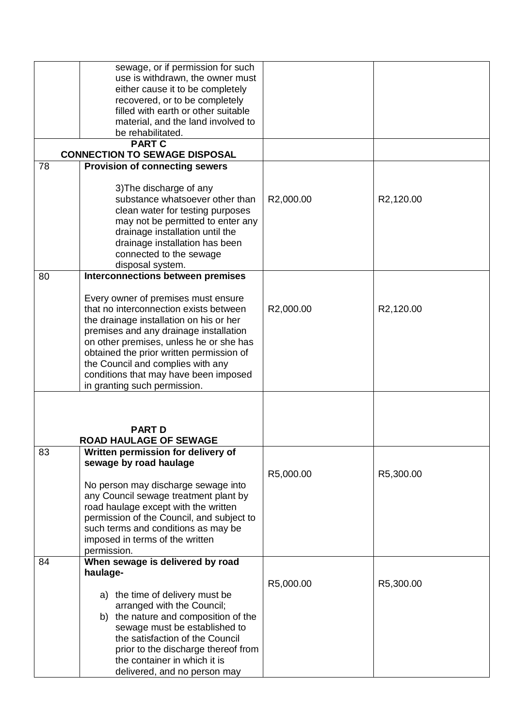|    | sewage, or if permission for such                     |           |           |
|----|-------------------------------------------------------|-----------|-----------|
|    | use is withdrawn, the owner must                      |           |           |
|    | either cause it to be completely                      |           |           |
|    | recovered, or to be completely                        |           |           |
|    | filled with earth or other suitable                   |           |           |
|    | material, and the land involved to                    |           |           |
|    | be rehabilitated.                                     |           |           |
|    |                                                       |           |           |
|    | <b>PART C</b><br><b>CONNECTION TO SEWAGE DISPOSAL</b> |           |           |
| 78 | <b>Provision of connecting sewers</b>                 |           |           |
|    |                                                       |           |           |
|    |                                                       |           |           |
|    | 3) The discharge of any                               |           |           |
|    | substance whatsoever other than                       | R2,000.00 | R2,120.00 |
|    | clean water for testing purposes                      |           |           |
|    | may not be permitted to enter any                     |           |           |
|    | drainage installation until the                       |           |           |
|    | drainage installation has been                        |           |           |
|    | connected to the sewage                               |           |           |
|    | disposal system.                                      |           |           |
| 80 | <b>Interconnections between premises</b>              |           |           |
|    |                                                       |           |           |
|    | Every owner of premises must ensure                   |           |           |
|    |                                                       |           |           |
|    | that no interconnection exists between                | R2,000.00 | R2,120.00 |
|    | the drainage installation on his or her               |           |           |
|    | premises and any drainage installation                |           |           |
|    | on other premises, unless he or she has               |           |           |
|    | obtained the prior written permission of              |           |           |
|    | the Council and complies with any                     |           |           |
|    | conditions that may have been imposed                 |           |           |
|    | in granting such permission.                          |           |           |
|    |                                                       |           |           |
|    |                                                       |           |           |
|    |                                                       |           |           |
|    | <b>PART D</b>                                         |           |           |
|    | <b>ROAD HAULAGE OF SEWAGE</b>                         |           |           |
| 83 | Written permission for delivery of                    |           |           |
|    | sewage by road haulage                                |           |           |
|    |                                                       | R5,000.00 | R5,300.00 |
|    | No person may discharge sewage into                   |           |           |
|    | any Council sewage treatment plant by                 |           |           |
|    | road haulage except with the written                  |           |           |
|    | permission of the Council, and subject to             |           |           |
|    |                                                       |           |           |
|    | such terms and conditions as may be                   |           |           |
|    | imposed in terms of the written                       |           |           |
|    | permission.                                           |           |           |
| 84 | When sewage is delivered by road                      |           |           |
|    | haulage-                                              |           |           |
|    |                                                       | R5,000.00 | R5,300.00 |
|    | a) the time of delivery must be                       |           |           |
|    | arranged with the Council;                            |           |           |
|    | b) the nature and composition of the                  |           |           |
|    | sewage must be established to                         |           |           |
|    | the satisfaction of the Council                       |           |           |
|    | prior to the discharge thereof from                   |           |           |
|    |                                                       |           |           |
|    | the container in which it is                          |           |           |
|    | delivered, and no person may                          |           |           |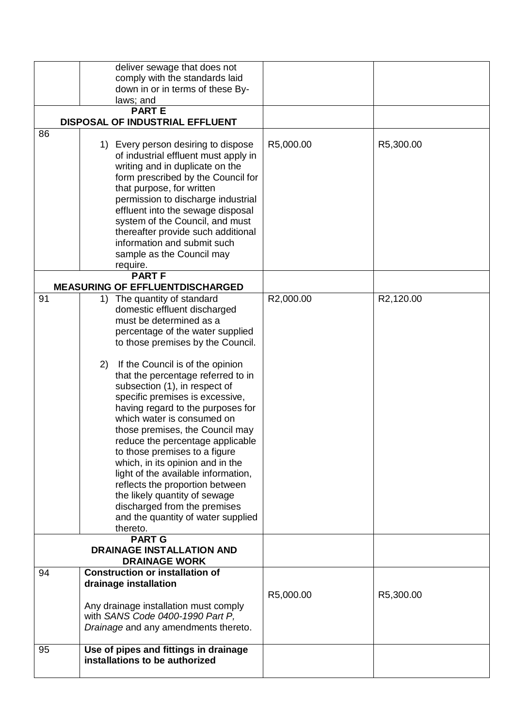|    | deliver sewage that does not<br>comply with the standards laid<br>down in or in terms of these By-                                                                                                                                                                                                                                                                                                                                                                                                                                                                                                                                                                                                                                                  |           |           |
|----|-----------------------------------------------------------------------------------------------------------------------------------------------------------------------------------------------------------------------------------------------------------------------------------------------------------------------------------------------------------------------------------------------------------------------------------------------------------------------------------------------------------------------------------------------------------------------------------------------------------------------------------------------------------------------------------------------------------------------------------------------------|-----------|-----------|
|    | laws; and                                                                                                                                                                                                                                                                                                                                                                                                                                                                                                                                                                                                                                                                                                                                           |           |           |
|    | <b>PARTE</b>                                                                                                                                                                                                                                                                                                                                                                                                                                                                                                                                                                                                                                                                                                                                        |           |           |
|    | DISPOSAL OF INDUSTRIAL EFFLUENT                                                                                                                                                                                                                                                                                                                                                                                                                                                                                                                                                                                                                                                                                                                     |           |           |
| 86 | 1) Every person desiring to dispose<br>of industrial effluent must apply in<br>writing and in duplicate on the<br>form prescribed by the Council for<br>that purpose, for written<br>permission to discharge industrial<br>effluent into the sewage disposal<br>system of the Council, and must<br>thereafter provide such additional<br>information and submit such<br>sample as the Council may<br>require.                                                                                                                                                                                                                                                                                                                                       | R5,000.00 | R5,300.00 |
|    | <b>PART F</b>                                                                                                                                                                                                                                                                                                                                                                                                                                                                                                                                                                                                                                                                                                                                       |           |           |
|    | <b>MEASURING OF EFFLUENTDISCHARGED</b>                                                                                                                                                                                                                                                                                                                                                                                                                                                                                                                                                                                                                                                                                                              |           |           |
| 91 | The quantity of standard<br>1)<br>domestic effluent discharged<br>must be determined as a<br>percentage of the water supplied<br>to those premises by the Council.<br>2)<br>If the Council is of the opinion<br>that the percentage referred to in<br>subsection (1), in respect of<br>specific premises is excessive,<br>having regard to the purposes for<br>which water is consumed on<br>those premises, the Council may<br>reduce the percentage applicable<br>to those premises to a figure<br>which, in its opinion and in the<br>light of the available information,<br>reflects the proportion between<br>the likely quantity of sewage<br>discharged from the premises<br>and the quantity of water supplied<br>thereto.<br><b>PART G</b> | R2,000.00 | R2,120.00 |
|    | <b>DRAINAGE INSTALLATION AND</b><br><b>DRAINAGE WORK</b>                                                                                                                                                                                                                                                                                                                                                                                                                                                                                                                                                                                                                                                                                            |           |           |
| 94 | <b>Construction or installation of</b>                                                                                                                                                                                                                                                                                                                                                                                                                                                                                                                                                                                                                                                                                                              |           |           |
|    | drainage installation<br>Any drainage installation must comply<br>with SANS Code 0400-1990 Part P,<br>Drainage and any amendments thereto.                                                                                                                                                                                                                                                                                                                                                                                                                                                                                                                                                                                                          | R5,000.00 | R5,300.00 |
| 95 | Use of pipes and fittings in drainage<br>installations to be authorized                                                                                                                                                                                                                                                                                                                                                                                                                                                                                                                                                                                                                                                                             |           |           |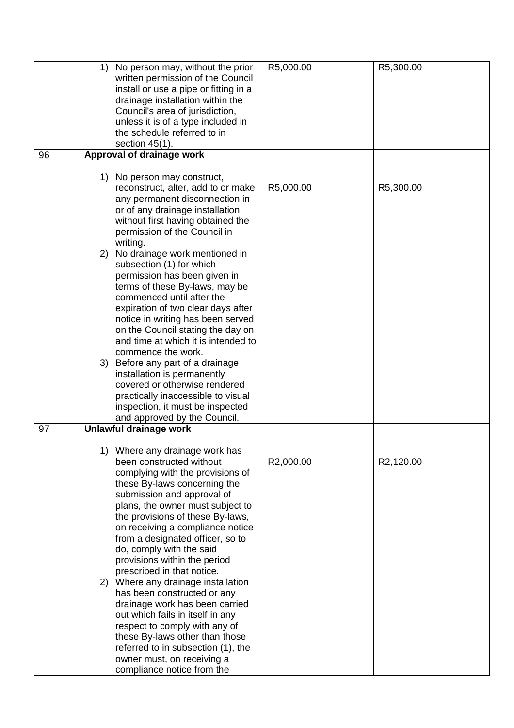|    | 1) No person may, without the prior<br>written permission of the Council<br>install or use a pipe or fitting in a<br>drainage installation within the<br>Council's area of jurisdiction,<br>unless it is of a type included in<br>the schedule referred to in                                                                                                                                                                                                                                                                                                                                                                                                                                                             | R5,000.00 | R5,300.00 |
|----|---------------------------------------------------------------------------------------------------------------------------------------------------------------------------------------------------------------------------------------------------------------------------------------------------------------------------------------------------------------------------------------------------------------------------------------------------------------------------------------------------------------------------------------------------------------------------------------------------------------------------------------------------------------------------------------------------------------------------|-----------|-----------|
|    | section $45(1)$ .                                                                                                                                                                                                                                                                                                                                                                                                                                                                                                                                                                                                                                                                                                         |           |           |
| 96 | <b>Approval of drainage work</b>                                                                                                                                                                                                                                                                                                                                                                                                                                                                                                                                                                                                                                                                                          |           |           |
|    | 1) No person may construct,<br>reconstruct, alter, add to or make<br>any permanent disconnection in<br>or of any drainage installation<br>without first having obtained the<br>permission of the Council in<br>writing.                                                                                                                                                                                                                                                                                                                                                                                                                                                                                                   | R5,000.00 | R5,300.00 |
|    | 2) No drainage work mentioned in<br>subsection (1) for which<br>permission has been given in<br>terms of these By-laws, may be<br>commenced until after the<br>expiration of two clear days after<br>notice in writing has been served<br>on the Council stating the day on<br>and time at which it is intended to<br>commence the work.                                                                                                                                                                                                                                                                                                                                                                                  |           |           |
|    | 3) Before any part of a drainage<br>installation is permanently<br>covered or otherwise rendered<br>practically inaccessible to visual<br>inspection, it must be inspected<br>and approved by the Council.                                                                                                                                                                                                                                                                                                                                                                                                                                                                                                                |           |           |
| 97 | Unlawful drainage work                                                                                                                                                                                                                                                                                                                                                                                                                                                                                                                                                                                                                                                                                                    |           |           |
|    | Where any drainage work has<br>1)<br>been constructed without<br>complying with the provisions of<br>these By-laws concerning the<br>submission and approval of<br>plans, the owner must subject to<br>the provisions of these By-laws,<br>on receiving a compliance notice<br>from a designated officer, so to<br>do, comply with the said<br>provisions within the period<br>prescribed in that notice.<br>2) Where any drainage installation<br>has been constructed or any<br>drainage work has been carried<br>out which fails in itself in any<br>respect to comply with any of<br>these By-laws other than those<br>referred to in subsection (1), the<br>owner must, on receiving a<br>compliance notice from the | R2,000.00 | R2,120.00 |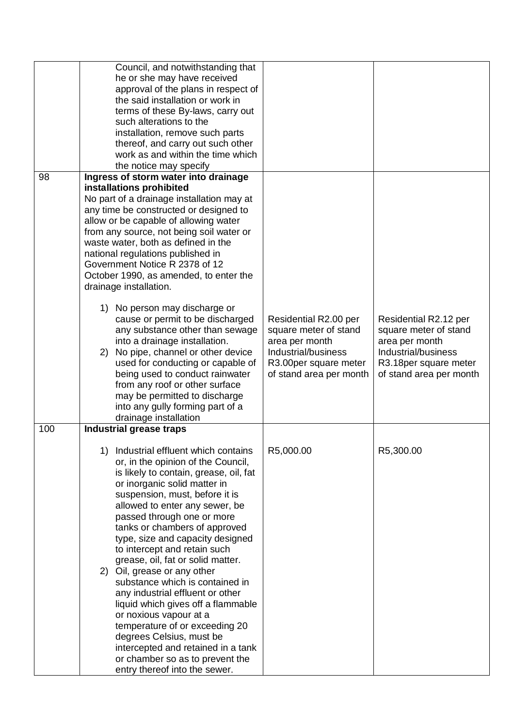|     | Council, and notwithstanding that<br>he or she may have received<br>approval of the plans in respect of<br>the said installation or work in<br>terms of these By-laws, carry out<br>such alterations to the<br>installation, remove such parts<br>thereof, and carry out such other<br>work as and within the time which<br>the notice may specify                                                                                                                                                                                                                                                                                                                                                                                                 |                                                                                                                                             |                                                                                                                                              |
|-----|----------------------------------------------------------------------------------------------------------------------------------------------------------------------------------------------------------------------------------------------------------------------------------------------------------------------------------------------------------------------------------------------------------------------------------------------------------------------------------------------------------------------------------------------------------------------------------------------------------------------------------------------------------------------------------------------------------------------------------------------------|---------------------------------------------------------------------------------------------------------------------------------------------|----------------------------------------------------------------------------------------------------------------------------------------------|
| 98  | Ingress of storm water into drainage<br>installations prohibited<br>No part of a drainage installation may at<br>any time be constructed or designed to<br>allow or be capable of allowing water<br>from any source, not being soil water or<br>waste water, both as defined in the<br>national regulations published in<br>Government Notice R 2378 of 12<br>October 1990, as amended, to enter the<br>drainage installation.                                                                                                                                                                                                                                                                                                                     |                                                                                                                                             |                                                                                                                                              |
|     | 1) No person may discharge or<br>cause or permit to be discharged<br>any substance other than sewage<br>into a drainage installation.<br>2) No pipe, channel or other device<br>used for conducting or capable of<br>being used to conduct rainwater<br>from any roof or other surface<br>may be permitted to discharge<br>into any gully forming part of a<br>drainage installation                                                                                                                                                                                                                                                                                                                                                               | Residential R2.00 per<br>square meter of stand<br>area per month<br>Industrial/business<br>R3.00per square meter<br>of stand area per month | Residential R2.12 per<br>square meter of stand<br>area per month<br>Industrial/business<br>R3.18 per square meter<br>of stand area per month |
| 100 | <b>Industrial grease traps</b>                                                                                                                                                                                                                                                                                                                                                                                                                                                                                                                                                                                                                                                                                                                     |                                                                                                                                             |                                                                                                                                              |
|     | Industrial effluent which contains<br>1)<br>or, in the opinion of the Council,<br>is likely to contain, grease, oil, fat<br>or inorganic solid matter in<br>suspension, must, before it is<br>allowed to enter any sewer, be<br>passed through one or more<br>tanks or chambers of approved<br>type, size and capacity designed<br>to intercept and retain such<br>grease, oil, fat or solid matter.<br>2) Oil, grease or any other<br>substance which is contained in<br>any industrial effluent or other<br>liquid which gives off a flammable<br>or noxious vapour at a<br>temperature of or exceeding 20<br>degrees Celsius, must be<br>intercepted and retained in a tank<br>or chamber so as to prevent the<br>entry thereof into the sewer. | R5,000.00                                                                                                                                   | R5,300.00                                                                                                                                    |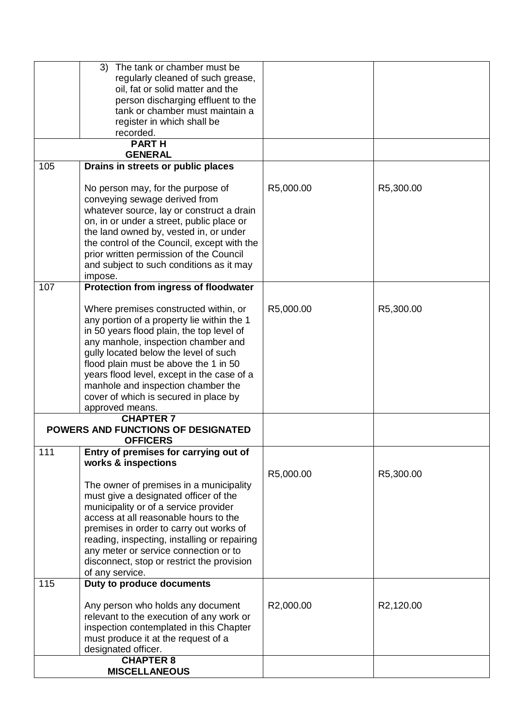|     | The tank or chamber must be<br>3)                                                   |           |           |
|-----|-------------------------------------------------------------------------------------|-----------|-----------|
|     | regularly cleaned of such grease,                                                   |           |           |
|     | oil, fat or solid matter and the                                                    |           |           |
|     | person discharging effluent to the                                                  |           |           |
|     | tank or chamber must maintain a                                                     |           |           |
|     | register in which shall be                                                          |           |           |
|     | recorded.                                                                           |           |           |
|     | <b>PARTH</b><br><b>GENERAL</b>                                                      |           |           |
| 105 | Drains in streets or public places                                                  |           |           |
|     |                                                                                     |           |           |
|     | No person may, for the purpose of                                                   | R5,000.00 | R5,300.00 |
|     | conveying sewage derived from                                                       |           |           |
|     | whatever source, lay or construct a drain                                           |           |           |
|     | on, in or under a street, public place or<br>the land owned by, vested in, or under |           |           |
|     | the control of the Council, except with the                                         |           |           |
|     | prior written permission of the Council                                             |           |           |
|     | and subject to such conditions as it may                                            |           |           |
|     | impose.                                                                             |           |           |
| 107 | Protection from ingress of floodwater                                               |           |           |
|     |                                                                                     |           |           |
|     | Where premises constructed within, or                                               | R5,000.00 | R5,300.00 |
|     | any portion of a property lie within the 1                                          |           |           |
|     | in 50 years flood plain, the top level of                                           |           |           |
|     | any manhole, inspection chamber and                                                 |           |           |
|     | gully located below the level of such                                               |           |           |
|     | flood plain must be above the 1 in 50                                               |           |           |
|     | years flood level, except in the case of a                                          |           |           |
|     | manhole and inspection chamber the                                                  |           |           |
|     | cover of which is secured in place by                                               |           |           |
|     | approved means.<br><b>CHAPTER 7</b>                                                 |           |           |
|     | POWERS AND FUNCTIONS OF DESIGNATED                                                  |           |           |
|     | <b>OFFICERS</b>                                                                     |           |           |
| 111 | Entry of premises for carrying out of                                               |           |           |
|     | works & inspections                                                                 |           |           |
|     |                                                                                     | R5,000.00 | R5,300.00 |
|     | The owner of premises in a municipality                                             |           |           |
|     | must give a designated officer of the                                               |           |           |
|     | municipality or of a service provider<br>access at all reasonable hours to the      |           |           |
|     | premises in order to carry out works of                                             |           |           |
|     | reading, inspecting, installing or repairing                                        |           |           |
|     | any meter or service connection or to                                               |           |           |
|     | disconnect, stop or restrict the provision                                          |           |           |
|     | of any service.                                                                     |           |           |
| 115 | Duty to produce documents                                                           |           |           |
|     |                                                                                     |           |           |
|     | Any person who holds any document                                                   | R2,000.00 | R2,120.00 |
|     | relevant to the execution of any work or                                            |           |           |
|     | inspection contemplated in this Chapter                                             |           |           |
|     | must produce it at the request of a                                                 |           |           |
|     | designated officer.                                                                 |           |           |
|     | <b>CHAPTER 8</b>                                                                    |           |           |
|     | <b>MISCELLANEOUS</b>                                                                |           |           |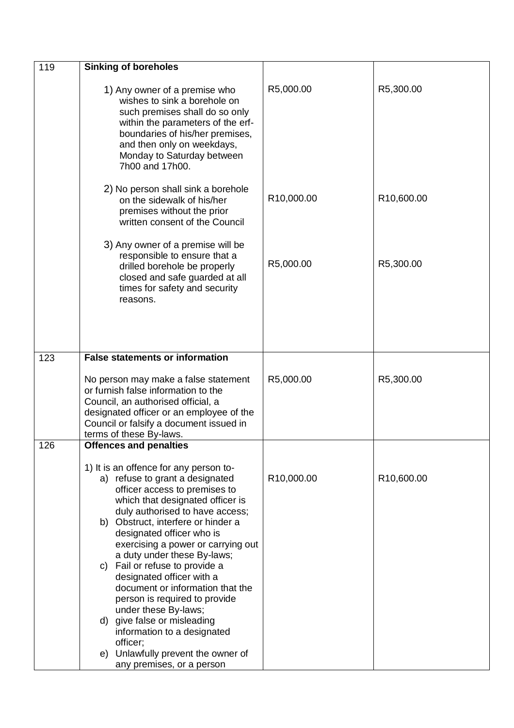| 119 | <b>Sinking of boreholes</b>                                                                                                                                                                                                                                                                                                                                                                                                                                                                                                                                                                                                        |            |                         |
|-----|------------------------------------------------------------------------------------------------------------------------------------------------------------------------------------------------------------------------------------------------------------------------------------------------------------------------------------------------------------------------------------------------------------------------------------------------------------------------------------------------------------------------------------------------------------------------------------------------------------------------------------|------------|-------------------------|
|     | 1) Any owner of a premise who<br>wishes to sink a borehole on<br>such premises shall do so only<br>within the parameters of the erf-<br>boundaries of his/her premises,<br>and then only on weekdays,<br>Monday to Saturday between<br>7h00 and 17h00.                                                                                                                                                                                                                                                                                                                                                                             | R5,000.00  | R5,300.00               |
|     | 2) No person shall sink a borehole<br>on the sidewalk of his/her<br>premises without the prior<br>written consent of the Council                                                                                                                                                                                                                                                                                                                                                                                                                                                                                                   | R10,000.00 | R <sub>10</sub> ,600.00 |
|     | 3) Any owner of a premise will be<br>responsible to ensure that a<br>drilled borehole be properly<br>closed and safe guarded at all<br>times for safety and security<br>reasons.                                                                                                                                                                                                                                                                                                                                                                                                                                                   | R5,000.00  | R5,300.00               |
| 123 | <b>False statements or information</b>                                                                                                                                                                                                                                                                                                                                                                                                                                                                                                                                                                                             |            |                         |
|     | No person may make a false statement<br>or furnish false information to the<br>Council, an authorised official, a<br>designated officer or an employee of the<br>Council or falsify a document issued in<br>terms of these By-laws.                                                                                                                                                                                                                                                                                                                                                                                                | R5,000.00  | R5,300.00               |
| 126 | <b>Offences and penalties</b>                                                                                                                                                                                                                                                                                                                                                                                                                                                                                                                                                                                                      |            |                         |
|     | 1) It is an offence for any person to-<br>a) refuse to grant a designated<br>officer access to premises to<br>which that designated officer is<br>duly authorised to have access;<br>b) Obstruct, interfere or hinder a<br>designated officer who is<br>exercising a power or carrying out<br>a duty under these By-laws;<br>c) Fail or refuse to provide a<br>designated officer with a<br>document or information that the<br>person is required to provide<br>under these By-laws;<br>d) give false or misleading<br>information to a designated<br>officer;<br>e) Unlawfully prevent the owner of<br>any premises, or a person | R10,000.00 | R <sub>10</sub> ,600.00 |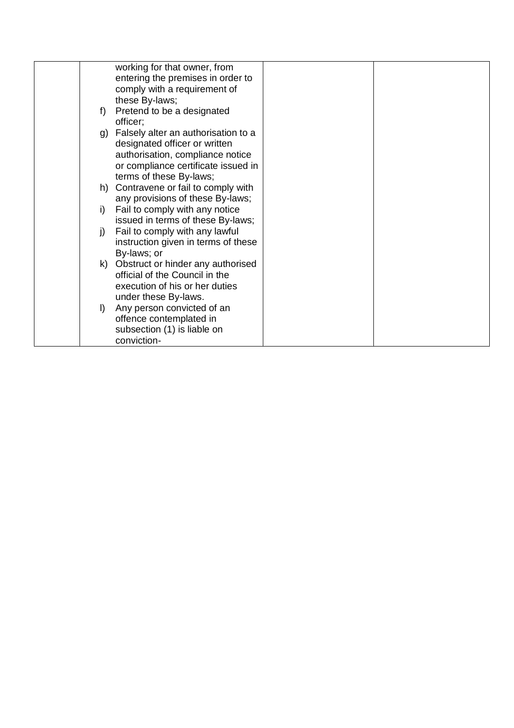| working for that owner, from                                                                                                                       |  |
|----------------------------------------------------------------------------------------------------------------------------------------------------|--|
| entering the premises in order to                                                                                                                  |  |
| comply with a requirement of                                                                                                                       |  |
| these By-laws;                                                                                                                                     |  |
| Pretend to be a designated<br>f)<br>officer;                                                                                                       |  |
| g) Falsely alter an authorisation to a<br>designated officer or written<br>authorisation, compliance notice<br>or compliance certificate issued in |  |
| terms of these By-laws;                                                                                                                            |  |
| h) Contravene or fail to comply with<br>any provisions of these By-laws;                                                                           |  |
| Fail to comply with any notice<br>i)<br>issued in terms of these By-laws;                                                                          |  |
| Fail to comply with any lawful<br>j)                                                                                                               |  |
| instruction given in terms of these                                                                                                                |  |
| By-laws; or                                                                                                                                        |  |
| k) Obstruct or hinder any authorised<br>official of the Council in the<br>execution of his or her duties                                           |  |
| under these By-laws.                                                                                                                               |  |
| Any person convicted of an<br>$\vert$<br>offence contemplated in<br>subsection (1) is liable on                                                    |  |
| conviction-                                                                                                                                        |  |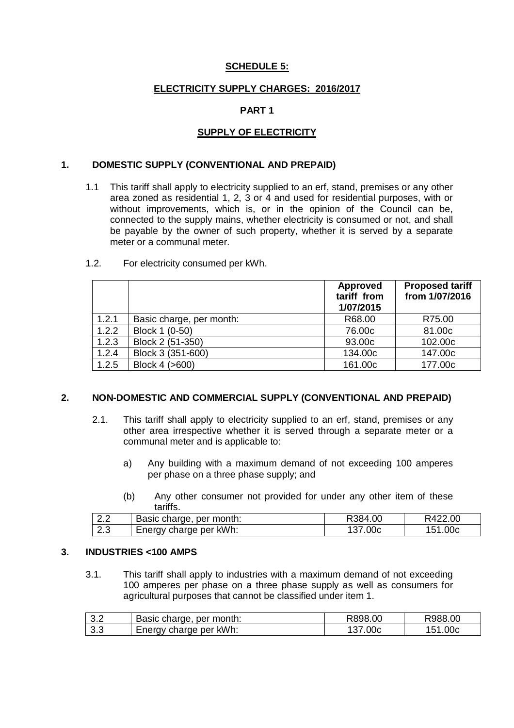#### **SCHEDULE 5:**

#### **ELECTRICITY SUPPLY CHARGES: 2016/2017**

#### **PART 1**

#### **SUPPLY OF ELECTRICITY**

#### **1. DOMESTIC SUPPLY (CONVENTIONAL AND PREPAID)**

1.1 This tariff shall apply to electricity supplied to an erf, stand, premises or any other area zoned as residential 1, 2, 3 or 4 and used for residential purposes, with or without improvements, which is, or in the opinion of the Council can be, connected to the supply mains, whether electricity is consumed or not, and shall be payable by the owner of such property, whether it is served by a separate meter or a communal meter.

|       |                          | <b>Approved</b><br>tariff from<br>1/07/2015 | <b>Proposed tariff</b><br>from 1/07/2016 |
|-------|--------------------------|---------------------------------------------|------------------------------------------|
| 1.2.1 | Basic charge, per month: | R68.00                                      | R75.00                                   |
| 1.2.2 | Block 1 (0-50)           | 76.00c                                      | 81.00c                                   |
| 1.2.3 | Block 2 (51-350)         | 93.00c                                      | 102.00c                                  |
| 1.2.4 | Block 3 (351-600)        | 134.00c                                     | 147.00c                                  |
| 1.2.5 | Block 4 (>600)           | 161.00c                                     | 177,00c                                  |

#### 1.2. For electricity consumed per kWh.

#### **2. NON-DOMESTIC AND COMMERCIAL SUPPLY (CONVENTIONAL AND PREPAID)**

- 2.1. This tariff shall apply to electricity supplied to an erf, stand, premises or any other area irrespective whether it is served through a separate meter or a communal meter and is applicable to:
	- a) Any building with a maximum demand of not exceeding 100 amperes per phase on a three phase supply; and
	- (b) Any other consumer not provided for under any other item of these tariffs.

| $\cap$<br><u>_ . _</u> | Basic charge, per month: | R384.00 | R422.00 |
|------------------------|--------------------------|---------|---------|
| $\sim$ $\sim$          | Energy charge per kWh:   | .00c    | 00c     |
| ۰۰                     |                          | 137.    | 151     |

#### **3. INDUSTRIES <100 AMPS**

3.1. This tariff shall apply to industries with a maximum demand of not exceeding 100 amperes per phase on a three phase supply as well as consumers for agricultural purposes that cannot be classified under item 1.

| 3.2 | Basic charge, per month: | R898.00 | R988.00     |
|-----|--------------------------|---------|-------------|
| 3.3 | Energy charge per kWh:   | 137.00c | .00c<br>151 |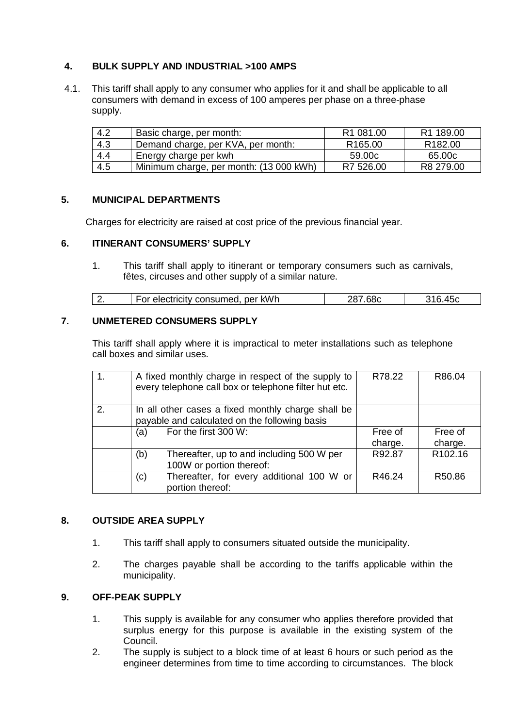### **4. BULK SUPPLY AND INDUSTRIAL >100 AMPS**

 4.1. This tariff shall apply to any consumer who applies for it and shall be applicable to all consumers with demand in excess of 100 amperes per phase on a three-phase supply.

| 4.2 | Basic charge, per month:                | R <sub>1</sub> 081.00 | R <sub>1</sub> 189.00 |
|-----|-----------------------------------------|-----------------------|-----------------------|
| 4.3 | Demand charge, per KVA, per month:      | R <sub>165.00</sub>   | R <sub>182.00</sub>   |
| 4.4 | Energy charge per kwh                   | 59.00c                | 65.00c                |
| 4.5 | Minimum charge, per month: (13 000 kWh) | R7 526.00             | R8 279.00             |

#### **5. MUNICIPAL DEPARTMENTS**

Charges for electricity are raised at cost price of the previous financial year.

#### **6. ITINERANT CONSUMERS' SUPPLY**

1. This tariff shall apply to itinerant or temporary consumers such as carnivals, fêtes, circuses and other supply of a similar nature.

| ectricity consumed, per kWh<br><u>.</u> |
|-----------------------------------------|
|-----------------------------------------|

#### **7. UNMETERED CONSUMERS SUPPLY**

This tariff shall apply where it is impractical to meter installations such as telephone call boxes and similar uses.

|    | A fixed monthly charge in respect of the supply to<br>every telephone call box or telephone filter hut etc. | R78.22             | R86.04              |
|----|-------------------------------------------------------------------------------------------------------------|--------------------|---------------------|
| 2. | In all other cases a fixed monthly charge shall be<br>payable and calculated on the following basis         |                    |                     |
|    | For the first 300 W:<br>(a)                                                                                 | Free of<br>charge. | Free of<br>charge.  |
|    | Thereafter, up to and including 500 W per<br>(b)<br>100W or portion thereof:                                | R92.87             | R <sub>102.16</sub> |
|    | Thereafter, for every additional 100 W or<br>(c)<br>portion thereof:                                        | R46.24             | R50.86              |

#### **8. OUTSIDE AREA SUPPLY**

- 1. This tariff shall apply to consumers situated outside the municipality.
- 2. The charges payable shall be according to the tariffs applicable within the municipality.

#### **9. OFF-PEAK SUPPLY**

- 1. This supply is available for any consumer who applies therefore provided that surplus energy for this purpose is available in the existing system of the Council.
- 2. The supply is subject to a block time of at least 6 hours or such period as the engineer determines from time to time according to circumstances. The block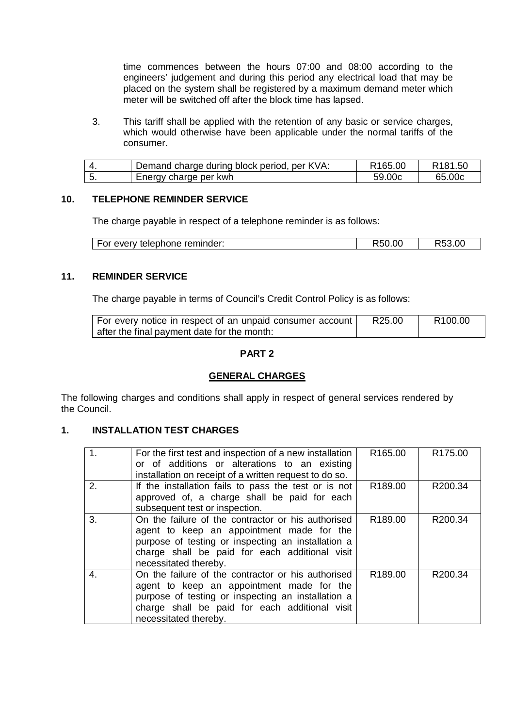time commences between the hours 07:00 and 08:00 according to the engineers' judgement and during this period any electrical load that may be placed on the system shall be registered by a maximum demand meter which meter will be switched off after the block time has lapsed.

3. This tariff shall be applied with the retention of any basic or service charges, which would otherwise have been applicable under the normal tariffs of the consumer.

| Demand charge during block period, per KVA: | R <sub>165.00</sub> | R <sub>181.50</sub> |
|---------------------------------------------|---------------------|---------------------|
| Energy charge per kwh                       | 59.00c              | 65.00c              |

#### **10. TELEPHONE REMINDER SERVICE**

The charge payable in respect of a telephone reminder is as follows:

| For every telephone reminder: | R50.00 | ちとる ひひ<br>ROJ.UC |
|-------------------------------|--------|------------------|
|-------------------------------|--------|------------------|

#### **11. REMINDER SERVICE**

The charge payable in terms of Council's Credit Control Policy is as follows:

| For every notice in respect of an unpaid consumer account | R25.00 | R <sub>100.00</sub> |
|-----------------------------------------------------------|--------|---------------------|
| after the final payment date for the month:               |        |                     |

#### **PART 2**

#### **GENERAL CHARGES**

The following charges and conditions shall apply in respect of general services rendered by the Council.

#### **1. INSTALLATION TEST CHARGES**

| 1 <sub>1</sub> | For the first test and inspection of a new installation<br>or of additions or alterations to an existing<br>installation on receipt of a written request to do so.                                                               | R <sub>165.00</sub> | R175.00 |
|----------------|----------------------------------------------------------------------------------------------------------------------------------------------------------------------------------------------------------------------------------|---------------------|---------|
| 2.             | If the installation fails to pass the test or is not<br>approved of, a charge shall be paid for each<br>subsequent test or inspection.                                                                                           | R189.00             | R200.34 |
| 3.             | On the failure of the contractor or his authorised<br>agent to keep an appointment made for the<br>purpose of testing or inspecting an installation a<br>charge shall be paid for each additional visit<br>necessitated thereby. | R189.00             | R200.34 |
| 4.             | On the failure of the contractor or his authorised<br>agent to keep an appointment made for the<br>purpose of testing or inspecting an installation a<br>charge shall be paid for each additional visit<br>necessitated thereby. | R <sub>189.00</sub> | R200.34 |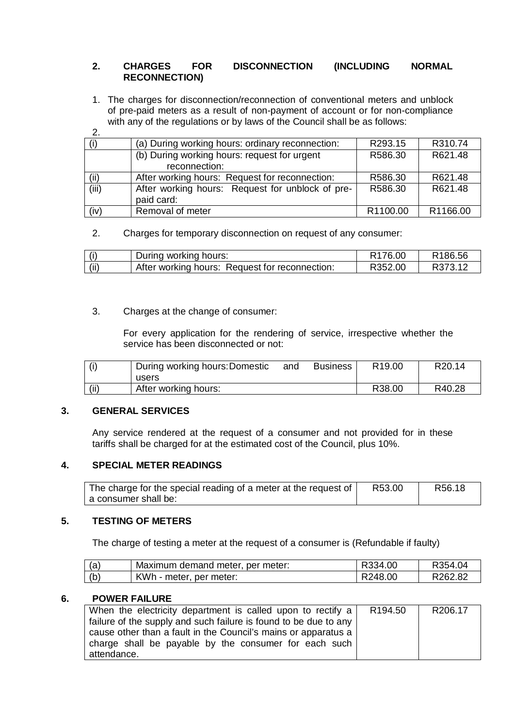#### **2. CHARGES FOR DISCONNECTION (INCLUDING NORMAL RECONNECTION)**

1. The charges for disconnection/reconnection of conventional meters and unblock of pre-paid meters as a result of non-payment of account or for non-compliance with any of the regulations or by laws of the Council shall be as follows:

2.

|       | (a) During working hours: ordinary reconnection: | R293.15  | R310.74  |
|-------|--------------------------------------------------|----------|----------|
|       | (b) During working hours: request for urgent     | R586.30  | R621.48  |
|       | reconnection:                                    |          |          |
| (ii)  | After working hours: Request for reconnection:   | R586.30  | R621.48  |
| (iii) | After working hours: Request for unblock of pre- | R586.30  | R621.48  |
|       | paid card:                                       |          |          |
| (iv)  | Removal of meter                                 | R1100.00 | R1166.00 |

#### 2. Charges for temporary disconnection on request of any consumer:

| $\cdots$ | working hours:"<br>Durina                         | .OC<br>76. | 86.56 |
|----------|---------------------------------------------------|------------|-------|
| (ii)     | After working hours:<br>Request for reconnection: | ふい<br>.00  |       |

#### 3. Charges at the change of consumer:

For every application for the rendering of service, irrespective whether the service has been disconnected or not:

| During working hours: Domestic<br>users | and | <b>Business</b> | R <sub>19.00</sub> | R <sub>20.14</sub> |
|-----------------------------------------|-----|-----------------|--------------------|--------------------|
| After working hours:                    |     |                 | R <sub>38.00</sub> | R40.28             |

#### **3. GENERAL SERVICES**

Any service rendered at the request of a consumer and not provided for in these tariffs shall be charged for at the estimated cost of the Council, plus 10%.

#### **4. SPECIAL METER READINGS**

| The charge for the special reading of a meter at the request of | R53.00 | R56.18 |
|-----------------------------------------------------------------|--------|--------|
| a consumer shall be:                                            |        |        |

#### **5. TESTING OF METERS**

The charge of testing a meter at the request of a consumer is (Refundable if faulty)

| (a) | Maximum demand meter, per meter: | R334.00 | R354.04 |
|-----|----------------------------------|---------|---------|
| (b) | KWh - meter, per meter:          | R248.00 | R262.82 |

#### **6. POWER FAILURE**

| When the electricity department is called upon to rectify a      | R194.50 | R206.17 |
|------------------------------------------------------------------|---------|---------|
| failure of the supply and such failure is found to be due to any |         |         |
| cause other than a fault in the Council's mains or apparatus a   |         |         |
| charge shall be payable by the consumer for each such            |         |         |
| attendance.                                                      |         |         |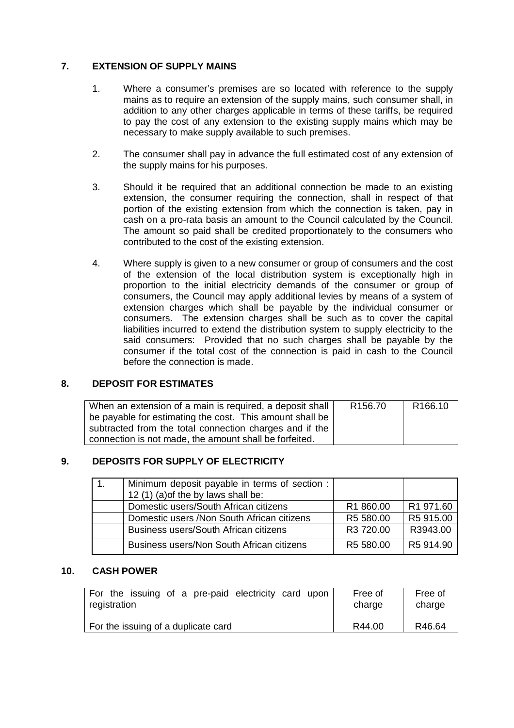#### **7. EXTENSION OF SUPPLY MAINS**

- 1. Where a consumer's premises are so located with reference to the supply mains as to require an extension of the supply mains, such consumer shall, in addition to any other charges applicable in terms of these tariffs, be required to pay the cost of any extension to the existing supply mains which may be necessary to make supply available to such premises.
- 2. The consumer shall pay in advance the full estimated cost of any extension of the supply mains for his purposes.
- 3. Should it be required that an additional connection be made to an existing extension, the consumer requiring the connection, shall in respect of that portion of the existing extension from which the connection is taken, pay in cash on a pro-rata basis an amount to the Council calculated by the Council. The amount so paid shall be credited proportionately to the consumers who contributed to the cost of the existing extension.
- 4. Where supply is given to a new consumer or group of consumers and the cost of the extension of the local distribution system is exceptionally high in proportion to the initial electricity demands of the consumer or group of consumers, the Council may apply additional levies by means of a system of extension charges which shall be payable by the individual consumer or consumers. The extension charges shall be such as to cover the capital liabilities incurred to extend the distribution system to supply electricity to the said consumers: Provided that no such charges shall be payable by the consumer if the total cost of the connection is paid in cash to the Council before the connection is made.

#### **8. DEPOSIT FOR ESTIMATES**

| When an extension of a main is required, a deposit shall | R <sub>156.70</sub> | R <sub>166.10</sub> |
|----------------------------------------------------------|---------------------|---------------------|
| be payable for estimating the cost. This amount shall be |                     |                     |
| subtracted from the total connection charges and if the  |                     |                     |
| connection is not made, the amount shall be forfeited.   |                     |                     |

#### **9. DEPOSITS FOR SUPPLY OF ELECTRICITY**

| Minimum deposit payable in terms of section : |                       |           |
|-----------------------------------------------|-----------------------|-----------|
| 12 (1) (a) of the by laws shall be:           |                       |           |
| Domestic users/South African citizens         | R <sub>1</sub> 860.00 | R1 971.60 |
| Domestic users / Non South African citizens   | R5 580.00             | R5 915.00 |
| Business users/South African citizens         | R3 720.00             | R3943.00  |
| Business users/Non South African citizens     | R5 580.00             | R5 914.90 |

#### **10. CASH POWER**

| For the issuing of a pre-paid electricity card upon | Free of | Free of |
|-----------------------------------------------------|---------|---------|
| registration                                        | charge  | charge  |
| For the issuing of a duplicate card                 | R44.00  | R46.64  |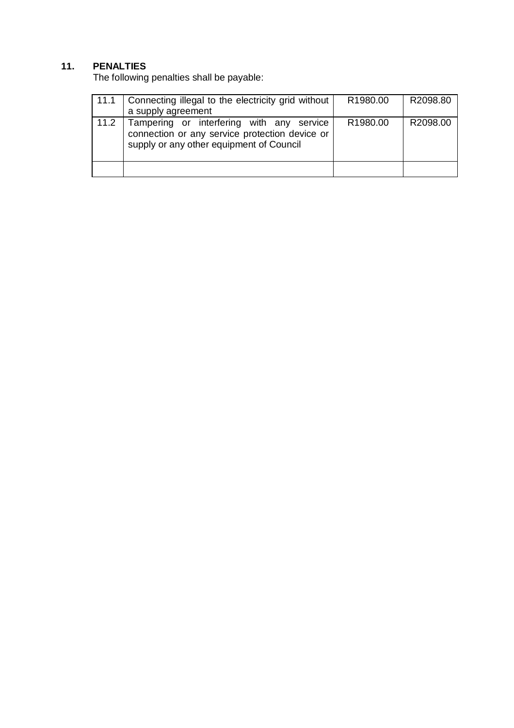## **11. PENALTIES**

The following penalties shall be payable:

| 11.1 | Connecting illegal to the electricity grid without<br>a supply agreement                                                                | R <sub>1980.00</sub> | R2098.80 |
|------|-----------------------------------------------------------------------------------------------------------------------------------------|----------------------|----------|
| 11.2 | Tampering or interfering with any service<br>connection or any service protection device or<br>supply or any other equipment of Council | R <sub>1980.00</sub> | R2098.00 |
|      |                                                                                                                                         |                      |          |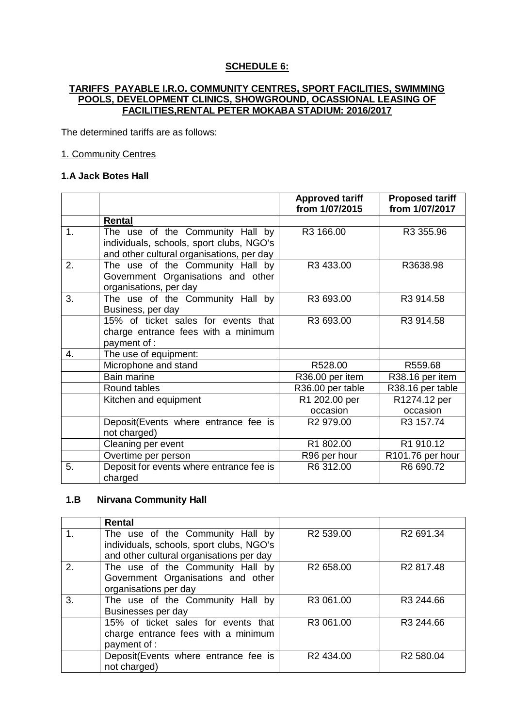#### **SCHEDULE 6:**

#### **TARIFFS PAYABLE I.R.O. COMMUNITY CENTRES, SPORT FACILITIES, SWIMMING POOLS, DEVELOPMENT CLINICS, SHOWGROUND, OCASSIONAL LEASING OF FACILITIES,RENTAL PETER MOKABA STADIUM: 2016/2017**

The determined tariffs are as follows:

#### 1. Community Centres

#### **1.A Jack Botes Hall**

|    |                                                                                                  | <b>Approved tariff</b><br>from 1/07/2015 | <b>Proposed tariff</b><br>from 1/07/2017 |
|----|--------------------------------------------------------------------------------------------------|------------------------------------------|------------------------------------------|
|    | Rental                                                                                           |                                          |                                          |
| 1. | The use of the Community Hall by<br>individuals, schools, sport clubs, NGO's                     | R3 166.00                                | R3 355.96                                |
|    | and other cultural organisations, per day                                                        |                                          |                                          |
| 2. | The use of the Community Hall by<br>Government Organisations and other<br>organisations, per day | R3 433.00                                | R3638.98                                 |
| 3. | The use of the Community Hall by<br>Business, per day                                            | R3 693.00                                | R3 914.58                                |
|    | 15% of ticket sales for events that<br>charge entrance fees with a minimum<br>payment of :       | R3 693.00                                | R3 914.58                                |
| 4. | The use of equipment:                                                                            |                                          |                                          |
|    | Microphone and stand                                                                             | R528.00                                  | R559.68                                  |
|    | <b>Bain marine</b>                                                                               | R36.00 per item                          | R38.16 per item                          |
|    | Round tables                                                                                     | R36.00 per table                         | R38.16 per table                         |
|    | Kitchen and equipment                                                                            | R1 202.00 per                            | R1274.12 per                             |
|    |                                                                                                  | occasion                                 | occasion                                 |
|    | Deposit(Events where entrance fee is<br>not charged)                                             | R <sub>2</sub> 979.00                    | R3 157.74                                |
|    | Cleaning per event                                                                               | R1 802.00                                | R1 910.12                                |
|    | Overtime per person                                                                              | R96 per hour                             | R101.76 per hour                         |
| 5. | Deposit for events where entrance fee is<br>charged                                              | R6 312.00                                | R6 690.72                                |

#### **1.B Nirvana Community Hall**

|    | <b>Rental</b>                                                                                                            |                       |                       |
|----|--------------------------------------------------------------------------------------------------------------------------|-----------------------|-----------------------|
|    | The use of the Community Hall by<br>individuals, schools, sport clubs, NGO's<br>and other cultural organisations per day | R <sub>2</sub> 539.00 | R <sub>2</sub> 691.34 |
| 2. | The use of the Community Hall by<br>Government Organisations and other<br>organisations per day                          | R <sub>2</sub> 658.00 | R <sub>2</sub> 817.48 |
| 3. | The use of the Community Hall by<br>Businesses per day                                                                   | R <sub>3</sub> 061.00 | R <sub>3</sub> 244.66 |
|    | 15% of ticket sales for events that<br>charge entrance fees with a minimum<br>payment of :                               | R3 061.00             | R3 244.66             |
|    | Deposit(Events where entrance fee is<br>not charged)                                                                     | R2 434.00             | R <sub>2</sub> 580.04 |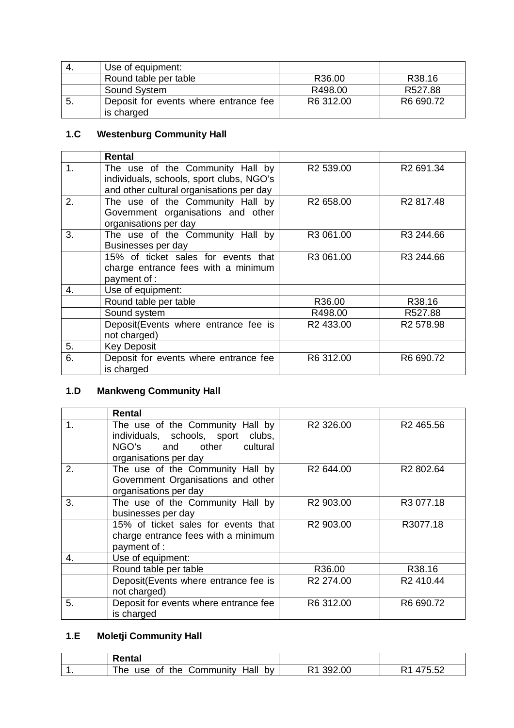| -4. | Use of equipment:                     |           |                    |
|-----|---------------------------------------|-----------|--------------------|
|     | Round table per table                 | R36.00    | R <sub>38.16</sub> |
|     | Sound System                          | R498.00   | R527.88            |
| -5. | Deposit for events where entrance fee | R6 312.00 | R6 690.72          |
|     | is charged                            |           |                    |

## **1.C Westenburg Community Hall**

|    | Rental                                   |                       |                       |
|----|------------------------------------------|-----------------------|-----------------------|
| 1. | The use of the Community Hall by         | R <sub>2</sub> 539.00 | R <sub>2</sub> 691.34 |
|    | individuals, schools, sport clubs, NGO's |                       |                       |
|    | and other cultural organisations per day |                       |                       |
| 2. | The use of the Community Hall by         | R <sub>2</sub> 658.00 | R <sub>2</sub> 817.48 |
|    | Government organisations and other       |                       |                       |
|    | organisations per day                    |                       |                       |
| 3. | The use of the Community Hall by         | R3 061.00             | R3 244.66             |
|    | Businesses per day                       |                       |                       |
|    | 15% of ticket sales for events that      | R3 061.00             | R <sub>3</sub> 244.66 |
|    | charge entrance fees with a minimum      |                       |                       |
|    | payment of :                             |                       |                       |
| 4. | Use of equipment:                        |                       |                       |
|    | Round table per table                    | R36.00                | R38.16                |
|    | Sound system                             | R498.00               | R527.88               |
|    | Deposit(Events where entrance fee is     | R2 433.00             | R <sub>2</sub> 578.98 |
|    | not charged)                             |                       |                       |
| 5. | <b>Key Deposit</b>                       |                       |                       |
| 6. | Deposit for events where entrance fee    | R6 312.00             | R6 690.72             |
|    | is charged                               |                       |                       |

## **1.D Mankweng Community Hall**

|                  | Rental                                                                                                                      |                       |                       |
|------------------|-----------------------------------------------------------------------------------------------------------------------------|-----------------------|-----------------------|
| 1.               | The use of the Community Hall by<br>individuals, schools, sport clubs,<br>NGO's and other cultural<br>organisations per day | R <sub>2</sub> 326.00 | R <sub>2</sub> 465.56 |
| 2.               | The use of the Community Hall by<br>Government Organisations and other<br>organisations per day                             | R <sub>2</sub> 644.00 | R <sub>2</sub> 802.64 |
| 3.               | The use of the Community Hall by<br>businesses per day                                                                      | R2 903.00             | R3 077.18             |
|                  | 15% of ticket sales for events that<br>charge entrance fees with a minimum<br>payment of :                                  | R2 903.00             | R3077.18              |
| $\overline{4}$ . | Use of equipment:                                                                                                           |                       |                       |
|                  | Round table per table                                                                                                       | R36.00                | R38.16                |
|                  | Deposit(Events where entrance fee is<br>not charged)                                                                        | R <sub>2</sub> 274.00 | R <sub>2</sub> 410.44 |
| 5.               | Deposit for events where entrance fee<br>is charged                                                                         | R6 312.00             | R6 690.72             |

## **1.E Moletji Community Hall**

| Rental                                                   |           |        |
|----------------------------------------------------------|-----------|--------|
| the<br>bv<br>Hall<br><b>⊜ommunity</b><br>he<br>οt<br>use | .00<br>кч | 175.52 |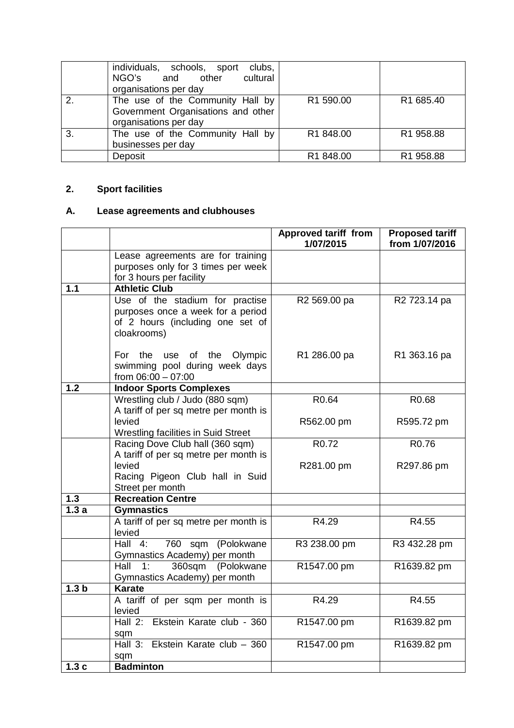|    | individuals, schools, sport<br>clubs,<br>NGO's and other<br>cultural<br>organisations per day   |           |           |
|----|-------------------------------------------------------------------------------------------------|-----------|-----------|
| 2. | The use of the Community Hall by<br>Government Organisations and other<br>organisations per day | R1 590.00 | R1 685.40 |
| 3. | The use of the Community Hall by<br>businesses per day                                          | R1 848.00 | R1 958.88 |
|    | Deposit                                                                                         | R1 848.00 | R1 958.88 |

## **2. Sport facilities**

## **A. Lease agreements and clubhouses**

|                  |                                                                                                                         | <b>Approved tariff from</b><br>1/07/2015 | <b>Proposed tariff</b><br>from 1/07/2016 |
|------------------|-------------------------------------------------------------------------------------------------------------------------|------------------------------------------|------------------------------------------|
|                  | Lease agreements are for training<br>purposes only for 3 times per week<br>for 3 hours per facility                     |                                          |                                          |
| 1.1              | <b>Athletic Club</b>                                                                                                    |                                          |                                          |
|                  | Use of the stadium for practise<br>purposes once a week for a period<br>of 2 hours (including one set of<br>cloakrooms) | R2 569.00 pa                             | R2 723.14 pa                             |
|                  | For the<br>use of the Olympic<br>swimming pool during week days<br>from 06:00 - 07:00                                   | R1 286.00 pa                             | R1 363.16 pa                             |
| 1.2              | <b>Indoor Sports Complexes</b>                                                                                          |                                          |                                          |
|                  | Wrestling club / Judo (880 sqm)                                                                                         | R <sub>0.64</sub>                        | R0.68                                    |
|                  | A tariff of per sq metre per month is                                                                                   |                                          |                                          |
|                  | levied<br>Wrestling facilities in Suid Street                                                                           | R562.00 pm                               | R595.72 pm                               |
|                  | Racing Dove Club hall (360 sqm)                                                                                         | R <sub>0.72</sub>                        | R <sub>0.76</sub>                        |
|                  | A tariff of per sq metre per month is<br>levied<br>Racing Pigeon Club hall in Suid<br>Street per month                  | R281.00 pm                               | R297.86 pm                               |
| 1.3              | <b>Recreation Centre</b>                                                                                                |                                          |                                          |
| 1.3a             | <b>Gymnastics</b>                                                                                                       |                                          |                                          |
|                  | A tariff of per sq metre per month is<br>levied                                                                         | R4.29                                    | R4.55                                    |
|                  | $\overline{Hall}$ 4:<br>760 sqm (Polokwane<br>Gymnastics Academy) per month                                             | R3 238.00 pm                             | R3 432.28 pm                             |
|                  | (Polokwane<br>Hall $1:$<br>360sqm<br>Gymnastics Academy) per month                                                      | R1547.00 pm                              | R1639.82 pm                              |
| 1.3 <sub>b</sub> | <b>Karate</b>                                                                                                           |                                          |                                          |
|                  | A tariff of per sqm per month is<br>levied                                                                              | R4.29                                    | R4.55                                    |
|                  | Hall 2: Ekstein Karate club - 360<br>sqm                                                                                | R1547.00 pm                              | R1639.82 pm                              |
|                  | Hall 3: Ekstein Karate club - 360<br>sqm                                                                                | R1547.00 pm                              | R1639.82 pm                              |
| 1.3c             | <b>Badminton</b>                                                                                                        |                                          |                                          |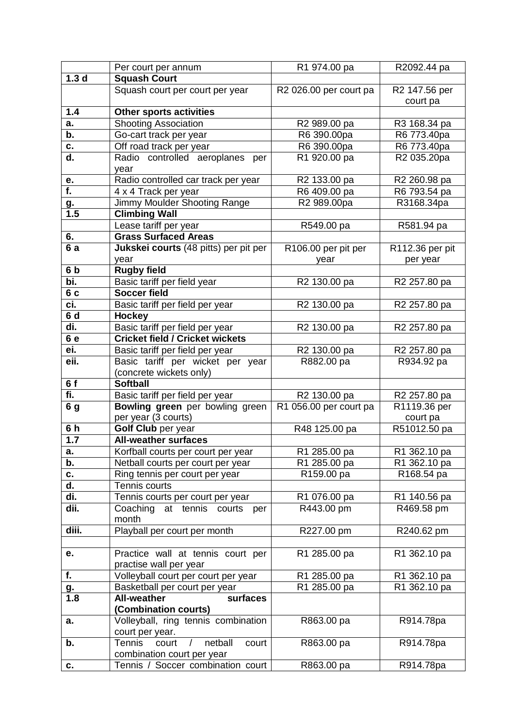|                  | Per court per annum                                | R1 974.00 pa                       | R2092.44 pa              |
|------------------|----------------------------------------------------|------------------------------------|--------------------------|
| 1.3 <sub>d</sub> | <b>Squash Court</b>                                |                                    |                          |
|                  | Squash court per court per year                    | R <sub>2</sub> 026.00 per court pa | R2 147.56 per            |
|                  |                                                    |                                    | court pa                 |
| 1.4              | <b>Other sports activities</b>                     |                                    |                          |
| a.               | <b>Shooting Association</b>                        | R2 989.00 pa                       | R3 168.34 pa             |
| b.               | Go-cart track per year                             | R6 390.00pa                        | R6 773.40pa              |
| C.               | Off road track per year                            | R6 390.00pa                        | R6 773.40pa              |
| d.               | Radio controlled aeroplanes per                    | R1 920.00 pa                       | R2 035.20pa              |
|                  | year                                               |                                    |                          |
| е.               | Radio controlled car track per year                | R2 133.00 pa                       | R2 260.98 pa             |
| $\overline{f}$ . | 4 x 4 Track per year                               | R6 409.00 pa                       | R6 793.54 pa             |
| <u>g.</u>        | Jimmy Moulder Shooting Range                       | R2 989.00pa                        | R3168.34pa               |
| 1.5              | <b>Climbing Wall</b>                               |                                    |                          |
|                  | Lease tariff per year                              | R549.00 pa                         | R581.94 pa               |
| 6.               | <b>Grass Surfaced Areas</b>                        |                                    |                          |
| 6a               | Jukskei courts (48 pitts) per pit per              |                                    |                          |
|                  |                                                    | R106.00 per pit per                | R112.36 per pit          |
| 6 <sub>b</sub>   | year<br><b>Rugby field</b>                         | year                               | per year                 |
| bi.              |                                                    |                                    |                          |
|                  | Basic tariff per field year<br><b>Soccer field</b> | R2 130.00 pa                       | R2 257.80 pa             |
| 6 c              |                                                    |                                    |                          |
| ci.              | Basic tariff per field per year                    | R2 130.00 pa                       | R2 257.80 pa             |
| 6 d              | Hockey                                             |                                    |                          |
| di.              | Basic tariff per field per year                    | R2 130.00 pa                       | R2 257.80 pa             |
| 6 e              | <b>Cricket field / Cricket wickets</b>             |                                    |                          |
| ei.              | Basic tariff per field per year                    | R2 130.00 pa                       | R2 257.80 pa             |
| eii.             | Basic tariff per wicket per year                   | R882.00 pa                         | R934.92 pa               |
|                  | (concrete wickets only)                            |                                    |                          |
| 6f               | <b>Softball</b>                                    |                                    |                          |
| fi.              | Basic tariff per field per year                    | R2 130.00 pa                       | R <sub>2</sub> 257.80 pa |
| 6 g              | Bowling green per bowling green                    | R1 056.00 per court pa             | R1119.36 per             |
|                  | per year (3 courts)                                |                                    | court pa                 |
| 6h               | <b>Golf Club</b> per year                          | R48 125.00 pa                      | R51012.50 pa             |
| 1.7              | <b>All-weather surfaces</b>                        |                                    |                          |
| а.               | Korfball courts per court per year                 | R1 285.00 pa                       | R1 362.10 pa             |
| b.               | Netball courts per court per year                  | R1 285.00 pa                       | R1 362.10 pa             |
| C.               | Ring tennis per court per year                     | R159.00 pa                         | R168.54 pa               |
| d.               | Tennis courts                                      |                                    |                          |
| di.              | Tennis courts per court per year                   | R1 076.00 pa                       | R1 140.56 pa             |
| dii.             | Coaching at tennis<br>courts per                   | R443.00 pm                         | R469.58 pm               |
|                  | month                                              |                                    |                          |
| diii.            | Playball per court per month                       | R227.00 pm                         | R240.62 pm               |
|                  |                                                    |                                    |                          |
| е.               | Practice wall at tennis court per                  | R1 285.00 pa                       | R1 362.10 pa             |
|                  | practise wall per year                             |                                    |                          |
| f.               | Volleyball court per court per year                | R1 285.00 pa                       | R1 362.10 pa             |
| <u>g.</u>        | Basketball per court per year                      | R1 285.00 pa                       | R1 362.10 pa             |
| 1.8              | <b>All-weather</b><br>surfaces                     |                                    |                          |
|                  | (Combination courts)                               |                                    |                          |
| a.               | Volleyball, ring tennis combination                | R863.00 pa                         | R914.78pa                |
|                  | court per year.                                    |                                    |                          |
| b.               | <b>Tennis</b><br>court<br>netball<br>court         | R863.00 pa                         | R914.78pa                |
|                  | combination court per year                         |                                    |                          |
| C.               | Tennis / Soccer combination court                  | R863.00 pa                         | R914.78pa                |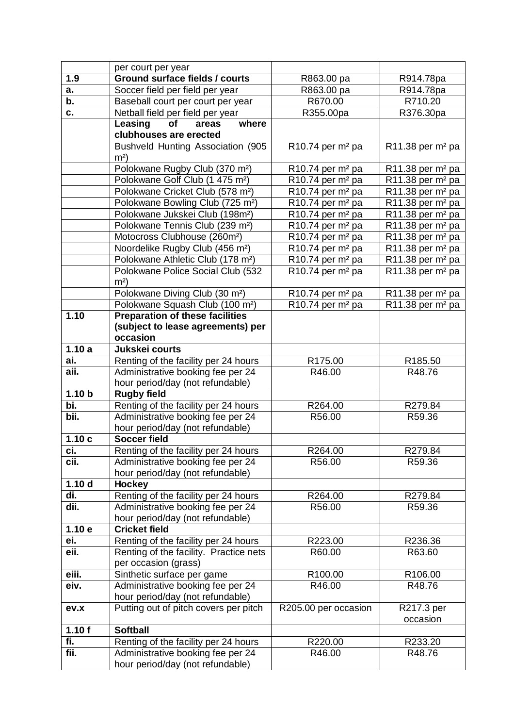|                   | per court per year                                                    |                                            |                                            |
|-------------------|-----------------------------------------------------------------------|--------------------------------------------|--------------------------------------------|
| 1.9               | Ground surface fields / courts                                        | R863.00 pa                                 | R914.78pa                                  |
| a.                | Soccer field per field per year                                       | R863.00 pa                                 | R914.78pa                                  |
| b.                | Baseball court per court per year                                     | R670.00                                    | R710.20                                    |
| C.                | Netball field per field per year                                      | R355.00pa                                  | R376.30pa                                  |
|                   | Leasing<br>where<br>of<br>areas                                       |                                            |                                            |
|                   | clubhouses are erected                                                |                                            |                                            |
|                   | Bushveld Hunting Association (905                                     | $R10.74$ per m <sup>2</sup> pa             | $R11.38$ per m <sup>2</sup> pa             |
|                   | m <sup>2</sup>                                                        |                                            |                                            |
|                   | Polokwane Rugby Club (370 m <sup>2</sup> )                            | $R10.74$ per m <sup>2</sup> pa             | R11.38 per m <sup>2</sup> pa               |
|                   | Polokwane Golf Club (1 475 m <sup>2</sup> )                           | $R10.74$ per m <sup>2</sup> pa             | $\overline{R}$ 11.38 per m <sup>2</sup> pa |
|                   | Polokwane Cricket Club (578 m <sup>2</sup> )                          | $\overline{R10.74}$ per m <sup>2</sup> pa  | R11.38 per m <sup>2</sup> pa               |
|                   | Polokwane Bowling Club (725 m <sup>2</sup> )                          | $R10.74$ per m <sup>2</sup> pa             | R11.38 per $m2$ pa                         |
|                   | Polokwane Jukskei Club (198m <sup>2</sup> )                           | $R10.74$ per m <sup>2</sup> pa             | R11.38 per m <sup>2</sup> pa               |
|                   | Polokwane Tennis Club (239 m <sup>2</sup> )                           | $R10.74$ per m <sup>2</sup> pa             | R11.38 per $m2$ pa                         |
|                   | Motocross Clubhouse (260m <sup>2</sup> )                              | $\overline{R10.74}$ per m <sup>2</sup> pa  | $\overline{R1}$ 1.38 per m <sup>2</sup> pa |
|                   | Noordelike Rugby Club (456 m <sup>2</sup> )                           | $\overline{R10.74}$ per m <sup>2</sup> pa  | R11.38 per m <sup>2</sup> pa               |
|                   | Polokwane Athletic Club (178 m <sup>2</sup> )                         | $R10.74$ per m <sup>2</sup> pa             | $\overline{R1}$ 1.38 per m <sup>2</sup> pa |
|                   | Polokwane Police Social Club (532                                     | $R10.74$ per m <sup>2</sup> pa             | R11.38 per m <sup>2</sup> pa               |
|                   | m <sup>2</sup>                                                        |                                            |                                            |
|                   | Polokwane Diving Club (30 m <sup>2</sup> )                            | $\overline{R}$ 10.74 per m <sup>2</sup> pa | $\overline{R}$ 11.38 per m <sup>2</sup> pa |
|                   | Polokwane Squash Club (100 m <sup>2</sup> )                           | $R10.74$ per m <sup>2</sup> pa             | R11.38 per m <sup>2</sup> pa               |
| 1.10              | <b>Preparation of these facilities</b>                                |                                            |                                            |
|                   | (subject to lease agreements) per                                     |                                            |                                            |
|                   | occasion                                                              |                                            |                                            |
| 1.10a             | Jukskei courts                                                        |                                            |                                            |
| ai.               | Renting of the facility per 24 hours                                  | R175.00                                    | R185.50                                    |
| aii.              | Administrative booking fee per 24                                     | R46.00                                     | R48.76                                     |
|                   | hour period/day (not refundable)                                      |                                            |                                            |
| 1.10 <sub>b</sub> | <b>Rugby field</b>                                                    |                                            |                                            |
| bi.               | Renting of the facility per 24 hours                                  | R264.00                                    | R279.84                                    |
| bii.              | Administrative booking fee per 24                                     | R56.00                                     | R59.36                                     |
|                   | hour period/day (not refundable)                                      |                                            |                                            |
| 1.10c             | <b>Soccer field</b><br>Renting of the facility per 24 hours           |                                            |                                            |
| ci.<br>cii.       |                                                                       | R264.00                                    | R279.84<br>R59.36                          |
|                   | Administrative booking fee per 24<br>hour period/day (not refundable) | R56.00                                     |                                            |
| 1.10 <sub>d</sub> | <b>Hockey</b>                                                         |                                            |                                            |
| di.               | Renting of the facility per 24 hours                                  | R264.00                                    | R279.84                                    |
| dii.              | Administrative booking fee per 24                                     | R56.00                                     | R59.36                                     |
|                   | hour period/day (not refundable)                                      |                                            |                                            |
| 1.10e             | <b>Cricket field</b>                                                  |                                            |                                            |
| ei.               | Renting of the facility per 24 hours                                  | R223.00                                    | R236.36                                    |
| eii.              | Renting of the facility. Practice nets                                | R60.00                                     | R63.60                                     |
|                   | per occasion (grass)                                                  |                                            |                                            |
| eiii.             | Sinthetic surface per game                                            | R100.00                                    | R106.00                                    |
| eiv.              | Administrative booking fee per 24                                     | R46.00                                     | R48.76                                     |
|                   | hour period/day (not refundable)                                      |                                            |                                            |
| ev.x              | Putting out of pitch covers per pitch                                 | R205.00 per occasion                       | R217.3 per                                 |
|                   |                                                                       |                                            | occasion                                   |
| 1.10f             | <b>Softball</b>                                                       |                                            |                                            |
| fi.               | Renting of the facility per 24 hours                                  | R220.00                                    | R233.20                                    |
| fii.              | Administrative booking fee per 24                                     | R46.00                                     | R48.76                                     |
|                   | hour period/day (not refundable)                                      |                                            |                                            |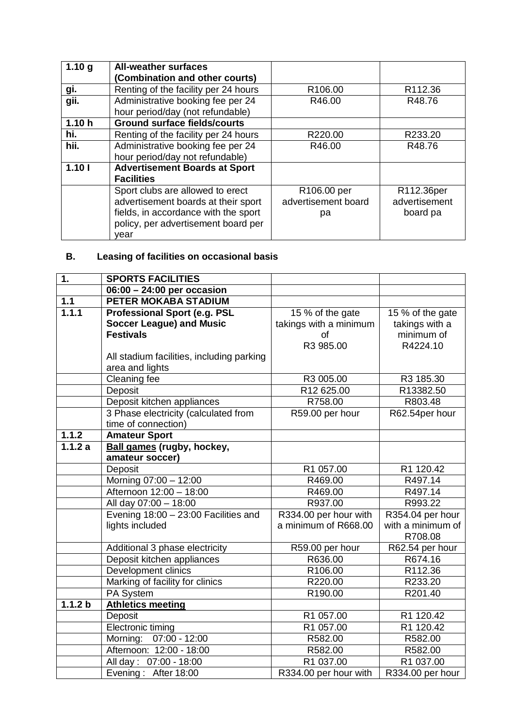| 1.10 <sub>q</sub> | <b>All-weather surfaces</b><br>(Combination and other courts)         |                         |               |
|-------------------|-----------------------------------------------------------------------|-------------------------|---------------|
|                   |                                                                       |                         |               |
| gi.               | Renting of the facility per 24 hours                                  | R106.00                 | R112.36       |
| gii.              | Administrative booking fee per 24<br>hour period/day (not refundable) | R46.00                  | R48.76        |
| 1.10h             | <b>Ground surface fields/courts</b>                                   |                         |               |
| hi.               | Renting of the facility per 24 hours                                  | R220.00                 | R233.20       |
| hii.              | Administrative booking fee per 24                                     | R46.00                  | R48.76        |
|                   | hour period/day not refundable)                                       |                         |               |
| 1.101             | <b>Advertisement Boards at Sport</b>                                  |                         |               |
|                   | <b>Facilities</b>                                                     |                         |               |
|                   | Sport clubs are allowed to erect                                      | R <sub>106.00</sub> per | R112.36per    |
|                   | advertisement boards at their sport                                   | advertisement board     | advertisement |
|                   | fields, in accordance with the sport                                  | рa                      | board pa      |
|                   | policy, per advertisement board per                                   |                         |               |
|                   | vear                                                                  |                         |               |

## **B. Leasing of facilities on occasional basis**

| $\overline{1}$ .   | <b>SPORTS FACILITIES</b>                  |                        |                   |
|--------------------|-------------------------------------------|------------------------|-------------------|
|                    | $06:00 - 24:00$ per occasion              |                        |                   |
| $1.1$              | <b>PETER MOKABA STADIUM</b>               |                        |                   |
| 1.1.1              | <b>Professional Sport (e.g. PSL</b>       | 15 % of the gate       | 15 % of the gate  |
|                    | <b>Soccer League) and Music</b>           | takings with a minimum | takings with a    |
|                    | <b>Festivals</b>                          | <b>of</b>              | minimum of        |
|                    |                                           | R3 985.00              | R4224.10          |
|                    | All stadium facilities, including parking |                        |                   |
|                    | area and lights                           |                        |                   |
|                    | <b>Cleaning fee</b>                       | R3 005.00              | R3 185.30         |
|                    | Deposit                                   | R12 625.00             | R13382.50         |
|                    | Deposit kitchen appliances                | R758.00                | R803.48           |
|                    | 3 Phase electricity (calculated from      | R59.00 per hour        | R62.54per hour    |
|                    | time of connection)                       |                        |                   |
| 1.1.2              | <b>Amateur Sport</b>                      |                        |                   |
| 1.1.2a             | <b>Ball games (rugby, hockey,</b>         |                        |                   |
|                    | amateur soccer)                           |                        |                   |
|                    | Deposit                                   | R1 057.00              | R1 120.42         |
|                    | Morning 07:00 - 12:00                     | R469.00                | R497.14           |
|                    | Afternoon 12:00 - 18:00                   | R469.00                | R497.14           |
|                    | All day 07:00 - 18:00                     | R937.00                | R993.22           |
|                    | Evening $18:00 - 23:00$ Facilities and    | R334.00 per hour with  | R354.04 per hour  |
|                    | lights included                           | a minimum of R668.00   | with a minimum of |
|                    |                                           |                        | R708.08           |
|                    | Additional 3 phase electricity            | R59.00 per hour        | R62.54 per hour   |
|                    | Deposit kitchen appliances                | R636.00                | R674.16           |
|                    | Development clinics                       | R106.00                | R112.36           |
|                    | Marking of facility for clinics           | R220.00                | R233.20           |
|                    | PA System                                 | R190.00                | R201.40           |
| 1.1.2 <sub>b</sub> | <b>Athletics meeting</b>                  |                        |                   |
|                    | Deposit                                   | R1 057.00              | R1 120.42         |
|                    | Electronic timing                         | R1 057.00              | R1 120.42         |
|                    | Morning: 07:00 - 12:00                    | R582.00                | R582.00           |
|                    | Afternoon: 12:00 - 18:00                  | R582.00                | R582.00           |
|                    | All day: 07:00 - 18:00                    | R1 037.00              | R1 037.00         |
|                    | Evening: After 18:00                      | R334.00 per hour with  | R334.00 per hour  |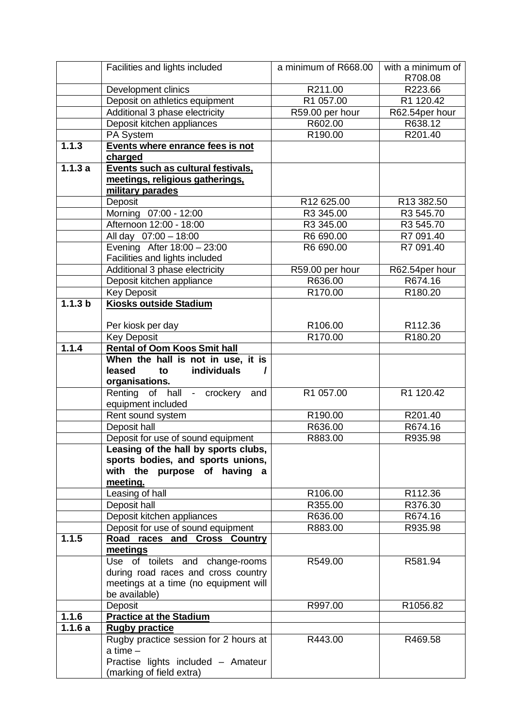|         | Facilities and lights included                      | a minimum of R668.00 | with a minimum of<br>R708.08 |
|---------|-----------------------------------------------------|----------------------|------------------------------|
|         | Development clinics                                 | R211.00              | R223.66                      |
|         | Deposit on athletics equipment                      | R1 057.00            | R1 120.42                    |
|         | Additional 3 phase electricity                      | R59.00 per hour      | R62.54per hour               |
|         | Deposit kitchen appliances                          | R602.00              | R638.12                      |
|         | PA System                                           | R190.00              | R201.40                      |
| 1.1.3   | Events where enrance fees is not                    |                      |                              |
|         | charged                                             |                      |                              |
| 1.1.3a  | Events such as cultural festivals,                  |                      |                              |
|         | meetings, religious gatherings,                     |                      |                              |
|         | military parades                                    |                      |                              |
|         | Deposit                                             | R12 625.00           | R13 382.50                   |
|         | Morning 07:00 - 12:00                               | R3 345.00            | R3 545.70                    |
|         | Afternoon 12:00 - 18:00                             | R3 345.00            | R3 545.70                    |
|         | All day 07:00 - 18:00                               | R6 690.00            | R7 091.40                    |
|         | Evening After 18:00 - 23:00                         | R6 690.00            | R7 091.40                    |
|         | Facilities and lights included                      |                      |                              |
|         | Additional 3 phase electricity                      | R59.00 per hour      | R62.54per hour               |
|         | Deposit kitchen appliance                           | R636.00              | R674.16                      |
|         | <b>Key Deposit</b>                                  | R170.00              | R <sub>180.20</sub>          |
| 1.1.3 b | <b>Kiosks outside Stadium</b>                       |                      |                              |
|         |                                                     |                      |                              |
|         | Per kiosk per day                                   | R106.00              | R112.36                      |
|         | <b>Key Deposit</b>                                  | R170.00              | R180.20                      |
| 1.1.4   | <b>Rental of Oom Koos Smit hall</b>                 |                      |                              |
|         | When the hall is not in use, it is                  |                      |                              |
|         | individuals<br>leased<br>to                         |                      |                              |
|         | organisations.                                      |                      |                              |
|         | Renting of hall - crockery<br>and                   | R1 057.00            | R1 120.42                    |
|         | equipment included                                  |                      |                              |
|         | Rent sound system                                   | R190.00              | R201.40                      |
|         | Deposit hall                                        | R636.00              | R674.16                      |
|         | Deposit for use of sound equipment                  | R883.00              | R935.98                      |
|         | Leasing of the hall by sports clubs,                |                      |                              |
|         | sports bodies, and sports unions,                   |                      |                              |
|         | with the purpose of having<br>a                     |                      |                              |
|         | meetina.                                            |                      |                              |
|         | Leasing of hall                                     | R <sub>106.00</sub>  | R112.36                      |
|         | Deposit hall                                        | R355.00              | R376.30                      |
|         | Deposit kitchen appliances                          | R636.00              | R674.16                      |
|         | Deposit for use of sound equipment                  | R883.00              | R935.98                      |
| 1.1.5   | Road races and Cross Country                        |                      |                              |
|         | meetings                                            |                      |                              |
|         | Use of toilets and change-rooms                     | R549.00              | R581.94                      |
|         | during road races and cross country                 |                      |                              |
|         | meetings at a time (no equipment will               |                      |                              |
|         | be available)                                       |                      |                              |
|         | Deposit                                             | R997.00              | R1056.82                     |
| 1.1.6   | <b>Practice at the Stadium</b>                      |                      |                              |
| 1.1.6a  | <b>Rugby practice</b>                               |                      |                              |
|         | Rugby practice session for 2 hours at<br>a time $-$ | R443.00              | R469.58                      |
|         | Practise lights included - Amateur                  |                      |                              |
|         | (marking of field extra)                            |                      |                              |
|         |                                                     |                      |                              |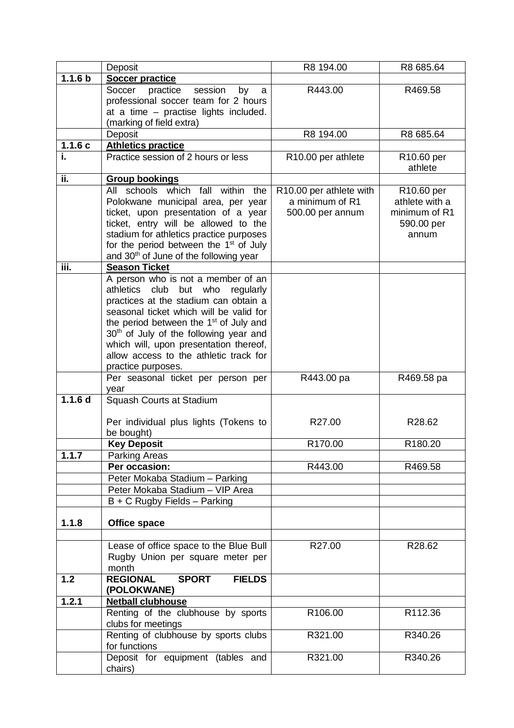|                    | Deposit                                                      | R8 194.00                                  | R8 685.64                                |
|--------------------|--------------------------------------------------------------|--------------------------------------------|------------------------------------------|
| 1.1.6 <sub>b</sub> | <b>Soccer practice</b>                                       |                                            |                                          |
|                    | practice<br>Soccer<br>session<br>by<br>a                     | R443.00                                    | R469.58                                  |
|                    | professional soccer team for 2 hours                         |                                            |                                          |
|                    | at a time - practise lights included.                        |                                            |                                          |
|                    | (marking of field extra)                                     |                                            |                                          |
|                    | Deposit                                                      | R8 194.00                                  | R8 685.64                                |
| 1.1.6c             | <b>Athletics practice</b>                                    |                                            |                                          |
| i.                 | Practice session of 2 hours or less                          | R10.00 per athlete                         | R <sub>10.60</sub> per                   |
| ii.                |                                                              |                                            | athlete                                  |
|                    | <b>Group bookings</b><br>All schools which fall within the   |                                            |                                          |
|                    | Polokwane municipal area, per year                           | R10.00 per athlete with<br>a minimum of R1 | R <sub>10.60</sub> per<br>athlete with a |
|                    | ticket, upon presentation of a year                          | 500.00 per annum                           | minimum of R1                            |
|                    | ticket, entry will be allowed to the                         |                                            | 590.00 per                               |
|                    | stadium for athletics practice purposes                      |                                            | annum                                    |
|                    | for the period between the 1 <sup>st</sup> of July           |                                            |                                          |
|                    | and 30 <sup>th</sup> of June of the following year           |                                            |                                          |
| iii.               | <b>Season Ticket</b>                                         |                                            |                                          |
|                    | A person who is not a member of an                           |                                            |                                          |
|                    | club<br>athletics<br>but<br>who<br>regularly                 |                                            |                                          |
|                    | practices at the stadium can obtain a                        |                                            |                                          |
|                    | seasonal ticket which will be valid for                      |                                            |                                          |
|                    | the period between the 1 <sup>st</sup> of July and           |                                            |                                          |
|                    | 30 <sup>th</sup> of July of the following year and           |                                            |                                          |
|                    | which will, upon presentation thereof,                       |                                            |                                          |
|                    | allow access to the athletic track for<br>practice purposes. |                                            |                                          |
|                    | Per seasonal ticket per person per                           | R443.00 pa                                 | R469.58 pa                               |
|                    | year                                                         |                                            |                                          |
| 1.1.6 <sub>d</sub> | Squash Courts at Stadium                                     |                                            |                                          |
|                    |                                                              |                                            |                                          |
|                    | Per individual plus lights (Tokens to                        | R27.00                                     | R28.62                                   |
|                    | be bought)                                                   |                                            |                                          |
|                    | <b>Key Deposit</b>                                           | R <sub>170.00</sub>                        | R180.20                                  |
| 1.1.7              | Parking Areas<br>Per occasion:                               |                                            |                                          |
|                    | Peter Mokaba Stadium - Parking                               | R443.00                                    | R469.58                                  |
|                    | Peter Mokaba Stadium - VIP Area                              |                                            |                                          |
|                    | B + C Rugby Fields - Parking                                 |                                            |                                          |
|                    |                                                              |                                            |                                          |
| 1.1.8              | <b>Office space</b>                                          |                                            |                                          |
|                    |                                                              |                                            |                                          |
|                    | Lease of office space to the Blue Bull                       | R27.00                                     | R28.62                                   |
|                    | Rugby Union per square meter per                             |                                            |                                          |
|                    | month                                                        |                                            |                                          |
| 1.2                | <b>REGIONAL</b><br><b>SPORT</b><br><b>FIELDS</b>             |                                            |                                          |
|                    | (POLOKWANE)                                                  |                                            |                                          |
| 1.2.1              | <b>Netball clubhouse</b>                                     |                                            |                                          |
|                    | Renting of the clubhouse by sports<br>clubs for meetings     | R106.00                                    | R112.36                                  |
|                    | Renting of clubhouse by sports clubs                         | R321.00                                    | R340.26                                  |
|                    | for functions                                                |                                            |                                          |
|                    | Deposit for equipment (tables and                            | R321.00                                    | R340.26                                  |
|                    | chairs)                                                      |                                            |                                          |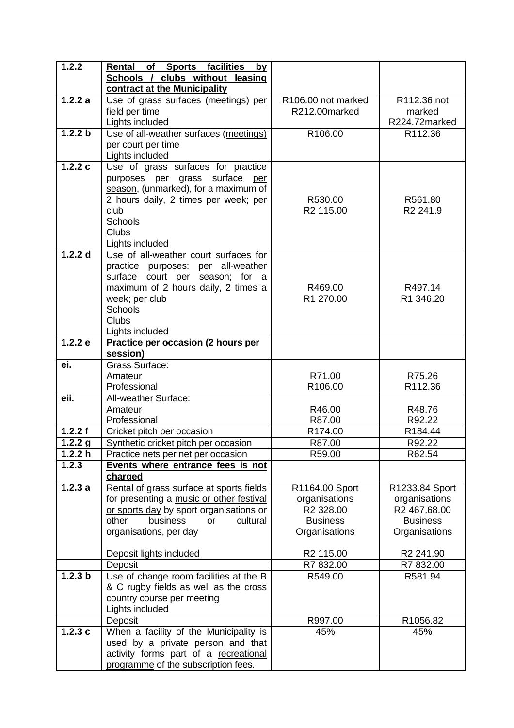| 1.2.2                 | of Sports facilities<br>Rental<br>by             |                      |                      |
|-----------------------|--------------------------------------------------|----------------------|----------------------|
|                       | clubs without leasing<br>Schools /               |                      |                      |
|                       | contract at the Municipality                     |                      |                      |
| 1.2.2a                | Use of grass surfaces (meetings) per             | R106.00 not marked   | R112.36 not          |
|                       | field per time                                   | R212.00marked        | marked               |
|                       | Lights included                                  |                      | R224.72marked        |
| 1.2.2 b               | Use of all-weather surfaces (meetings)           | R106.00              | R112.36              |
|                       | per court per time                               |                      |                      |
|                       | Lights included                                  |                      |                      |
| 1.2.2c                | Use of grass surfaces for practice               |                      |                      |
|                       | purposes per grass surface<br>per                |                      |                      |
|                       | season, (unmarked), for a maximum of             |                      |                      |
|                       | 2 hours daily, 2 times per week; per             | R530.00              | R561.80              |
|                       | club                                             | R2 115.00            | R <sub>2</sub> 241.9 |
|                       | Schools                                          |                      |                      |
|                       | <b>Clubs</b>                                     |                      |                      |
|                       | Lights included                                  |                      |                      |
| 1.2.2 d               | Use of all-weather court surfaces for            |                      |                      |
|                       | practice purposes: per all-weather               |                      |                      |
|                       | surface court per season; for a                  |                      |                      |
|                       | maximum of 2 hours daily, 2 times a              | R469.00<br>R1 270.00 | R497.14              |
|                       | week; per club<br><b>Schools</b>                 |                      | R1 346.20            |
|                       | Clubs                                            |                      |                      |
|                       | Lights included                                  |                      |                      |
| 1.2.2 e               | Practice per occasion (2 hours per               |                      |                      |
|                       | session)                                         |                      |                      |
| ei.                   | Grass Surface:                                   |                      |                      |
|                       | Amateur                                          | R71.00               | R75.26               |
|                       | Professional                                     | R106.00              | R112.36              |
| eii.                  | <b>All-weather Surface:</b>                      |                      |                      |
|                       | Amateur                                          | R46.00               | R48.76               |
|                       | Professional                                     | R87.00               | R92.22               |
| 1.2.2 f               | Cricket pitch per occasion                       | R174.00              | R184.44              |
| $\overline{1}$ .2.2 g | Synthetic cricket pitch per occasion             | R87.00               | R92.22               |
| 1.2.2 h               | Practice nets per net per occasion               | R59.00               | R62.54               |
| 1.2.3                 | Events where entrance fees is not                |                      |                      |
|                       | charged                                          |                      |                      |
| 1.2.3a                | Rental of grass surface at sports fields         | R1164.00 Sport       | R1233.84 Sport       |
|                       | for presenting a music or other festival         | organisations        | organisations        |
|                       | or sports day by sport organisations or<br>other | R2 328.00            | R2 467.68.00         |
|                       | business<br>cultural<br>or                       | <b>Business</b>      | <b>Business</b>      |
|                       | organisations, per day                           | Organisations        | Organisations        |
|                       | Deposit lights included                          | R2 115.00            | R2 241.90            |
|                       | Deposit                                          | R7 832.00            | R7 832.00            |
| 1.2.3 <sub>b</sub>    | Use of change room facilities at the B           | R549.00              | R581.94              |
|                       | & C rugby fields as well as the cross            |                      |                      |
|                       | country course per meeting                       |                      |                      |
|                       | Lights included                                  |                      |                      |
|                       | Deposit                                          | R997.00              | R1056.82             |
| 1.2.3c                | When a facility of the Municipality is           | 45%                  | 45%                  |
|                       | used by a private person and that                |                      |                      |
|                       | activity forms part of a recreational            |                      |                      |
|                       | programme of the subscription fees.              |                      |                      |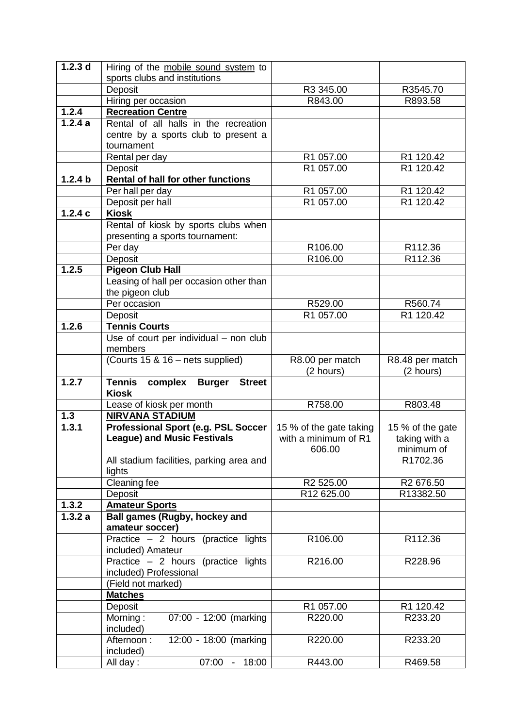| $1.2.\overline{3}$ d | Hiring of the mobile sound system to                       |                         |                       |
|----------------------|------------------------------------------------------------|-------------------------|-----------------------|
|                      | sports clubs and institutions                              |                         |                       |
|                      | Deposit                                                    | R3 345.00               | R3545.70              |
|                      | Hiring per occasion                                        | R843.00                 | R893.58               |
| 1.2.4                | <b>Recreation Centre</b>                                   |                         |                       |
| 1.2.4a               | Rental of all halls in the recreation                      |                         |                       |
|                      | centre by a sports club to present a                       |                         |                       |
|                      | tournament                                                 |                         |                       |
|                      | Rental per day                                             | R1 057.00               | R1 120.42             |
|                      | Deposit                                                    | R1 057.00               | R1 120.42             |
| $\overline{1.2.4}$ b | <b>Rental of hall for other functions</b>                  |                         |                       |
|                      | Per hall per day                                           | R1 057.00               | R1 120.42             |
|                      | Deposit per hall                                           | R1 057.00               | R1 120.42             |
| 1.2.4c               | <b>Kiosk</b>                                               |                         |                       |
|                      | Rental of kiosk by sports clubs when                       |                         |                       |
|                      | presenting a sports tournament:                            |                         |                       |
|                      | Per day<br>Deposit                                         | R106.00<br>R106.00      | R112.36<br>R112.36    |
| 1.2.5                | <b>Pigeon Club Hall</b>                                    |                         |                       |
|                      | Leasing of hall per occasion other than                    |                         |                       |
|                      | the pigeon club                                            |                         |                       |
|                      | Per occasion                                               | R529.00                 | R560.74               |
|                      | Deposit                                                    | R1 057.00               | R1 120.42             |
| 1.2.6                | <b>Tennis Courts</b>                                       |                         |                       |
|                      | Use of court per individual - non club                     |                         |                       |
|                      | members                                                    |                         |                       |
|                      | (Courts 15 & 16 - nets supplied)                           | R8.00 per match         | R8.48 per match       |
|                      |                                                            | (2 hours)               | (2 hours)             |
|                      |                                                            |                         |                       |
| 1.2.7                | <b>Tennis</b><br>complex<br><b>Burger</b><br><b>Street</b> |                         |                       |
|                      | <b>Kiosk</b>                                               |                         |                       |
|                      | Lease of kiosk per month                                   | R758.00                 | R803.48               |
| 1.3                  | <b>NIRVANA STADIUM</b>                                     |                         |                       |
| 1.3.1                | <b>Professional Sport (e.g. PSL Soccer</b>                 | 15 % of the gate taking | 15 % of the gate      |
|                      | <b>League) and Music Festivals</b>                         | with a minimum of R1    | taking with a         |
|                      |                                                            | 606.00                  | minimum of            |
|                      | All stadium facilities, parking area and                   |                         | R1702.36              |
|                      | lights                                                     |                         |                       |
|                      | Cleaning fee                                               | R <sub>2</sub> 525.00   | R <sub>2</sub> 676.50 |
|                      | Deposit                                                    | R12 625.00              | R13382.50             |
| 1.3.2<br>1.3.2a      | <b>Amateur Sports</b><br>Ball games (Rugby, hockey and     |                         |                       |
|                      | amateur soccer)                                            |                         |                       |
|                      | Practice $-2$ hours (practice lights                       | R106.00                 | R112.36               |
|                      | included) Amateur                                          |                         |                       |
|                      | Practice - 2 hours (practice lights                        | R216.00                 | R228.96               |
|                      | included) Professional                                     |                         |                       |
|                      | (Field not marked)                                         |                         |                       |
|                      | <b>Matches</b>                                             |                         |                       |
|                      | Deposit                                                    | R1 057.00               | R1 120.42             |
|                      | $\overline{\mathsf{M}}$ orning:<br>07:00 - 12:00 (marking  | R220.00                 | R233.20               |
|                      | included)                                                  |                         |                       |
|                      | 12:00 - 18:00 (marking<br>Afternoon:                       | R220.00                 | R233.20               |
|                      | included)<br>07:00 -<br>18:00<br>All day:                  | R443.00                 | R469.58               |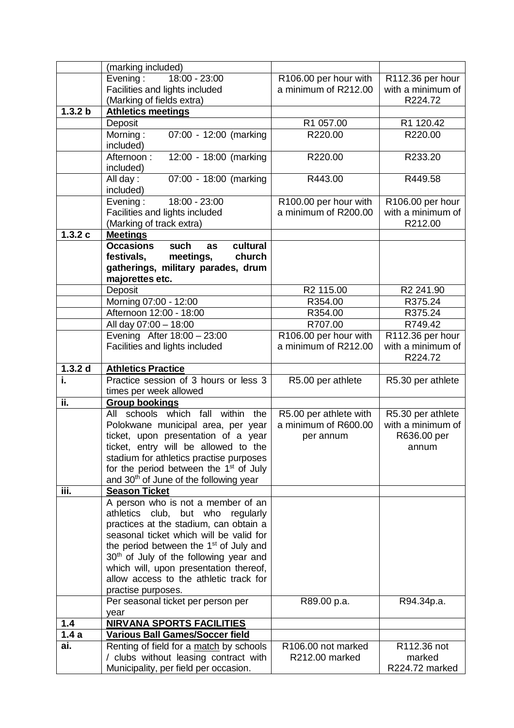|         | (marking included)                                                                                                |                                   |                                           |
|---------|-------------------------------------------------------------------------------------------------------------------|-----------------------------------|-------------------------------------------|
|         | Evening:<br>18:00 - 23:00                                                                                         | R106.00 per hour with             | R112.36 per hour                          |
|         | Facilities and lights included                                                                                    | a minimum of R212.00              | with a minimum of                         |
|         | (Marking of fields extra)                                                                                         |                                   | R224.72                                   |
| 1.3.2 b | <b>Athletics meetings</b>                                                                                         |                                   |                                           |
|         | Deposit                                                                                                           | R1 057.00                         | R1 120.42                                 |
|         | $07:00 - 12:00$ (marking<br>Morning:<br>included)                                                                 | R220.00                           | R220.00                                   |
|         | Afternoon:<br>12:00 - 18:00 (marking<br>included)                                                                 | R220.00                           | R233.20                                   |
|         | 07:00 - 18:00 (marking<br>All day:<br>included)                                                                   | R443.00                           | R449.58                                   |
|         | 18:00 - 23:00<br>Evening:                                                                                         | R100.00 per hour with             | R106.00 per hour                          |
|         | Facilities and lights included                                                                                    | a minimum of R200.00              | with a minimum of                         |
|         | (Marking of track extra)                                                                                          |                                   | R212.00                                   |
| 1.3.2c  | <b>Meetings</b>                                                                                                   |                                   |                                           |
|         | <b>Occasions</b><br>such<br>cultural<br>as                                                                        |                                   |                                           |
|         | meetings,<br>church<br>festivals,                                                                                 |                                   |                                           |
|         | gatherings, military parades, drum                                                                                |                                   |                                           |
|         | majorettes etc.                                                                                                   | R2 115.00                         | R2 241.90                                 |
|         | Deposit<br>Morning 07:00 - 12:00                                                                                  | R354.00                           | R375.24                                   |
|         | Afternoon 12:00 - 18:00                                                                                           | R354.00                           | R375.24                                   |
|         | All day 07:00 - 18:00                                                                                             | R707.00                           | R749.42                                   |
|         | Evening After 18:00 - 23:00                                                                                       | R106.00 per hour with             | R112.36 per hour                          |
|         | Facilities and lights included                                                                                    | a minimum of R212.00              | with a minimum of                         |
|         |                                                                                                                   |                                   | R224.72                                   |
| 1.3.2 d | <b>Athletics Practice</b>                                                                                         |                                   |                                           |
| i.      | Practice session of 3 hours or less 3                                                                             | R5.00 per athlete                 | R5.30 per athlete                         |
|         | times per week allowed                                                                                            |                                   |                                           |
| ii.     | <b>Group bookings</b>                                                                                             |                                   |                                           |
|         | schools which fall<br>within<br>All<br>the                                                                        | R5.00 per athlete with            | R5.30 per athlete                         |
|         | Polokwane municipal area, per year<br>ticket, upon presentation of a year<br>ticket, entry will be allowed to the | a minimum of R600.00<br>per annum | with a minimum of<br>R636.00 per<br>annum |
|         | stadium for athletics practise purposes                                                                           |                                   |                                           |
|         | for the period between the 1 <sup>st</sup> of July                                                                |                                   |                                           |
|         | and 30 <sup>th</sup> of June of the following year                                                                |                                   |                                           |
| iii.    | <b>Season Ticket</b>                                                                                              |                                   |                                           |
|         | A person who is not a member of an                                                                                |                                   |                                           |
|         | athletics club,<br>but who<br>regularly                                                                           |                                   |                                           |
|         | practices at the stadium, can obtain a                                                                            |                                   |                                           |
|         | seasonal ticket which will be valid for                                                                           |                                   |                                           |
|         | the period between the 1 <sup>st</sup> of July and<br>30 <sup>th</sup> of July of the following year and          |                                   |                                           |
|         | which will, upon presentation thereof,                                                                            |                                   |                                           |
|         | allow access to the athletic track for                                                                            |                                   |                                           |
|         | practise purposes.                                                                                                |                                   |                                           |
|         | Per seasonal ticket per person per                                                                                | R89.00 p.a.                       | R94.34p.a.                                |
|         | year                                                                                                              |                                   |                                           |
| 1.4     | <b>NIRVANA SPORTS FACILITIES</b>                                                                                  |                                   |                                           |
| 1.4a    | <b>Various Ball Games/Soccer field</b>                                                                            |                                   |                                           |
| ai.     | Renting of field for a match by schools                                                                           | R106.00 not marked                | R112.36 not                               |
|         | / clubs without leasing contract with                                                                             | R212.00 marked                    | marked                                    |
|         | Municipality, per field per occasion.                                                                             |                                   | R224.72 marked                            |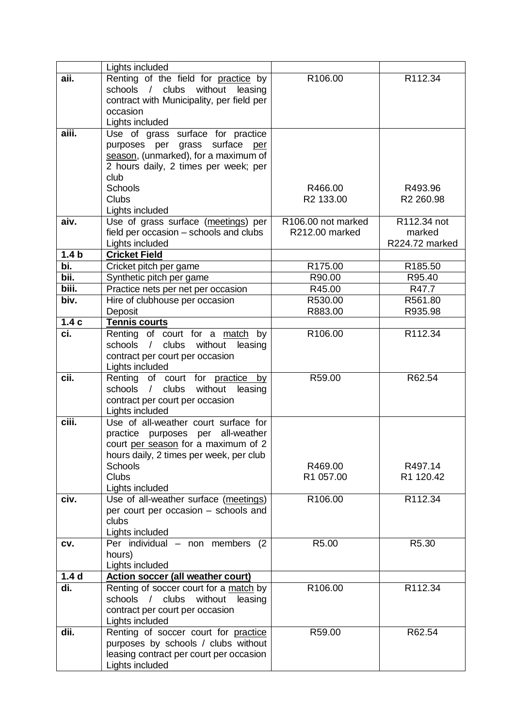|                  | Lights included                                      |                    |                    |
|------------------|------------------------------------------------------|--------------------|--------------------|
| aii.             | Renting of the field for practice by                 | R106.00            | R112.34            |
|                  | schools / clubs without<br>leasing                   |                    |                    |
|                  | contract with Municipality, per field per            |                    |                    |
|                  | occasion                                             |                    |                    |
|                  | Lights included                                      |                    |                    |
| aiii.            | Use of grass surface for practice                    |                    |                    |
|                  | purposes per grass surface<br>per                    |                    |                    |
|                  | season, (unmarked), for a maximum of                 |                    |                    |
|                  | 2 hours daily, 2 times per week; per                 |                    |                    |
|                  | club                                                 |                    |                    |
|                  | Schools                                              | R466.00            | R493.96            |
|                  | <b>Clubs</b>                                         | R2 133.00          | R2 260.98          |
|                  | Lights included                                      |                    |                    |
| aiv.             | Use of grass surface (meetings) per                  | R106.00 not marked | R112.34 not        |
|                  | field per occasion - schools and clubs               | R212.00 marked     | marked             |
|                  | Lights included                                      |                    | R224.72 marked     |
| 1.4 <sub>b</sub> | <b>Cricket Field</b>                                 |                    |                    |
| bi.<br>bii.      | Cricket pitch per game                               | R175.00            | R185.50            |
| biii.            | Synthetic pitch per game                             | R90.00             | R95.40             |
| biv.             | Practice nets per net per occasion                   | R45.00<br>R530.00  | R47.7              |
|                  | Hire of clubhouse per occasion<br>Deposit            | R883.00            | R561.80<br>R935.98 |
| 1.4c             | Tennis courts                                        |                    |                    |
| ci.              | Renting of court for a match by                      | R106.00            | R112.34            |
|                  | schools / clubs without<br>leasing                   |                    |                    |
|                  | contract per court per occasion                      |                    |                    |
|                  | Lights included                                      |                    |                    |
| cii.             | Renting of court for practice by                     | R59.00             | R62.54             |
|                  | clubs<br>without<br>schools<br>leasing<br>$\sqrt{2}$ |                    |                    |
|                  | contract per court per occasion                      |                    |                    |
|                  | Lights included                                      |                    |                    |
| ciii.            | Use of all-weather court surface for                 |                    |                    |
|                  | practice purposes per all-weather                    |                    |                    |
|                  | court per season for a maximum of 2                  |                    |                    |
|                  | hours daily, 2 times per week, per club              |                    |                    |
|                  | Schools                                              | R469.00            | R497.14            |
|                  | Clubs                                                | R1 057.00          | R1 120.42          |
|                  | Lights included                                      |                    |                    |
| civ.             | Use of all-weather surface (meetings)                | R106.00            | R112.34            |
|                  | per court per occasion - schools and<br>clubs        |                    |                    |
|                  | Lights included                                      |                    |                    |
| CV.              | Per individual - non members<br>(2)                  | R5.00              | R5.30              |
|                  | hours)                                               |                    |                    |
|                  | Lights included                                      |                    |                    |
| 1.4 <sub>d</sub> | <b>Action soccer (all weather court)</b>             |                    |                    |
| di.              | Renting of soccer court for a match by               | R106.00            | R112.34            |
|                  | schools / clubs without<br>leasing                   |                    |                    |
|                  | contract per court per occasion                      |                    |                    |
|                  | Lights included                                      |                    |                    |
| dii.             | Renting of soccer court for practice                 | R59.00             | R62.54             |
|                  | purposes by schools / clubs without                  |                    |                    |
|                  | leasing contract per court per occasion              |                    |                    |
|                  | Lights included                                      |                    |                    |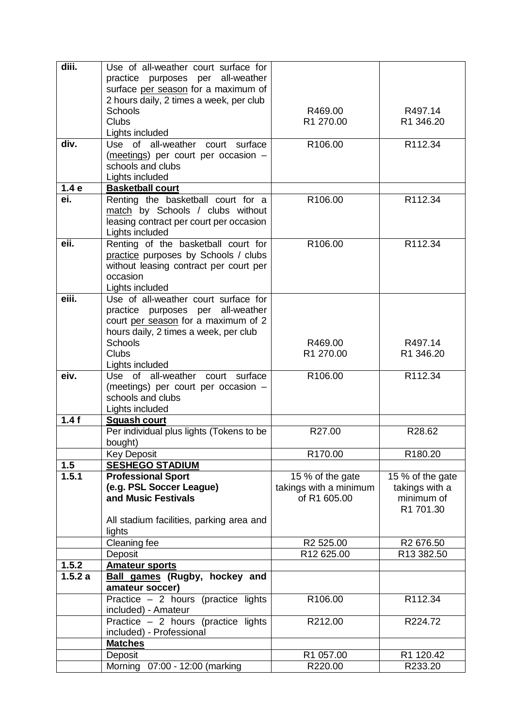| diii.  | Use of all-weather court surface for                    |                                        |                              |
|--------|---------------------------------------------------------|----------------------------------------|------------------------------|
|        | practice purposes per all-weather                       |                                        |                              |
|        | surface per season for a maximum of                     |                                        |                              |
|        | 2 hours daily, 2 times a week, per club                 |                                        |                              |
|        | <b>Schools</b><br><b>Clubs</b>                          | R469.00<br>R1 270.00                   | R497.14<br>R1 346.20         |
|        | Lights included                                         |                                        |                              |
| div.   | Use of all-weather<br>surface<br>court                  | R106.00                                | R112.34                      |
|        | (meetings) per court per occasion -                     |                                        |                              |
|        | schools and clubs                                       |                                        |                              |
|        | Lights included                                         |                                        |                              |
| 1.4e   | <b>Basketball court</b>                                 |                                        |                              |
| ei.    | Renting the basketball court for a                      | R106.00                                | R112.34                      |
|        | match by Schools / clubs without                        |                                        |                              |
|        | leasing contract per court per occasion                 |                                        |                              |
|        | Lights included                                         |                                        |                              |
| eii.   | Renting of the basketball court for                     | R106.00                                | R112.34                      |
|        | practice purposes by Schools / clubs                    |                                        |                              |
|        | without leasing contract per court per                  |                                        |                              |
|        | occasion                                                |                                        |                              |
|        | Lights included                                         |                                        |                              |
| eiii.  | Use of all-weather court surface for                    |                                        |                              |
|        | practice purposes per all-weather                       |                                        |                              |
|        | court per season for a maximum of 2                     |                                        |                              |
|        | hours daily, 2 times a week, per club<br><b>Schools</b> | R469.00                                | R497.14                      |
|        | Clubs                                                   | R1 270.00                              | R1 346.20                    |
|        | Lights included                                         |                                        |                              |
| eiv.   | Use of all-weather court surface                        | R106.00                                | R112.34                      |
|        | (meetings) per court per occasion -                     |                                        |                              |
|        | schools and clubs                                       |                                        |                              |
|        | Lights included                                         |                                        |                              |
| 1.4f   | <b>Squash court</b>                                     |                                        |                              |
|        | Per individual plus lights (Tokens to be                | R27.00                                 | R28.62                       |
|        | bought)                                                 |                                        |                              |
|        | <b>Key Deposit</b>                                      | R170.00                                | R <sub>180.20</sub>          |
| 1.5    | <b>SESHEGO STADIUM</b>                                  |                                        |                              |
| 1.5.1  | <b>Professional Sport</b>                               | 15 % of the gate                       | 15 % of the gate             |
|        | (e.g. PSL Soccer League)<br>and Music Festivals         | takings with a minimum<br>of R1 605.00 | takings with a<br>minimum of |
|        |                                                         |                                        | R1 701.30                    |
|        | All stadium facilities, parking area and                |                                        |                              |
|        | lights                                                  |                                        |                              |
|        | Cleaning fee                                            | R2 525.00                              | R <sub>2</sub> 676.50        |
|        | Deposit                                                 | R12 625.00                             | R13 382.50                   |
| 1.5.2  | <b>Amateur sports</b>                                   |                                        |                              |
| 1.5.2a | <b>Ball games (Rugby, hockey and</b>                    |                                        |                              |
|        | amateur soccer)                                         |                                        |                              |
|        | Practice $-2$ hours (practice lights                    | R106.00                                | R112.34                      |
|        | included) - Amateur                                     |                                        |                              |
|        | Practice $-2$ hours (practice lights                    | R212.00                                | R224.72                      |
|        | included) - Professional                                |                                        |                              |
|        | <b>Matches</b>                                          |                                        |                              |
|        | Deposit                                                 | R1 057.00                              | R1 120.42                    |
|        | Morning<br>07:00 - 12:00 (marking                       | R220.00                                | R233.20                      |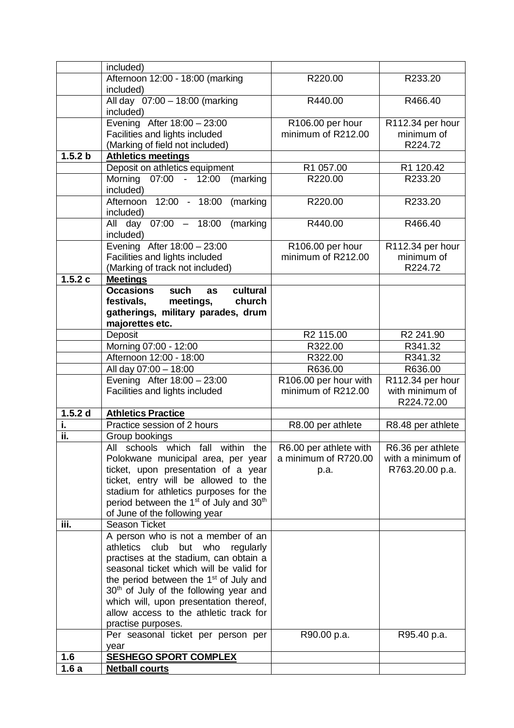|           | included)                                                                                                |                                        |                                        |
|-----------|----------------------------------------------------------------------------------------------------------|----------------------------------------|----------------------------------------|
|           | Afternoon 12:00 - 18:00 (marking                                                                         | R220.00                                | R233.20                                |
|           | included)                                                                                                |                                        |                                        |
|           | All day 07:00 - 18:00 (marking                                                                           | R440.00                                | R466.40                                |
|           | included)                                                                                                |                                        |                                        |
|           | Evening After 18:00 - 23:00                                                                              | R106.00 per hour<br>minimum of R212.00 | R112.34 per hour<br>minimum of         |
|           | Facilities and lights included<br>(Marking of field not included)                                        |                                        | R224.72                                |
| 1.5.2 b   | <b>Athletics meetings</b>                                                                                |                                        |                                        |
|           | Deposit on athletics equipment                                                                           | R1 057.00                              | R1 120.42                              |
|           | Morning 07:00<br>12:00<br>(marking<br>$\sim$ $-$                                                         | R220.00                                | R233.20                                |
|           | included)                                                                                                |                                        |                                        |
|           | 12:00 - 18:00<br>Afternoon<br>(marking                                                                   | R220.00                                | R233.20                                |
|           | included)                                                                                                |                                        |                                        |
|           | All day 07:00 - 18:00<br>(marking                                                                        | R440.00                                | R466.40                                |
|           | included)                                                                                                |                                        |                                        |
|           | Evening After 18:00 - 23:00                                                                              | R106.00 per hour                       | R112.34 per hour                       |
|           | Facilities and lights included                                                                           | minimum of R212.00                     | minimum of                             |
|           | (Marking of track not included)                                                                          |                                        | R224.72                                |
| 1.5.2c    | <b>Meetings</b><br>such<br>cultural<br><b>Occasions</b><br>as                                            |                                        |                                        |
|           | festivals,<br>meetings,<br>church                                                                        |                                        |                                        |
|           | gatherings, military parades, drum                                                                       |                                        |                                        |
|           | majorettes etc.                                                                                          |                                        |                                        |
|           | Deposit                                                                                                  | R2 115.00                              | R2 241.90                              |
|           | Morning 07:00 - 12:00                                                                                    | R322.00                                | R341.32                                |
|           | Afternoon 12:00 - 18:00                                                                                  | R322.00                                | R341.32                                |
|           | All day 07:00 - 18:00                                                                                    | R636.00                                | R636.00                                |
|           | Evening After 18:00 - 23:00                                                                              | R106.00 per hour with                  | R112.34 per hour                       |
|           | Facilities and lights included                                                                           | minimum of R212.00                     | with minimum of                        |
|           |                                                                                                          |                                        | R224.72.00                             |
| $1.5.2$ d | <b>Athletics Practice</b>                                                                                |                                        |                                        |
| i.<br>ii. | Practice session of 2 hours                                                                              | R8.00 per athlete                      | R8.48 per athlete                      |
|           | Group bookings<br>schools which fall<br>All<br>within                                                    | R6.00 per athlete with                 |                                        |
|           | the<br>Polokwane municipal area, per year                                                                | a minimum of R720.00                   | R6.36 per athlete<br>with a minimum of |
|           | ticket, upon presentation of a year                                                                      | p.a.                                   | R763.20.00 p.a.                        |
|           | ticket, entry will be allowed to the                                                                     |                                        |                                        |
|           | stadium for athletics purposes for the                                                                   |                                        |                                        |
|           | period between the 1 <sup>st</sup> of July and 30 <sup>th</sup>                                          |                                        |                                        |
|           | of June of the following year                                                                            |                                        |                                        |
| iii.      | <b>Season Ticket</b>                                                                                     |                                        |                                        |
|           | A person who is not a member of an                                                                       |                                        |                                        |
|           | athletics<br>club<br>but who<br>regularly                                                                |                                        |                                        |
|           | practises at the stadium, can obtain a                                                                   |                                        |                                        |
|           | seasonal ticket which will be valid for                                                                  |                                        |                                        |
|           | the period between the 1 <sup>st</sup> of July and<br>30 <sup>th</sup> of July of the following year and |                                        |                                        |
|           | which will, upon presentation thereof,                                                                   |                                        |                                        |
|           | allow access to the athletic track for                                                                   |                                        |                                        |
|           | practise purposes.                                                                                       |                                        |                                        |
|           | Per seasonal ticket per person per                                                                       | R90.00 p.a.                            | R95.40 p.a.                            |
|           |                                                                                                          |                                        |                                        |
|           | year                                                                                                     |                                        |                                        |
| 1.6       | <b>SESHEGO SPORT COMPLEX</b>                                                                             |                                        |                                        |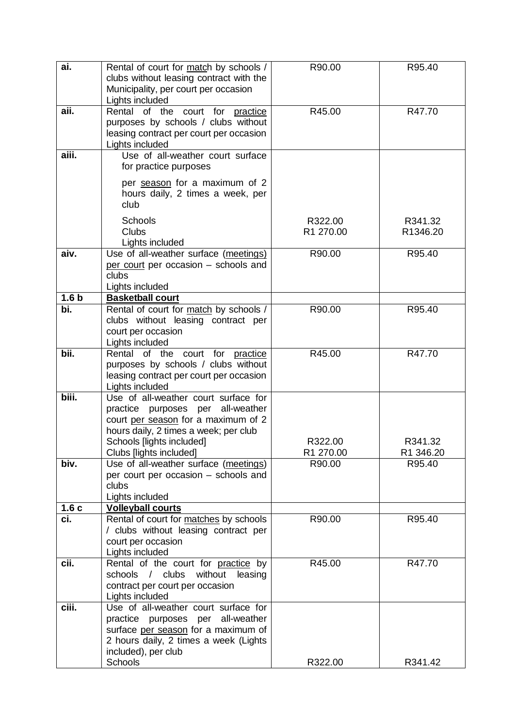| ai.              | Rental of court for match by schools /<br>clubs without leasing contract with the<br>Municipality, per court per occasion<br>Lights included                                                                      | R90.00               | R95.40               |
|------------------|-------------------------------------------------------------------------------------------------------------------------------------------------------------------------------------------------------------------|----------------------|----------------------|
| aii.             | Rental of the court for practice<br>purposes by schools / clubs without<br>leasing contract per court per occasion<br>Lights included                                                                             | R45.00               | R47.70               |
| aiii.            | Use of all-weather court surface<br>for practice purposes                                                                                                                                                         |                      |                      |
|                  | per season for a maximum of 2<br>hours daily, 2 times a week, per<br>club                                                                                                                                         |                      |                      |
|                  | Schools<br><b>Clubs</b><br>Lights included                                                                                                                                                                        | R322.00<br>R1 270.00 | R341.32<br>R1346.20  |
| aiv.             | Use of all-weather surface (meetings)<br>per court per occasion - schools and<br>clubs<br>Lights included                                                                                                         | R90.00               | R95.40               |
| 1.6 <sub>b</sub> | <b>Basketball court</b>                                                                                                                                                                                           |                      |                      |
| $\overline{bi.}$ | Rental of court for match by schools /<br>clubs without leasing contract per<br>court per occasion<br>Lights included                                                                                             | R90.00               | R95.40               |
| bii.             | Rental of the court for practice<br>purposes by schools / clubs without<br>leasing contract per court per occasion<br>Lights included                                                                             | R45.00               | R47.70               |
| biii.            | Use of all-weather court surface for<br>practice purposes per all-weather<br>court per season for a maximum of 2<br>hours daily, 2 times a week; per club<br>Schools [lights included]<br>Clubs [lights included] | R322.00<br>R1 270.00 | R341.32<br>R1 346.20 |
| biv.             | Use of all-weather surface (meetings)<br>per court per occasion - schools and<br>clubs<br>Lights included                                                                                                         | R90.00               | R95.40               |
| 1.6c             | <b>Volleyball courts</b>                                                                                                                                                                                          |                      |                      |
| ci.              | Rental of court for matches by schools<br>/ clubs without leasing contract per<br>court per occasion<br>Lights included                                                                                           | R90.00               | R95.40               |
| cii.             | Rental of the court for practice by<br>/ clubs<br>without<br>schools<br>leasing<br>contract per court per occasion<br>Lights included                                                                             | R45.00               | R47.70               |
| ciii.            | Use of all-weather court surface for<br>practice purposes per all-weather<br>surface per season for a maximum of<br>2 hours daily, 2 times a week (Lights<br>included), per club<br>Schools                       | R322.00              | R341.42              |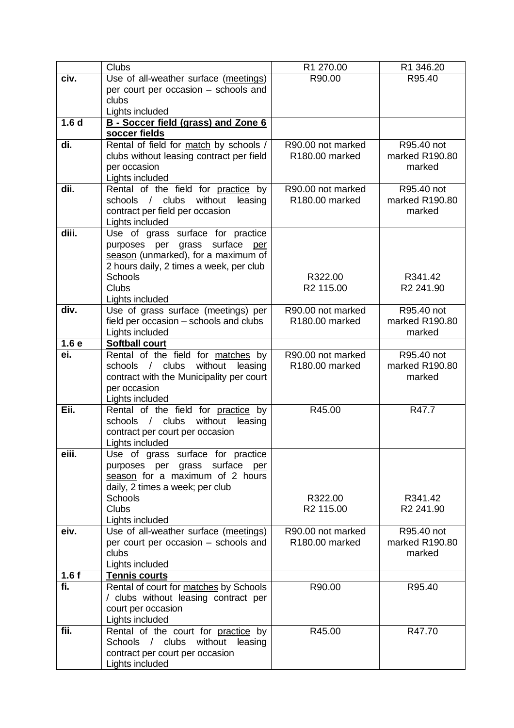|                  | <b>Clubs</b>                                                                  | R1 270.00                                       | R1 346.20                    |
|------------------|-------------------------------------------------------------------------------|-------------------------------------------------|------------------------------|
| civ.             | Use of all-weather surface (meetings)                                         | R90.00                                          | R95.40                       |
|                  | per court per occasion - schools and                                          |                                                 |                              |
|                  | clubs                                                                         |                                                 |                              |
|                  | Lights included                                                               |                                                 |                              |
| 1.6 <sub>d</sub> | B - Soccer field (grass) and Zone 6                                           |                                                 |                              |
|                  | soccer fields                                                                 |                                                 |                              |
| di.              | Rental of field for match by schools /                                        | R90.00 not marked                               | R95.40 not                   |
|                  | clubs without leasing contract per field                                      | R180.00 marked                                  | marked R190.80               |
|                  | per occasion                                                                  |                                                 | marked                       |
|                  | Lights included                                                               |                                                 |                              |
| dii.             | Rental of the field for practice by                                           | R90.00 not marked                               | R95.40 not                   |
|                  | without<br>schools / clubs<br>leasing                                         | R180.00 marked                                  | marked R190.80               |
|                  | contract per field per occasion                                               |                                                 | marked                       |
|                  | Lights included                                                               |                                                 |                              |
| diii.            | Use of grass surface for practice                                             |                                                 |                              |
|                  | purposes per grass surface<br>per                                             |                                                 |                              |
|                  | season (unmarked), for a maximum of                                           |                                                 |                              |
|                  | 2 hours daily, 2 times a week, per club                                       |                                                 |                              |
|                  | Schools                                                                       | R322.00                                         | R341.42                      |
|                  | <b>Clubs</b>                                                                  | R2 115.00                                       | R <sub>2</sub> 241.90        |
| div.             | Lights included<br>Use of grass surface (meetings) per                        | R90.00 not marked                               | R95.40 not                   |
|                  | field per occasion – schools and clubs                                        | R180.00 marked                                  | marked R190.80               |
|                  | Lights included                                                               |                                                 | marked                       |
| 1.6 <sub>e</sub> | <b>Softball court</b>                                                         |                                                 |                              |
| ei.              | Rental of the field for matches by                                            | R90.00 not marked                               | R95.40 not                   |
|                  | schools / clubs<br>without<br>leasing                                         | R180.00 marked                                  | marked R190.80               |
|                  | contract with the Municipality per court                                      |                                                 | marked                       |
|                  | per occasion                                                                  |                                                 |                              |
|                  | Lights included                                                               |                                                 |                              |
| Eii.             | Rental of the field for practice by                                           | R45.00                                          | R47.7                        |
|                  | schools / clubs<br>without<br>leasing                                         |                                                 |                              |
|                  | contract per court per occasion                                               |                                                 |                              |
|                  | Lights included                                                               |                                                 |                              |
| eiii.            | Use of grass surface for practice                                             |                                                 |                              |
|                  | purposes per grass surface per                                                |                                                 |                              |
|                  | season for a maximum of 2 hours                                               |                                                 |                              |
|                  | daily, 2 times a week; per club                                               |                                                 |                              |
|                  | <b>Schools</b>                                                                | R322.00                                         | R341.42                      |
|                  | <b>Clubs</b>                                                                  | R <sub>2</sub> 115.00                           | R <sub>2</sub> 241.90        |
|                  | Lights included                                                               |                                                 |                              |
| eiv.             | Use of all-weather surface (meetings)<br>per court per occasion - schools and | R90.00 not marked<br>R <sub>180.00</sub> marked | R95.40 not<br>marked R190.80 |
|                  | clubs                                                                         |                                                 | marked                       |
|                  | Lights included                                                               |                                                 |                              |
| 1.6 f            | <b>Tennis courts</b>                                                          |                                                 |                              |
| fi.              | Rental of court for matches by Schools                                        | R90.00                                          | R95.40                       |
|                  | / clubs without leasing contract per                                          |                                                 |                              |
|                  | court per occasion                                                            |                                                 |                              |
|                  | Lights included                                                               |                                                 |                              |
| fii.             | Rental of the court for practice by                                           | R45.00                                          | R47.70                       |
|                  | Schools / clubs<br>without leasing                                            |                                                 |                              |
|                  | contract per court per occasion                                               |                                                 |                              |
|                  | Lights included                                                               |                                                 |                              |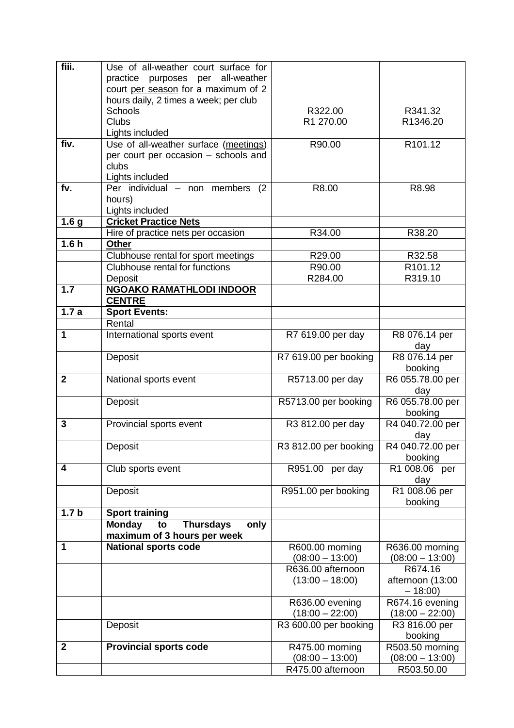| fiii.            | Use of all-weather court surface for             |                       |                      |
|------------------|--------------------------------------------------|-----------------------|----------------------|
|                  | all-weather<br>practice purposes per             |                       |                      |
|                  | court per season for a maximum of 2              |                       |                      |
|                  | hours daily, 2 times a week; per club            |                       |                      |
|                  | <b>Schools</b>                                   | R322.00               | R341.32              |
|                  | <b>Clubs</b>                                     | R1 270.00             | R1346.20             |
|                  | Lights included                                  |                       |                      |
| fiv.             | Use of all-weather surface (meetings)            | R90.00                | R101.12              |
|                  | per court per occasion - schools and             |                       |                      |
|                  | clubs                                            |                       |                      |
|                  | Lights included                                  |                       |                      |
| fv.              | $\overline{Per}$ individual – non members<br>(2) | R8.00                 | R8.98                |
|                  | hours)                                           |                       |                      |
|                  | Lights included                                  |                       |                      |
| 1.6 <sub>g</sub> | <b>Cricket Practice Nets</b>                     |                       |                      |
|                  | Hire of practice nets per occasion               | R34.00                | R38.20               |
| 1.6h             | <b>Other</b>                                     |                       |                      |
|                  | Clubhouse rental for sport meetings              | R29.00                | R32.58               |
|                  | Clubhouse rental for functions                   | R90.00                | R101.12              |
|                  | Deposit                                          | R284.00               | R319.10              |
| 1.7              | <b>NGOAKO RAMATHLODI INDOOR</b>                  |                       |                      |
|                  | <b>CENTRE</b>                                    |                       |                      |
| 1.7a             | <b>Sport Events:</b>                             |                       |                      |
|                  | Rental                                           |                       |                      |
| 1                | International sports event                       | R7 619.00 per day     | R8 076.14 per        |
|                  |                                                  |                       |                      |
|                  | Deposit                                          | R7 619.00 per booking | day<br>R8 076.14 per |
|                  |                                                  |                       | booking              |
| $\mathbf{2}$     | National sports event                            | R5713.00 per day      | R6 055.78.00 per     |
|                  |                                                  |                       | day                  |
|                  | Deposit                                          | R5713.00 per booking  | R6 055.78.00 per     |
|                  |                                                  |                       | booking              |
| 3                | Provincial sports event                          | R3 812.00 per day     | R4 040.72.00 per     |
|                  |                                                  |                       | day                  |
|                  | Deposit                                          | R3 812.00 per booking | R4 040.72.00 per     |
|                  |                                                  |                       | booking              |
| 4                | Club sports event                                | R951.00 per day       | R1 008.06 per        |
|                  |                                                  |                       | day                  |
|                  | Deposit                                          | R951.00 per booking   | R1 008.06 per        |
|                  |                                                  |                       | booking              |
| 1.7 <sub>b</sub> | <b>Sport training</b>                            |                       |                      |
|                  | <b>Thursdays</b><br><b>Monday</b><br>only<br>to  |                       |                      |
|                  | maximum of 3 hours per week                      |                       |                      |
| 1                | <b>National sports code</b>                      | R600.00 morning       | R636.00 morning      |
|                  |                                                  | $(08:00 - 13:00)$     | $(08:00 - 13:00)$    |
|                  |                                                  | R636.00 afternoon     | R674.16              |
|                  |                                                  | $(13:00 - 18:00)$     | afternoon (13:00     |
|                  |                                                  |                       | $-18:00$             |
|                  |                                                  | R636.00 evening       | R674.16 evening      |
|                  |                                                  | $(18:00 - 22:00)$     | $(18:00 - 22:00)$    |
|                  | Deposit                                          | R3 600.00 per booking | R3 816.00 per        |
|                  |                                                  |                       | booking              |
| $\mathbf{2}$     | <b>Provincial sports code</b>                    | R475.00 morning       | R503.50 morning      |
|                  |                                                  | $(08:00 - 13:00)$     | $(08:00 - 13:00)$    |
|                  |                                                  | R475.00 afternoon     | R503.50.00           |
|                  |                                                  |                       |                      |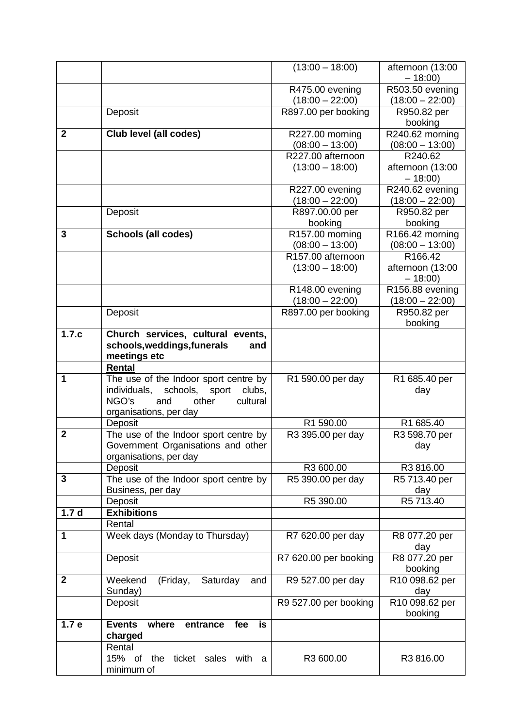|                  |                                                                             | $(13:00 - 18:00)$                        | afternoon (13:00                 |
|------------------|-----------------------------------------------------------------------------|------------------------------------------|----------------------------------|
|                  |                                                                             |                                          | $-18:00$                         |
|                  |                                                                             | R475.00 evening                          | R503.50 evening                  |
|                  |                                                                             | $(18:00 - 22:00)$                        | $(18:00 - 22:00)$                |
|                  | Deposit                                                                     | R897.00 per booking                      | R950.82 per                      |
|                  |                                                                             |                                          | booking                          |
| $\mathbf{2}$     | Club level (all codes)                                                      | R227.00 morning                          | R240.62 morning                  |
|                  |                                                                             | $(08:00 - 13:00)$                        | $(08:00 - 13:00)$                |
|                  |                                                                             | R227.00 afternoon                        | R240.62                          |
|                  |                                                                             | $(13:00 - 18:00)$                        | afternoon (13:00                 |
|                  |                                                                             |                                          | $-18:00$                         |
|                  |                                                                             | R227.00 evening                          | R240.62 evening                  |
|                  |                                                                             | $(18:00 - 22:00)$                        | $(18:00 - 22:00)$                |
|                  | Deposit                                                                     | R897.00.00 per                           | R950.82 per                      |
|                  |                                                                             | booking                                  | booking                          |
| 3                | <b>Schools (all codes)</b>                                                  | R157.00 morning                          | R166.42 morning                  |
|                  |                                                                             | $(08:00 - 13:00)$                        | $(08:00 - 13:00)$                |
|                  |                                                                             | R157.00 afternoon                        | R166.42                          |
|                  |                                                                             | $(13:00 - 18:00)$                        | afternoon (13:00                 |
|                  |                                                                             |                                          | $-18:00$                         |
|                  |                                                                             | R148.00 evening                          | R156.88 evening                  |
|                  | Deposit                                                                     | $(18:00 - 22:00)$<br>R897.00 per booking | $(18:00 - 22:00)$<br>R950.82 per |
|                  |                                                                             |                                          | booking                          |
| 1.7.c            | Church services, cultural events,                                           |                                          |                                  |
|                  | schools, weddings, funerals<br>and                                          |                                          |                                  |
|                  | meetings etc                                                                |                                          |                                  |
|                  | <b>Rental</b>                                                               |                                          |                                  |
| 1                | The use of the Indoor sport centre by                                       | R1 590.00 per day                        | R1 685.40 per                    |
|                  | individuals,<br>schools,<br>sport<br>clubs,                                 |                                          | day                              |
|                  | NGO's<br>and<br>other<br>cultural                                           |                                          |                                  |
|                  | organisations, per day                                                      | R1 590.00                                | R1 685.40                        |
| $\overline{2}$   | Deposit                                                                     |                                          |                                  |
|                  | The use of the Indoor sport centre by<br>Government Organisations and other | R3 395.00 per day                        | R3 598.70 per<br>day             |
|                  | organisations, per day                                                      |                                          |                                  |
|                  | Deposit                                                                     | R3 600.00                                | R3816.00                         |
| 3                | The use of the Indoor sport centre by                                       | R5 390.00 per day                        | R5 713.40 per                    |
|                  | Business, per day                                                           |                                          | day                              |
|                  | Deposit                                                                     | R5 390.00                                | R5 713.40                        |
| 1.7 <sub>d</sub> | <b>Exhibitions</b>                                                          |                                          |                                  |
|                  | Rental                                                                      |                                          |                                  |
| 1                | Week days (Monday to Thursday)                                              | R7 620.00 per day                        | R8 077.20 per                    |
|                  |                                                                             |                                          | day                              |
|                  | Deposit                                                                     | R7 620.00 per booking                    | R8 077.20 per                    |
|                  |                                                                             |                                          | booking                          |
| $\mathbf{2}$     | Weekend<br>(Friday,<br>Saturday<br>and                                      | R9 527.00 per day                        | R10 098.62 per                   |
|                  | Sunday)                                                                     |                                          | day                              |
|                  | Deposit                                                                     | R9 527.00 per booking                    | R10 098.62 per                   |
|                  |                                                                             |                                          | booking                          |
| 1.7 <sub>e</sub> | <b>Events</b><br>where<br>fee<br>entrance<br>is                             |                                          |                                  |
|                  | charged                                                                     |                                          |                                  |
|                  | Rental                                                                      |                                          |                                  |
|                  | with<br>15%<br>of<br>the<br>ticket<br>sales<br>a                            | R3 600.00                                | R3816.00                         |
|                  | minimum of                                                                  |                                          |                                  |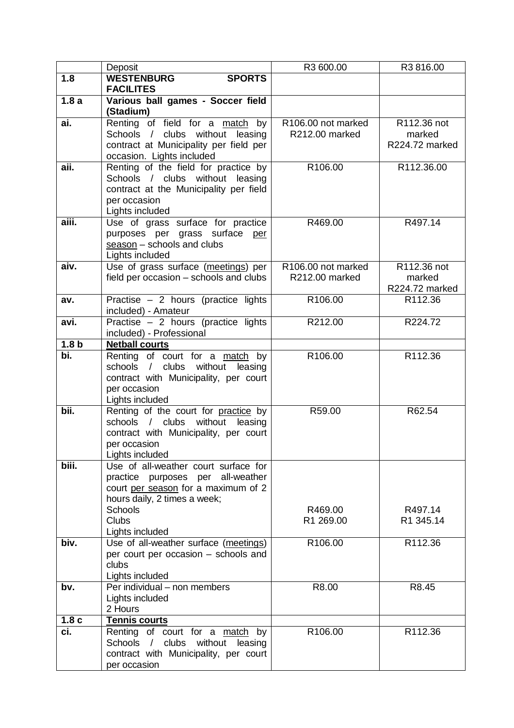|                  | Deposit                                                                   | R3 600.00          | R3816.00       |
|------------------|---------------------------------------------------------------------------|--------------------|----------------|
| 1.8              | <b>WESTENBURG</b><br><b>SPORTS</b>                                        |                    |                |
|                  | <b>FACILITES</b>                                                          |                    |                |
| 1.8a             | Various ball games - Soccer field<br>(Stadium)                            |                    |                |
| ai.              | Renting of field for a match by                                           | R106.00 not marked | R112.36 not    |
|                  | Schools / clubs without leasing                                           | R212.00 marked     | marked         |
|                  | contract at Municipality per field per                                    |                    | R224.72 marked |
|                  | occasion. Lights included                                                 |                    |                |
| aii.             | Renting of the field for practice by                                      | R106.00            | R112.36.00     |
|                  | Schools / clubs without leasing<br>contract at the Municipality per field |                    |                |
|                  | per occasion                                                              |                    |                |
|                  | Lights included                                                           |                    |                |
| aiii.            | Use of grass surface for practice                                         | R469.00            | R497.14        |
|                  | purposes per grass surface per                                            |                    |                |
|                  | $s$ eason – schools and clubs                                             |                    |                |
|                  | Lights included                                                           |                    |                |
| aiv.             | Use of grass surface (meetings) per                                       | R106.00 not marked | R112.36 not    |
|                  | field per occasion - schools and clubs                                    | R212.00 marked     | marked         |
|                  |                                                                           |                    | R224.72 marked |
| av.              | Practise - 2 hours (practice lights<br>included) - Amateur                | R106.00            | R112.36        |
| avi.             | Practise $-2$ hours (practice lights                                      | R212.00            | R224.72        |
|                  | included) - Professional                                                  |                    |                |
| 1.8 <sub>b</sub> | <b>Netball courts</b>                                                     |                    |                |
| bi.              | Renting of court for a match by<br>schools / clubs without                | R106.00            | R112.36        |
|                  | leasing<br>contract with Municipality, per court                          |                    |                |
|                  | per occasion                                                              |                    |                |
|                  | Lights included                                                           |                    |                |
| bii.             | Renting of the court for practice by                                      | R59.00             | R62.54         |
|                  | schools / clubs without leasing                                           |                    |                |
|                  | contract with Municipality, per court                                     |                    |                |
|                  | per occasion                                                              |                    |                |
| biii.            | Lights included<br>Use of all-weather court surface for                   |                    |                |
|                  | all-weather<br>practice purposes<br>per                                   |                    |                |
|                  | court per season for a maximum of 2                                       |                    |                |
|                  | hours daily, 2 times a week;                                              |                    |                |
|                  | <b>Schools</b>                                                            | R469.00            | R497.14        |
|                  | Clubs                                                                     | R1 269.00          | R1 345.14      |
|                  | Lights included                                                           |                    |                |
| biv.             | Use of all-weather surface (meetings)                                     | R106.00            | R112.36        |
|                  | per court per occasion - schools and<br>clubs                             |                    |                |
|                  | Lights included                                                           |                    |                |
| bv.              | Per individual - non members                                              | R8.00              | R8.45          |
|                  | Lights included                                                           |                    |                |
|                  | 2 Hours                                                                   |                    |                |
| 1.8 <sub>c</sub> | <b>Tennis courts</b>                                                      |                    |                |
| ci.              | Renting of court for a match by                                           | R106.00            | R112.36        |
|                  | Schools / clubs without<br>leasing                                        |                    |                |
|                  | contract with Municipality, per court                                     |                    |                |
|                  | per occasion                                                              |                    |                |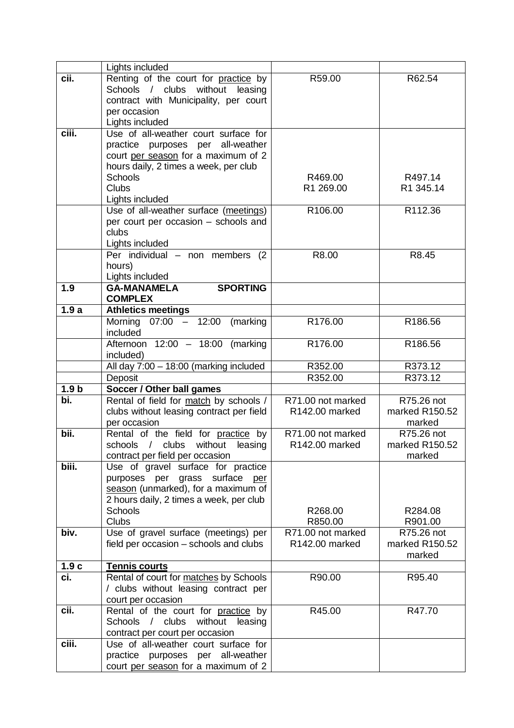|                  | Lights included                                                                                                                                                                                         |                                     |                                        |
|------------------|---------------------------------------------------------------------------------------------------------------------------------------------------------------------------------------------------------|-------------------------------------|----------------------------------------|
| cii.             | Renting of the court for practice by<br>Schools / clubs without leasing<br>contract with Municipality, per court<br>per occasion                                                                        | R59.00                              | R62.54                                 |
|                  | Lights included                                                                                                                                                                                         |                                     |                                        |
| ciii.            | Use of all-weather court surface for<br>practice purposes per all-weather<br>court per season for a maximum of 2<br>hours daily, 2 times a week, per club<br><b>Schools</b><br>Clubs<br>Lights included | R469.00<br>R1 269.00                | R497.14<br>R1 345.14                   |
|                  | Use of all-weather surface (meetings)                                                                                                                                                                   | R106.00                             | R112.36                                |
|                  | per court per occasion - schools and<br>clubs<br>Lights included                                                                                                                                        |                                     |                                        |
|                  | Per individual - non members (2<br>hours)<br>Lights included                                                                                                                                            | R8.00                               | R8.45                                  |
| 1.9              | <b>SPORTING</b><br><b>GA-MANAMELA</b><br><b>COMPLEX</b>                                                                                                                                                 |                                     |                                        |
| 1.9a             | <b>Athletics meetings</b>                                                                                                                                                                               |                                     |                                        |
|                  | Morning 07:00 - 12:00<br>(marking<br>included                                                                                                                                                           | R176.00                             | R186.56                                |
|                  | Afternoon $12:00 - 18:00$ (marking<br>included)                                                                                                                                                         | R176.00                             | R186.56                                |
|                  | All day 7:00 - 18:00 (marking included                                                                                                                                                                  | R352.00                             | R373.12                                |
|                  | Deposit                                                                                                                                                                                                 | R352.00                             | R373.12                                |
| 1.9 <sub>b</sub> | Soccer / Other ball games                                                                                                                                                                               |                                     |                                        |
| bi.              | Rental of field for match by schools /<br>clubs without leasing contract per field<br>per occasion                                                                                                      | R71.00 not marked<br>R142.00 marked | R75.26 not<br>marked R150.52<br>marked |
| bii.             | Rental of the field for practice by<br>schools /<br>clubs<br>without<br>leasing<br>contract per field per occasion                                                                                      | R71.00 not marked<br>R142.00 marked | R75.26 not<br>marked R150.52<br>marked |
| biii.            | Use of gravel surface for practice<br>purposes per grass surface<br>per<br>season (unmarked), for a maximum of<br>2 hours daily, 2 times a week, per club<br><b>Schools</b><br>Clubs                    | R268.00<br>R850.00                  | R284.08<br>R901.00                     |
| biv.             | Use of gravel surface (meetings) per<br>field per occasion – schools and clubs                                                                                                                          | R71.00 not marked<br>R142.00 marked | R75.26 not<br>marked R150.52<br>marked |
| 1.9c             | <b>Tennis courts</b>                                                                                                                                                                                    |                                     |                                        |
| ci.              | Rental of court for matches by Schools<br>/ clubs without leasing contract per<br>court per occasion                                                                                                    | R90.00                              | R95.40                                 |
| cii.             | Rental of the court for practice by<br>Schools / clubs<br>without<br>leasing<br>contract per court per occasion                                                                                         | R45.00                              | R47.70                                 |
| ciii.            | Use of all-weather court surface for<br>practice purposes per all-weather<br>court per season for a maximum of 2                                                                                        |                                     |                                        |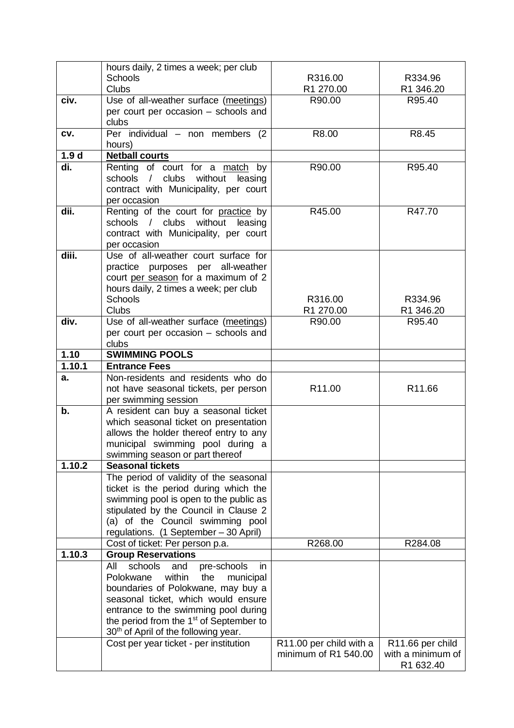|                  | hours daily, 2 times a week; per club                                                                   |                         |                    |
|------------------|---------------------------------------------------------------------------------------------------------|-------------------------|--------------------|
|                  | <b>Schools</b>                                                                                          | R316.00                 | R334.96            |
|                  | <b>Clubs</b>                                                                                            | R1 270.00               | R1 346.20          |
| civ.             | Use of all-weather surface (meetings)                                                                   | R90.00                  | R95.40             |
|                  | per court per occasion - schools and                                                                    |                         |                    |
|                  | clubs                                                                                                   |                         |                    |
| CV.              | Per individual - non members (2)                                                                        | R8.00                   | R8.45              |
|                  | hours)                                                                                                  |                         |                    |
| 1.9 <sub>d</sub> | <b>Netball courts</b>                                                                                   |                         |                    |
| di.              | Renting of court for a match by                                                                         | R90.00                  | R95.40             |
|                  | clubs without<br>schools /<br>leasing                                                                   |                         |                    |
|                  | contract with Municipality, per court                                                                   |                         |                    |
|                  | per occasion                                                                                            |                         |                    |
| dii.             | Renting of the court for practice by                                                                    | R45.00                  | R47.70             |
|                  | schools / clubs without leasing                                                                         |                         |                    |
|                  | contract with Municipality, per court                                                                   |                         |                    |
|                  | per occasion                                                                                            |                         |                    |
| diii.            | Use of all-weather court surface for                                                                    |                         |                    |
|                  | practice purposes per all-weather                                                                       |                         |                    |
|                  | court per season for a maximum of 2                                                                     |                         |                    |
|                  | hours daily, 2 times a week; per club                                                                   |                         |                    |
|                  | Schools                                                                                                 | R316.00                 | R334.96            |
| div.             | <b>Clubs</b>                                                                                            | R1 270.00               | R1 346.20          |
|                  | Use of all-weather surface (meetings)                                                                   | R90.00                  | R95.40             |
|                  | per court per occasion - schools and<br>clubs                                                           |                         |                    |
| 1.10             | <b>SWIMMING POOLS</b>                                                                                   |                         |                    |
| 1.10.1           | <b>Entrance Fees</b>                                                                                    |                         |                    |
| а.               | Non-residents and residents who do                                                                      |                         |                    |
|                  | not have seasonal tickets, per person                                                                   | R11.00                  | R <sub>11.66</sub> |
|                  | per swimming session                                                                                    |                         |                    |
| b.               | A resident can buy a seasonal ticket                                                                    |                         |                    |
|                  | which seasonal ticket on presentation                                                                   |                         |                    |
|                  | allows the holder thereof entry to any                                                                  |                         |                    |
|                  | municipal swimming pool during a                                                                        |                         |                    |
|                  | swimming season or part thereof                                                                         |                         |                    |
| 1.10.2           | <b>Seasonal tickets</b>                                                                                 |                         |                    |
|                  | The period of validity of the seasonal                                                                  |                         |                    |
|                  | ticket is the period during which the                                                                   |                         |                    |
|                  | swimming pool is open to the public as                                                                  |                         |                    |
|                  | stipulated by the Council in Clause 2                                                                   |                         |                    |
|                  | (a) of the Council swimming pool                                                                        |                         |                    |
|                  | regulations. (1 September - 30 April)                                                                   |                         |                    |
|                  | Cost of ticket: Per person p.a.                                                                         | R268.00                 | R284.08            |
| 1.10.3           | <b>Group Reservations</b>                                                                               |                         |                    |
|                  | schools<br>All<br>pre-schools<br>and<br>in.                                                             |                         |                    |
|                  | within<br>Polokwane<br>the<br>municipal                                                                 |                         |                    |
|                  | boundaries of Polokwane, may buy a                                                                      |                         |                    |
|                  | seasonal ticket, which would ensure                                                                     |                         |                    |
|                  | entrance to the swimming pool during                                                                    |                         |                    |
|                  | the period from the 1 <sup>st</sup> of September to<br>30 <sup>th</sup> of April of the following year. |                         |                    |
|                  | Cost per year ticket - per institution                                                                  | R11.00 per child with a | R11.66 per child   |
|                  |                                                                                                         | minimum of R1 540.00    | with a minimum of  |
|                  |                                                                                                         |                         | R1 632.40          |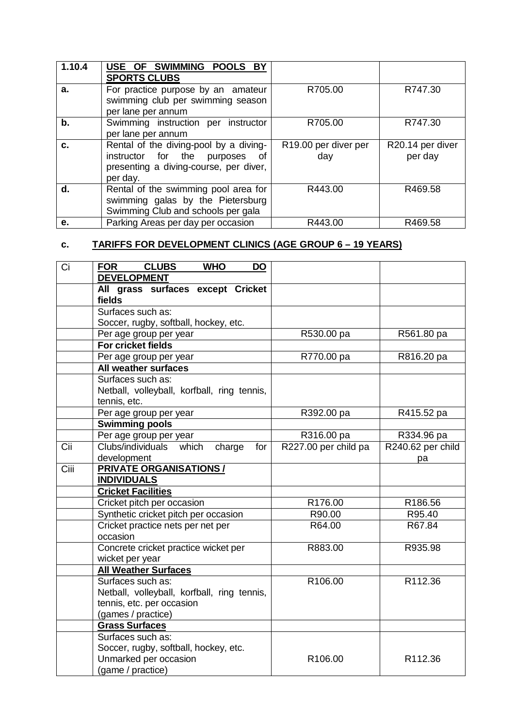| 1.10.4 | USE OF SWIMMING POOLS BY<br><b>SPORTS CLUBS</b>                                                                                      |                                         |                             |
|--------|--------------------------------------------------------------------------------------------------------------------------------------|-----------------------------------------|-----------------------------|
| a.     | For practice purpose by an amateur<br>swimming club per swimming season<br>per lane per annum                                        | R705.00                                 | R747.30                     |
| b.     | Swimming instruction per instructor<br>per lane per annum                                                                            | R705.00                                 | R747.30                     |
| C.     | Rental of the diving-pool by a diving-<br>instructor for the<br>purposes<br>of<br>presenting a diving-course, per diver,<br>per day. | R <sub>19.00</sub> per diver per<br>day | R20.14 per diver<br>per day |
| d.     | Rental of the swimming pool area for<br>swimming galas by the Pietersburg<br>Swimming Club and schools per gala                      | R443.00                                 | R469.58                     |
| е.     | Parking Areas per day per occasion                                                                                                   | R443.00                                 | R469.58                     |

# **c. TARIFFS FOR DEVELOPMENT CLINICS (AGE GROUP 6 – 19 YEARS)**

| Ci   | <b>CLUBS</b><br><b>FOR</b><br><b>WHO</b><br><b>DO</b>       |                      |                   |
|------|-------------------------------------------------------------|----------------------|-------------------|
|      | <b>DEVELOPMENT</b>                                          |                      |                   |
|      | All grass surfaces except Cricket                           |                      |                   |
|      | fields                                                      |                      |                   |
|      | Surfaces such as:                                           |                      |                   |
|      | Soccer, rugby, softball, hockey, etc.                       |                      |                   |
|      | Per age group per year                                      | R530.00 pa           | R561.80 pa        |
|      | <b>For cricket fields</b>                                   |                      |                   |
|      | Per age group per year                                      | R770.00 pa           | R816.20 pa        |
|      | All weather surfaces                                        |                      |                   |
|      | Surfaces such as:                                           |                      |                   |
|      | Netball, volleyball, korfball, ring tennis,<br>tennis, etc. |                      |                   |
|      | Per age group per year                                      | R392.00 pa           | R415.52 pa        |
|      | <b>Swimming pools</b>                                       |                      |                   |
|      | Per age group per year                                      | R316.00 pa           | R334.96 pa        |
| Cii  | Clubs/individuals<br>which<br>charge<br>for                 | R227.00 per child pa | R240.62 per child |
|      | development                                                 |                      | рa                |
| Ciii | <b>PRIVATE ORGANISATIONS /</b>                              |                      |                   |
|      | <b>INDIVIDUALS</b>                                          |                      |                   |
|      | <b>Cricket Facilities</b>                                   |                      |                   |
|      | Cricket pitch per occasion                                  | R176.00              | R186.56           |
|      | Synthetic cricket pitch per occasion                        | R90.00               | R95.40            |
|      | Cricket practice nets per net per                           | R64.00               | R67.84            |
|      | occasion                                                    |                      |                   |
|      | Concrete cricket practice wicket per                        | R883.00              | R935.98           |
|      | wicket per year                                             |                      |                   |
|      | <b>All Weather Surfaces</b>                                 |                      |                   |
|      | Surfaces such as:                                           | R106.00              | R112.36           |
|      | Netball, volleyball, korfball, ring tennis,                 |                      |                   |
|      | tennis, etc. per occasion                                   |                      |                   |
|      | (games / practice)                                          |                      |                   |
|      | <b>Grass Surfaces</b>                                       |                      |                   |
|      | Surfaces such as:                                           |                      |                   |
|      | Soccer, rugby, softball, hockey, etc.                       |                      |                   |
|      | Unmarked per occasion                                       | R <sub>106.00</sub>  | R112.36           |
|      | (game / practice)                                           |                      |                   |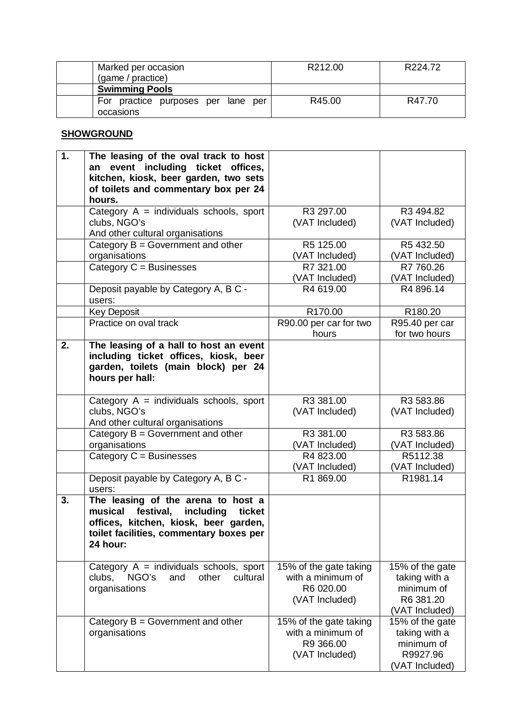| Marked per occasion<br>(game / practice)        | R212.00 | R224.72 |
|-------------------------------------------------|---------|---------|
| <b>Swimming Pools</b>                           |         |         |
| For practice purposes per lane per<br>occasions | R45.00  | R47.70  |

## **SHOWGROUND**

| 1. | The leasing of the oval track to host<br>an event including ticket offices,<br>kitchen, kiosk, beer garden, two sets<br>of toilets and commentary box per 24<br>hours.            |                                                                            |                                                                               |
|----|-----------------------------------------------------------------------------------------------------------------------------------------------------------------------------------|----------------------------------------------------------------------------|-------------------------------------------------------------------------------|
|    | Category $A =$ individuals schools, sport<br>clubs, NGO's<br>And other cultural organisations                                                                                     | R3 297.00<br>(VAT Included)                                                | R3 494.82<br>(VAT Included)                                                   |
|    | Category $B = Gover$ nment and other<br>organisations<br>Category $C = B$ usinesses                                                                                               | R5 125.00<br>(VAT Included)<br>R7 321.00                                   | R5 432.50<br>(VAT Included)<br>R7 760.26                                      |
|    | Deposit payable by Category A, B C -<br>users:                                                                                                                                    | (VAT Included)<br>R4 619.00                                                | (VAT Included)<br>R4 896.14                                                   |
|    | <b>Key Deposit</b>                                                                                                                                                                | R170.00                                                                    | R180.20                                                                       |
|    | Practice on oval track                                                                                                                                                            | R90.00 per car for two<br>hours                                            | R95.40 per car<br>for two hours                                               |
| 2. | The leasing of a hall to host an event<br>including ticket offices, kiosk, beer<br>garden, toilets (main block) per 24<br>hours per hall:                                         |                                                                            |                                                                               |
|    | Category $A =$ individuals schools, sport<br>clubs, NGO's<br>And other cultural organisations                                                                                     | R3 381.00<br>(VAT Included)                                                | R3 583.86<br>(VAT Included)                                                   |
|    | Category $B = Government$ and other<br>organisations                                                                                                                              | R3 381.00<br>(VAT Included)                                                | R3 583.86<br>(VAT Included)                                                   |
|    | Category $C =$ Businesses                                                                                                                                                         | R4 823.00<br>(VAT Included)                                                | R5112.38<br>(VAT Included)                                                    |
|    | Deposit payable by Category A, B C -<br>users:                                                                                                                                    | R1 869.00                                                                  | R1981.14                                                                      |
| 3. | The leasing of the arena to host a<br>musical<br>festival,<br>including<br>ticket<br>offices, kitchen, kiosk, beer garden,<br>toilet facilities, commentary boxes per<br>24 hour: |                                                                            |                                                                               |
|    | Category $A =$ individuals schools, sport<br>NGO's<br>other<br>clubs,<br>and<br>cultural<br>organisations                                                                         | 15% of the gate taking<br>with a minimum of<br>R6 020.00<br>(VAT Included) | 15% of the gate<br>taking with a<br>minimum of<br>R6 381.20<br>(VAT Included) |
|    | Category $B = Government$ and other<br>organisations                                                                                                                              | 15% of the gate taking<br>with a minimum of<br>R9 366.00<br>(VAT Included) | 15% of the gate<br>taking with a<br>minimum of<br>R9927.96<br>(VAT Included)  |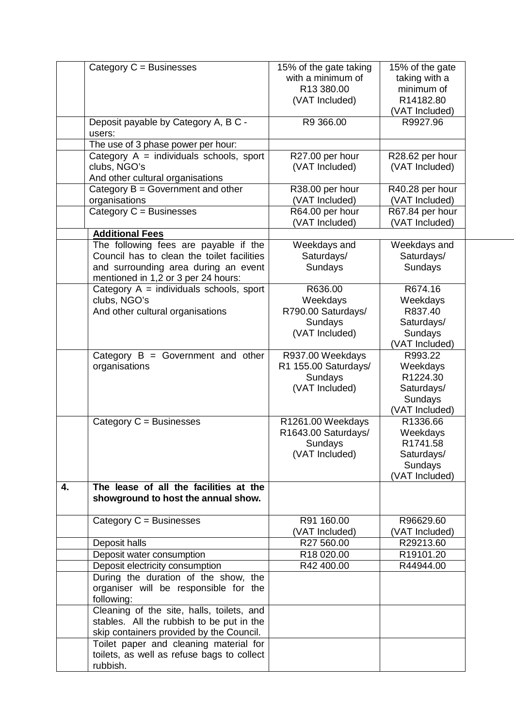|    | Category C = Businesses                                                          | 15% of the gate taking   | 15% of the gate        |
|----|----------------------------------------------------------------------------------|--------------------------|------------------------|
|    |                                                                                  | with a minimum of        | taking with a          |
|    |                                                                                  | R13 380.00               | minimum of             |
|    |                                                                                  | (VAT Included)           | R14182.80              |
|    |                                                                                  |                          | (VAT Included)         |
|    | Deposit payable by Category A, B C -                                             | R9 366.00                | R9927.96               |
|    | users:                                                                           |                          |                        |
|    | The use of 3 phase power per hour:                                               |                          |                        |
|    | Category $A =$ individuals schools, sport                                        | R27.00 per hour          | R28.62 per hour        |
|    | clubs, NGO's                                                                     | (VAT Included)           | (VAT Included)         |
|    | And other cultural organisations                                                 |                          |                        |
|    | Category $B = Government$ and other                                              | R38.00 per hour          | R40.28 per hour        |
|    | organisations                                                                    | (VAT Included)           | (VAT Included)         |
|    | Category $C =$ Businesses                                                        | R64.00 per hour          | R67.84 per hour        |
|    |                                                                                  | (VAT Included)           | (VAT Included)         |
|    | <b>Additional Fees</b>                                                           |                          |                        |
|    | The following fees are payable if the                                            | Weekdays and             | Weekdays and           |
|    | Council has to clean the toilet facilities                                       | Saturdays/               | Saturdays/             |
|    | and surrounding area during an event                                             | Sundays                  | Sundays                |
|    | mentioned in 1,2 or 3 per 24 hours:<br>Category $A =$ individuals schools, sport | R636.00                  | R674.16                |
|    | clubs, NGO's                                                                     | Weekdays                 | Weekdays               |
|    | And other cultural organisations                                                 | R790.00 Saturdays/       | R837.40                |
|    |                                                                                  | Sundays                  | Saturdays/             |
|    |                                                                                  | (VAT Included)           | Sundays                |
|    |                                                                                  |                          | (VAT Included)         |
|    | Category $B = Gover$ nment and other                                             | R937.00 Weekdays         | R993.22                |
|    | organisations                                                                    | R1 155.00 Saturdays/     | Weekdays               |
|    |                                                                                  | Sundays                  | R1224.30               |
|    |                                                                                  | (VAT Included)           | Saturdays/             |
|    |                                                                                  |                          | Sundays                |
|    |                                                                                  |                          | (VAT Included)         |
|    | Category $C =$ Businesses                                                        | R1261.00 Weekdays        | R1336.66               |
|    |                                                                                  | R1643.00 Saturdays/      | Weekdays               |
|    |                                                                                  | Sundays                  | R1741.58               |
|    |                                                                                  | (VAT Included)           | Saturdays/             |
|    |                                                                                  |                          | Sundays                |
|    |                                                                                  |                          | (VAT Included)         |
| 4. | The lease of all the facilities at the                                           |                          |                        |
|    | showground to host the annual show.                                              |                          |                        |
|    |                                                                                  |                          |                        |
|    | Category $C =$ Businesses                                                        | R91 160.00               | R96629.60              |
|    |                                                                                  | (VAT Included)           | (VAT Included)         |
|    | Deposit halls                                                                    | R27 560.00               | R29213.60              |
|    | Deposit water consumption                                                        | R18 020.00<br>R42 400.00 | R19101.20<br>R44944.00 |
|    | Deposit electricity consumption<br>During the duration of the show, the          |                          |                        |
|    | organiser will be responsible for the                                            |                          |                        |
|    | following:                                                                       |                          |                        |
|    | Cleaning of the site, halls, toilets, and                                        |                          |                        |
|    | stables. All the rubbish to be put in the                                        |                          |                        |
|    | skip containers provided by the Council.                                         |                          |                        |
|    | Toilet paper and cleaning material for                                           |                          |                        |
|    | toilets, as well as refuse bags to collect                                       |                          |                        |
|    | rubbish.                                                                         |                          |                        |
|    |                                                                                  |                          |                        |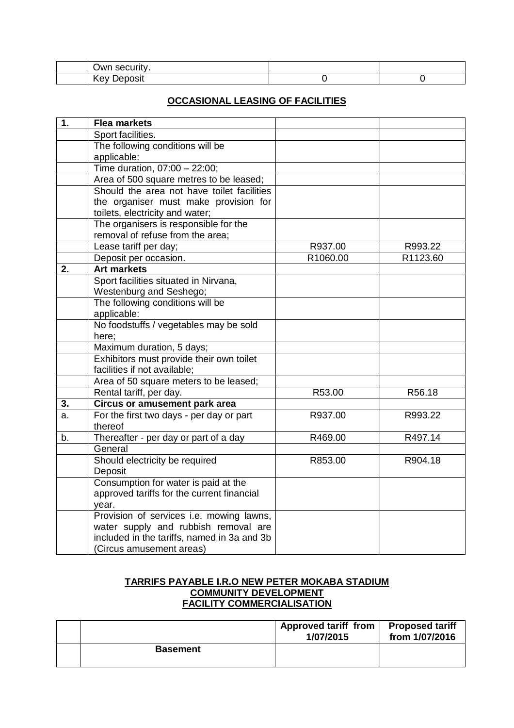| )wr<br>алну<br>∽           |  |  |
|----------------------------|--|--|
| $\cdot$ vev<br>בינ<br>151. |  |  |

#### **OCCASIONAL LEASING OF FACILITIES**

| $\overline{1}$ . | <b>Flea markets</b>                         |          |          |
|------------------|---------------------------------------------|----------|----------|
|                  | Sport facilities.                           |          |          |
|                  | The following conditions will be            |          |          |
|                  | applicable:                                 |          |          |
|                  | Time duration, 07:00 - 22:00;               |          |          |
|                  | Area of 500 square metres to be leased;     |          |          |
|                  | Should the area not have toilet facilities  |          |          |
|                  | the organiser must make provision for       |          |          |
|                  | toilets, electricity and water;             |          |          |
|                  | The organisers is responsible for the       |          |          |
|                  | removal of refuse from the area;            |          |          |
|                  | Lease tariff per day;                       | R937.00  | R993.22  |
|                  | Deposit per occasion.                       | R1060.00 | R1123.60 |
| 2.               | <b>Art markets</b>                          |          |          |
|                  | Sport facilities situated in Nirvana,       |          |          |
|                  | Westenburg and Seshego;                     |          |          |
|                  | The following conditions will be            |          |          |
|                  | applicable:                                 |          |          |
|                  | No foodstuffs / vegetables may be sold      |          |          |
|                  | here;                                       |          |          |
|                  | Maximum duration, 5 days;                   |          |          |
|                  | Exhibitors must provide their own toilet    |          |          |
|                  | facilities if not available;                |          |          |
|                  | Area of 50 square meters to be leased;      |          |          |
|                  | Rental tariff, per day.                     | R53.00   | R56.18   |
| 3.               | <b>Circus or amusement park area</b>        |          |          |
| a.               | For the first two days - per day or part    | R937.00  | R993.22  |
|                  | thereof                                     |          |          |
| b.               | Thereafter - per day or part of a day       | R469.00  | R497.14  |
|                  | General                                     |          |          |
|                  | Should electricity be required              | R853.00  | R904.18  |
|                  | Deposit                                     |          |          |
|                  | Consumption for water is paid at the        |          |          |
|                  | approved tariffs for the current financial  |          |          |
|                  | year.                                       |          |          |
|                  | Provision of services i.e. mowing lawns,    |          |          |
|                  | water supply and rubbish removal are        |          |          |
|                  | included in the tariffs, named in 3a and 3b |          |          |
|                  | (Circus amusement areas)                    |          |          |

#### **TARRIFS PAYABLE I.R.O NEW PETER MOKABA STADIUM COMMUNITY DEVELOPMENT FACILITY COMMERCIALISATION**

|                 | <b>Approved tariff from</b><br>1/07/2015 | <b>Proposed tariff</b><br>from 1/07/2016 |
|-----------------|------------------------------------------|------------------------------------------|
| <b>Basement</b> |                                          |                                          |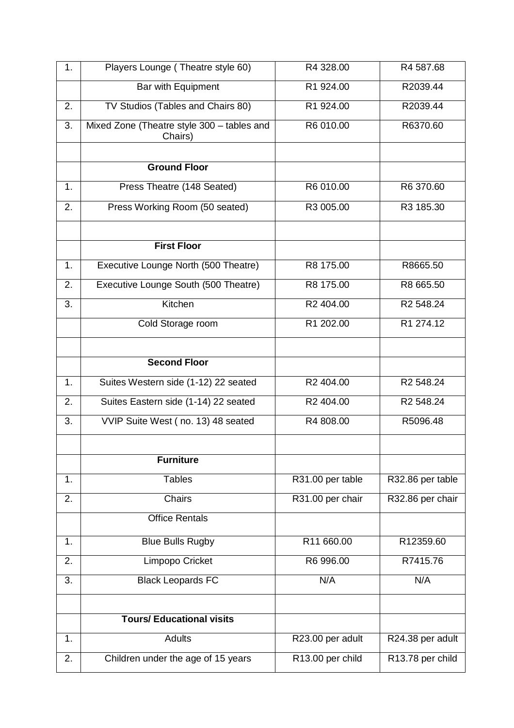| 1. | Players Lounge (Theatre style 60)                     | R4 328.00        | R4 587.68             |
|----|-------------------------------------------------------|------------------|-----------------------|
|    | <b>Bar with Equipment</b>                             | R1 924.00        | R2039.44              |
| 2. | TV Studios (Tables and Chairs 80)                     | R1 924.00        | R2039.44              |
| 3. | Mixed Zone (Theatre style 300 - tables and<br>Chairs) | R6 010.00        | R6370.60              |
|    |                                                       |                  |                       |
|    | <b>Ground Floor</b>                                   |                  |                       |
| 1. | Press Theatre (148 Seated)                            | R6 010.00        | R6 370.60             |
| 2. | Press Working Room (50 seated)                        | R3 005.00        | R3 185.30             |
|    | <b>First Floor</b>                                    |                  |                       |
| 1. | Executive Lounge North (500 Theatre)                  | R8 175.00        | R8665.50              |
| 2. | Executive Lounge South (500 Theatre)                  | R8 175.00        | R8 665.50             |
| 3. | Kitchen                                               | R2 404.00        | R2 548.24             |
|    | Cold Storage room                                     | R1 202.00        | R1 274.12             |
|    |                                                       |                  |                       |
|    | <b>Second Floor</b>                                   |                  |                       |
| 1. | Suites Western side (1-12) 22 seated                  | R2 404.00        | R2 548.24             |
| 2. | Suites Eastern side (1-14) 22 seated                  | R2 404.00        | R <sub>2</sub> 548.24 |
| 3. | VVIP Suite West (no. 13) 48 seated                    | R4 808.00        | R5096.48              |
|    |                                                       |                  |                       |
|    | <b>Furniture</b>                                      |                  |                       |
| 1. | <b>Tables</b>                                         | R31.00 per table | R32.86 per table      |
| 2. | Chairs                                                | R31.00 per chair | R32.86 per chair      |
|    | <b>Office Rentals</b>                                 |                  |                       |
| 1. | <b>Blue Bulls Rugby</b>                               | R11 660.00       | R12359.60             |
| 2. | Limpopo Cricket                                       | R6 996.00        | R7415.76              |
| 3. | <b>Black Leopards FC</b>                              | N/A              | N/A                   |
|    |                                                       |                  |                       |
|    | <b>Tours/ Educational visits</b>                      |                  |                       |
| 1. | <b>Adults</b>                                         | R23.00 per adult | R24.38 per adult      |
| 2. | Children under the age of 15 years                    | R13.00 per child | R13.78 per child      |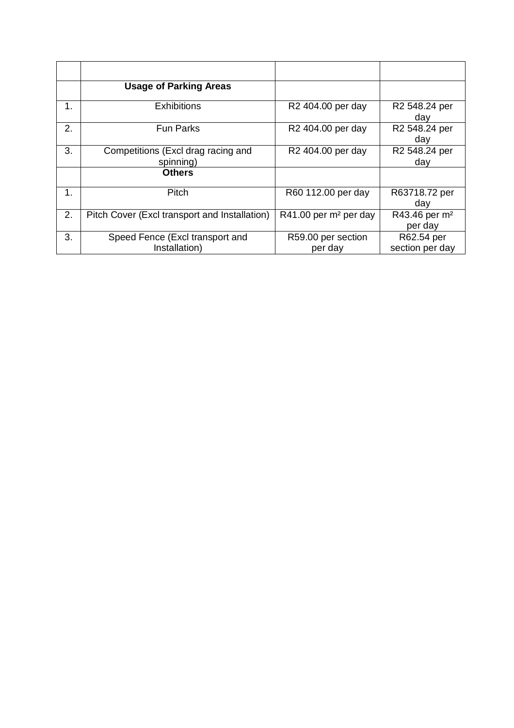|    | <b>Usage of Parking Areas</b>                    |                                   |                                      |
|----|--------------------------------------------------|-----------------------------------|--------------------------------------|
| 1. | <b>Exhibitions</b>                               | R <sub>2</sub> 404.00 per day     | R2 548.24 per<br>day                 |
| 2. | <b>Fun Parks</b>                                 | R <sub>2</sub> 404.00 per day     | R2 548.24 per<br>day                 |
| 3. | Competitions (Excl drag racing and<br>spinning)  | R2 404.00 per day                 | R2 548.24 per<br>day                 |
|    | <b>Others</b>                                    |                                   |                                      |
| 1. | Pitch                                            | R60 112.00 per day                | R63718.72 per<br>day                 |
| 2. | Pitch Cover (Excl transport and Installation)    | R41.00 per m <sup>2</sup> per day | R43.46 per m <sup>2</sup><br>per day |
| 3. | Speed Fence (Excl transport and<br>Installation) | R59.00 per section<br>per day     | R62.54 per<br>section per day        |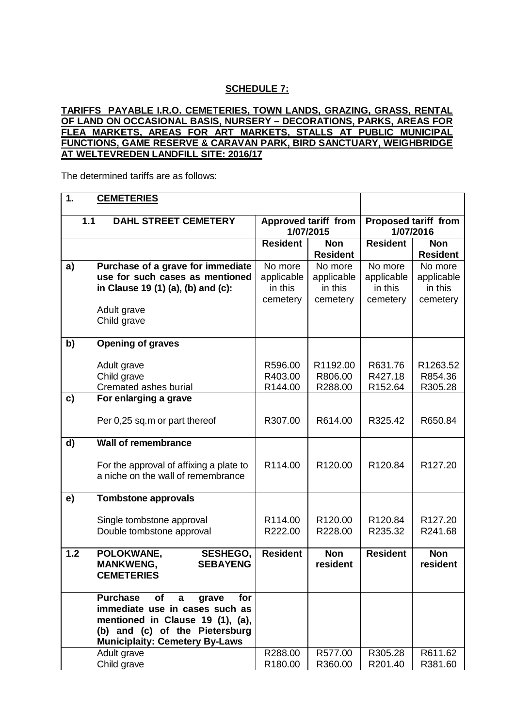#### **SCHEDULE 7:**

#### **TARIFFS PAYABLE I.R.O. CEMETERIES, TOWN LANDS, GRAZING, GRASS, RENTAL OF LAND ON OCCASIONAL BASIS, NURSERY – DECORATIONS, PARKS, AREAS FOR FLEA MARKETS, AREAS FOR ART MARKETS, STALLS AT PUBLIC MUNICIPAL FUNCTIONS, GAME RESERVE & CARAVAN PARK, BIRD SANCTUARY, WEIGHBRIDGE AT WELTEVREDEN LANDFILL SITE: 2016/17**

The determined tariffs are as follows:

#### **1. CEMETERIES 1.1 DAHL STREET CEMETERY Approved tariff from 1/07/2015 Proposed tariff from 1/07/2016 Resident Non Resident Resident Non Resident a) Purchase of a grave for immediate use for such cases as mentioned in Clause 19 (1) (a), (b) and (c):** No more applicable in this cemetery No more applicable in this cemetery No more applicable in this cemetery No more applicable in this cemetery Adult grave Child grave **b) Opening of graves** Adult grave R596.00 | R596.00 | R1192.00 | R631.76 | R1263.52 Child grave **R403.00 R806.00 R827.18 R854.36** Cremated ashes burial | R144.00 | R288.00 | R152.64 | R305.28 **c) For enlarging a grave** Per 0,25 sq.m or part thereof | R307.00 | R614.00 | R325.42 | R650.84 **d) Wall of remembrance** For the approval of affixing a plate to a niche on the wall of remembrance R114.00 | R120.00 | R120.84 | R127.20 **e) Tombstone approvals** Single tombstone approval | R114.00 | R120.00 | R120.84 | R127.20 Double tombstone approval **R222.00** R228.00 | R235.32 | R241.68 **1.2 POLOKWANE, SESHEGO, MANKWENG, SEBAYENG CEMETERIES Resident Non resident Resident Non resident Purchase of a grave for immediate use in cases such as mentioned in Clause 19 (1), (a), (b) and (c) of the Pietersburg Municiplaity: Cemetery By-Laws** Adult grave **R288.00** R577.00 R577.00 R305.28 R611.62 Child grave R180.00 | R180.00 | R360.00 | R201.40 | R381.60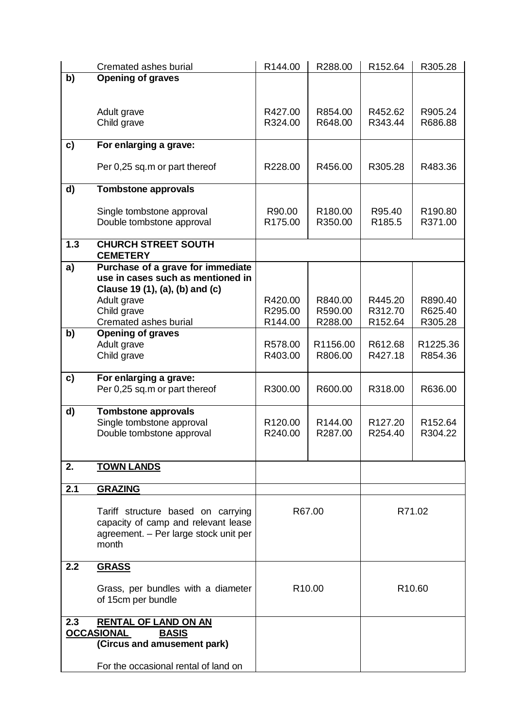|     | Cremated ashes burial                 | R144.00             | R288.00            | R152.64             | R305.28             |
|-----|---------------------------------------|---------------------|--------------------|---------------------|---------------------|
| b)  | <b>Opening of graves</b>              |                     |                    |                     |                     |
|     |                                       |                     |                    |                     |                     |
|     |                                       |                     |                    |                     |                     |
|     | Adult grave                           | R427.00             | R854.00            | R452.62             | R905.24             |
|     | Child grave                           | R324.00             | R648.00            | R343.44             | R686.88             |
|     |                                       |                     |                    |                     |                     |
| c)  | For enlarging a grave:                |                     |                    |                     |                     |
|     |                                       |                     |                    |                     |                     |
|     | Per 0,25 sq.m or part thereof         | R228.00             | R456.00            | R305.28             | R483.36             |
|     |                                       |                     |                    |                     |                     |
| d)  | <b>Tombstone approvals</b>            |                     |                    |                     |                     |
|     |                                       |                     |                    |                     |                     |
|     | Single tombstone approval             | R90.00              | R180.00            | R95.40              | R190.80             |
|     | Double tombstone approval             | R <sub>175.00</sub> | R350.00            | R185.5              | R371.00             |
|     |                                       |                     |                    |                     |                     |
| 1.3 | <b>CHURCH STREET SOUTH</b>            |                     |                    |                     |                     |
|     | <b>CEMETERY</b>                       |                     |                    |                     |                     |
| a)  | Purchase of a grave for immediate     |                     |                    |                     |                     |
|     | use in cases such as mentioned in     |                     |                    |                     |                     |
|     | Clause 19 (1), (a), (b) and (c)       |                     |                    |                     |                     |
|     | Adult grave                           | R420.00             | R840.00            | R445.20             | R890.40             |
|     | Child grave                           | R295.00             | R590.00            | R312.70             | R625.40             |
|     | Cremated ashes burial                 | R144.00             | R288.00            | R152.64             | R305.28             |
| b)  | <b>Opening of graves</b>              |                     |                    |                     |                     |
|     | Adult grave                           | R578.00             | R1156.00           | R612.68             | R1225.36            |
|     | Child grave                           | R403.00             | R806.00            | R427.18             | R854.36             |
|     |                                       |                     |                    |                     |                     |
| c)  | For enlarging a grave:                |                     |                    |                     |                     |
|     | Per 0,25 sq.m or part thereof         | R300.00             | R600.00            | R318.00             | R636.00             |
|     |                                       |                     |                    |                     |                     |
| d)  | <b>Tombstone approvals</b>            |                     |                    |                     |                     |
|     | Single tombstone approval             | R <sub>120.00</sub> | R144.00            | R <sub>127.20</sub> | R <sub>152.64</sub> |
|     | Double tombstone approval             | R240.00             | R287.00            | R254.40             | R304.22             |
|     |                                       |                     |                    |                     |                     |
|     |                                       |                     |                    |                     |                     |
| 2.  | <b>TOWN LANDS</b>                     |                     |                    |                     |                     |
|     |                                       |                     |                    |                     |                     |
| 2.1 | <b>GRAZING</b>                        |                     |                    |                     |                     |
|     |                                       |                     |                    |                     |                     |
|     | Tariff structure based on carrying    |                     | R67.00             |                     | R71.02              |
|     | capacity of camp and relevant lease   |                     |                    |                     |                     |
|     | agreement. - Per large stock unit per |                     |                    |                     |                     |
|     | month                                 |                     |                    |                     |                     |
|     |                                       |                     |                    |                     |                     |
| 2.2 | <b>GRASS</b>                          |                     |                    |                     |                     |
|     |                                       |                     | R <sub>10.00</sub> |                     | R <sub>10.60</sub>  |
|     | Grass, per bundles with a diameter    |                     |                    |                     |                     |
|     | of 15cm per bundle                    |                     |                    |                     |                     |
| 2.3 | <b>RENTAL OF LAND ON AN</b>           |                     |                    |                     |                     |
|     | <b>OCCASIONAL</b><br><b>BASIS</b>     |                     |                    |                     |                     |
|     | (Circus and amusement park)           |                     |                    |                     |                     |
|     |                                       |                     |                    |                     |                     |
|     | For the occasional rental of land on  |                     |                    |                     |                     |
|     |                                       |                     |                    |                     |                     |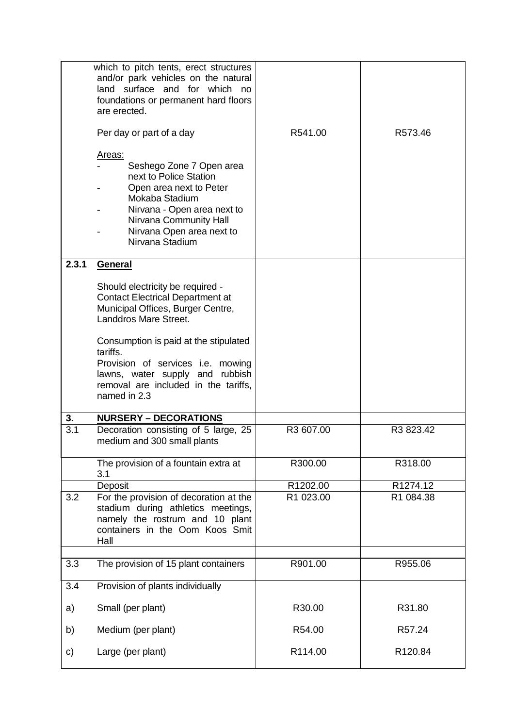|       | which to pitch tents, erect structures<br>and/or park vehicles on the natural<br>land surface and for which no<br>foundations or permanent hard floors<br>are erected.                                             |           |           |
|-------|--------------------------------------------------------------------------------------------------------------------------------------------------------------------------------------------------------------------|-----------|-----------|
|       | Per day or part of a day                                                                                                                                                                                           | R541.00   | R573.46   |
|       | Areas:<br>Seshego Zone 7 Open area<br>next to Police Station<br>Open area next to Peter<br>Mokaba Stadium<br>Nirvana - Open area next to<br>Nirvana Community Hall<br>Nirvana Open area next to<br>Nirvana Stadium |           |           |
| 2.3.1 | <b>General</b>                                                                                                                                                                                                     |           |           |
|       | Should electricity be required -<br><b>Contact Electrical Department at</b><br>Municipal Offices, Burger Centre,<br>Landdros Mare Street.                                                                          |           |           |
|       | Consumption is paid at the stipulated<br>tariffs.<br>Provision of services i.e. mowing<br>lawns, water supply and rubbish<br>removal are included in the tariffs,<br>named in 2.3                                  |           |           |
| 3.    | <b>NURSERY - DECORATIONS</b>                                                                                                                                                                                       |           |           |
| 3.1   | Decoration consisting of 5 large, 25<br>medium and 300 small plants                                                                                                                                                | R3 607.00 | R3 823.42 |
|       | The provision of a fountain extra at<br>3.1                                                                                                                                                                        | R300.00   | R318.00   |
|       | Deposit                                                                                                                                                                                                            | R1202.00  | R1274.12  |
| 3.2   | For the provision of decoration at the<br>stadium during athletics meetings,<br>namely the rostrum and 10 plant<br>containers in the Oom Koos Smit<br>Hall                                                         | R1 023.00 | R1 084.38 |
| 3.3   | The provision of 15 plant containers                                                                                                                                                                               | R901.00   | R955.06   |
| 3.4   | Provision of plants individually                                                                                                                                                                                   |           |           |
| a)    | Small (per plant)                                                                                                                                                                                                  | R30.00    | R31.80    |
| b)    | Medium (per plant)                                                                                                                                                                                                 | R54.00    | R57.24    |
| C)    | Large (per plant)                                                                                                                                                                                                  | R114.00   | R120.84   |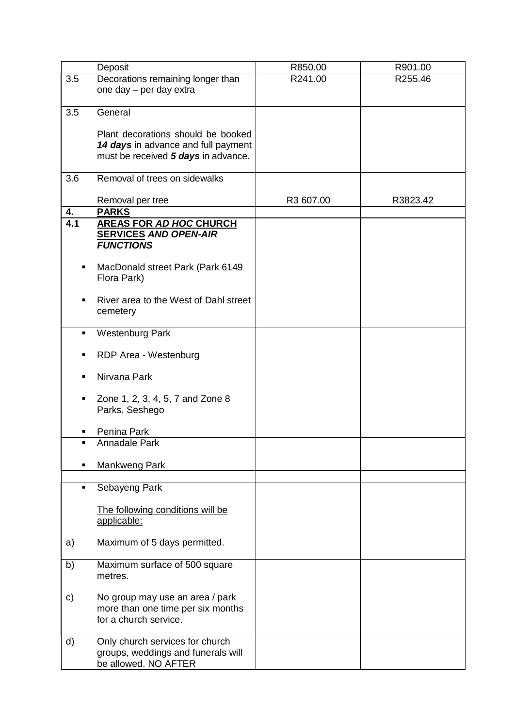|     | Deposit                                                                   | R850.00   | R901.00  |
|-----|---------------------------------------------------------------------------|-----------|----------|
| 3.5 | Decorations remaining longer than                                         | R241.00   | R255.46  |
|     | one day - per day extra                                                   |           |          |
|     |                                                                           |           |          |
| 3.5 | General                                                                   |           |          |
|     |                                                                           |           |          |
|     | Plant decorations should be booked<br>14 days in advance and full payment |           |          |
|     | must be received 5 days in advance.                                       |           |          |
|     |                                                                           |           |          |
| 3.6 | Removal of trees on sidewalks                                             |           |          |
|     |                                                                           |           |          |
|     | Removal per tree                                                          | R3 607.00 | R3823.42 |
| 4.  | <b>PARKS</b>                                                              |           |          |
| 4.1 | <b>AREAS FOR AD HOC CHURCH</b>                                            |           |          |
|     | <b>SERVICES AND OPEN-AIR</b>                                              |           |          |
|     | <b>FUNCTIONS</b>                                                          |           |          |
| п   | MacDonald street Park (Park 6149                                          |           |          |
|     | Flora Park)                                                               |           |          |
|     |                                                                           |           |          |
|     | River area to the West of Dahl street                                     |           |          |
|     | cemetery                                                                  |           |          |
|     |                                                                           |           |          |
| ٠   | <b>Westenburg Park</b>                                                    |           |          |
|     |                                                                           |           |          |
| п   | RDP Area - Westenburg                                                     |           |          |
|     | Nirvana Park                                                              |           |          |
|     |                                                                           |           |          |
| п   | Zone 1, 2, 3, 4, 5, 7 and Zone 8                                          |           |          |
|     | Parks, Seshego                                                            |           |          |
|     |                                                                           |           |          |
|     | Penina Park                                                               |           |          |
| ٠   | Annadale Park                                                             |           |          |
|     |                                                                           |           |          |
|     | Mankweng Park                                                             |           |          |
| ٠   | Sebayeng Park                                                             |           |          |
|     |                                                                           |           |          |
|     | The following conditions will be                                          |           |          |
|     | applicable:                                                               |           |          |
|     |                                                                           |           |          |
| a)  | Maximum of 5 days permitted.                                              |           |          |
|     |                                                                           |           |          |
| b)  | Maximum surface of 500 square<br>metres.                                  |           |          |
|     |                                                                           |           |          |
| c)  | No group may use an area / park                                           |           |          |
|     | more than one time per six months                                         |           |          |
|     | for a church service.                                                     |           |          |
|     |                                                                           |           |          |
| d)  | Only church services for church                                           |           |          |
|     | groups, weddings and funerals will                                        |           |          |
|     | be allowed. NO AFTER                                                      |           |          |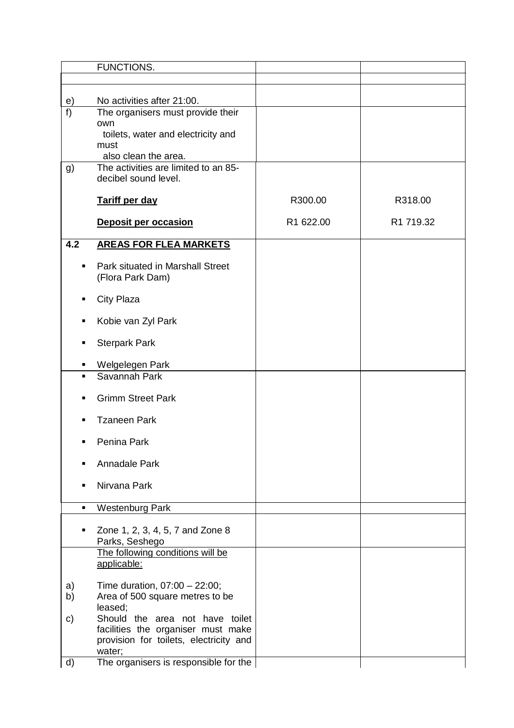|                | <b>FUNCTIONS.</b>                                                            |           |           |
|----------------|------------------------------------------------------------------------------|-----------|-----------|
|                |                                                                              |           |           |
| e)             | No activities after 21:00.                                                   |           |           |
| f              | The organisers must provide their                                            |           |           |
|                | own                                                                          |           |           |
|                | toilets, water and electricity and                                           |           |           |
|                | must<br>also clean the area.                                                 |           |           |
| g)             | The activities are limited to an 85-                                         |           |           |
|                | decibel sound level.                                                         |           |           |
|                | Tariff per day                                                               | R300.00   | R318.00   |
|                | <b>Deposit per occasion</b>                                                  | R1 622.00 | R1 719.32 |
|                |                                                                              |           |           |
| 4.2            | <b>AREAS FOR FLEA MARKETS</b>                                                |           |           |
| $\blacksquare$ | Park situated in Marshall Street<br>(Flora Park Dam)                         |           |           |
|                | <b>City Plaza</b>                                                            |           |           |
| п              | Kobie van Zyl Park                                                           |           |           |
|                | <b>Sterpark Park</b>                                                         |           |           |
| ٠              | Welgelegen Park                                                              |           |           |
| ٠              | Savannah Park                                                                |           |           |
|                | <b>Grimm Street Park</b>                                                     |           |           |
|                | <b>Tzaneen Park</b>                                                          |           |           |
|                | Penina Park                                                                  |           |           |
|                | Annadale Park                                                                |           |           |
|                | Nirvana Park                                                                 |           |           |
| $\blacksquare$ | <b>Westenburg Park</b>                                                       |           |           |
|                | Zone 1, 2, 3, 4, 5, 7 and Zone 8<br>Parks, Seshego                           |           |           |
|                | The following conditions will be<br>applicable:                              |           |           |
| a)             | Time duration, 07:00 - 22:00;                                                |           |           |
| b)             | Area of 500 square metres to be                                              |           |           |
|                | leased;                                                                      |           |           |
| C)             | Should the area not have toilet                                              |           |           |
|                | facilities the organiser must make<br>provision for toilets, electricity and |           |           |
|                | water;                                                                       |           |           |
| d)             | The organisers is responsible for the                                        |           |           |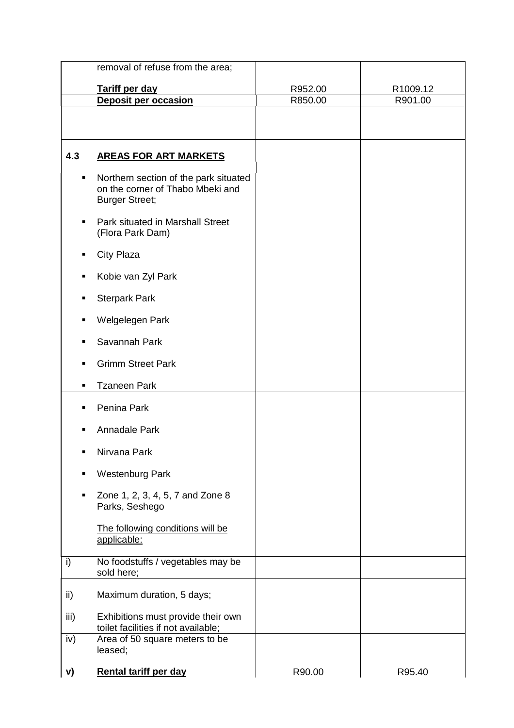|      | removal of refuse from the area;                                                                   |         |          |
|------|----------------------------------------------------------------------------------------------------|---------|----------|
|      | Tariff per day                                                                                     | R952.00 | R1009.12 |
|      | <b>Deposit per occasion</b>                                                                        | R850.00 | R901.00  |
|      |                                                                                                    |         |          |
| 4.3  | <b>AREAS FOR ART MARKETS</b>                                                                       |         |          |
| ٠    | Northern section of the park situated<br>on the corner of Thabo Mbeki and<br><b>Burger Street;</b> |         |          |
| п    | Park situated in Marshall Street<br>(Flora Park Dam)                                               |         |          |
|      | City Plaza                                                                                         |         |          |
| п    | Kobie van Zyl Park                                                                                 |         |          |
| п    | <b>Sterpark Park</b>                                                                               |         |          |
| п    | Welgelegen Park                                                                                    |         |          |
|      | Savannah Park                                                                                      |         |          |
|      | <b>Grimm Street Park</b>                                                                           |         |          |
|      | <b>Tzaneen Park</b>                                                                                |         |          |
|      | Penina Park                                                                                        |         |          |
|      | <b>Annadale Park</b>                                                                               |         |          |
| п    | Nirvana Park                                                                                       |         |          |
|      | <b>Westenburg Park</b>                                                                             |         |          |
| п    | Zone 1, 2, 3, 4, 5, 7 and Zone 8<br>Parks, Seshego                                                 |         |          |
|      | The following conditions will be<br>applicable:                                                    |         |          |
| i)   | No foodstuffs / vegetables may be<br>sold here;                                                    |         |          |
| ii)  | Maximum duration, 5 days;                                                                          |         |          |
| iii) | Exhibitions must provide their own<br>toilet facilities if not available;                          |         |          |
| iv)  | Area of 50 square meters to be<br>leased;                                                          |         |          |
| V)   | <b>Rental tariff per day</b>                                                                       | R90.00  | R95.40   |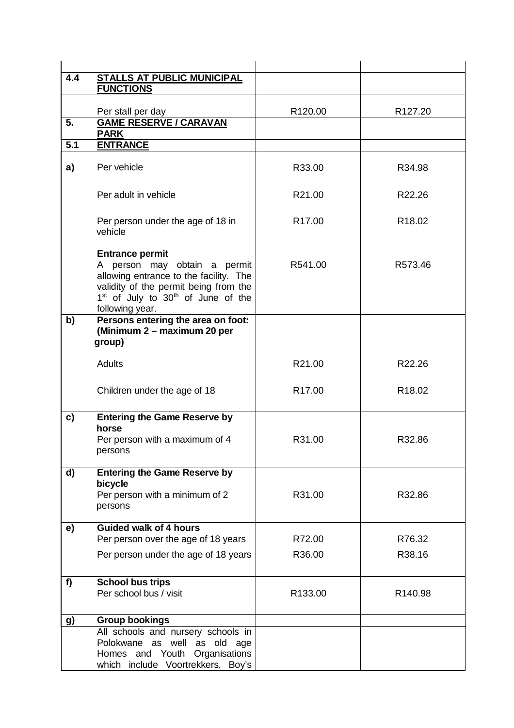| 4.4 | <b>STALLS AT PUBLIC MUNICIPAL</b>                                                                   |                     |                     |
|-----|-----------------------------------------------------------------------------------------------------|---------------------|---------------------|
|     | <b>FUNCTIONS</b>                                                                                    |                     |                     |
|     | Per stall per day                                                                                   | R <sub>120.00</sub> | R <sub>127.20</sub> |
| 5.  | <b>GAME RESERVE / CARAVAN</b>                                                                       |                     |                     |
|     | <b>PARK</b>                                                                                         |                     |                     |
| 5.1 | <b>ENTRANCE</b>                                                                                     |                     |                     |
|     |                                                                                                     |                     |                     |
| a)  | Per vehicle                                                                                         | R33.00              | R34.98              |
|     |                                                                                                     |                     |                     |
|     | Per adult in vehicle                                                                                | R21.00              | R22.26              |
|     |                                                                                                     |                     |                     |
|     | Per person under the age of 18 in                                                                   | R <sub>17.00</sub>  | R <sub>18.02</sub>  |
|     | vehicle                                                                                             |                     |                     |
|     | <b>Entrance permit</b>                                                                              |                     |                     |
|     | A person may obtain a permit                                                                        | R541.00             | R573.46             |
|     | allowing entrance to the facility. The                                                              |                     |                     |
|     | validity of the permit being from the<br>1 <sup>st</sup> of July to 30 <sup>th</sup> of June of the |                     |                     |
|     | following year.                                                                                     |                     |                     |
| b)  | Persons entering the area on foot:                                                                  |                     |                     |
|     | (Minimum 2 - maximum 20 per                                                                         |                     |                     |
|     | group)                                                                                              |                     |                     |
|     | <b>Adults</b>                                                                                       | R21.00              | R22.26              |
|     |                                                                                                     |                     |                     |
|     | Children under the age of 18                                                                        | R <sub>17.00</sub>  | R <sub>18.02</sub>  |
|     |                                                                                                     |                     |                     |
| c)  | <b>Entering the Game Reserve by</b>                                                                 |                     |                     |
|     | horse                                                                                               |                     |                     |
|     | Per person with a maximum of 4                                                                      | R31.00              | R32.86              |
|     | persons                                                                                             |                     |                     |
|     |                                                                                                     |                     |                     |
| d)  | <b>Entering the Game Reserve by</b><br>bicycle                                                      |                     |                     |
|     | Per person with a minimum of 2                                                                      | R31.00              | R32.86              |
|     | persons                                                                                             |                     |                     |
|     |                                                                                                     |                     |                     |
| e)  | <b>Guided walk of 4 hours</b><br>Per person over the age of 18 years                                | R72.00              | R76.32              |
|     |                                                                                                     |                     |                     |
|     | Per person under the age of 18 years                                                                | R36.00              | R38.16              |
|     |                                                                                                     |                     |                     |
| f)  | <b>School bus trips</b><br>Per school bus / visit                                                   |                     |                     |
|     |                                                                                                     | R133.00             | R <sub>140.98</sub> |
|     |                                                                                                     |                     |                     |
| g)  | <b>Group bookings</b><br>All schools and nursery schools in                                         |                     |                     |
|     | Polokwane as well as old age                                                                        |                     |                     |
|     | Homes and Youth Organisations                                                                       |                     |                     |
|     | which include Voortrekkers, Boy's                                                                   |                     |                     |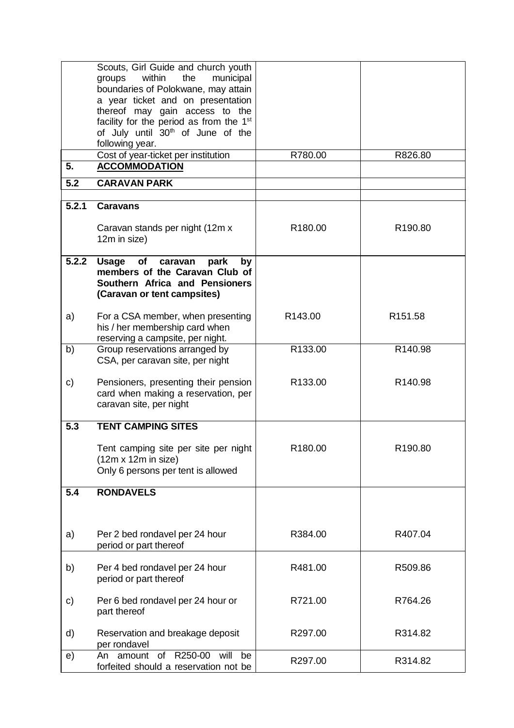|       | Scouts, Girl Guide and church youth<br>within<br>the<br>municipal<br>groups                                                                 |         |                     |
|-------|---------------------------------------------------------------------------------------------------------------------------------------------|---------|---------------------|
|       | boundaries of Polokwane, may attain<br>a year ticket and on presentation<br>thereof may gain access to the                                  |         |                     |
|       | facility for the period as from the 1 <sup>st</sup>                                                                                         |         |                     |
|       | of July until 30 <sup>th</sup> of June of the                                                                                               |         |                     |
|       | following year.                                                                                                                             |         |                     |
| 5.    | Cost of year-ticket per institution<br><b>ACCOMMODATION</b>                                                                                 | R780.00 | R826.80             |
|       |                                                                                                                                             |         |                     |
| 5.2   | <b>CARAVAN PARK</b>                                                                                                                         |         |                     |
| 5.2.1 | <b>Caravans</b>                                                                                                                             |         |                     |
|       | Caravan stands per night (12m x<br>12m in size)                                                                                             | R180.00 | R190.80             |
| 5.2.2 | of caravan<br><b>Usage</b><br>park<br>by<br>members of the Caravan Club of<br>Southern Africa and Pensioners<br>(Caravan or tent campsites) |         |                     |
| a)    | For a CSA member, when presenting<br>his / her membership card when<br>reserving a campsite, per night.                                     | R143.00 | R <sub>151.58</sub> |
| b)    | Group reservations arranged by<br>CSA, per caravan site, per night                                                                          | R133.00 | R140.98             |
| c)    | Pensioners, presenting their pension<br>card when making a reservation, per<br>caravan site, per night                                      | R133.00 | R140.98             |
| 5.3   | <b>TENT CAMPING SITES</b>                                                                                                                   |         |                     |
|       | Tent camping site per site per night<br>$(12m \times 12m)$ in size)<br>Only 6 persons per tent is allowed                                   | R180.00 | R190.80             |
| 5.4   | <b>RONDAVELS</b>                                                                                                                            |         |                     |
|       |                                                                                                                                             |         |                     |
| a)    | Per 2 bed rondavel per 24 hour<br>period or part thereof                                                                                    | R384.00 | R407.04             |
| b)    | Per 4 bed rondavel per 24 hour<br>period or part thereof                                                                                    | R481.00 | R509.86             |
| C)    | Per 6 bed rondavel per 24 hour or<br>part thereof                                                                                           | R721.00 | R764.26             |
| d)    | Reservation and breakage deposit<br>per rondavel                                                                                            | R297.00 | R314.82             |
| e)    | amount of R250-00<br>will<br>be<br>An<br>forfeited should a reservation not be                                                              | R297.00 | R314.82             |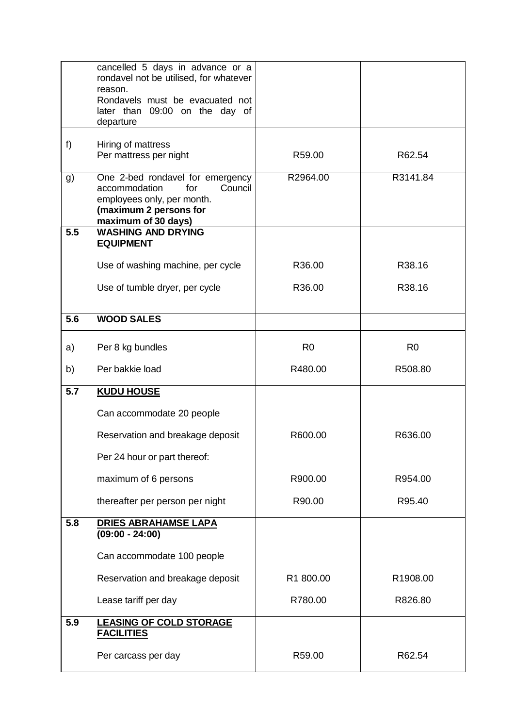|     | cancelled 5 days in advance or a<br>rondavel not be utilised, for whatever                                                                         |                |                |
|-----|----------------------------------------------------------------------------------------------------------------------------------------------------|----------------|----------------|
|     | reason.<br>Rondavels must be evacuated not<br>later than 09:00 on the day of<br>departure                                                          |                |                |
|     |                                                                                                                                                    |                |                |
| f)  | Hiring of mattress<br>Per mattress per night                                                                                                       | R59.00         | R62.54         |
| g)  | One 2-bed rondavel for emergency<br>accommodation<br>for<br>Council<br>employees only, per month.<br>(maximum 2 persons for<br>maximum of 30 days) | R2964.00       | R3141.84       |
| 5.5 | <b>WASHING AND DRYING</b><br><b>EQUIPMENT</b>                                                                                                      |                |                |
|     | Use of washing machine, per cycle                                                                                                                  | R36.00         | R38.16         |
|     | Use of tumble dryer, per cycle                                                                                                                     | R36.00         | R38.16         |
| 5.6 | <b>WOOD SALES</b>                                                                                                                                  |                |                |
| a)  | Per 8 kg bundles                                                                                                                                   | R <sub>0</sub> | R <sub>0</sub> |
| b)  | Per bakkie load                                                                                                                                    | R480.00        | R508.80        |
| 5.7 | <b>KUDU HOUSE</b>                                                                                                                                  |                |                |
|     | Can accommodate 20 people                                                                                                                          |                |                |
|     | Reservation and breakage deposit                                                                                                                   | R600.00        | R636.00        |
|     | Per 24 hour or part thereof:                                                                                                                       |                |                |
|     | maximum of 6 persons                                                                                                                               | R900.00        | R954.00        |
|     | thereafter per person per night                                                                                                                    | R90.00         | R95.40         |
| 5.8 | <b>DRIES ABRAHAMSE LAPA</b><br>$(09:00 - 24:00)$                                                                                                   |                |                |
|     | Can accommodate 100 people                                                                                                                         |                |                |
|     | Reservation and breakage deposit                                                                                                                   | R1 800.00      | R1908.00       |
|     | Lease tariff per day                                                                                                                               | R780.00        | R826.80        |
| 5.9 | <b>LEASING OF COLD STORAGE</b><br><b>FACILITIES</b>                                                                                                |                |                |
|     | Per carcass per day                                                                                                                                | R59.00         | R62.54         |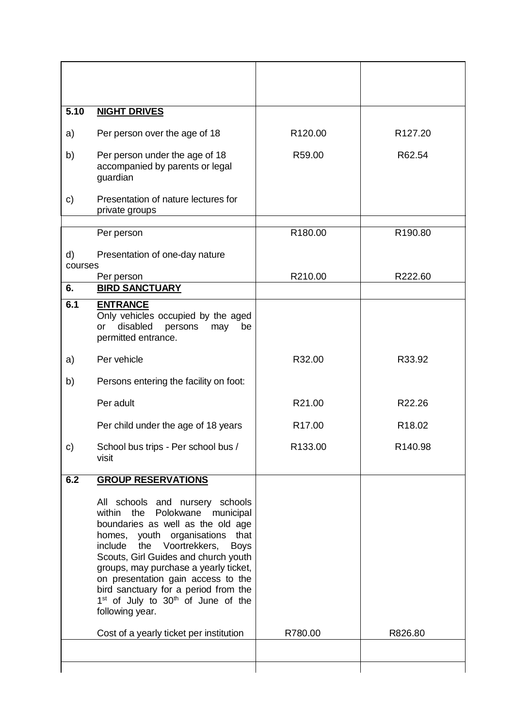| 5.10    | <b>NIGHT DRIVES</b>                                                                                                                                                                                                                                                                                                                                                                                                                      |                    |                     |
|---------|------------------------------------------------------------------------------------------------------------------------------------------------------------------------------------------------------------------------------------------------------------------------------------------------------------------------------------------------------------------------------------------------------------------------------------------|--------------------|---------------------|
| a)      | Per person over the age of 18                                                                                                                                                                                                                                                                                                                                                                                                            | R120.00            | R <sub>127.20</sub> |
| b)      | Per person under the age of 18<br>accompanied by parents or legal<br>guardian                                                                                                                                                                                                                                                                                                                                                            | R59.00             | R62.54              |
| C)      | Presentation of nature lectures for<br>private groups                                                                                                                                                                                                                                                                                                                                                                                    |                    |                     |
|         | Per person                                                                                                                                                                                                                                                                                                                                                                                                                               | R180.00            | R190.80             |
| d)      | Presentation of one-day nature                                                                                                                                                                                                                                                                                                                                                                                                           |                    |                     |
| courses | Per person                                                                                                                                                                                                                                                                                                                                                                                                                               | R210.00            | R222.60             |
| 6.      | <b>BIRD SANCTUARY</b>                                                                                                                                                                                                                                                                                                                                                                                                                    |                    |                     |
| 6.1     | <b>ENTRANCE</b><br>Only vehicles occupied by the aged<br>disabled<br>persons<br>may<br>be<br>or<br>permitted entrance.                                                                                                                                                                                                                                                                                                                   |                    |                     |
| a)      | Per vehicle                                                                                                                                                                                                                                                                                                                                                                                                                              | R32.00             | R33.92              |
| b)      | Persons entering the facility on foot:                                                                                                                                                                                                                                                                                                                                                                                                   |                    |                     |
|         | Per adult                                                                                                                                                                                                                                                                                                                                                                                                                                | R21.00             | R22.26              |
|         | Per child under the age of 18 years                                                                                                                                                                                                                                                                                                                                                                                                      | R <sub>17.00</sub> | R <sub>18.02</sub>  |
| c)      | School bus trips - Per school bus /<br>visit                                                                                                                                                                                                                                                                                                                                                                                             | R133.00            | R140.98             |
| 6.2     | <b>GROUP RESERVATIONS</b>                                                                                                                                                                                                                                                                                                                                                                                                                |                    |                     |
|         | All schools and nursery schools<br>within the Polokwane<br>municipal<br>boundaries as well as the old age<br>homes, youth organisations that<br>include the Voortrekkers,<br><b>Boys</b><br>Scouts, Girl Guides and church youth<br>groups, may purchase a yearly ticket,<br>on presentation gain access to the<br>bird sanctuary for a period from the<br>1 <sup>st</sup> of July to 30 <sup>th</sup> of June of the<br>following year. |                    |                     |
|         | Cost of a yearly ticket per institution                                                                                                                                                                                                                                                                                                                                                                                                  | R780.00            | R826.80             |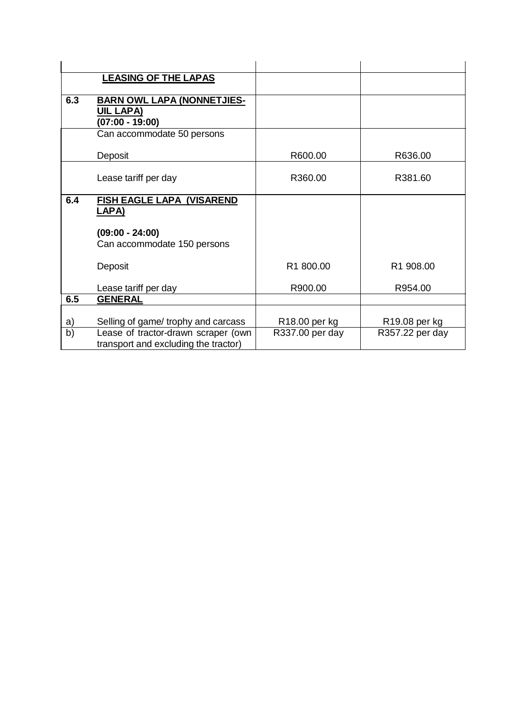|     | <b>LEASING OF THE LAPAS</b>          |                 |                           |
|-----|--------------------------------------|-----------------|---------------------------|
|     |                                      |                 |                           |
| 6.3 | <b>BARN OWL LAPA (NONNETJIES-</b>    |                 |                           |
|     | <b>UIL LAPA)</b>                     |                 |                           |
|     | $(07:00 - 19:00)$                    |                 |                           |
|     | Can accommodate 50 persons           |                 |                           |
|     |                                      |                 |                           |
|     | Deposit                              | R600.00         | R636.00                   |
|     |                                      |                 |                           |
|     | Lease tariff per day                 | R360.00         | R381.60                   |
|     |                                      |                 |                           |
| 6.4 | <b>FISH EAGLE LAPA (VISAREND</b>     |                 |                           |
|     | <u>LAPA)</u>                         |                 |                           |
|     |                                      |                 |                           |
|     | $(09:00 - 24:00)$                    |                 |                           |
|     | Can accommodate 150 persons          |                 |                           |
|     |                                      |                 |                           |
|     | Deposit                              | R1 800.00       | R1 908.00                 |
|     |                                      |                 |                           |
|     | Lease tariff per day                 | R900.00         | R954.00                   |
| 6.5 | <b>GENERAL</b>                       |                 |                           |
|     |                                      |                 |                           |
| a)  | Selling of game/ trophy and carcass  | R18.00 per kg   | R <sub>19.08</sub> per kg |
| b)  | Lease of tractor-drawn scraper (own  | R337.00 per day | R357.22 per day           |
|     | transport and excluding the tractor) |                 |                           |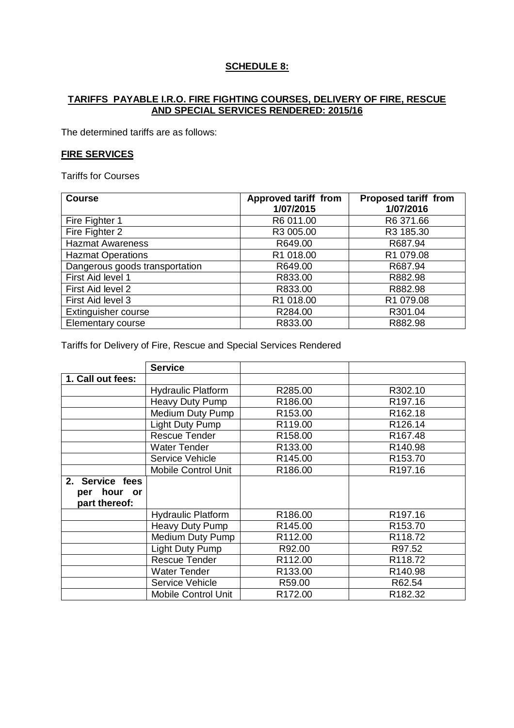# **SCHEDULE 8:**

#### **TARIFFS PAYABLE I.R.O. FIRE FIGHTING COURSES, DELIVERY OF FIRE, RESCUE AND SPECIAL SERVICES RENDERED: 2015/16**

The determined tariffs are as follows:

#### **FIRE SERVICES**

Tariffs for Courses

| <b>Course</b>                  | <b>Approved tariff from</b> | <b>Proposed tariff from</b> |
|--------------------------------|-----------------------------|-----------------------------|
|                                | 1/07/2015                   | 1/07/2016                   |
| Fire Fighter 1                 | R6 011.00                   | R6 371.66                   |
| Fire Fighter 2                 | R3 005.00                   | R3 185.30                   |
| <b>Hazmat Awareness</b>        | R649.00                     | R687.94                     |
| <b>Hazmat Operations</b>       | R1 018.00                   | R1 079.08                   |
| Dangerous goods transportation | R649.00                     | R687.94                     |
| First Aid level 1              | R833.00                     | R882.98                     |
| First Aid level 2              | R833.00                     | R882.98                     |
| First Aid level 3              | R1 018.00                   | R1 079.08                   |
| Extinguisher course            | R284.00                     | R301.04                     |
| Elementary course              | R833.00                     | R882.98                     |

Tariffs for Delivery of Fire, Rescue and Special Services Rendered

|                   | <b>Service</b>             |                     |                     |
|-------------------|----------------------------|---------------------|---------------------|
| 1. Call out fees: |                            |                     |                     |
|                   | <b>Hydraulic Platform</b>  | R285.00             | R302.10             |
|                   | <b>Heavy Duty Pump</b>     | R <sub>186.00</sub> | R <sub>197.16</sub> |
|                   | Medium Duty Pump           | R <sub>153.00</sub> | R162.18             |
|                   | Light Duty Pump            | R119.00             | R126.14             |
|                   | Rescue Tender              | R <sub>158.00</sub> | R <sub>167.48</sub> |
|                   | <b>Water Tender</b>        | R133.00             | R140.98             |
|                   | Service Vehicle            | R <sub>145.00</sub> | R <sub>153.70</sub> |
|                   | <b>Mobile Control Unit</b> | R186.00             | R <sub>197.16</sub> |
| 2. Service fees   |                            |                     |                     |
| hour<br>per<br>or |                            |                     |                     |
| part thereof:     |                            |                     |                     |
|                   | <b>Hydraulic Platform</b>  | R186.00             | R <sub>197.16</sub> |
|                   | Heavy Duty Pump            | R <sub>145.00</sub> | R <sub>153.70</sub> |
|                   | Medium Duty Pump           | R112.00             | R118.72             |
|                   | Light Duty Pump            | R92.00              | R97.52              |
|                   | <b>Rescue Tender</b>       | R112.00             | R118.72             |
|                   | <b>Water Tender</b>        | R133.00             | R140.98             |
|                   | Service Vehicle            | R59.00              | R62.54              |
|                   | <b>Mobile Control Unit</b> | R172.00             | R182.32             |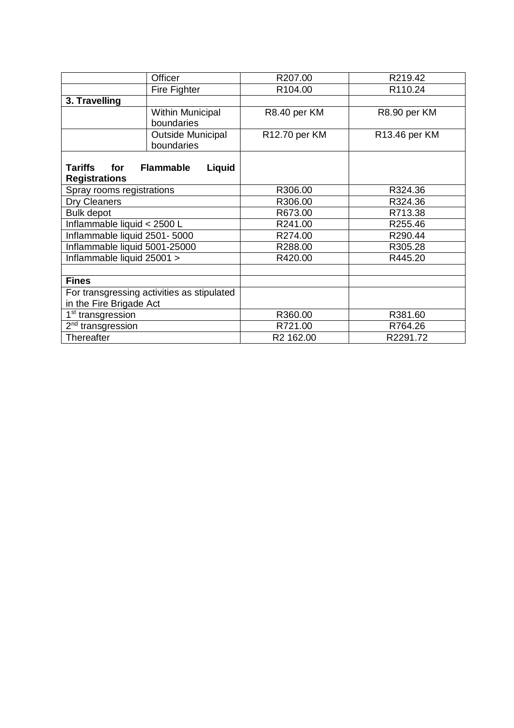|                                            | Officer                    | R207.00             | R219.42       |
|--------------------------------------------|----------------------------|---------------------|---------------|
|                                            | Fire Fighter               | R <sub>104.00</sub> | R110.24       |
| 3. Travelling                              |                            |                     |               |
|                                            |                            |                     |               |
|                                            | <b>Within Municipal</b>    | R8.40 per KM        | R8.90 per KM  |
|                                            | boundaries                 |                     |               |
|                                            | <b>Outside Municipal</b>   | R12.70 per KM       | R13.46 per KM |
|                                            | boundaries                 |                     |               |
|                                            |                            |                     |               |
| <b>Tariffs</b><br>for                      | Liquid<br><b>Flammable</b> |                     |               |
| <b>Registrations</b>                       |                            |                     |               |
| Spray rooms registrations                  |                            | R306.00             | R324.36       |
| Dry Cleaners                               |                            | R306.00             | R324.36       |
| <b>Bulk depot</b>                          |                            | R673.00             | R713.38       |
| Inflammable liquid < 2500 L                |                            | R241.00             | R255.46       |
| Inflammable liquid 2501-5000               |                            | R274.00             | R290.44       |
| Inflammable liquid 5001-25000              |                            | R288.00             | R305.28       |
| Inflammable liquid 25001 >                 |                            | R420.00             | R445.20       |
|                                            |                            |                     |               |
| <b>Fines</b>                               |                            |                     |               |
| For transgressing activities as stipulated |                            |                     |               |
| in the Fire Brigade Act                    |                            |                     |               |
| 1 <sup>st</sup> transgression              |                            | R360.00             | R381.60       |
| 2 <sup>nd</sup> transgression              |                            | R721.00             | R764.26       |
| Thereafter                                 |                            | R2 162.00           | R2291.72      |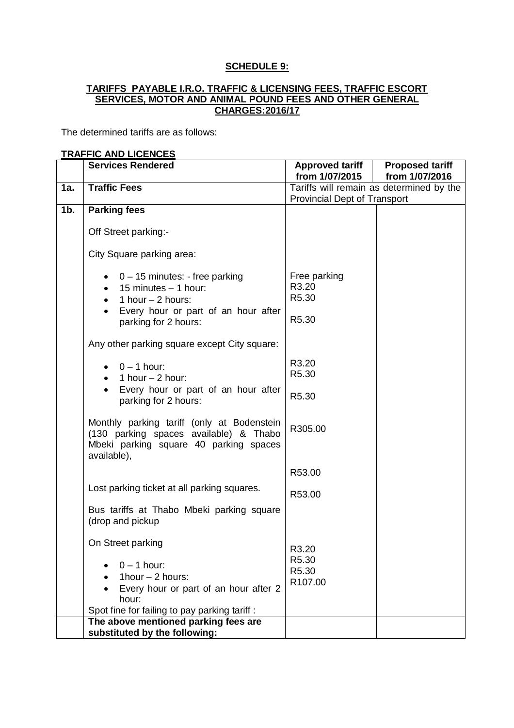## **SCHEDULE 9:**

### **TARIFFS PAYABLE I.R.O. TRAFFIC & LICENSING FEES, TRAFFIC ESCORT SERVICES, MOTOR AND ANIMAL POUND FEES AND OTHER GENERAL CHARGES:2016/17**

The determined tariffs are as follows:

#### **TRAFFIC AND LICENCES**

|        | <b>Services Rendered</b>                                                                                                                      | <b>Approved tariff</b><br>from 1/07/2015 | <b>Proposed tariff</b><br>from 1/07/2016 |
|--------|-----------------------------------------------------------------------------------------------------------------------------------------------|------------------------------------------|------------------------------------------|
| 1a.    | <b>Traffic Fees</b>                                                                                                                           |                                          | Tariffs will remain as determined by the |
|        |                                                                                                                                               | <b>Provincial Dept of Transport</b>      |                                          |
| $1b$ . | <b>Parking fees</b>                                                                                                                           |                                          |                                          |
|        | Off Street parking:-                                                                                                                          |                                          |                                          |
|        | City Square parking area:                                                                                                                     |                                          |                                          |
|        | $0 - 15$ minutes: - free parking<br>15 minutes - 1 hour:<br>1 hour $-$ 2 hours:<br>Every hour or part of an hour after                        | Free parking<br>R3.20<br>R5.30           |                                          |
|        | parking for 2 hours:                                                                                                                          | R5.30                                    |                                          |
|        | Any other parking square except City square:                                                                                                  |                                          |                                          |
|        | $0 - 1$ hour:<br>1 hour $-$ 2 hour:<br>$\bullet$                                                                                              | R3.20<br>R5.30                           |                                          |
|        | Every hour or part of an hour after<br>parking for 2 hours:                                                                                   | R5.30                                    |                                          |
|        | Monthly parking tariff (only at Bodenstein<br>(130 parking spaces available) & Thabo<br>Mbeki parking square 40 parking spaces<br>available), | R305.00                                  |                                          |
|        |                                                                                                                                               | R53.00                                   |                                          |
|        | Lost parking ticket at all parking squares.                                                                                                   | R53.00                                   |                                          |
|        | Bus tariffs at Thabo Mbeki parking square<br>(drop and pickup                                                                                 |                                          |                                          |
|        | On Street parking                                                                                                                             | R3.20                                    |                                          |
|        | $0 - 1$ hour:<br>1hour $-$ 2 hours:                                                                                                           | R5.30<br>R5.30                           |                                          |
|        | Every hour or part of an hour after 2<br>hour:                                                                                                | R107.00                                  |                                          |
|        | Spot fine for failing to pay parking tariff:                                                                                                  |                                          |                                          |
|        | The above mentioned parking fees are                                                                                                          |                                          |                                          |
|        | substituted by the following:                                                                                                                 |                                          |                                          |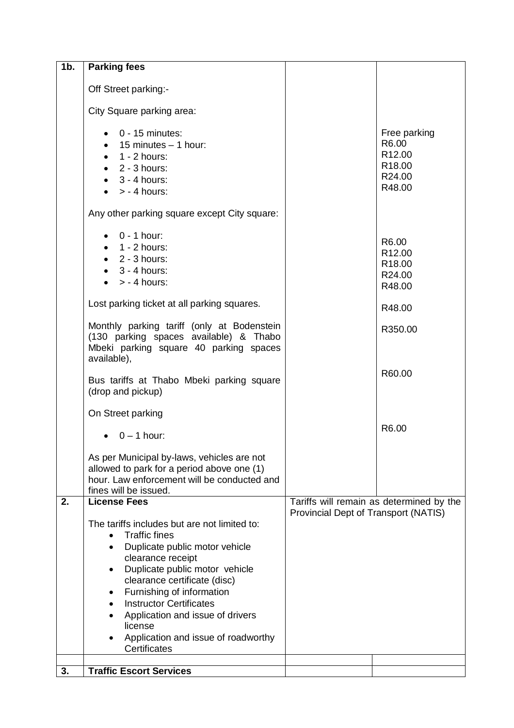| $1b$ . | <b>Parking fees</b>                                                                                                                                                                                                                                                                                                                                                     |                                      |                                                                                       |
|--------|-------------------------------------------------------------------------------------------------------------------------------------------------------------------------------------------------------------------------------------------------------------------------------------------------------------------------------------------------------------------------|--------------------------------------|---------------------------------------------------------------------------------------|
|        | Off Street parking:-                                                                                                                                                                                                                                                                                                                                                    |                                      |                                                                                       |
|        | City Square parking area:                                                                                                                                                                                                                                                                                                                                               |                                      |                                                                                       |
|        | $0 - 15$ minutes:<br>$\bullet$ 15 minutes $-$ 1 hour:<br>$\bullet$ 1 - 2 hours:<br>$\bullet$ 2 - 3 hours:<br>$\bullet$ 3 - 4 hours:<br>$> -4$ hours:                                                                                                                                                                                                                    |                                      | Free parking<br>R6.00<br>R <sub>12.00</sub><br>R <sub>18.00</sub><br>R24.00<br>R48.00 |
|        | Any other parking square except City square:                                                                                                                                                                                                                                                                                                                            |                                      |                                                                                       |
|        | $0 - 1$ hour:<br>$\bullet$ 1 - 2 hours:<br>$\bullet$ 2 - 3 hours:<br>$\bullet$ 3 - 4 hours:<br>$> -4$ hours:                                                                                                                                                                                                                                                            |                                      | R6.00<br>R <sub>12.00</sub><br>R <sub>18.00</sub><br>R24.00<br>R48.00                 |
|        | Lost parking ticket at all parking squares.                                                                                                                                                                                                                                                                                                                             |                                      | R48.00                                                                                |
|        | Monthly parking tariff (only at Bodenstein<br>(130 parking spaces available) & Thabo<br>Mbeki parking square 40 parking spaces<br>available),                                                                                                                                                                                                                           |                                      | R350.00                                                                               |
|        | Bus tariffs at Thabo Mbeki parking square<br>(drop and pickup)                                                                                                                                                                                                                                                                                                          |                                      | R60.00                                                                                |
|        | On Street parking<br>$0 - 1$ hour:                                                                                                                                                                                                                                                                                                                                      |                                      | R6.00                                                                                 |
|        | As per Municipal by-laws, vehicles are not<br>allowed to park for a period above one (1)<br>hour. Law enforcement will be conducted and<br>fines will be issued.                                                                                                                                                                                                        |                                      |                                                                                       |
| 2.     | <b>License Fees</b>                                                                                                                                                                                                                                                                                                                                                     |                                      | Tariffs will remain as determined by the                                              |
|        | The tariffs includes but are not limited to:<br><b>Traffic fines</b><br>Duplicate public motor vehicle<br>clearance receipt<br>Duplicate public motor vehicle<br>clearance certificate (disc)<br>Furnishing of information<br>٠<br><b>Instructor Certificates</b><br>Application and issue of drivers<br>license<br>Application and issue of roadworthy<br>Certificates | Provincial Dept of Transport (NATIS) |                                                                                       |
| 3.     | <b>Traffic Escort Services</b>                                                                                                                                                                                                                                                                                                                                          |                                      |                                                                                       |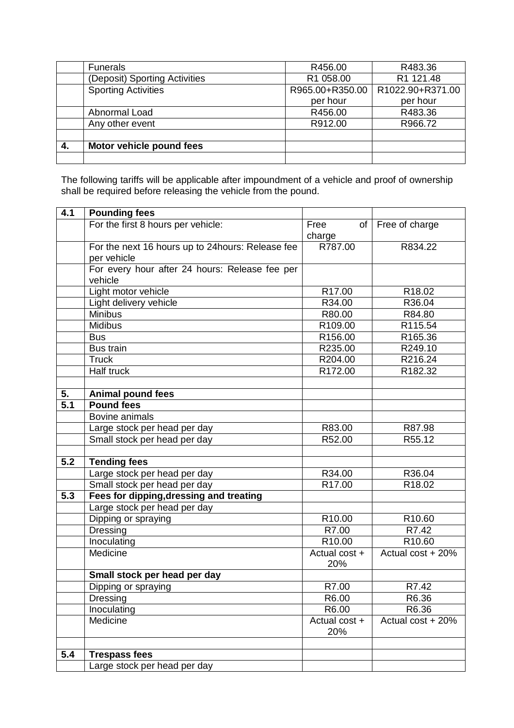|    | <b>Funerals</b>               | R456.00         | R483.36          |
|----|-------------------------------|-----------------|------------------|
|    | (Deposit) Sporting Activities | R1 058.00       | R1 121.48        |
|    | <b>Sporting Activities</b>    | R965.00+R350.00 | R1022.90+R371.00 |
|    |                               | per hour        | per hour         |
|    | Abnormal Load                 | R456.00         | R483.36          |
|    | Any other event               | R912.00         | R966.72          |
|    |                               |                 |                  |
| 4. | Motor vehicle pound fees      |                 |                  |
|    |                               |                 |                  |

The following tariffs will be applicable after impoundment of a vehicle and proof of ownership shall be required before releasing the vehicle from the pound.

| 4.1              | <b>Pounding fees</b>                              |                      |                   |
|------------------|---------------------------------------------------|----------------------|-------------------|
|                  | For the first 8 hours per vehicle:                | Free<br>of           | Free of charge    |
|                  |                                                   | charge               |                   |
|                  | For the next 16 hours up to 24 hours: Release fee | R787.00              | R834.22           |
|                  | per vehicle                                       |                      |                   |
|                  | For every hour after 24 hours: Release fee per    |                      |                   |
|                  | vehicle                                           |                      |                   |
|                  | Light motor vehicle                               | R17.00               | R18.02            |
|                  | Light delivery vehicle                            | R34.00               | R36.04            |
|                  | Minibus                                           | R80.00               | R84.80            |
|                  | <b>Midibus</b>                                    | R109.00              | R115.54           |
|                  | <b>Bus</b>                                        | R156.00              | R165.36           |
|                  | <b>Bus train</b>                                  | R235.00              | R249.10           |
|                  | <b>Truck</b>                                      | R204.00              | R216.24           |
|                  | Half truck                                        | R172.00              | R182.32           |
|                  |                                                   |                      |                   |
| 5.               | <b>Animal pound fees</b>                          |                      |                   |
| $\overline{5.1}$ | <b>Pound fees</b>                                 |                      |                   |
|                  | Bovine animals                                    |                      |                   |
|                  | Large stock per head per day                      | R83.00               | R87.98            |
|                  | Small stock per head per day                      | R52.00               | R55.12            |
|                  |                                                   |                      |                   |
| $\overline{5.2}$ | <b>Tending fees</b>                               |                      |                   |
|                  | Large stock per head per day                      | R34.00               | R36.04            |
|                  | Small stock per head per day                      | R <sub>17.00</sub>   | R18.02            |
| 5.3              | Fees for dipping, dressing and treating           |                      |                   |
|                  | Large stock per head per day                      |                      |                   |
|                  | Dipping or spraying                               | R10.00               | R10.60            |
|                  | <b>Dressing</b>                                   | R7.00                | R7.42             |
|                  | Inoculating                                       | R <sub>10.00</sub>   | R10.60            |
|                  | Medicine                                          | Actual cost +        | Actual cost + 20% |
|                  |                                                   | 20%                  |                   |
|                  | Small stock per head per day                      |                      |                   |
|                  | Dipping or spraying                               | R7.00                | R7.42             |
|                  | Dressing                                          | R6.00                | R6.36             |
|                  | Inoculating                                       | R6.00                | R6.36             |
|                  | Medicine                                          | Actual cost +<br>20% | Actual cost + 20% |
|                  |                                                   |                      |                   |
| 5.4              | <b>Trespass fees</b>                              |                      |                   |
|                  | Large stock per head per day                      |                      |                   |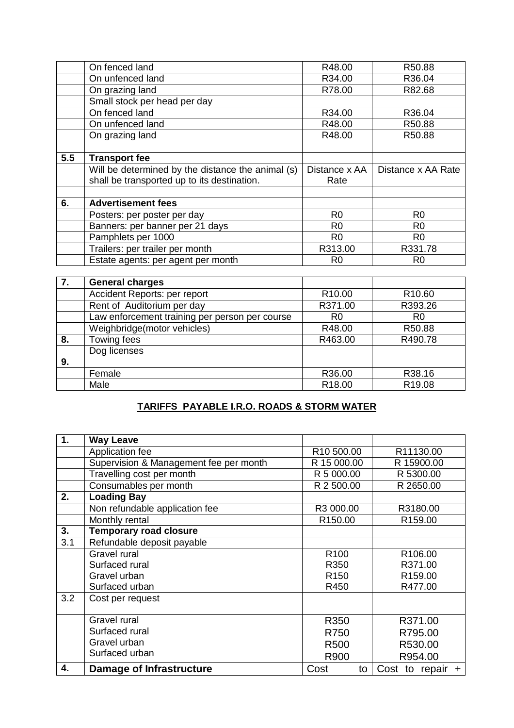|     | On fenced land                                    | R48.00         | R50.88             |
|-----|---------------------------------------------------|----------------|--------------------|
|     | On unfenced land                                  | R34.00         | R36.04             |
|     | On grazing land                                   | R78.00         | R82.68             |
|     | Small stock per head per day                      |                |                    |
|     | On fenced land                                    | R34.00         | R36.04             |
|     | On unfenced land                                  | R48.00         | R50.88             |
|     | On grazing land                                   | R48.00         | R50.88             |
|     |                                                   |                |                    |
| 5.5 | <b>Transport fee</b>                              |                |                    |
|     |                                                   |                |                    |
|     | Will be determined by the distance the animal (s) | Distance x AA  | Distance x AA Rate |
|     | shall be transported up to its destination.       | Rate           |                    |
|     |                                                   |                |                    |
| 6.  | <b>Advertisement fees</b>                         |                |                    |
|     | Posters: per poster per day                       | R <sub>0</sub> | R <sub>0</sub>     |
|     | Banners: per banner per 21 days                   | R <sub>0</sub> | R <sub>0</sub>     |
|     | Pamphlets per 1000                                | R <sub>0</sub> | R <sub>0</sub>     |
|     | Trailers: per trailer per month                   | R313.00        | R331.78            |

| 7. | <b>General charges</b>                         |                    |                    |
|----|------------------------------------------------|--------------------|--------------------|
|    | Accident Reports: per report                   | R <sub>10.00</sub> | R <sub>10.60</sub> |
|    | Rent of Auditorium per day                     | R371.00            | R393.26            |
|    | Law enforcement training per person per course | R <sub>0</sub>     | R <sub>0</sub>     |
|    | Weighbridge(motor vehicles)                    | R48.00             | R50.88             |
| 8. | Towing fees                                    | R463.00            | R490.78            |
|    | Dog licenses                                   |                    |                    |
| 9. |                                                |                    |                    |
|    | Female                                         | R36.00             | R38.16             |
|    | Male                                           | R <sub>18.00</sub> | R <sub>19.08</sub> |

# **TARIFFS PAYABLE I.R.O. ROADS & STORM WATER**

| 1.  | <b>Way Leave</b>                       |                     |                     |
|-----|----------------------------------------|---------------------|---------------------|
|     | Application fee                        | R10 500.00          | R11130.00           |
|     | Supervision & Management fee per month | R 15 000.00         | R 15900.00          |
|     | Travelling cost per month              | R 5 000.00          | R 5300.00           |
|     | Consumables per month                  | R 2 500.00          | R 2650.00           |
| 2.  | <b>Loading Bay</b>                     |                     |                     |
|     | Non refundable application fee         | R3 000.00           | R3180.00            |
|     | Monthly rental                         | R <sub>150.00</sub> | R <sub>159.00</sub> |
| 3.  | <b>Temporary road closure</b>          |                     |                     |
| 3.1 | Refundable deposit payable             |                     |                     |
|     | Gravel rural                           | R <sub>100</sub>    | R <sub>106.00</sub> |
|     | Surfaced rural                         | R350                | R371.00             |
|     | Gravel urban                           | R <sub>150</sub>    | R <sub>159.00</sub> |
|     | Surfaced urban                         | R450                | R477.00             |
| 3.2 | Cost per request                       |                     |                     |
|     |                                        |                     |                     |
|     | Gravel rural                           | R350                | R371.00             |
|     | Surfaced rural                         | R750                | R795.00             |
|     | Gravel urban                           | R <sub>500</sub>    | R530.00             |
|     | Surfaced urban                         | R900                | R954.00             |
| 4.  | Damage of Infrastructure               | Cost<br>to          | Cost to repair $+$  |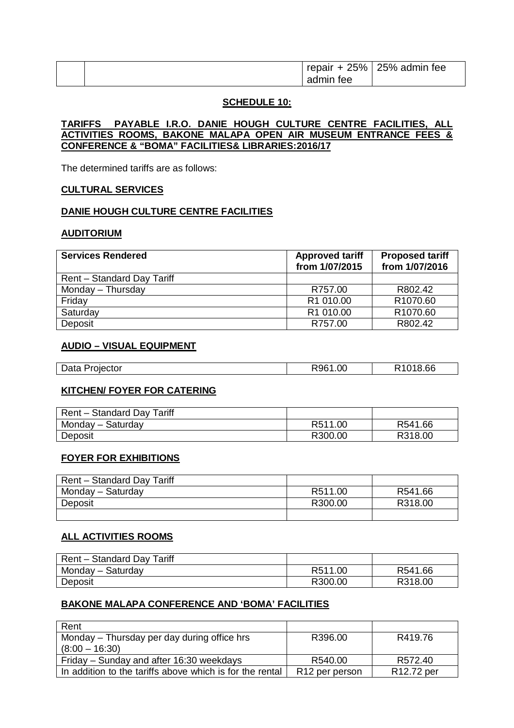|  | 25%<br>repair<br>-∔ | 25% admin fee |
|--|---------------------|---------------|
|  | admin<br>tee        |               |

#### **SCHEDULE 10:**

#### **TARIFFS PAYABLE I.R.O. DANIE HOUGH CULTURE CENTRE FACILITIES, ALL ACTIVITIES ROOMS, BAKONE MALAPA OPEN AIR MUSEUM ENTRANCE FEES & CONFERENCE & "BOMA" FACILITIES& LIBRARIES:2016/17**

The determined tariffs are as follows:

#### **CULTURAL SERVICES**

### **DANIE HOUGH CULTURE CENTRE FACILITIES**

#### **AUDITORIUM**

| <b>Services Rendered</b>   | <b>Approved tariff</b><br>from 1/07/2015 | <b>Proposed tariff</b><br>from 1/07/2016 |
|----------------------------|------------------------------------------|------------------------------------------|
| Rent - Standard Day Tariff |                                          |                                          |
| Monday - Thursday          | R757.00                                  | R802.42                                  |
| Friday                     | R1 010.00                                | R <sub>1070.60</sub>                     |
| Saturday                   | R1 010.00                                | R1070.60                                 |
| Deposit                    | R757.00                                  | R802.42                                  |

## **AUDIO – VISUAL EQUIPMENT**

| <b>Data</b><br>ורוו<br>.<br>pau | .00 | 66 |
|---------------------------------|-----|----|
|                                 |     |    |

### **KITCHEN/ FOYER FOR CATERING**

| Rent – Standard Day Tariff |         |         |
|----------------------------|---------|---------|
| Monday - Saturday          | R511.00 | R541.66 |
| Deposit                    | R300.00 | R318.00 |

#### **FOYER FOR EXHIBITIONS**

| <b>Rent - Standard Day Tariff</b> |         |         |
|-----------------------------------|---------|---------|
| Monday - Saturday                 | R511.00 | R541.66 |
| Deposit                           | R300.00 | R318.00 |
|                                   |         |         |

### **ALL ACTIVITIES ROOMS**

| Rent - Standard Day Tariff |         |         |
|----------------------------|---------|---------|
| Monday – Saturday          | R511.00 | R541.66 |
| Deposit                    | R300.00 | R318.00 |

## **BAKONE MALAPA CONFERENCE AND 'BOMA' FACILITIES**

| Rent                                                     |                            |            |
|----------------------------------------------------------|----------------------------|------------|
| Monday – Thursday per day during office hrs              | R396.00                    | R419.76    |
| $(8:00 - 16:30)$                                         |                            |            |
| Friday – Sunday and after 16:30 weekdays                 | R540.00                    | R572.40    |
| In addition to the tariffs above which is for the rental | R <sub>12</sub> per person | R12.72 per |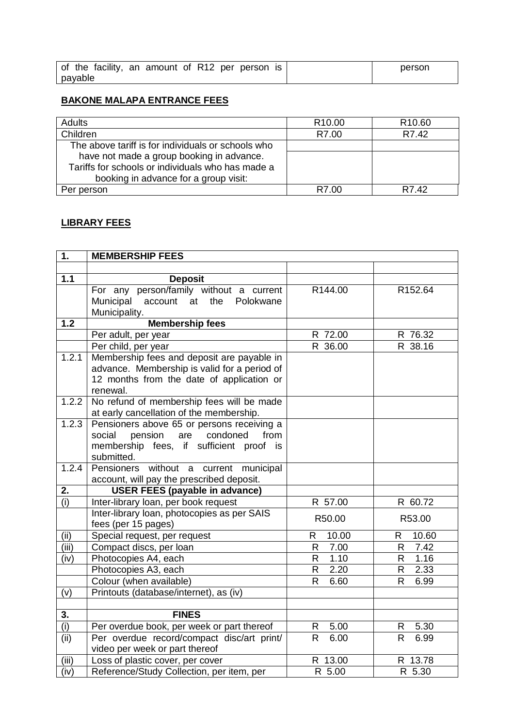|         | of the facility, an amount of R12 per person is | person |
|---------|-------------------------------------------------|--------|
| payable |                                                 |        |

# **BAKONE MALAPA ENTRANCE FEES**

| <b>Adults</b>                                      | R <sub>10.00</sub> | R <sub>10.60</sub> |
|----------------------------------------------------|--------------------|--------------------|
| Children                                           | R7.00              | R7.42              |
| The above tariff is for individuals or schools who |                    |                    |
| have not made a group booking in advance.          |                    |                    |
| Tariffs for schools or individuals who has made a  |                    |                    |
| booking in advance for a group visit:              |                    |                    |
| Per person                                         | R7.00              | R7.42              |

# **LIBRARY FEES**

| 1.    | <b>MEMBERSHIP FEES</b>                       |                      |                      |
|-------|----------------------------------------------|----------------------|----------------------|
|       |                                              |                      |                      |
| 1.1   | <b>Deposit</b>                               |                      |                      |
|       | For any person/family without a current      | R144.00              | R152.64              |
|       | Municipal account at<br>the Polokwane        |                      |                      |
|       | Municipality.                                |                      |                      |
| 1.2   | <b>Membership fees</b>                       |                      |                      |
|       | Per adult, per year                          | R 72.00              | R 76.32              |
|       | Per child, per year                          | R 36.00              | R 38.16              |
| 1.2.1 | Membership fees and deposit are payable in   |                      |                      |
|       | advance. Membership is valid for a period of |                      |                      |
|       | 12 months from the date of application or    |                      |                      |
|       | renewal.                                     |                      |                      |
| 1.2.2 | No refund of membership fees will be made    |                      |                      |
|       | at early cancellation of the membership.     |                      |                      |
| 1.2.3 | Pensioners above 65 or persons receiving a   |                      |                      |
|       | pension<br>condoned<br>social<br>are<br>from |                      |                      |
|       | membership fees, if sufficient proof is      |                      |                      |
|       | submitted.                                   |                      |                      |
| 1.2.4 | Pensioners without a current municipal       |                      |                      |
|       | account, will pay the prescribed deposit.    |                      |                      |
| 2.    | <b>USER FEES (payable in advance)</b>        |                      |                      |
| (i)   | Inter-library loan, per book request         | R 57.00              | R 60.72              |
|       | Inter-library loan, photocopies as per SAIS  | R50.00               | R53.00               |
|       | fees (per 15 pages)                          |                      |                      |
| (ii)  | Special request, per request                 | 10.00<br>R           | 10.60<br>R           |
| (iii) | Compact discs, per loan                      | 7.00<br>$\mathsf{R}$ | 7.42<br>R            |
| (iv)  | Photocopies A4, each                         | 1.10<br>$\mathsf{R}$ | 1.16<br>R.           |
|       | Photocopies A3, each                         | 2.20<br>$\mathsf{R}$ | 2.33<br>R            |
|       | Colour (when available)                      | $\mathsf{R}$<br>6.60 | $\mathsf{R}$<br>6.99 |
| (v)   | Printouts (database/internet), as (iv)       |                      |                      |
| 3.    | <b>FINES</b>                                 |                      |                      |
| (i)   | Per overdue book, per week or part thereof   | 5.00<br>R.           | 5.30<br>R            |
| (iii) | Per overdue record/compact disc/art print/   | 6.00<br>$\mathsf{R}$ | 6.99<br>$\mathsf{R}$ |
|       | video per week or part thereof               |                      |                      |
| (iii) |                                              |                      |                      |
|       | Loss of plastic cover, per cover             | R 13.00              | R 13.78              |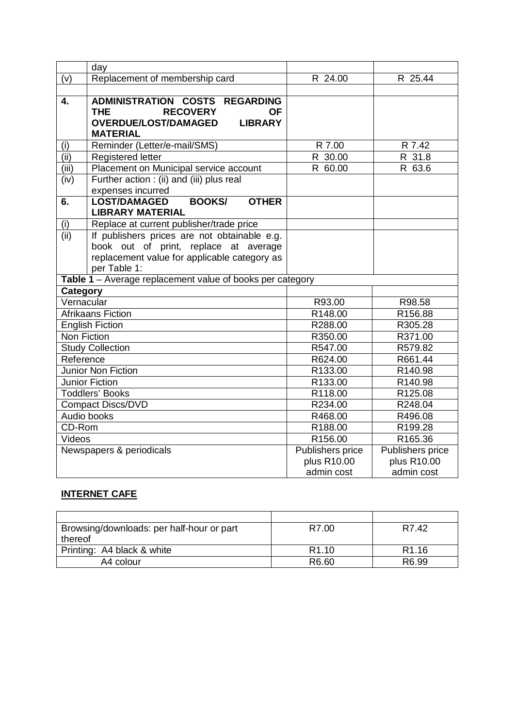|                    | day                                                       |                  |                  |
|--------------------|-----------------------------------------------------------|------------------|------------------|
| (v)                | Replacement of membership card                            | R 24.00          | R 25.44          |
|                    |                                                           |                  |                  |
| $\overline{4}$ .   | ADMINISTRATION COSTS REGARDING                            |                  |                  |
|                    | <b>RECOVERY</b><br><b>THE</b><br><b>OF</b>                |                  |                  |
|                    | <b>OVERDUE/LOST/DAMAGED</b><br><b>LIBRARY</b>             |                  |                  |
|                    | <b>MATERIAL</b>                                           |                  |                  |
| (i)                | Reminder (Letter/e-mail/SMS)                              | R 7.00           | R 7.42           |
| (ii)               | Registered letter                                         | R 30.00          | R 31.8           |
| (iii)              | Placement on Municipal service account                    | R 60.00          | R 63.6           |
| (iv)               | Further action : (ii) and (iii) plus real                 |                  |                  |
|                    | expenses incurred                                         |                  |                  |
| 6.                 | <b>OTHER</b><br><b>LOST/DAMAGED</b><br><b>BOOKS/</b>      |                  |                  |
|                    | <b>LIBRARY MATERIAL</b>                                   |                  |                  |
| $\frac{(i)}{(ii)}$ | Replace at current publisher/trade price                  |                  |                  |
|                    | If publishers prices are not obtainable e.g.              |                  |                  |
|                    | book out of print, replace at average                     |                  |                  |
|                    | replacement value for applicable category as              |                  |                  |
|                    | per Table 1:                                              |                  |                  |
|                    | Table 1 - Average replacement value of books per category |                  |                  |
| Category           |                                                           |                  |                  |
| Vernacular         |                                                           | R93.00           | R98.58           |
|                    | <b>Afrikaans Fiction</b>                                  | R148.00          | R156.88          |
|                    | <b>English Fiction</b>                                    | R288.00          | R305.28          |
| Non Fiction        |                                                           | R350.00          | R371.00          |
|                    | <b>Study Collection</b>                                   | R547.00          | R579.82          |
| Reference          |                                                           | R624.00          | R661.44          |
|                    | Junior Non Fiction                                        | R133.00          | R140.98          |
|                    | Junior Fiction                                            | R133.00          | R140.98          |
|                    | <b>Toddlers' Books</b>                                    | R118.00          | R125.08          |
|                    | <b>Compact Discs/DVD</b>                                  | R234.00          | R248.04          |
|                    | Audio books                                               | R468.00          | R496.08          |
| CD-Rom             |                                                           | R188.00          | R199.28          |
| Videos             |                                                           | R156.00          | R165.36          |
|                    | Newspapers & periodicals                                  | Publishers price | Publishers price |
|                    |                                                           | plus R10.00      | plus R10.00      |
|                    |                                                           | admin cost       | admin cost       |

# **INTERNET CAFE**

| Browsing/downloads: per half-hour or part | R7.00             | R7.42             |
|-------------------------------------------|-------------------|-------------------|
| thereof                                   |                   |                   |
| Printing: A4 black & white                | R <sub>1.10</sub> | R <sub>1.16</sub> |
| A4 colour                                 | R6.60             | R6.99             |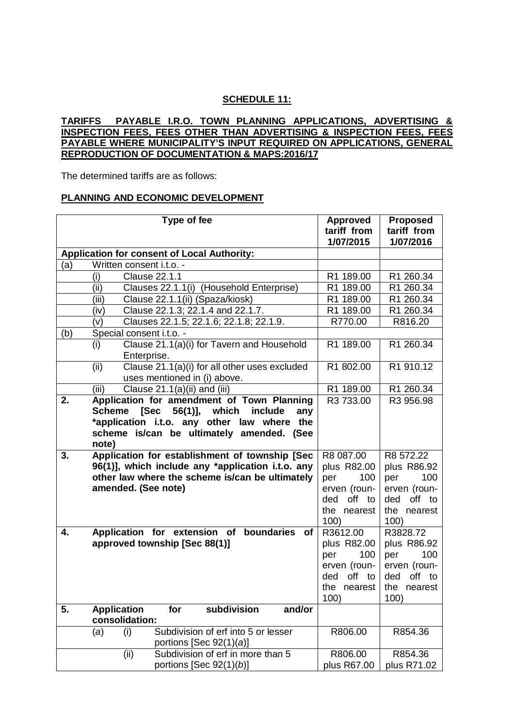## **SCHEDULE 11:**

### **TARIFFS PAYABLE I.R.O. TOWN PLANNING APPLICATIONS, ADVERTISING & INSPECTION FEES, FEES OTHER THAN ADVERTISING & INSPECTION FEES, FEES PAYABLE WHERE MUNICIPALITY'S INPUT REQUIRED ON APPLICATIONS, GENERAL REPRODUCTION OF DOCUMENTATION & MAPS:2016/17**

The determined tariffs are as follows:

#### **PLANNING AND ECONOMIC DEVELOPMENT**

|     | Type of fee                                                          | <b>Approved</b> | <b>Proposed</b> |
|-----|----------------------------------------------------------------------|-----------------|-----------------|
|     |                                                                      | tariff from     | tariff from     |
|     |                                                                      | 1/07/2015       | 1/07/2016       |
|     | <b>Application for consent of Local Authority:</b>                   |                 |                 |
| (a) | Written consent i.t.o. -                                             |                 |                 |
|     | <b>Clause 22.1.1</b><br>(i)                                          | R1 189.00       | R1 260.34       |
|     | Clauses 22.1.1(i) (Household Enterprise)<br>(ii)                     | R1 189.00       | R1 260.34       |
|     | (iii)<br>Clause 22.1.1(ii) (Spaza/kiosk)                             | R1 189.00       | R1 260.34       |
|     | Clause 22.1.3; 22.1.4 and 22.1.7.<br>(iv)                            | R1 189.00       | R1 260.34       |
|     | Clauses 22.1.5; 22.1.6; 22.1.8; 22.1.9.<br>(v)                       | R770.00         | R816.20         |
| (b) | Special consent i.t.o. -                                             |                 |                 |
|     | Clause 21.1(a)(i) for Tavern and Household<br>(i)                    | R1 189.00       | R1 260.34       |
|     | Enterprise.                                                          |                 |                 |
|     | Clause 21.1(a)(i) for all other uses excluded<br>(ii)                | R1 802.00       | R1 910.12       |
|     | uses mentioned in (i) above.                                         |                 |                 |
|     | (iii)<br>Clause 21.1(a)(ii) and (iii)                                | R1 189.00       | R1 260.34       |
| 2.  | Application for amendment of Town Planning                           | R3 733.00       | R3 956.98       |
|     | [Sec<br>which<br>56(1)],<br>include<br>Scheme<br>any                 |                 |                 |
|     | *application i.t.o. any other law where<br>the                       |                 |                 |
|     | scheme is/can be ultimately amended. (See                            |                 |                 |
|     | note)                                                                |                 |                 |
| 3.  | Application for establishment of township [Sec                       | R8 087.00       | R8 572.22       |
|     | 96(1)], which include any *application i.t.o. any                    | plus R82.00     | plus R86.92     |
|     | other law where the scheme is/can be ultimately                      | 100<br>per      | 100<br>per      |
|     | amended. (See note)                                                  | erven (roun-    | erven (roun-    |
|     |                                                                      | off to<br>ded   | off to<br>ded   |
|     |                                                                      | the nearest     | the<br>nearest  |
|     |                                                                      | 100)            | 100)            |
| 4.  | Application for extension of boundaries of                           | R3612.00        | R3828.72        |
|     | approved township [Sec 88(1)]                                        | plus R82.00     | plus R86.92     |
|     |                                                                      | 100<br>per      | 100<br>per      |
|     |                                                                      | erven (roun-    | erven (roun-    |
|     |                                                                      | off to<br>ded   | off to<br>ded   |
|     |                                                                      | the nearest     | the<br>nearest  |
|     |                                                                      | 100)            | 100)            |
| 5.  | <b>Application</b><br>for<br>subdivision<br>and/or<br>consolidation: |                 |                 |
|     | Subdivision of erf into 5 or lesser<br>(i)<br>(a)                    | R806.00         | R854.36         |
|     | portions [Sec $92(1)(a)$ ]                                           |                 |                 |
|     | (ii)<br>Subdivision of erf in more than 5                            | R806.00         | R854.36         |
|     | portions [Sec $92(1)(b)$ ]                                           | plus R67.00     | plus R71.02     |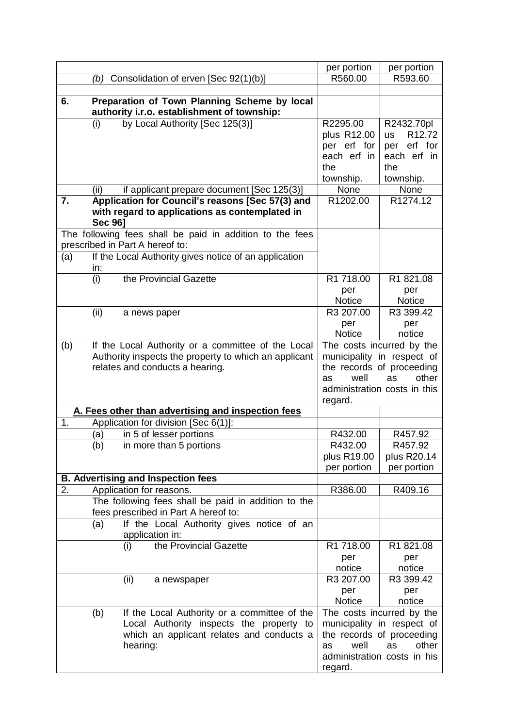|     |                                                                                                                      | per portion                                           | per portion                                                                 |
|-----|----------------------------------------------------------------------------------------------------------------------|-------------------------------------------------------|-----------------------------------------------------------------------------|
|     | Consolidation of erven [Sec 92(1)(b)]<br>(b)                                                                         | R560.00                                               | R593.60                                                                     |
|     |                                                                                                                      |                                                       |                                                                             |
| 6.  | Preparation of Town Planning Scheme by local<br>authority i.r.o. establishment of township:                          |                                                       |                                                                             |
|     | by Local Authority [Sec 125(3)]<br>(i)                                                                               | R2295.00<br>plus R12.00<br>per erf for<br>each erf in | R2432.70pl<br>R <sub>12.72</sub><br><b>US</b><br>per erf for<br>each erf in |
|     |                                                                                                                      | the                                                   | the                                                                         |
|     |                                                                                                                      | township.                                             | township.                                                                   |
|     | (ii)<br>if applicant prepare document [Sec 125(3)]                                                                   | None                                                  | None                                                                        |
| 7.  | Application for Council's reasons [Sec 57(3) and<br>with regard to applications as contemplated in<br><b>Sec 961</b> | R1202.00                                              | R1274.12                                                                    |
|     | The following fees shall be paid in addition to the fees<br>prescribed in Part A hereof to:                          |                                                       |                                                                             |
| (a) | If the Local Authority gives notice of an application                                                                |                                                       |                                                                             |
|     | in:                                                                                                                  |                                                       |                                                                             |
|     | the Provincial Gazette<br>(i)                                                                                        | R1 718.00                                             | R1 821.08                                                                   |
|     |                                                                                                                      | per                                                   | per                                                                         |
|     |                                                                                                                      | <b>Notice</b>                                         | <b>Notice</b>                                                               |
|     | (ii)<br>a news paper                                                                                                 | R3 207.00                                             | R3 399.42                                                                   |
|     |                                                                                                                      | per                                                   | per                                                                         |
|     |                                                                                                                      | <b>Notice</b>                                         | notice                                                                      |
| (b) | If the Local Authority or a committee of the Local                                                                   |                                                       | The costs incurred by the<br>municipality in respect of                     |
|     | Authority inspects the property to which an applicant<br>relates and conducts a hearing.                             |                                                       | the records of proceeding                                                   |
|     |                                                                                                                      | well<br>as                                            | other<br>as                                                                 |
|     |                                                                                                                      |                                                       | administration costs in this                                                |
|     |                                                                                                                      | regard.                                               |                                                                             |
|     | A. Fees other than advertising and inspection fees                                                                   |                                                       |                                                                             |
| 1.  | Application for division [Sec 6(1)]:                                                                                 |                                                       |                                                                             |
|     | (a)<br>in 5 of lesser portions                                                                                       | R432.00                                               | R457.92                                                                     |
|     | (b)<br>in more than 5 portions                                                                                       | R432.00                                               | R457.92                                                                     |
|     |                                                                                                                      | plus R19.00                                           | plus R20.14                                                                 |
|     |                                                                                                                      | per portion                                           | per portion                                                                 |
|     | <b>B. Advertising and Inspection fees</b>                                                                            |                                                       |                                                                             |
| 2.  | Application for reasons.                                                                                             | R386.00                                               | R409.16                                                                     |
|     | The following fees shall be paid in addition to the<br>fees prescribed in Part A hereof to:                          |                                                       |                                                                             |
|     | If the Local Authority gives notice of an<br>(a)                                                                     |                                                       |                                                                             |
|     | application in:                                                                                                      |                                                       |                                                                             |
|     | the Provincial Gazette<br>(i)                                                                                        | R1 718.00                                             | R1 821.08                                                                   |
|     |                                                                                                                      | per                                                   | per                                                                         |
|     |                                                                                                                      | notice                                                | notice                                                                      |
|     | (ii)<br>a newspaper                                                                                                  | R3 207.00                                             | R3 399.42                                                                   |
|     |                                                                                                                      | per                                                   | per                                                                         |
|     |                                                                                                                      | <b>Notice</b>                                         | notice                                                                      |
|     | If the Local Authority or a committee of the<br>(b)                                                                  |                                                       | The costs incurred by the                                                   |
|     | Local Authority inspects the property to                                                                             |                                                       | municipality in respect of                                                  |
|     | which an applicant relates and conducts a                                                                            |                                                       | the records of proceeding                                                   |
|     | hearing:                                                                                                             | well<br>as                                            | other<br>as                                                                 |
|     |                                                                                                                      | regard.                                               | administration costs in his                                                 |
|     |                                                                                                                      |                                                       |                                                                             |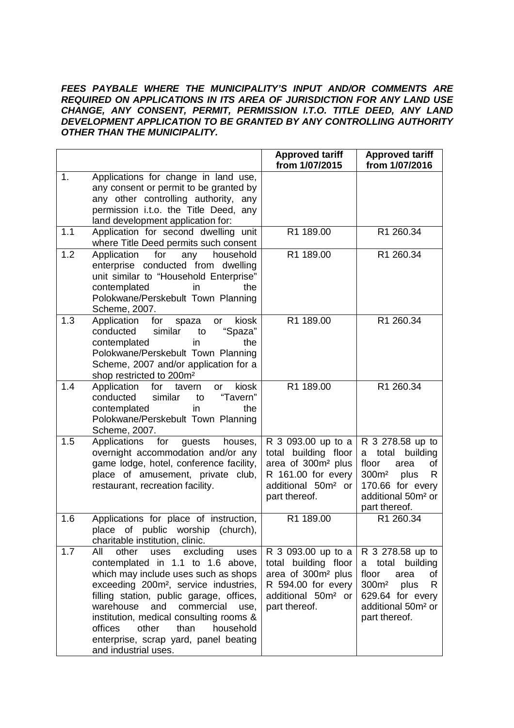#### *FEES PAYBALE WHERE THE MUNICIPALITY'S INPUT AND/OR COMMENTS ARE REQUIRED ON APPLICATIONS IN ITS AREA OF JURISDICTION FOR ANY LAND USE CHANGE, ANY CONSENT, PERMIT, PERMISSION I.T.O. TITLE DEED, ANY LAND DEVELOPMENT APPLICATION TO BE GRANTED BY ANY CONTROLLING AUTHORITY OTHER THAN THE MUNICIPALITY.*

|     |                                                                                                                                                                                                                                                                                                                                                                                                                        | <b>Approved tariff</b><br>from 1/07/2015                                                                                                              | <b>Approved tariff</b><br>from 1/07/2016                                                                                                                                   |
|-----|------------------------------------------------------------------------------------------------------------------------------------------------------------------------------------------------------------------------------------------------------------------------------------------------------------------------------------------------------------------------------------------------------------------------|-------------------------------------------------------------------------------------------------------------------------------------------------------|----------------------------------------------------------------------------------------------------------------------------------------------------------------------------|
| 1.  | Applications for change in land use,<br>any consent or permit to be granted by<br>any other controlling authority, any<br>permission i.t.o. the Title Deed, any<br>land development application for:                                                                                                                                                                                                                   |                                                                                                                                                       |                                                                                                                                                                            |
| 1.1 | Application for second dwelling unit<br>where Title Deed permits such consent                                                                                                                                                                                                                                                                                                                                          | R1 189.00                                                                                                                                             | R1 260.34                                                                                                                                                                  |
| 1.2 | Application<br>household<br>for<br>any<br>enterprise conducted from dwelling<br>unit similar to "Household Enterprise"<br>contemplated<br>in.<br>the<br>Polokwane/Perskebult Town Planning<br>Scheme, 2007.                                                                                                                                                                                                            | R1 189.00                                                                                                                                             | R1 260.34                                                                                                                                                                  |
| 1.3 | Application<br>for<br>kiosk<br>spaza<br>or<br>"Spaza"<br>conducted<br>similar<br>to<br>contemplated<br>the<br>in<br>Polokwane/Perskebult Town Planning<br>Scheme, 2007 and/or application for a<br>shop restricted to 200m <sup>2</sup>                                                                                                                                                                                | R1 189.00                                                                                                                                             | R1 260.34                                                                                                                                                                  |
| 1.4 | Application<br>kiosk<br>for<br>tavern<br>or<br>conducted<br>"Tavern"<br>similar<br>to<br>contemplated<br>the<br>in<br>Polokwane/Perskebult Town Planning<br>Scheme, 2007.                                                                                                                                                                                                                                              | R1 189.00                                                                                                                                             | R1 260.34                                                                                                                                                                  |
| 1.5 | Applications<br>for<br>guests<br>houses,<br>overnight accommodation and/or any<br>game lodge, hotel, conference facility,<br>place of amusement, private club,<br>restaurant, recreation facility.                                                                                                                                                                                                                     | R 3 093.00 up to a<br>total building floor<br>area of 300m <sup>2</sup> plus<br>R 161.00 for every<br>additional 50m <sup>2</sup> or<br>part thereof. | R 3 278.58 up to<br>building<br>total<br>a<br>floor<br>area<br>οf<br>300m <sup>2</sup><br>plus<br>R<br>170.66 for every<br>additional 50m <sup>2</sup> or<br>part thereof. |
| 1.6 | Applications for place of instruction,<br>place of public worship<br>(church),<br>charitable institution, clinic.                                                                                                                                                                                                                                                                                                      | R1 189.00                                                                                                                                             | R1 260.34                                                                                                                                                                  |
| 1.7 | All<br>other<br>excluding<br>uses<br>uses<br>contemplated in 1.1 to 1.6 above,<br>which may include uses such as shops<br>exceeding 200m <sup>2</sup> , service industries,<br>filling station, public garage, offices,<br>warehouse<br>and<br>commercial<br>use,<br>institution, medical consulting rooms &<br>household<br>offices<br>other<br>than<br>enterprise, scrap yard, panel beating<br>and industrial uses. | R 3 093.00 up to a<br>total building floor<br>area of 300m <sup>2</sup> plus<br>R 594.00 for every<br>additional 50m <sup>2</sup> or<br>part thereof. | R 3 278.58 up to<br>a total building<br>floor<br>area<br>Οf<br>300m <sup>2</sup><br>plus<br>R<br>629.64 for every<br>additional 50m <sup>2</sup> or<br>part thereof.       |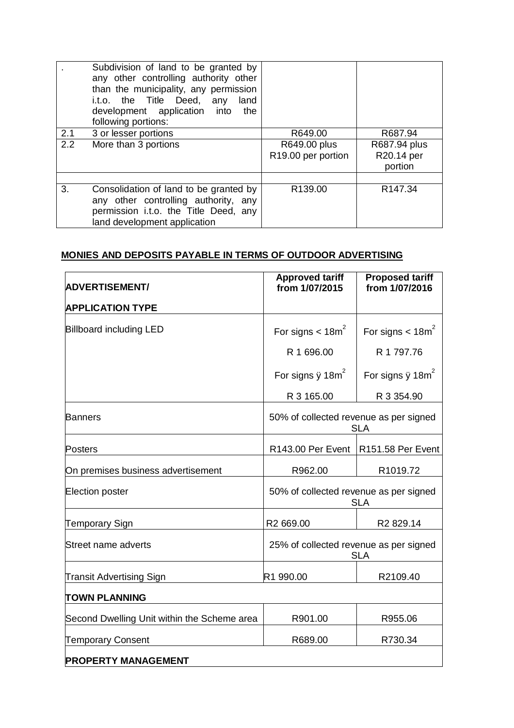|     | Subdivision of land to be granted by<br>any other controlling authority other<br>than the municipality, any permission<br>i.t.o. the Title Deed, any<br>land<br>development application into<br>the<br>following portions: |                                    |                                       |
|-----|----------------------------------------------------------------------------------------------------------------------------------------------------------------------------------------------------------------------------|------------------------------------|---------------------------------------|
| 2.1 | 3 or lesser portions                                                                                                                                                                                                       | R649.00                            | R687.94                               |
| 2.2 | More than 3 portions                                                                                                                                                                                                       | R649.00 plus<br>R19.00 per portion | R687.94 plus<br>R20.14 per<br>portion |
| 3.  | Consolidation of land to be granted by<br>any other controlling authority, any<br>permission i.t.o. the Title Deed, any<br>land development application                                                                    | R139.00                            | R <sub>147.34</sub>                   |

# **MONIES AND DEPOSITS PAYABLE IN TERMS OF OUTDOOR ADVERTISING**

| <b>ADVERTISEMENT/</b>                       | <b>Approved tariff</b><br>from 1/07/2015             | <b>Proposed tariff</b><br>from 1/07/2016 |
|---------------------------------------------|------------------------------------------------------|------------------------------------------|
| <b>APPLICATION TYPE</b>                     |                                                      |                                          |
| <b>Billboard including LED</b>              | For signs $<$ 18m <sup>2</sup>                       | For signs $<$ 18m <sup>2</sup>           |
|                                             | R 1 696.00                                           | R 1 797.76                               |
|                                             | For signs $\ddot{y}$ 18m <sup>2</sup>                | For signs $\ddot{y}$ 18m <sup>2</sup>    |
|                                             | R 3 165.00                                           | R 3 354.90                               |
| <b>Banners</b>                              | 50% of collected revenue as per signed<br><b>SLA</b> |                                          |
| <b>Posters</b>                              | R143.00 Per Event   R151.58 Per Event                |                                          |
| On premises business advertisement          | R962.00                                              | R1019.72                                 |
| Election poster                             | 50% of collected revenue as per signed<br><b>SLA</b> |                                          |
| <b>Temporary Sign</b>                       | R2 669.00                                            | R2 829.14                                |
| Street name adverts                         | 25% of collected revenue as per signed               | <b>SLA</b>                               |
| <b>Transit Advertising Sign</b>             | R1 990.00                                            | R2109.40                                 |
| <b>TOWN PLANNING</b>                        |                                                      |                                          |
| Second Dwelling Unit within the Scheme area | R901.00                                              | R955.06                                  |
| <b>Temporary Consent</b>                    | R689.00                                              | R730.34                                  |
| <b>PROPERTY MANAGEMENT</b>                  |                                                      |                                          |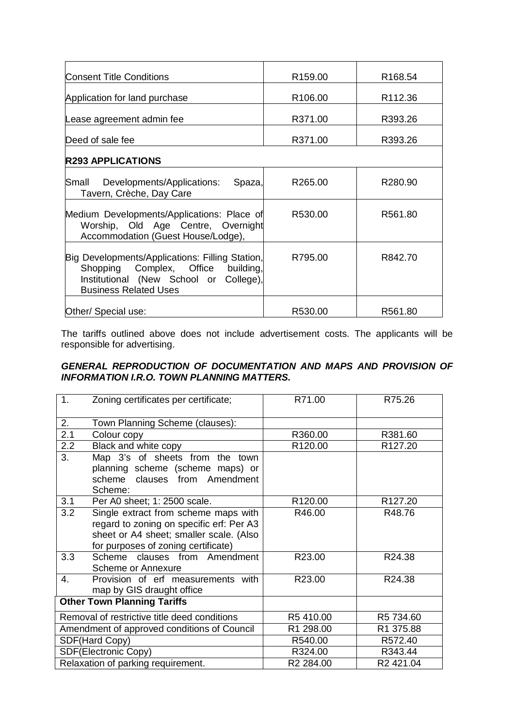| <b>Consent Title Conditions</b>                                                                                                                                 | R <sub>159.00</sub> | R <sub>168.54</sub> |
|-----------------------------------------------------------------------------------------------------------------------------------------------------------------|---------------------|---------------------|
| Application for land purchase                                                                                                                                   | R <sub>106.00</sub> | R112.36             |
| Lease agreement admin fee                                                                                                                                       | R371.00             | R393.26             |
| Deed of sale fee                                                                                                                                                | R371.00             | R393.26             |
| <b>R293 APPLICATIONS</b>                                                                                                                                        |                     |                     |
| Developments/Applications:<br>Small<br>Spaza,<br>Tavern, Crèche, Day Care                                                                                       | R265.00             | R280.90             |
| Medium Developments/Applications: Place of<br>Worship, Old Age Centre, Overnight<br>Accommodation (Guest House/Lodge),                                          | R530.00             | R561.80             |
| Big Developments/Applications: Filling Station,<br>Shopping Complex, Office building,<br>Institutional (New School or College),<br><b>Business Related Uses</b> | R795.00             | R842.70             |
| Other/ Special use:                                                                                                                                             | R530.00             | R561.80             |

The tariffs outlined above does not include advertisement costs. The applicants will be responsible for advertising.

## **GENERAL REPRODUCTION OF DOCUMENTATION AND MAPS AND PROVISION OF** *INFORMATION I.R.O. TOWN PLANNING MATTERS.*

| 1.                                          | Zoning certificates per certificate;         | R71.00                | R75.26                |
|---------------------------------------------|----------------------------------------------|-----------------------|-----------------------|
| 2.                                          | Town Planning Scheme (clauses):              |                       |                       |
| 2.1                                         | Colour copy                                  | R360.00               | R381.60               |
| 2.2                                         | Black and white copy                         | R120.00               | R <sub>127.20</sub>   |
| 3.                                          | Map 3's of sheets from the town              |                       |                       |
|                                             | planning scheme (scheme maps) or             |                       |                       |
|                                             | scheme clauses from Amendment                |                       |                       |
|                                             | Scheme:                                      |                       |                       |
| 3.1                                         | Per A0 sheet; 1: 2500 scale.                 | R <sub>120.00</sub>   | R <sub>127.20</sub>   |
| 3.2                                         | Single extract from scheme maps with         | R46.00                | R48.76                |
|                                             | regard to zoning on specific erf: Per A3     |                       |                       |
|                                             | sheet or A4 sheet; smaller scale. (Also      |                       |                       |
|                                             | for purposes of zoning certificate)          |                       |                       |
| 3.3                                         | Scheme<br>clauses from Amendment             | R23.00                | R24.38                |
|                                             | <b>Scheme or Annexure</b>                    |                       |                       |
| $\mathbf{4}_{\cdot}$                        | Provision of erf measurements with           | R23.00                | R24.38                |
|                                             | map by GIS draught office                    |                       |                       |
|                                             | <b>Other Town Planning Tariffs</b>           |                       |                       |
|                                             | Removal of restrictive title deed conditions | R5410.00              | R5 734.60             |
| Amendment of approved conditions of Council |                                              | R1 298.00             | R1 375.88             |
| SDF(Hard Copy)                              |                                              | R540.00               | R572.40               |
| SDF(Electronic Copy)                        |                                              | R324.00               | R343.44               |
| Relaxation of parking requirement.          |                                              | R <sub>2</sub> 284.00 | R <sub>2</sub> 421.04 |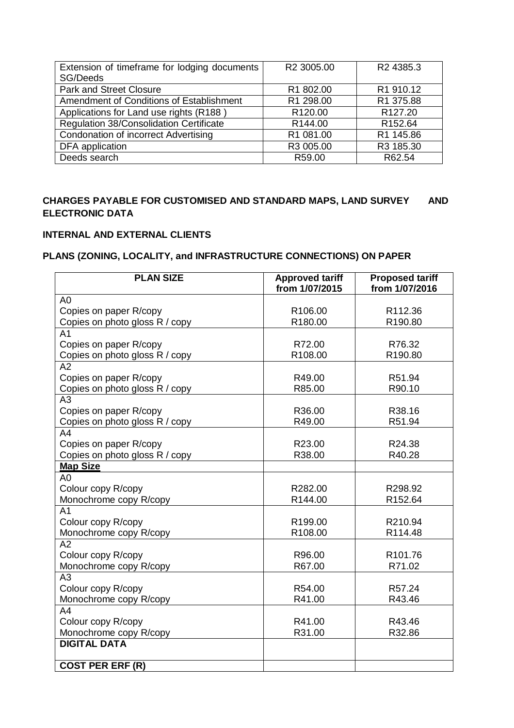| Extension of timeframe for lodging documents   | R2 3005.00          | R <sub>2</sub> 4385.3 |
|------------------------------------------------|---------------------|-----------------------|
| SG/Deeds                                       |                     |                       |
| <b>Park and Street Closure</b>                 | R1 802.00           | R1 910.12             |
| Amendment of Conditions of Establishment       | R1 298.00           | R1 375.88             |
| Applications for Land use rights (R188)        | R <sub>120.00</sub> | R <sub>127.20</sub>   |
| <b>Regulation 38/Consolidation Certificate</b> | R <sub>144.00</sub> | R <sub>152.64</sub>   |
| Condonation of incorrect Advertising           | R1 081.00           | R1 145.86             |
| DFA application                                | R3 005.00           | R3 185.30             |
| Deeds search                                   | R59.00              | R62.54                |

# **CHARGES PAYABLE FOR CUSTOMISED AND STANDARD MAPS, LAND SURVEY AND ELECTRONIC DATA**

## **INTERNAL AND EXTERNAL CLIENTS**

# **PLANS (ZONING, LOCALITY, and INFRASTRUCTURE CONNECTIONS) ON PAPER**

| <b>PLAN SIZE</b>                     | <b>Approved tariff</b><br>from 1/07/2015 | <b>Proposed tariff</b><br>from 1/07/2016 |
|--------------------------------------|------------------------------------------|------------------------------------------|
| A <sub>0</sub>                       |                                          |                                          |
| Copies on paper R/copy               | R106.00                                  | R112.36                                  |
| Copies on photo gloss R / copy       | R180.00                                  | R190.80                                  |
| A <sub>1</sub>                       |                                          |                                          |
| Copies on paper R/copy               | R72.00                                   | R76.32                                   |
| Copies on photo gloss R / copy       | R108.00                                  | R190.80                                  |
| A2                                   |                                          |                                          |
|                                      |                                          |                                          |
| Copies on paper R/copy               | R49.00<br>R85.00                         | R51.94<br>R90.10                         |
| Copies on photo gloss R / copy<br>A3 |                                          |                                          |
|                                      | R36.00                                   | R38.16                                   |
| Copies on paper R/copy               | R49.00                                   | R51.94                                   |
| Copies on photo gloss R / copy       |                                          |                                          |
| A <sub>4</sub>                       |                                          |                                          |
| Copies on paper R/copy               | R23.00                                   | R24.38                                   |
| Copies on photo gloss R / copy       | R38.00                                   | R40.28                                   |
| <b>Map Size</b>                      |                                          |                                          |
| A <sub>0</sub>                       |                                          |                                          |
| Colour copy R/copy                   | R282.00                                  | R298.92                                  |
| Monochrome copy R/copy               | R144.00                                  | R152.64                                  |
| A <sub>1</sub>                       |                                          |                                          |
| Colour copy R/copy                   | R199.00                                  | R210.94                                  |
| Monochrome copy R/copy               | R108.00                                  | R114.48                                  |
| A2                                   |                                          |                                          |
| Colour copy R/copy                   | R96.00                                   | R <sub>101.76</sub>                      |
| Monochrome copy R/copy               | R67.00                                   | R71.02                                   |
| A3                                   |                                          |                                          |
| Colour copy R/copy                   | R54.00                                   | R57.24                                   |
| Monochrome copy R/copy               | R41.00                                   | R43.46                                   |
| A4                                   |                                          |                                          |
| Colour copy R/copy                   | R41.00                                   | R43.46                                   |
| Monochrome copy R/copy               | R31.00                                   | R32.86                                   |
| <b>DIGITAL DATA</b>                  |                                          |                                          |
| <b>COST PER ERF (R)</b>              |                                          |                                          |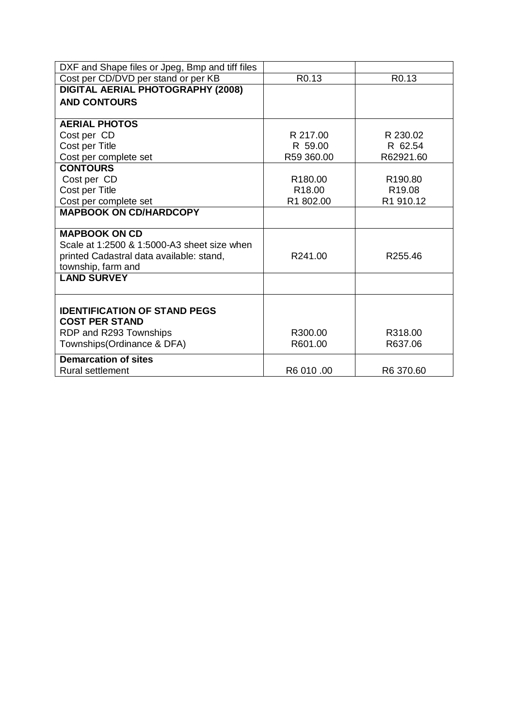| DXF and Shape files or Jpeg, Bmp and tiff files |                     |                     |
|-------------------------------------------------|---------------------|---------------------|
| Cost per CD/DVD per stand or per KB             | R <sub>0.13</sub>   | R <sub>0.13</sub>   |
| DIGITAL AERIAL PHOTOGRAPHY (2008)               |                     |                     |
| <b>AND CONTOURS</b>                             |                     |                     |
|                                                 |                     |                     |
| <b>AERIAL PHOTOS</b>                            |                     |                     |
| Cost per CD                                     | R 217.00            | R 230.02            |
| Cost per Title                                  | R 59.00             | R 62.54             |
| Cost per complete set                           | R59 360.00          | R62921.60           |
| <b>CONTOURS</b>                                 |                     |                     |
| Cost per CD                                     | R <sub>180.00</sub> | R <sub>190.80</sub> |
| Cost per Title                                  | R <sub>18.00</sub>  | R <sub>19.08</sub>  |
| Cost per complete set                           | R1 802.00           | R1 910.12           |
| <b>MAPBOOK ON CD/HARDCOPY</b>                   |                     |                     |
|                                                 |                     |                     |
| <b>MAPBOOK ON CD</b>                            |                     |                     |
| Scale at 1:2500 & 1:5000-A3 sheet size when     |                     |                     |
| printed Cadastral data available: stand,        | R241.00             | R255.46             |
| township, farm and                              |                     |                     |
| <b>LAND SURVEY</b>                              |                     |                     |
|                                                 |                     |                     |
| <b>IDENTIFICATION OF STAND PEGS</b>             |                     |                     |
| <b>COST PER STAND</b>                           |                     |                     |
| RDP and R293 Townships                          | R300.00             | R318.00             |
| Townships(Ordinance & DFA)                      | R601.00             | R637.06             |
|                                                 |                     |                     |
| <b>Demarcation of sites</b>                     |                     |                     |
| <b>Rural settlement</b>                         | R6 010 .00          | R6 370.60           |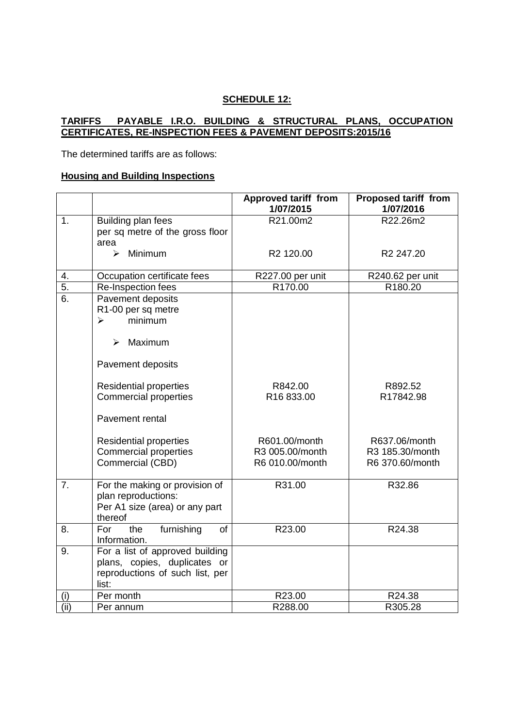## **SCHEDULE 12:**

#### **TARIFFS PAYABLE I.R.O. BUILDING & STRUCTURAL PLANS, OCCUPATION CERTIFICATES, RE-INSPECTION FEES & PAVEMENT DEPOSITS:2015/16**

The determined tariffs are as follows:

## **Housing and Building Inspections**

|                  |                                                                                                                 | <b>Approved tariff from</b><br>1/07/2015            | <b>Proposed tariff from</b><br>1/07/2016            |
|------------------|-----------------------------------------------------------------------------------------------------------------|-----------------------------------------------------|-----------------------------------------------------|
| 1.               | Building plan fees<br>per sq metre of the gross floor<br>area                                                   | R21.00m2                                            | R22.26m2                                            |
|                  | Minimum<br>↘                                                                                                    | R2 120.00                                           | R <sub>2</sub> 247.20                               |
| 4.               | Occupation certificate fees                                                                                     | R227.00 per unit                                    | R240.62 per unit                                    |
| $\overline{5}$ . | Re-Inspection fees                                                                                              | R <sub>170.00</sub>                                 | R180.20                                             |
| 6.               | Pavement deposits<br>R1-00 per sq metre<br>minimum<br>$\blacktriangleright$<br>Maximum<br>$\blacktriangleright$ |                                                     |                                                     |
|                  | Pavement deposits                                                                                               |                                                     |                                                     |
|                  | <b>Residential properties</b><br><b>Commercial properties</b>                                                   | R842.00<br>R16833.00                                | R892.52<br>R17842.98                                |
|                  | Pavement rental                                                                                                 |                                                     |                                                     |
|                  | <b>Residential properties</b><br><b>Commercial properties</b><br>Commercial (CBD)                               | R601.00/month<br>R3 005.00/month<br>R6 010.00/month | R637.06/month<br>R3 185.30/month<br>R6 370.60/month |
| $\overline{7}$ . | For the making or provision of<br>plan reproductions:<br>Per A1 size (area) or any part<br>thereof              | R31.00                                              | R32.86                                              |
| 8.               | furnishing<br>For<br>the<br>of<br>Information.                                                                  | R23.00                                              | R24.38                                              |
| 9.               | For a list of approved building<br>plans, copies, duplicates or<br>reproductions of such list, per<br>list:     |                                                     |                                                     |
| (i)              | Per month                                                                                                       | R23.00                                              | R24.38                                              |
| (ii)             | Per annum                                                                                                       | R288.00                                             | R305.28                                             |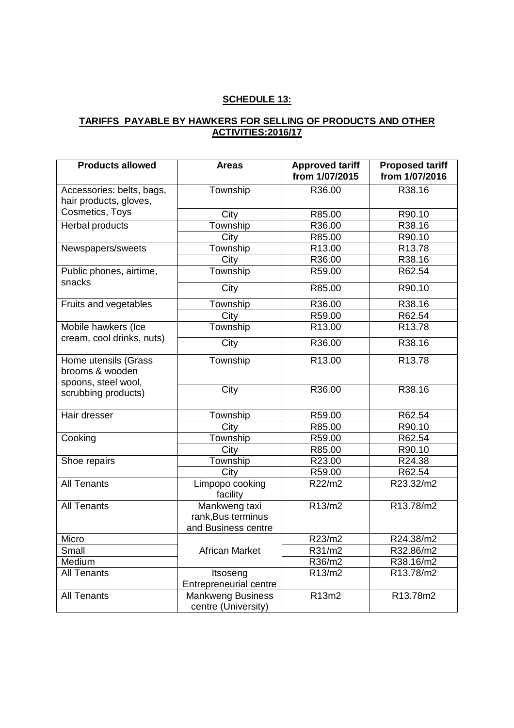# **SCHEDULE 13:**

# **TARIFFS PAYABLE BY HAWKERS FOR SELLING OF PRODUCTS AND OTHER ACTIVITIES:2016/17**

| <b>Products allowed</b>                                        | <b>Areas</b>                                               | <b>Approved tariff</b><br>from 1/07/2015 | <b>Proposed tariff</b><br>from 1/07/2016 |
|----------------------------------------------------------------|------------------------------------------------------------|------------------------------------------|------------------------------------------|
| Accessories: belts, bags,<br>hair products, gloves,            | Township                                                   | R36.00                                   | R38.16                                   |
| Cosmetics, Toys                                                | City                                                       | R85.00                                   | R90.10                                   |
| Herbal products                                                | Township                                                   | R36.00                                   | R38.16                                   |
|                                                                | City                                                       | R85.00                                   | R90.10                                   |
| Newspapers/sweets                                              | Township                                                   | R13.00                                   | R13.78                                   |
|                                                                | City                                                       | R36.00                                   | R38.16                                   |
| Public phones, airtime,<br>snacks                              | Township                                                   | R59.00                                   | R62.54                                   |
|                                                                | City                                                       | R85.00                                   | R90.10                                   |
| Fruits and vegetables                                          | Township                                                   | R36.00                                   | R38.16                                   |
|                                                                | City                                                       | R59.00                                   | R62.54                                   |
| Mobile hawkers (Ice<br>cream, cool drinks, nuts)               | Township                                                   | R13.00                                   | R13.78                                   |
|                                                                | City                                                       | R36.00                                   | R38.16                                   |
| Home utensils (Grass<br>brooms & wooden<br>spoons, steel wool, | Township                                                   | R13.00                                   | R13.78                                   |
| scrubbing products)                                            | City                                                       | R36.00                                   | R38.16                                   |
| Hair dresser                                                   | Township                                                   | R59.00                                   | R62.54                                   |
|                                                                | City                                                       | R85.00                                   | R90.10                                   |
| Cooking                                                        | Township                                                   | R59.00                                   | R62.54                                   |
|                                                                | City                                                       | R85.00                                   | R90.10                                   |
| Shoe repairs                                                   | Township                                                   | R23.00                                   | R24.38                                   |
|                                                                | City                                                       | R59.00                                   | R62.54                                   |
| <b>All Tenants</b>                                             | Limpopo cooking<br>facility                                | R22/m2                                   | R23.32/m2                                |
| <b>All Tenants</b>                                             | Mankweng taxi<br>rank, Bus terminus<br>and Business centre | R13/m2                                   | R13.78/m2                                |
| Micro                                                          |                                                            | R23/m2                                   | R24.38/m2                                |
| Small                                                          | African Market                                             | R31/m2                                   | R32.86/m2                                |
| Medium                                                         |                                                            | R36/m2                                   | R38.16/m2                                |
| <b>All Tenants</b>                                             | Itsoseng<br><b>Entrepreneurial centre</b>                  | $\overline{R}$ 13/m2                     | R13.78/m2                                |
| <b>All Tenants</b>                                             | <b>Mankweng Business</b><br>centre (University)            | R13m2                                    | R13.78m2                                 |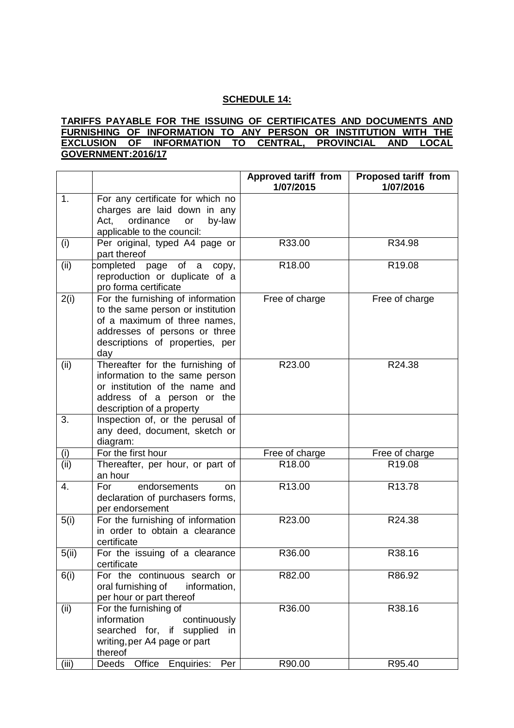## **SCHEDULE 14:**

#### **TARIFFS PAYABLE FOR THE ISSUING OF CERTIFICATES AND DOCUMENTS AND FURNISHING OF INFORMATION TO ANY PERSON OR INSTITUTION WITH THE EXCLUSION OF INFORMATION TO CENTRAL, PROVINCIAL AND LOCAL GOVERNMENT:2016/17**

|       |                                                                                                                                                                                   | <b>Approved tariff from</b><br>1/07/2015 | <b>Proposed tariff from</b><br>1/07/2016 |
|-------|-----------------------------------------------------------------------------------------------------------------------------------------------------------------------------------|------------------------------------------|------------------------------------------|
| 1.    | For any certificate for which no<br>charges are laid down in any<br>ordinance<br>Act,<br>by-law<br>or<br>applicable to the council:                                               |                                          |                                          |
| (i)   | Per original, typed A4 page or<br>part thereof                                                                                                                                    | R33.00                                   | R34.98                                   |
| (ii)  | completed<br>page of a<br>сору,<br>reproduction or duplicate of a<br>pro forma certificate                                                                                        | R18.00                                   | R <sub>19.08</sub>                       |
| 2(i)  | For the furnishing of information<br>to the same person or institution<br>of a maximum of three names,<br>addresses of persons or three<br>descriptions of properties, per<br>day | Free of charge                           | Free of charge                           |
| (ii)  | Thereafter for the furnishing of<br>information to the same person<br>or institution of the name and<br>address of a person or the<br>description of a property                   | R23.00                                   | R24.38                                   |
| 3.    | Inspection of, or the perusal of<br>any deed, document, sketch or<br>diagram:                                                                                                     |                                          |                                          |
| (i)   | For the first hour                                                                                                                                                                | Free of charge                           | Free of charge                           |
| (ii)  | Thereafter, per hour, or part of<br>an hour                                                                                                                                       | R18.00                                   | R19.08                                   |
| 4.    | endorsements<br>For<br>on<br>declaration of purchasers forms,<br>per endorsement                                                                                                  | R13.00                                   | R13.78                                   |
| 5(i)  | For the furnishing of information<br>in order to obtain a clearance<br>certificate                                                                                                | R23.00                                   | R24.38                                   |
| 5(ii) | For the issuing of a clearance<br>certificate                                                                                                                                     | R36.00                                   | R38.16                                   |
| 6(i)  | For the continuous search or<br>oral furnishing of<br>information,<br>per hour or part thereof                                                                                    | R82.00                                   | R86.92                                   |
| (ii)  | For the furnishing of<br>information<br>continuously<br>searched for, if supplied<br>in<br>writing, per A4 page or part<br>thereof                                                | R36.00                                   | R38.16                                   |
| (iii) | <b>Deeds</b><br>Office<br>Enquiries:<br>Per                                                                                                                                       | R90.00                                   | R95.40                                   |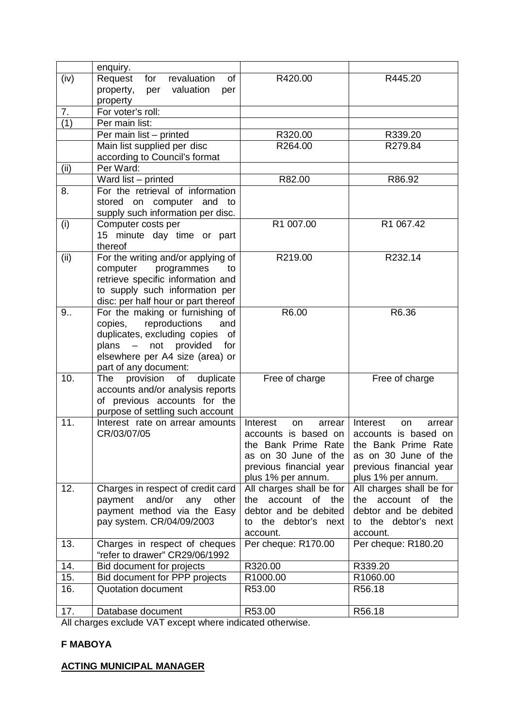| revaluation<br>R420.00<br>(iv)<br>Request<br>for<br>0f<br>R445.20<br>per valuation<br>property,<br>per<br>property<br>For voter's roll:<br>7.<br>(1)<br>Per main list:<br>Per main list - printed<br>R320.00<br>R339.20<br>Main list supplied per disc<br>R279.84<br>R264.00<br>according to Council's format<br>Per Ward:<br>(ii)<br>Ward list - printed<br>R82.00<br>R86.92<br>For the retrieval of information<br>8.<br>stored on computer and to<br>supply such information per disc.<br>R1 007.00<br>R1 067.42<br>(i)<br>Computer costs per<br>15 minute day time or part<br>thereof<br>For the writing and/or applying of<br>(ii)<br>R219.00<br>R232.14<br>computer<br>programmes<br>to<br>retrieve specific information and<br>to supply such information per<br>disc: per half hour or part thereof<br>For the making or furnishing of<br>R6.00<br>R6.36<br>9<br>reproductions<br>copies,<br>and<br>duplicates, excluding copies of<br>plans - not provided for<br>elsewhere per A4 size (area) or<br>part of any document:<br>provision<br>of duplicate<br>10.<br><b>The</b><br>Free of charge<br>Free of charge<br>accounts and/or analysis reports<br>of previous accounts for the<br>purpose of settling such account<br>11.<br>Interest rate on arrear amounts<br>Interest<br>Interest<br>arrear<br>arrear<br>on<br>on<br>CR/03/07/05<br>accounts is based on<br>accounts is based on<br>the Bank Prime Rate   the Bank Prime Rate<br>as on 30 June of the<br>as on 30 June of the<br>previous financial year<br>previous financial year<br>plus 1% per annum.<br>plus 1% per annum.<br>12.<br>Charges in respect of credit card<br>All charges shall be for<br>All charges shall be for<br>and/or any<br>account of the<br>payment<br>other<br>the<br>the account of the<br>payment method via the Easy<br>debtor and be debited<br>debtor and be debited<br>pay system. CR/04/09/2003<br>the debtor's next<br>the debtor's next<br>to<br>to<br>account.<br>account.<br>Per cheque: R170.00<br>Per cheque: R180.20<br>13.<br>Charges in respect of cheques<br>"refer to drawer" CR29/06/1992<br>Bid document for projects<br>R320.00<br>14.<br>R339.20<br>15.<br>Bid document for PPP projects<br>R1000.00<br>R1060.00<br>16.<br>Quotation document<br>R56.18<br>R53.00<br>R56.18<br>17.<br>Database document<br>R53.00 | enquiry. |  |
|---------------------------------------------------------------------------------------------------------------------------------------------------------------------------------------------------------------------------------------------------------------------------------------------------------------------------------------------------------------------------------------------------------------------------------------------------------------------------------------------------------------------------------------------------------------------------------------------------------------------------------------------------------------------------------------------------------------------------------------------------------------------------------------------------------------------------------------------------------------------------------------------------------------------------------------------------------------------------------------------------------------------------------------------------------------------------------------------------------------------------------------------------------------------------------------------------------------------------------------------------------------------------------------------------------------------------------------------------------------------------------------------------------------------------------------------------------------------------------------------------------------------------------------------------------------------------------------------------------------------------------------------------------------------------------------------------------------------------------------------------------------------------------------------------------------------------------------------------------------------------------------------------------------------------------------------------------------------------------------------------------------------------------------------------------------------------------------------------------------------------------------------------------------------------------------------------------------------------------------------------------------------------------------------------------------------------------------|----------|--|
|                                                                                                                                                                                                                                                                                                                                                                                                                                                                                                                                                                                                                                                                                                                                                                                                                                                                                                                                                                                                                                                                                                                                                                                                                                                                                                                                                                                                                                                                                                                                                                                                                                                                                                                                                                                                                                                                                                                                                                                                                                                                                                                                                                                                                                                                                                                                       |          |  |
|                                                                                                                                                                                                                                                                                                                                                                                                                                                                                                                                                                                                                                                                                                                                                                                                                                                                                                                                                                                                                                                                                                                                                                                                                                                                                                                                                                                                                                                                                                                                                                                                                                                                                                                                                                                                                                                                                                                                                                                                                                                                                                                                                                                                                                                                                                                                       |          |  |
|                                                                                                                                                                                                                                                                                                                                                                                                                                                                                                                                                                                                                                                                                                                                                                                                                                                                                                                                                                                                                                                                                                                                                                                                                                                                                                                                                                                                                                                                                                                                                                                                                                                                                                                                                                                                                                                                                                                                                                                                                                                                                                                                                                                                                                                                                                                                       |          |  |
|                                                                                                                                                                                                                                                                                                                                                                                                                                                                                                                                                                                                                                                                                                                                                                                                                                                                                                                                                                                                                                                                                                                                                                                                                                                                                                                                                                                                                                                                                                                                                                                                                                                                                                                                                                                                                                                                                                                                                                                                                                                                                                                                                                                                                                                                                                                                       |          |  |
|                                                                                                                                                                                                                                                                                                                                                                                                                                                                                                                                                                                                                                                                                                                                                                                                                                                                                                                                                                                                                                                                                                                                                                                                                                                                                                                                                                                                                                                                                                                                                                                                                                                                                                                                                                                                                                                                                                                                                                                                                                                                                                                                                                                                                                                                                                                                       |          |  |
|                                                                                                                                                                                                                                                                                                                                                                                                                                                                                                                                                                                                                                                                                                                                                                                                                                                                                                                                                                                                                                                                                                                                                                                                                                                                                                                                                                                                                                                                                                                                                                                                                                                                                                                                                                                                                                                                                                                                                                                                                                                                                                                                                                                                                                                                                                                                       |          |  |
|                                                                                                                                                                                                                                                                                                                                                                                                                                                                                                                                                                                                                                                                                                                                                                                                                                                                                                                                                                                                                                                                                                                                                                                                                                                                                                                                                                                                                                                                                                                                                                                                                                                                                                                                                                                                                                                                                                                                                                                                                                                                                                                                                                                                                                                                                                                                       |          |  |
|                                                                                                                                                                                                                                                                                                                                                                                                                                                                                                                                                                                                                                                                                                                                                                                                                                                                                                                                                                                                                                                                                                                                                                                                                                                                                                                                                                                                                                                                                                                                                                                                                                                                                                                                                                                                                                                                                                                                                                                                                                                                                                                                                                                                                                                                                                                                       |          |  |
|                                                                                                                                                                                                                                                                                                                                                                                                                                                                                                                                                                                                                                                                                                                                                                                                                                                                                                                                                                                                                                                                                                                                                                                                                                                                                                                                                                                                                                                                                                                                                                                                                                                                                                                                                                                                                                                                                                                                                                                                                                                                                                                                                                                                                                                                                                                                       |          |  |
|                                                                                                                                                                                                                                                                                                                                                                                                                                                                                                                                                                                                                                                                                                                                                                                                                                                                                                                                                                                                                                                                                                                                                                                                                                                                                                                                                                                                                                                                                                                                                                                                                                                                                                                                                                                                                                                                                                                                                                                                                                                                                                                                                                                                                                                                                                                                       |          |  |
|                                                                                                                                                                                                                                                                                                                                                                                                                                                                                                                                                                                                                                                                                                                                                                                                                                                                                                                                                                                                                                                                                                                                                                                                                                                                                                                                                                                                                                                                                                                                                                                                                                                                                                                                                                                                                                                                                                                                                                                                                                                                                                                                                                                                                                                                                                                                       |          |  |
|                                                                                                                                                                                                                                                                                                                                                                                                                                                                                                                                                                                                                                                                                                                                                                                                                                                                                                                                                                                                                                                                                                                                                                                                                                                                                                                                                                                                                                                                                                                                                                                                                                                                                                                                                                                                                                                                                                                                                                                                                                                                                                                                                                                                                                                                                                                                       |          |  |
|                                                                                                                                                                                                                                                                                                                                                                                                                                                                                                                                                                                                                                                                                                                                                                                                                                                                                                                                                                                                                                                                                                                                                                                                                                                                                                                                                                                                                                                                                                                                                                                                                                                                                                                                                                                                                                                                                                                                                                                                                                                                                                                                                                                                                                                                                                                                       |          |  |
|                                                                                                                                                                                                                                                                                                                                                                                                                                                                                                                                                                                                                                                                                                                                                                                                                                                                                                                                                                                                                                                                                                                                                                                                                                                                                                                                                                                                                                                                                                                                                                                                                                                                                                                                                                                                                                                                                                                                                                                                                                                                                                                                                                                                                                                                                                                                       |          |  |
|                                                                                                                                                                                                                                                                                                                                                                                                                                                                                                                                                                                                                                                                                                                                                                                                                                                                                                                                                                                                                                                                                                                                                                                                                                                                                                                                                                                                                                                                                                                                                                                                                                                                                                                                                                                                                                                                                                                                                                                                                                                                                                                                                                                                                                                                                                                                       |          |  |
|                                                                                                                                                                                                                                                                                                                                                                                                                                                                                                                                                                                                                                                                                                                                                                                                                                                                                                                                                                                                                                                                                                                                                                                                                                                                                                                                                                                                                                                                                                                                                                                                                                                                                                                                                                                                                                                                                                                                                                                                                                                                                                                                                                                                                                                                                                                                       |          |  |
|                                                                                                                                                                                                                                                                                                                                                                                                                                                                                                                                                                                                                                                                                                                                                                                                                                                                                                                                                                                                                                                                                                                                                                                                                                                                                                                                                                                                                                                                                                                                                                                                                                                                                                                                                                                                                                                                                                                                                                                                                                                                                                                                                                                                                                                                                                                                       |          |  |
|                                                                                                                                                                                                                                                                                                                                                                                                                                                                                                                                                                                                                                                                                                                                                                                                                                                                                                                                                                                                                                                                                                                                                                                                                                                                                                                                                                                                                                                                                                                                                                                                                                                                                                                                                                                                                                                                                                                                                                                                                                                                                                                                                                                                                                                                                                                                       |          |  |
|                                                                                                                                                                                                                                                                                                                                                                                                                                                                                                                                                                                                                                                                                                                                                                                                                                                                                                                                                                                                                                                                                                                                                                                                                                                                                                                                                                                                                                                                                                                                                                                                                                                                                                                                                                                                                                                                                                                                                                                                                                                                                                                                                                                                                                                                                                                                       |          |  |
|                                                                                                                                                                                                                                                                                                                                                                                                                                                                                                                                                                                                                                                                                                                                                                                                                                                                                                                                                                                                                                                                                                                                                                                                                                                                                                                                                                                                                                                                                                                                                                                                                                                                                                                                                                                                                                                                                                                                                                                                                                                                                                                                                                                                                                                                                                                                       |          |  |
|                                                                                                                                                                                                                                                                                                                                                                                                                                                                                                                                                                                                                                                                                                                                                                                                                                                                                                                                                                                                                                                                                                                                                                                                                                                                                                                                                                                                                                                                                                                                                                                                                                                                                                                                                                                                                                                                                                                                                                                                                                                                                                                                                                                                                                                                                                                                       |          |  |
|                                                                                                                                                                                                                                                                                                                                                                                                                                                                                                                                                                                                                                                                                                                                                                                                                                                                                                                                                                                                                                                                                                                                                                                                                                                                                                                                                                                                                                                                                                                                                                                                                                                                                                                                                                                                                                                                                                                                                                                                                                                                                                                                                                                                                                                                                                                                       |          |  |
|                                                                                                                                                                                                                                                                                                                                                                                                                                                                                                                                                                                                                                                                                                                                                                                                                                                                                                                                                                                                                                                                                                                                                                                                                                                                                                                                                                                                                                                                                                                                                                                                                                                                                                                                                                                                                                                                                                                                                                                                                                                                                                                                                                                                                                                                                                                                       |          |  |
|                                                                                                                                                                                                                                                                                                                                                                                                                                                                                                                                                                                                                                                                                                                                                                                                                                                                                                                                                                                                                                                                                                                                                                                                                                                                                                                                                                                                                                                                                                                                                                                                                                                                                                                                                                                                                                                                                                                                                                                                                                                                                                                                                                                                                                                                                                                                       |          |  |
|                                                                                                                                                                                                                                                                                                                                                                                                                                                                                                                                                                                                                                                                                                                                                                                                                                                                                                                                                                                                                                                                                                                                                                                                                                                                                                                                                                                                                                                                                                                                                                                                                                                                                                                                                                                                                                                                                                                                                                                                                                                                                                                                                                                                                                                                                                                                       |          |  |
|                                                                                                                                                                                                                                                                                                                                                                                                                                                                                                                                                                                                                                                                                                                                                                                                                                                                                                                                                                                                                                                                                                                                                                                                                                                                                                                                                                                                                                                                                                                                                                                                                                                                                                                                                                                                                                                                                                                                                                                                                                                                                                                                                                                                                                                                                                                                       |          |  |
|                                                                                                                                                                                                                                                                                                                                                                                                                                                                                                                                                                                                                                                                                                                                                                                                                                                                                                                                                                                                                                                                                                                                                                                                                                                                                                                                                                                                                                                                                                                                                                                                                                                                                                                                                                                                                                                                                                                                                                                                                                                                                                                                                                                                                                                                                                                                       |          |  |
|                                                                                                                                                                                                                                                                                                                                                                                                                                                                                                                                                                                                                                                                                                                                                                                                                                                                                                                                                                                                                                                                                                                                                                                                                                                                                                                                                                                                                                                                                                                                                                                                                                                                                                                                                                                                                                                                                                                                                                                                                                                                                                                                                                                                                                                                                                                                       |          |  |
|                                                                                                                                                                                                                                                                                                                                                                                                                                                                                                                                                                                                                                                                                                                                                                                                                                                                                                                                                                                                                                                                                                                                                                                                                                                                                                                                                                                                                                                                                                                                                                                                                                                                                                                                                                                                                                                                                                                                                                                                                                                                                                                                                                                                                                                                                                                                       |          |  |
|                                                                                                                                                                                                                                                                                                                                                                                                                                                                                                                                                                                                                                                                                                                                                                                                                                                                                                                                                                                                                                                                                                                                                                                                                                                                                                                                                                                                                                                                                                                                                                                                                                                                                                                                                                                                                                                                                                                                                                                                                                                                                                                                                                                                                                                                                                                                       |          |  |
|                                                                                                                                                                                                                                                                                                                                                                                                                                                                                                                                                                                                                                                                                                                                                                                                                                                                                                                                                                                                                                                                                                                                                                                                                                                                                                                                                                                                                                                                                                                                                                                                                                                                                                                                                                                                                                                                                                                                                                                                                                                                                                                                                                                                                                                                                                                                       |          |  |
|                                                                                                                                                                                                                                                                                                                                                                                                                                                                                                                                                                                                                                                                                                                                                                                                                                                                                                                                                                                                                                                                                                                                                                                                                                                                                                                                                                                                                                                                                                                                                                                                                                                                                                                                                                                                                                                                                                                                                                                                                                                                                                                                                                                                                                                                                                                                       |          |  |
|                                                                                                                                                                                                                                                                                                                                                                                                                                                                                                                                                                                                                                                                                                                                                                                                                                                                                                                                                                                                                                                                                                                                                                                                                                                                                                                                                                                                                                                                                                                                                                                                                                                                                                                                                                                                                                                                                                                                                                                                                                                                                                                                                                                                                                                                                                                                       |          |  |
|                                                                                                                                                                                                                                                                                                                                                                                                                                                                                                                                                                                                                                                                                                                                                                                                                                                                                                                                                                                                                                                                                                                                                                                                                                                                                                                                                                                                                                                                                                                                                                                                                                                                                                                                                                                                                                                                                                                                                                                                                                                                                                                                                                                                                                                                                                                                       |          |  |
|                                                                                                                                                                                                                                                                                                                                                                                                                                                                                                                                                                                                                                                                                                                                                                                                                                                                                                                                                                                                                                                                                                                                                                                                                                                                                                                                                                                                                                                                                                                                                                                                                                                                                                                                                                                                                                                                                                                                                                                                                                                                                                                                                                                                                                                                                                                                       |          |  |
|                                                                                                                                                                                                                                                                                                                                                                                                                                                                                                                                                                                                                                                                                                                                                                                                                                                                                                                                                                                                                                                                                                                                                                                                                                                                                                                                                                                                                                                                                                                                                                                                                                                                                                                                                                                                                                                                                                                                                                                                                                                                                                                                                                                                                                                                                                                                       |          |  |
|                                                                                                                                                                                                                                                                                                                                                                                                                                                                                                                                                                                                                                                                                                                                                                                                                                                                                                                                                                                                                                                                                                                                                                                                                                                                                                                                                                                                                                                                                                                                                                                                                                                                                                                                                                                                                                                                                                                                                                                                                                                                                                                                                                                                                                                                                                                                       |          |  |
|                                                                                                                                                                                                                                                                                                                                                                                                                                                                                                                                                                                                                                                                                                                                                                                                                                                                                                                                                                                                                                                                                                                                                                                                                                                                                                                                                                                                                                                                                                                                                                                                                                                                                                                                                                                                                                                                                                                                                                                                                                                                                                                                                                                                                                                                                                                                       |          |  |
|                                                                                                                                                                                                                                                                                                                                                                                                                                                                                                                                                                                                                                                                                                                                                                                                                                                                                                                                                                                                                                                                                                                                                                                                                                                                                                                                                                                                                                                                                                                                                                                                                                                                                                                                                                                                                                                                                                                                                                                                                                                                                                                                                                                                                                                                                                                                       |          |  |
|                                                                                                                                                                                                                                                                                                                                                                                                                                                                                                                                                                                                                                                                                                                                                                                                                                                                                                                                                                                                                                                                                                                                                                                                                                                                                                                                                                                                                                                                                                                                                                                                                                                                                                                                                                                                                                                                                                                                                                                                                                                                                                                                                                                                                                                                                                                                       |          |  |
|                                                                                                                                                                                                                                                                                                                                                                                                                                                                                                                                                                                                                                                                                                                                                                                                                                                                                                                                                                                                                                                                                                                                                                                                                                                                                                                                                                                                                                                                                                                                                                                                                                                                                                                                                                                                                                                                                                                                                                                                                                                                                                                                                                                                                                                                                                                                       |          |  |
|                                                                                                                                                                                                                                                                                                                                                                                                                                                                                                                                                                                                                                                                                                                                                                                                                                                                                                                                                                                                                                                                                                                                                                                                                                                                                                                                                                                                                                                                                                                                                                                                                                                                                                                                                                                                                                                                                                                                                                                                                                                                                                                                                                                                                                                                                                                                       |          |  |

All charges exclude VAT except where indicated otherwise.

## **F MABOYA**

# **ACTING MUNICIPAL MANAGER**